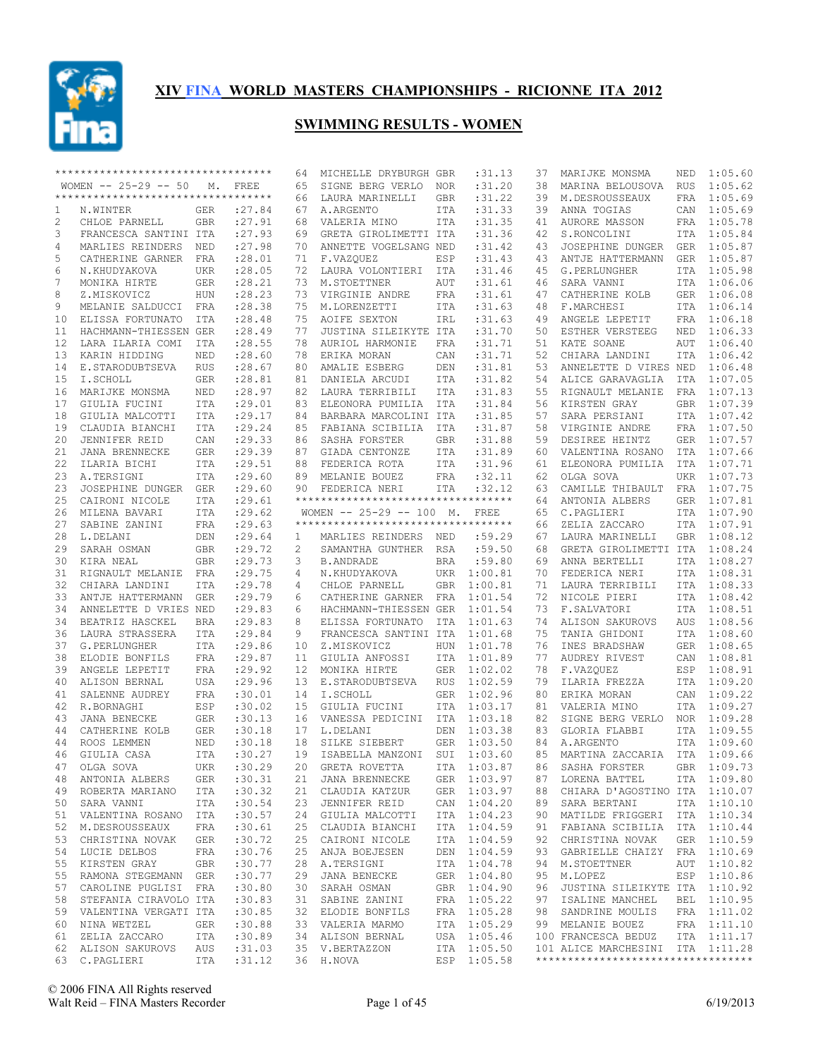

|    | ********************************** |            |         | 64                    | MICHELLE DRYBURGH GBR               |            | :31.13             | 37 | MARIJKE MONSMA                     | NED        | 1:05.60     |
|----|------------------------------------|------------|---------|-----------------------|-------------------------------------|------------|--------------------|----|------------------------------------|------------|-------------|
|    | WOMEN $-- 25-29 -- 50$             | М.         | FREE    | 65                    | SIGNE BERG VERLO                    | NOR        | :31.20             | 38 | MARINA BELOUSOVA                   | <b>RUS</b> | 1:05.62     |
|    | ********************************** |            |         | 66                    | LAURA MARINELLI                     | <b>GBR</b> | :31.22             | 39 | M.DESROUSSEAUX                     | FRA        | 1:05.69     |
| 1  | N.WINTER                           | <b>GER</b> | : 27.84 | 67                    | A.ARGENTO                           | ITA        | :31.33             | 39 | ANNA TOGIAS                        | CAN        | 1:05.69     |
| 2  | CHLOE PARNELL                      | <b>GBR</b> | : 27.91 | 68                    | VALERIA MINO                        | ITA        | : 31.35            | 41 | AURORE MASSON                      |            | FRA 1:05.78 |
| 3  | FRANCESCA SANTINI ITA              |            | : 27.93 | 69                    | GRETA GIROLIMETTI ITA               |            | :31.36             | 42 | S.RONCOLINI                        | ITA        | 1:05.84     |
| 4  | MARLIES REINDERS                   | NED        | : 27.98 | 70                    | ANNETTE VOGELSANG NED               |            | : 31.42            | 43 | JOSEPHINE DUNGER                   | GER        | 1:05.87     |
| 5  | CATHERINE GARNER                   | FRA        | : 28.01 | 71                    | F.VAZQUEZ                           | ESP        | :31.43             | 43 | ANTJE HATTERMANN                   | GER        | 1:05.87     |
| 6  | N.KHUDYAKOVA                       | <b>UKR</b> | : 28.05 | 72                    | LAURA VOLONTIERI                    | ITA        | : 31.46            | 45 | G. PERLUNGHER                      | ITA        | 1:05.98     |
| 7  | MONIKA HIRTE                       | GER        | : 28.21 | 73                    | M.STOETTNER                         | AUT        | :31.61             | 46 | SARA VANNI                         | <b>ITA</b> | 1:06.06     |
| 8  | Z.MISKOVICZ                        | HUN        | : 28.23 | 73                    | VIRGINIE ANDRE                      | FRA        | :31.61             | 47 | CATHERINE KOLB                     |            | GER 1:06.08 |
| 9  | MELANIE SALDUCCI FRA               |            | :28.38  | 75                    | M.LORENZETTI                        | ITA        | :31.63             | 48 | F.MARCHESI                         | ITA        | 1:06.14     |
| 10 | ELISSA FORTUNATO                   | ITA        | :28.48  | 75                    | AOIFE SEXTON                        | IRL        | :31.63             | 49 | ANGELE LEPETIT                     | FRA        | 1:06.18     |
| 11 | HACHMANN-THIESSEN GER              |            | :28.49  | 77                    | JUSTINA SILEIKYTE ITA               |            | :31.70             | 50 | ESTHER VERSTEEG                    | NED        | 1:06.33     |
| 12 | LARA ILARIA COMI                   | ITA        | : 28.55 | 78                    | AURIOL HARMONIE                     | FRA        | :31.71             | 51 | KATE SOANE                         | AUT        | 1:06.40     |
| 13 | KARIN HIDDING                      | NED        | : 28.60 | 78                    | ERIKA MORAN                         | CAN        | :31.71             | 52 | CHIARA LANDINI                     | ITA        | 1:06.42     |
| 14 | E.STARODUBTSEVA                    | <b>RUS</b> | : 28.67 | 80                    | AMALIE ESBERG                       | DEN        | : 31.81            | 53 | ANNELETTE D VIRES NED              |            | 1:06.48     |
| 15 | I.SCHOLL                           | GER        | :28.81  | 81                    | DANIELA ARCUDI                      | ITA        | :31.82             | 54 | ALICE GARAVAGLIA                   | <b>ITA</b> | 1:07.05     |
| 16 | MARIJKE MONSMA                     | NED        | : 28.97 | 82                    | LAURA TERRIBILI                     | ITA        | :31.83             | 55 | RIGNAULT MELANIE                   | FRA        | 1:07.13     |
| 17 | GIULIA FUCINI                      | ITA        | : 29.01 | 83                    | ELEONORA PUMILIA                    | ITA        | :31.84             | 56 | KIRSTEN GRAY                       | GBR        | 1:07.39     |
| 18 | GIULIA MALCOTTI                    | <b>ITA</b> | : 29.17 | 84                    | BARBARA MARCOLINI ITA               |            | :31.85             | 57 | SARA PERSIANI                      | ITA        | 1:07.42     |
| 19 | CLAUDIA BIANCHI                    | <b>ITA</b> | : 29.24 | 85                    | FABIANA SCIBILIA                    | <b>ITA</b> | :31.87             | 58 | VIRGINIE ANDRE                     | FRA        | 1:07.50     |
| 20 | JENNIFER REID                      | CAN        | : 29.33 | 86                    | SASHA FORSTER                       | <b>GBR</b> | :31.88             | 59 | DESIREE HEINTZ                     | GER        | 1:07.57     |
| 21 | JANA BRENNECKE                     | GER        | : 29.39 | 87                    | GIADA CENTONZE                      | ITA        | :31.89             | 60 | VALENTINA ROSANO                   | ITA        | 1:07.66     |
| 22 | ILARIA BICHI                       | <b>ITA</b> | : 29.51 | 88                    | FEDERICA ROTA                       | ITA        | :31.96             | 61 | ELEONORA PUMILIA                   | ITA        | 1:07.71     |
| 23 | A.TERSIGNI                         | <b>ITA</b> | : 29.60 | 89                    | MELANIE BOUEZ                       | FRA        | :32.11             | 62 | OLGA SOVA                          | <b>UKR</b> | 1:07.73     |
| 23 | JOSEPHINE DUNGER GER               |            | : 29.60 | 90                    | FEDERICA NERI                       | ITA        | :32.12             | 63 | CAMILLE THIBAULT                   | FRA        | 1:07.75     |
| 25 | CAIRONI NICOLE                     | <b>ITA</b> | :29.61  |                       | **********************************  |            |                    | 64 | ANTONIA ALBERS                     | GER        | 1:07.81     |
| 26 | MILENA BAVARI                      | <b>ITA</b> | : 29.62 |                       | WOMEN $-- 25-29 -- 100$ M.          |            | FREE               | 65 | C.PAGLIERI                         | ITA        | 1:07.90     |
| 27 | SABINE ZANINI                      | FRA        | : 29.63 |                       | *********************************** |            |                    | 66 | ZELIA ZACCARO                      | ITA        | 1:07.91     |
| 28 | L.DELANI                           | DEN        | : 29.64 | $\mathbf{1}$          | MARLIES REINDERS NED                |            | :59.29             | 67 | LAURA MARINELLI                    | GBR        | 1:08.12     |
| 29 | SARAH OSMAN                        | GBR        | : 29.72 | $\mathbf{2}^{\prime}$ | SAMANTHA GUNTHER                    | RSA        | :59.50             | 68 | GRETA GIROLIMETTI ITA              |            | 1:08.24     |
| 30 | KIRA NEAL                          | GBR        | : 29.73 | 3                     | <b>B.ANDRADE</b>                    | <b>BRA</b> | :59.80             | 69 | ANNA BERTELLI                      | ITA        | 1:08.27     |
| 31 | RIGNAULT MELANIE FRA               |            | : 29.75 | 4                     | N.KHUDYAKOVA                        | <b>UKR</b> | 1:00.81            | 70 | FEDERICA NERI                      |            | ITA 1:08.31 |
| 32 | CHIARA LANDINI                     | ITA        | : 29.78 | 4                     | CHLOE PARNELL                       | <b>GBR</b> | 1:00.81            | 71 | LAURA TERRIBILI                    | ITA        | 1:08.33     |
| 33 | ANTJE HATTERMANN                   | <b>GER</b> | : 29.79 | 6                     | CATHERINE GARNER                    | <b>FRA</b> | 1:01.54            | 72 | NICOLE PIERI                       | ITA        | 1:08.42     |
| 34 | ANNELETTE D VRIES NED              |            | : 29.83 | 6                     | HACHMANN-THIESSEN GER               |            | 1:01.54            | 73 | F.SALVATORI                        | ITA        | 1:08.51     |
| 34 | BEATRIZ HASCKEL                    | <b>BRA</b> | : 29.83 | 8                     | ELISSA FORTUNATO                    | ITA        | 1:01.63            | 74 | ALISON SAKUROVS                    | <b>AUS</b> | 1:08.56     |
| 36 | LAURA STRASSERA                    | ITA        | :29.84  | 9                     | FRANCESCA SANTINI ITA               |            | 1:01.68            | 75 | TANIA GHIDONI                      | ITA        | 1:08.60     |
| 37 | G. PERLUNGHER                      | ITA        | :29.86  | 10                    | Z.MISKOVICZ                         | <b>HUN</b> | 1:01.78            | 76 | INES BRADSHAW                      | GER        | 1:08.65     |
| 38 | ELODIE BONFILS                     | FRA        | : 29.87 | 11                    | GIULIA ANFOSSI                      | ITA        | 1:01.89            | 77 | AUDREY RIVEST                      | CAN        | 1:08.81     |
| 39 | ANGELE LEPETIT                     | FRA        | : 29.92 | 12 <sup>°</sup>       | MONIKA HIRTE                        | <b>GER</b> | 1:02.02            | 78 | F.VAZQUEZ                          |            | ESP 1:08.91 |
| 40 | ALISON BERNAL                      |            | : 29.96 | 13                    | E.STARODUBTSEVA                     |            |                    | 79 | ILARIA FREZZA                      | ITA        | 1:09.20     |
|    |                                    | USA        |         |                       |                                     | <b>RUS</b> | 1:02.59<br>1:02.96 |    |                                    |            | 1:09.22     |
| 41 | SALENNE AUDREY                     | FRA        | :30.01  | 14                    | I.SCHOLL                            | <b>GER</b> |                    | 80 | ERIKA MORAN                        | CAN        |             |
| 42 | R.BORNAGHI                         | ESP        | :30.02  | 15                    | GIULIA FUCINI                       | <b>ITA</b> | 1:03.17            | 81 | VALERIA MINO                       | ITA        | 1:09.27     |
| 43 | JANA BENECKE                       | GER        | :30.13  | 16                    | VANESSA PEDICINI                    | ITA        | 1:03.18            | 82 | SIGNE BERG VERLO                   | NOR        | 1:09.28     |
| 44 | CATHERINE KOLB                     | GER        | :30.18  | 17                    | L.DELANI                            | DEN        | 1:03.38            | 83 | GLORIA FLABBI                      | ITA        | 1:09.55     |
| 44 | ROOS LEMMEN                        | NED        | :30.18  | 18                    | SILKE SIEBERT                       | <b>GER</b> | 1:03.50            | 84 | A.ARGENTO                          | ITA        | 1:09.60     |
| 46 | GIULIA CASA                        | ITA        | :30.27  | 19                    | ISABELLA MANZONI                    | SUI        | 1:03.60            | 85 | MARTINA ZACCARIA                   | ITA        | 1:09.66     |
|    | 47 OLGA SOVA                       | UKR        | :30.29  |                       | 20 GRETA ROVETTA                    |            | ITA 1:03.87        |    | 86 SASHA FORSTER                   |            | GBR 1:09.73 |
| 48 | ANTONIA ALBERS                     | GER        | :30.31  |                       | 21 JANA BRENNECKE                   |            | GER 1:03.97        | 87 | LORENA BATTEL                      |            | ITA 1:09.80 |
|    | 49 ROBERTA MARIANO                 | ITA        | :30.32  |                       | 21 CLAUDIA KATZUR                   |            | GER 1:03.97        | 88 | CHIARA D'AGOSTINO ITA 1:10.07      |            |             |
| 50 | SARA VANNI                         | ITA        | :30.54  | 23                    | JENNIFER REID                       |            | CAN 1:04.20        | 89 | SARA BERTANI                       |            | ITA 1:10.10 |
| 51 | VALENTINA ROSANO ITA               |            | :30.57  |                       | 24 GIULIA MALCOTTI                  |            | ITA 1:04.23        | 90 | MATILDE FRIGGERI                   |            | ITA 1:10.34 |
| 52 | M.DESROUSSEAUX                     | FRA        | :30.61  |                       | 25 CLAUDIA BIANCHI                  |            | ITA 1:04.59        | 91 | FABIANA SCIBILIA ITA 1:10.44       |            |             |
| 53 | CHRISTINA NOVAK                    | GER        | :30.72  |                       | 25 CAIRONI NICOLE                   |            | ITA 1:04.59        | 92 | CHRISTINA NOVAK                    |            | GER 1:10.59 |
| 54 | LUCIE DELBOS                       | FRA        | :30.76  | 25                    | ANJA BOEJESEN                       |            | DEN 1:04.59        | 93 | GABRIELLE CHAIZY FRA 1:10.69       |            |             |
| 55 | KIRSTEN GRAY                       | GBR        | :30.77  |                       | 28 A.TERSIGNI                       |            | ITA 1:04.78        | 94 | M.STOETTNER                        |            | AUT 1:10.82 |
| 55 | RAMONA STEGEMANN GER               |            | :30.77  | 29                    | JANA BENECKE                        |            | GER 1:04.80        | 95 | M.LOPEZ                            |            | ESP 1:10.86 |
| 57 | CAROLINE PUGLISI FRA               |            | :30.80  | 30                    | SARAH OSMAN                         |            | GBR 1:04.90        | 96 | JUSTINA SILEIKYTE ITA 1:10.92      |            |             |
| 58 | STEFANIA CIRAVOLO ITA              |            | :30.83  | 31                    | SABINE ZANINI                       |            | FRA 1:05.22        | 97 | ISALINE MANCHEL                    |            | BEL 1:10.95 |
| 59 | VALENTINA VERGATI ITA              |            | :30.85  |                       | 32 ELODIE BONFILS                   |            | FRA 1:05.28        | 98 | SANDRINE MOULIS                    |            | FRA 1:11.02 |
| 60 | NINA WETZEL                        | GER        | :30.88  |                       | 33 VALERIA MARMO                    |            | ITA 1:05.29        | 99 | MELANIE BOUEZ                      |            | FRA 1:11.10 |
| 61 | ZELIA ZACCARO                      | ITA        | :30.89  |                       | 34 ALISON BERNAL                    |            | USA 1:05.46        |    | 100 FRANCESCA BEDUZ                |            | ITA 1:11.17 |
| 62 | ALISON SAKUROVS                    | AUS        | :31.03  |                       | 35 V.BERTAZZON                      |            | ITA 1:05.50        |    | 101 ALICE MARCHESINI ITA 1:11.28   |            |             |
| 63 | C.PAGLIERI                         | ITA        | :31.12  |                       | 36 H.NOVA                           |            | ESP 1:05.58        |    | ********************************** |            |             |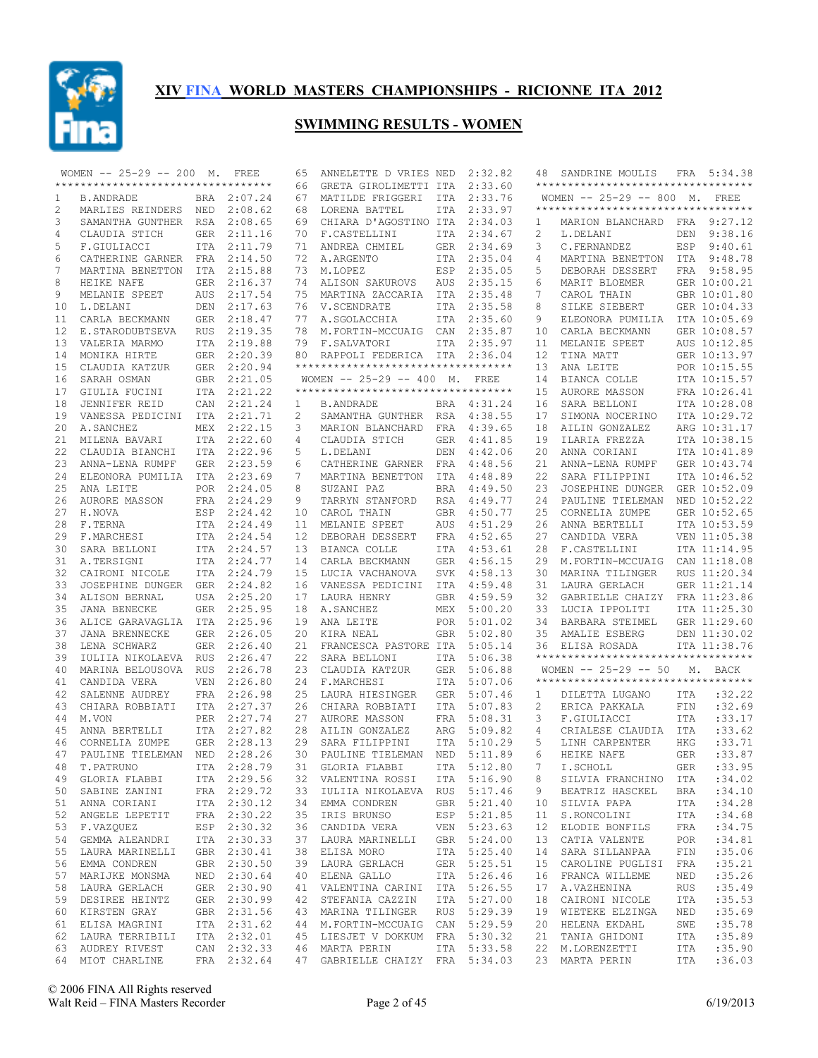

|    | WOMEN -- 25-29 -- 200 M. FREE                    |            |             | 65 | ANNELETTE D VRIES NED                                         |            | 2:32.82     | 48 | SANDRINE MOULIS                    |            | FRA 5:34.38      |
|----|--------------------------------------------------|------------|-------------|----|---------------------------------------------------------------|------------|-------------|----|------------------------------------|------------|------------------|
|    | ***********************************              |            |             | 66 | GRETA GIROLIMETTI ITA                                         |            | 2:33.60     |    | ********************************** |            |                  |
| 1  | <b>B.ANDRADE</b>                                 |            | BRA 2:07.24 | 67 | MATILDE FRIGGERI                                              | ITA        | 2:33.76     |    | WOMEN -- 25-29 -- 800 M. FREE      |            |                  |
| 2  | MARLIES REINDERS NED                             |            | 2:08.62     | 68 | LORENA BATTEL                                                 | <b>ITA</b> | 2:33.97     |    | ********************************** |            |                  |
| 3  | SAMANTHA GUNTHER RSA                             |            | 2:08.65     | 69 | CHIARA D'AGOSTINO ITA 2:34.03                                 |            |             | 1  | MARION BLANCHARD FRA 9:27.12       |            |                  |
|    |                                                  |            |             |    |                                                               |            |             |    |                                    |            |                  |
| 4  | CLAUDIA STICH                                    | GER        | 2:11.16     | 70 | F.CASTELLINI                                                  | ITA        | 2:34.67     | 2  | L.DELANI                           |            | DEN 9:38.16      |
| 5  | F.GIULIACCI                                      |            | ITA 2:11.79 | 71 | ANDREA CHMIEL                                                 |            | GER 2:34.69 | 3  | C.FERNANDEZ                        |            | ESP 9:40.61      |
| 6  | CATHERINE GARNER                                 | FRA        | 2:14.50     | 72 | A.ARGENTO                                                     | ITA        | 2:35.04     | 4  | MARTINA BENETTON                   |            | ITA 9:48.78      |
| 7  | MARTINA BENETTON                                 |            | ITA 2:15.88 | 73 | M.LOPEZ                                                       | ESP        | 2:35.05     | 5  | DEBORAH DESSERT                    |            | FRA 9:58.95      |
| 8  | HEIKE NAFE                                       | GER        | 2:16.37     | 74 | ALISON SAKUROVS                                               | AUS        | 2:35.15     | 6  | MARIT BLOEMER                      |            | GER 10:00.21     |
| 9  | MELANIE SPEET                                    | <b>AUS</b> | 2:17.54     | 75 | MARTINA ZACCARIA                                              |            | ITA 2:35.48 | 7  | CAROL THAIN                        |            | GBR 10:01.80     |
| 10 | L.DELANI                                         | DEN        | 2:17.63     |    | 76 V.SCENDRATE                                                | ITA        | 2:35.58     | 8  | SILKE SIEBERT                      |            | GER 10:04.33     |
| 11 | CARLA BECKMANN                                   | GER        | 2:18.47     | 77 | A.SGOLACCHIA                                                  |            | ITA 2:35.60 | 9  | ELEONORA PUMILIA                   |            | ITA 10:05.69     |
| 12 | E.STARODUBTSEVA                                  | <b>RUS</b> | 2:19.35     | 78 | M.FORTIN-MCCUAIG                                              | CAN        | 2:35.87     | 10 | CARLA BECKMANN                     |            | GER 10:08.57     |
| 13 | VALERIA MARMO                                    |            | ITA 2:19.88 | 79 | F.SALVATORI                                                   |            | ITA 2:35.97 | 11 | MELANIE SPEET                      |            | AUS 10:12.85     |
| 14 | MONIKA HIRTE                                     |            | GER 2:20.39 |    | 80 RAPPOLI FEDERICA ITA 2:36.04                               |            |             | 12 | TINA MATT                          |            | GER 10:13.97     |
|    |                                                  |            |             |    | **********************************                            |            |             | 13 |                                    |            |                  |
| 15 | CLAUDIA KATZUR                                   |            | GER 2:20.94 |    |                                                               |            |             |    | ANA LEITE                          |            | POR 10:15.55     |
| 16 | SARAH OSMAN                                      |            | GBR 2:21.05 |    | WOMEN $-- 25-29 -- 400 M.$                                    |            | FREE        | 14 | BIANCA COLLE                       |            | ITA 10:15.57     |
| 17 | GIULIA FUCINI                                    |            | ITA 2:21.22 |    | ***********************************                           |            |             | 15 | AURORE MASSON                      |            | FRA 10:26.41     |
| 18 | JENNIFER REID                                    | CAN        | 2:21.24     | 1  | B.ANDRADE                                                     |            | BRA 4:31.24 | 16 | SARA BELLONI                       |            | ITA 10:28.08     |
| 19 | VANESSA PEDICINI                                 |            | ITA 2:21.71 | 2  | SAMANTHA GUNTHER RSA 4:38.55                                  |            |             | 17 | SIMONA NOCERINO                    |            | ITA 10:29.72     |
| 20 | A. SANCHEZ                                       | MEX        | 2:22.15     | 3  | MARION BLANCHARD                                              | FRA        | 4:39.65     | 18 | AILIN GONZALEZ                     |            | ARG 10:31.17     |
| 21 | MILENA BAVARI                                    |            | ITA 2:22.60 | 4  | CLAUDIA STICH                                                 | GER        | 4:41.85     | 19 | ILARIA FREZZA                      |            | ITA 10:38.15     |
| 22 | CLAUDIA BIANCHI                                  | ITA        | 2:22.96     | 5  | L.DELANI                                                      | DEN        | 4:42.06     | 20 | ANNA CORIANI                       |            | ITA 10:41.89     |
| 23 | ANNA-LENA RUMPF                                  | GER        | 2:23.59     | 6  | CATHERINE GARNER FRA                                          |            | 4:48.56     | 21 | ANNA-LENA RUMPF                    |            | GER 10:43.74     |
| 24 | ELEONORA PUMILIA                                 |            | ITA 2:23.69 | 7  | MARTINA BENETTON                                              |            | ITA 4:48.89 | 22 | SARA FILIPPINI                     |            | ITA 10:46.52     |
|    |                                                  |            |             |    |                                                               |            |             |    |                                    |            |                  |
| 25 | ANA LEITE                                        |            | POR 2:24.05 | 8  | SUZANI PAZ                                                    | BRA        | 4:49.50     | 23 | JOSEPHINE DUNGER                   |            | GER 10:52.09     |
| 26 | AURORE MASSON                                    |            | FRA 2:24.29 | 9  | TARRYN STANFORD                                               | RSA        | 4:49.77     | 24 | PAULINE TIELEMAN                   |            | NED 10:52.22     |
| 27 | H.NOVA                                           |            | ESP 2:24.42 | 10 | CAROL THAIN                                                   | GBR        | 4:50.77     | 25 | CORNELIA ZUMPE                     |            | GER 10:52.65     |
| 28 | F.TERNA                                          |            | ITA 2:24.49 | 11 | MELANIE SPEET                                                 | AUS        | 4:51.29     | 26 | ANNA BERTELLI                      |            | ITA 10:53.59     |
| 29 | F.MARCHESI                                       |            | ITA 2:24.54 | 12 | DEBORAH DESSERT                                               |            | FRA 4:52.65 | 27 | CANDIDA VERA                       |            | VEN 11:05.38     |
| 30 | SARA BELLONI                                     |            | ITA 2:24.57 | 13 | BIANCA COLLE                                                  | ITA        | 4:53.61     | 28 | F.CASTELLINI                       |            | ITA 11:14.95     |
| 31 | A.TERSIGNI                                       |            | ITA 2:24.77 | 14 | CARLA BECKMANN                                                | GER        | 4:56.15     | 29 | M.FORTIN-MCCUAIG                   |            | CAN 11:18.08     |
| 32 | CAIRONI NICOLE                                   |            | ITA 2:24.79 | 15 | LUCIA VACHANOVA                                               | SVK        | 4:58.13     | 30 | MARINA TILINGER                    |            | RUS 11:20.34     |
| 33 | JOSEPHINE DUNGER GER 2:24.82                     |            |             | 16 | VANESSA PEDICINI                                              | ITA        | 4:59.48     | 31 | LAURA GERLACH                      |            | GER 11:21.14     |
| 34 | ALISON BERNAL                                    |            | USA 2:25.20 | 17 | LAURA HENRY                                                   | GBR        | 4:59.59     | 32 | GABRIELLE CHAIZY FRA 11:23.86      |            |                  |
|    |                                                  |            |             |    |                                                               |            |             |    |                                    |            |                  |
| 35 | JANA BENECKE                                     |            | GER 2:25.95 | 18 | A. SANCHEZ                                                    | MEX        | 5:00.20     | 33 | LUCIA IPPOLITI                     |            | ITA 11:25.30     |
| 36 | ALICE GARAVAGLIA                                 |            | ITA 2:25.96 | 19 | ANA LEITE                                                     |            | POR 5:01.02 | 34 | BARBARA STEIMEL                    |            | GER 11:29.60     |
| 37 | JANA BRENNECKE                                   |            | GER 2:26.05 | 20 | KIRA NEAL                                                     | <b>GBR</b> | 5:02.80     | 35 | AMALIE ESBERG                      |            | DEN 11:30.02     |
| 38 | LENA SCHWARZ                                     |            | GER 2:26.40 | 21 | FRANCESCA PASTORE ITA                                         |            | 5:05.14     | 36 | ELISA ROSADA                       |            | ITA 11:38.76     |
| 39 | IULIIA NIKOLAEVA                                 | <b>RUS</b> | 2:26.47     | 22 | SARA BELLONI                                                  | <b>ITA</b> | 5:06.38     |    | ********************************** |            |                  |
| 40 | MARINA BELOUSOVA RUS                             |            | 2:26.78     | 23 | CLAUDIA KATZUR                                                |            | GER 5:06.88 |    | WOMEN -- 25-29 -- 50 M. BACK       |            |                  |
| 41 | CANDIDA VERA                                     | VEN        | 2:26.80     | 24 | F.MARCHESI                                                    | <b>ITA</b> | 5:07.06     |    | ********************************** |            |                  |
| 42 | SALENNE AUDREY                                   |            | FRA 2:26.98 | 25 | LAURA HIESINGER                                               |            | GER 5:07.46 | 1  | DILETTA LUGANO                     | ITA        | :32.22           |
| 43 | CHIARA ROBBIATI                                  |            | ITA 2:27.37 | 26 | CHIARA ROBBIATI                                               | ITA        | 5:07.83     | 2  | ERICA PAKKALA                      | FIN        | :32.69           |
| 44 | M.VON                                            |            | PER 2:27.74 |    | 27 AURORE MASSON                                              |            | FRA 5:08.31 | 3  | F.GIULIACCI                        | <b>ITA</b> | : 33.17          |
| 45 | ANNA BERTELLI                                    |            | ITA 2:27.82 | 28 | AILIN GONZALEZ                                                | ARG        | 5:09.82     | 4  | CRIALESE CLAUDIA                   | ITA        | : 33.62          |
| 46 |                                                  |            | GER 2:28.13 | 29 |                                                               |            |             | 5  |                                    |            | : 33.71          |
|    | CORNELIA ZUMPE                                   |            |             |    | SARA FILIPPINI                                                |            | ITA 5:10.29 |    | LINH CARPENTER                     | <b>HKG</b> |                  |
| 47 | PAULINE TIELEMAN NED                             |            | 2:28.26     | 30 | PAULINE TIELEMAN                                              | NED        | 5:11.89     | 6  | HEIKE NAFE                         | <b>GER</b> | :33.87           |
| 48 | T.PATRUNO                                        |            | ITA 2:28.79 |    | 31 GLORIA FLABBI                                              |            | ITA 5:12.80 |    | 7 I.SCHOLL                         |            | GER : 33.95      |
|    | 49 GLORIA FLABBI                                 |            | ITA 2:29.56 |    | 32 VALENTINA ROSSI                                            |            | ITA 5:16.90 | 8  | SILVIA FRANCHINO ITA               |            | :34.02           |
|    | 50 SABINE ZANINI                                 |            | FRA 2:29.72 |    | 33 IULIIA NIKOLAEVA RUS 5:17.46                               |            |             | 9  | BEATRIZ HASCKEL                    | BRA        | :34.10           |
|    | 51 ANNA CORIANI                                  |            | ITA 2:30.12 |    | 34 EMMA CONDREN                                               |            | GBR 5:21.40 | 10 | SILVIA PAPA                        | ITA        | :34.28           |
|    | 52 ANGELE LEPETIT                                |            | FRA 2:30.22 |    | 35 IRIS BRUNSO                                                |            | ESP 5:21.85 | 11 | S.RONCOLINI                        | ITA        | :34.68           |
| 53 | F.VAZQUEZ                                        |            | ESP 2:30.32 |    | 36 CANDIDA VERA VEN 5:23.63                                   |            |             | 12 | ELODIE BONFILS                     | FRA        | :34.75           |
|    | 54 GEMMA ALEANDRI                                |            | ITA 2:30.33 |    | 37 LAURA MARINELLI GBR 5:24.00                                |            |             | 13 | CATIA VALENTE                      | POR        | :34.81           |
|    |                                                  |            |             |    |                                                               |            |             |    |                                    |            |                  |
|    | 55 LAURA MARINELLI                               |            | GBR 2:30.41 |    | 38 ELISA MORO                                                 |            | ITA 5:25.40 | 14 | SARA SILLANPAA                     | FIN        | :35.06           |
|    | 56 EMMA CONDREN                                  |            | GBR 2:30.50 |    | 39 LAURA GERLACH                                              |            | GER 5:25.51 | 15 | CAROLINE PUGLISI FRA               |            | :35.21           |
| 57 | MARIJKE MONSMA                                   |            | NED 2:30.64 |    | 40 ELENA GALLO                                                |            | ITA 5:26.46 | 16 | FRANCA WILLEME                     | NED        | :35.26           |
|    | 58 LAURA GERLACH                                 |            | GER 2:30.90 |    | 41 VALENTINA CARINI ITA 5:26.55                               |            |             | 17 | A.VAZHENINA                        | RUS        | :35.49           |
|    | 59 DESIREE HEINTZ                                |            | GER 2:30.99 |    | 42 STEFANIA CAZZIN                                            |            | ITA 5:27.00 | 18 | CAIRONI NICOLE                     | ITA        | :35.53           |
|    | 60 KIRSTEN GRAY                                  |            | GBR 2:31.56 |    | 43 MARINA TILINGER RUS 5:29.39                                |            |             | 19 | WIETEKE ELZINGA                    | NED        | :35.69           |
|    | 61 ELISA MAGRINI                                 |            | ITA 2:31.62 |    | 44 M.FORTIN-MCCUAIG CAN 5:29.59                               |            |             | 20 | HELENA EKDAHL                      | SWE        | :35.78           |
|    | 62 LAURA TERRIBILI                               |            | ITA 2:32.01 |    | 45 LIESJET V DOKKUM FRA 5:30.32                               |            |             | 21 | TANIA GHIDONI                      | ITA        | :35.89           |
|    |                                                  |            |             |    |                                                               |            |             |    |                                    |            |                  |
|    |                                                  |            |             |    |                                                               |            |             |    |                                    |            |                  |
|    | 63 AUDREY RIVEST<br>64 MIOT CHARLINE FRA 2:32.64 |            | CAN 2:32.33 |    | 46 MARTA PERIN ITA 5:33.58<br>47 GABRIELLE CHAIZY FRA 5:34.03 |            |             |    | 22 M.LORENZETTI<br>23 MARTA PERIN  | ITA<br>ITA | :35.90<br>:36.03 |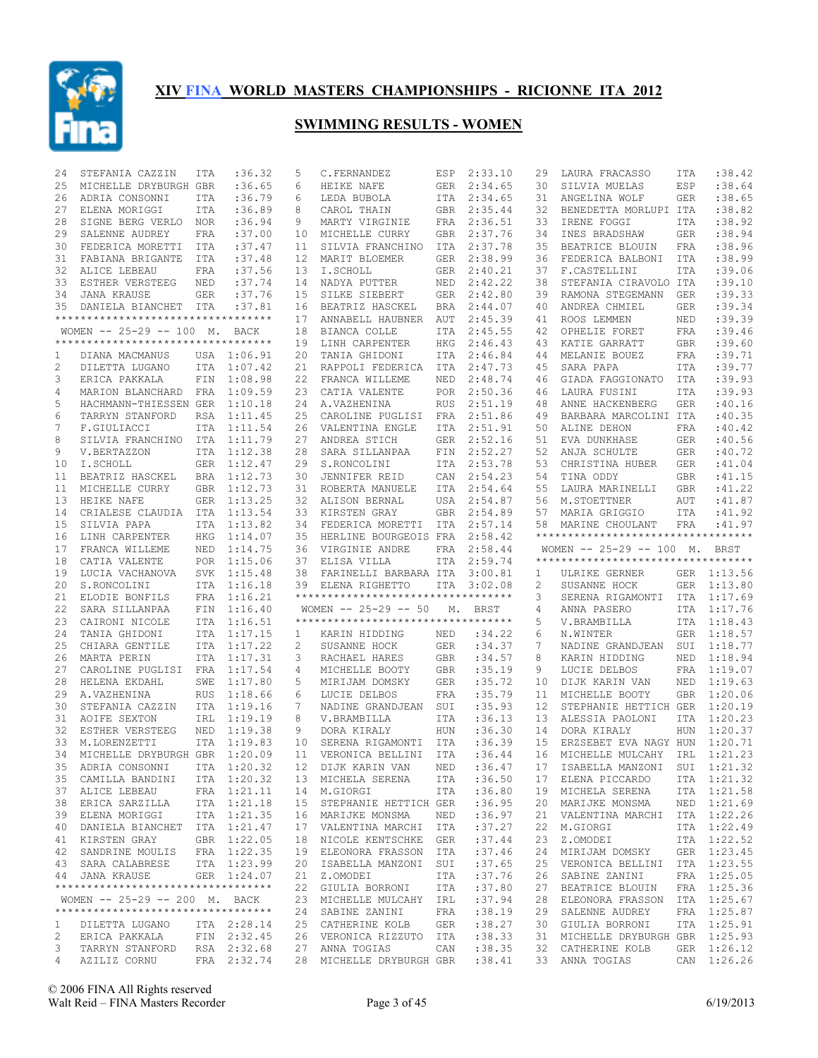

| 24           | STEFANIA CAZZIN                     | ITA        | :36.32      | 5            | C.FERNANDEZ                         | ESP        | 2:33.10     | 29       | LAURA FRACASSO                                               | ITA        | : 38.42     |
|--------------|-------------------------------------|------------|-------------|--------------|-------------------------------------|------------|-------------|----------|--------------------------------------------------------------|------------|-------------|
| 25           | MICHELLE DRYBURGH GBR               |            | :36.65      | 6            | HEIKE NAFE                          | GER        | 2:34.65     | 30       | SILVIA MUELAS                                                | ESP        | :38.64      |
| 26           | ADRIA CONSONNI                      | ITA        | :36.79      | 6            | LEDA BUBOLA                         |            | ITA 2:34.65 | 31       | ANGELINA WOLF                                                | <b>GER</b> | :38.65      |
| 27           | ELENA MORIGGI                       | ITA        | :36.89      | 8            | CAROL THAIN                         | <b>GBR</b> | 2:35.44     | 32       | BENEDETTA MORLUPI ITA                                        |            | :38.82      |
| 28           | SIGNE BERG VERLO                    | NOR.       | :36.94      | 9            | MARTY VIRGINIE                      | FRA        | 2:36.51     | 33       | IRENE FOGGI                                                  | ITA        | :38.92      |
| 29           | SALENNE AUDREY                      | FRA        | :37.00      | 10           | MICHELLE CURRY                      | GBR        | 2:37.76     | 34       | INES BRADSHAW                                                | <b>GER</b> | :38.94      |
| 30           | FEDERICA MORETTI                    | ITA        | :37.47      | 11           | SILVIA FRANCHINO                    | ITA        | 2:37.78     | 35       | BEATRICE BLOUIN                                              | <b>FRA</b> | :38.96      |
| 31           | FABIANA BRIGANTE                    | ITA        | :37.48      | 12           | MARIT BLOEMER                       | <b>GER</b> | 2:38.99     | 36       | FEDERICA BALBONI                                             | ITA        | :38.99      |
| 32           | ALICE LEBEAU                        | FRA        | :37.56      | 13           | I.SCHOLL                            | GER        | 2:40.21     | 37       | F.CASTELLINI                                                 | ITA        | :39.06      |
| 33           | ESTHER VERSTEEG                     | NED        | :37.74      | 14           | NADYA PUTTER                        | NED        | 2:42.22     | 38       | STEFANIA CIRAVOLO ITA                                        |            | :39.10      |
| 34           | JANA KRAUSE                         | GER        | :37.76      | 15           | SILKE SIEBERT                       | GER        | 2:42.80     | 39       | RAMONA STEGEMANN                                             | GER        | :39.33      |
| 35           | DANIELA BIANCHET ITA                |            | :37.81      | 16           | BEATRIZ HASCKEL                     | <b>BRA</b> | 2:44.07     | 40       | ANDREA CHMIEL                                                | <b>GER</b> | :39.34      |
|              | **********************************  |            |             | 17           | ANNABELL HAUBNER                    | AUT        | 2:45.39     | 41       | ROOS LEMMEN                                                  | NED        | :39.39      |
|              | WOMEN -- 25-29 -- 100 M. BACK       |            |             | 18           | BIANCA COLLE                        | ITA        | 2:45.55     | 42       | OPHELIE FORET                                                | <b>FRA</b> | :39.46      |
|              | **********************************  |            |             | 19           | LINH CARPENTER                      | HKG        | 2:46.43     | 43       | KATIE GARRATT                                                | <b>GBR</b> | :39.60      |
| 1            | DIANA MACMANUS                      |            | USA 1:06.91 | 20           | TANIA GHIDONI                       | ITA        | 2:46.84     | 44       | MELANIE BOUEZ                                                | <b>FRA</b> | :39.71      |
| 2            | DILETTA LUGANO                      |            | ITA 1:07.42 | 21           | RAPPOLI FEDERICA                    | ITA        | 2:47.73     | 45       | SARA PAPA                                                    | <b>ITA</b> | :39.77      |
| 3            | ERICA PAKKALA                       | FIN        | 1:08.98     | 22           | FRANCA WILLEME                      | NED        | 2:48.74     | 46       | GIADA FAGGIONATO                                             | ITA        | :39.93      |
|              |                                     |            |             |              |                                     |            |             |          |                                                              |            | :39.93      |
| 4            | MARION BLANCHARD FRA                |            | 1:09.59     | 23           | CATIA VALENTE                       | POR        | 2:50.36     | 46<br>48 | LAURA FUSINI                                                 | <b>ITA</b> |             |
| 5            | HACHMANN-THIESSEN GER               |            | 1:10.18     | 24           | A.VAZHENINA                         | <b>RUS</b> | 2:51.19     |          | ANNE HACKENBERG                                              | <b>GER</b> | :40.16      |
| 6            | TARRYN STANFORD                     | RSA        | 1:11.45     | 25           | CAROLINE PUGLISI                    | FRA        | 2:51.86     | 49       | BARBARA MARCOLINI ITA                                        |            | :40.35      |
| 7            | F.GIULIACCI                         |            | ITA 1:11.54 | 26           | VALENTINA ENGLE                     | <b>ITA</b> | 2:51.91     | 50       | ALINE DEHON                                                  | <b>FRA</b> | :40.42      |
| 8            | SILVIA FRANCHINO                    |            | ITA 1:11.79 | 27           | ANDREA STICH                        | GER        | 2:52.16     | 51       | EVA DUNKHASE                                                 | <b>GER</b> | :40.56      |
| 9            | V.BERTAZZON                         |            | ITA 1:12.38 | 28           | SARA SILLANPAA                      | FIN        | 2:52.27     | 52       | ANJA SCHULTE                                                 | <b>GER</b> | :40.72      |
| 10           | I.SCHOLL                            | GER        | 1:12.47     | 29           | S.RONCOLINI                         | ITA        | 2:53.78     | 53       | CHRISTINA HUBER                                              | <b>GER</b> | : 41.04     |
| 11           | BEATRIZ HASCKEL                     |            | BRA 1:12.73 | 30           | JENNIFER REID                       | CAN        | 2:54.23     | 54       | TINA ODDY                                                    | <b>GBR</b> | : 41.15     |
| 11           | MICHELLE CURRY                      |            | GBR 1:12.73 | 31           | ROBERTA MANUELE                     | ITA        | 2:54.64     | 55       | LAURA MARINELLI                                              | <b>GBR</b> | : 41.22     |
| 13           | HEIKE NAFE                          |            | GER 1:13.25 | 32           | ALISON BERNAL                       | USA        | 2:54.87     | 56       | M.STOETTNER                                                  | AUT        | :41.87      |
| 14           | CRIALESE CLAUDIA                    |            | ITA 1:13.54 | 33           | KIRSTEN GRAY                        | GBR        | 2:54.89     | 57       | MARIA GRIGGIO                                                | ITA        | :41.92      |
| 15           | SILVIA PAPA                         |            | ITA 1:13.82 | 34           | FEDERICA MORETTI                    | ITA        | 2:57.14     | 58       | MARINE CHOULANT                                              | FRA        | :41.97      |
| 16           | LINH CARPENTER                      | HKG        | 1:14.07     | 35           | HERLINE BOURGEOIS FRA               |            | 2:58.42     |          | **********************************                           |            |             |
| 17           | FRANCA WILLEME                      | NED        | 1:14.75     | 36           | VIRGINIE ANDRE                      | FRA        | 2:58.44     |          | WOMEN -- 25-29 -- 100 M. BRST                                |            |             |
|              |                                     |            |             |              |                                     |            |             |          |                                                              |            |             |
| 18           | CATIA VALENTE                       |            | POR 1:15.06 | 37           | ELISA VILLA                         | ITA        | 2:59.74     |          | **********************************                           |            |             |
| 19           | LUCIA VACHANOVA                     |            | SVK 1:15.48 | 38           | FARINELLI BARBARA ITA               |            | 3:00.81     | 1        | ULRIKE GERNER                                                |            | GER 1:13.56 |
| 20           | S.RONCOLINI                         |            | ITA 1:16.18 | 39           | ELENA RIGHETTO                      | ITA        | 3:02.08     | 2        | SUSANNE HOCK                                                 | GER        | 1:13.80     |
| 21           | ELODIE BONFILS                      |            | FRA 1:16.21 |              | **********************************  |            |             | 3        | SERENA RIGAMONTI                                             |            | ITA 1:17.69 |
| 22           |                                     | FIN        | 1:16.40     |              | WOMEN $-- 25-29 -- 50$              | М.         | BRST        | 4        |                                                              |            |             |
|              | SARA SILLANPAA                      |            |             |              | *********************************** |            |             | 5        | ANNA PASERO                                                  |            | ITA 1:17.76 |
| 23           | CAIRONI NICOLE                      |            | ITA 1:16.51 |              |                                     |            |             |          | V.BRAMBILLA                                                  |            | ITA 1:18.43 |
| 24           | TANIA GHIDONI                       |            | ITA 1:17.15 | $\mathbf{1}$ | KARIN HIDDING                       | NED        | :34.22      | 6        | N.WINTER                                                     |            | GER 1:18.57 |
| 25           | CHIARA GENTILE                      |            | ITA 1:17.22 | 2            | SUSANNE HOCK                        | GER        | :34.37      | 7        | NADINE GRANDJEAN                                             |            | SUI 1:18.77 |
| 26           | MARTA PERIN                         |            | ITA 1:17.31 | 3            | RACHAEL HARES                       | <b>GBR</b> | :34.57      | 8        | KARIN HIDDING                                                | NED        | 1:18.94     |
| 27           | CAROLINE PUGLISI                    |            | FRA 1:17.54 | 4            | MICHELLE BOOTY                      | <b>GBR</b> | :35.19      | 9        | LUCIE DELBOS                                                 |            | FRA 1:19.07 |
| 28           | HELENA EKDAHL                       | SWE        | 1:17.80     | 5            | MIRIJAM DOMSKY                      | GER        | :35.72      | 10       | DIJK KARIN VAN                                               | NED        | 1:19.63     |
| 29           | A.VAZHENINA                         | <b>RUS</b> | 1:18.66     | 6            | LUCIE DELBOS                        | FRA        | :35.79      | 11       | MICHELLE BOOTY                                               |            | GBR 1:20.06 |
| 30           | STEFANIA CAZZIN                     |            | ITA 1:19.16 | 7            | NADINE GRANDJEAN                    | SUI        | :35.93      | 12       | STEPHANIE HETTICH GER                                        |            | 1:20.19     |
| 31           | AOIFE SEXTON                        | IRL        | 1:19.19     | 8            | V.BRAMBILLA                         | ITA        | :36.13      | 13       | ALESSIA PAOLONI                                              | <b>ITA</b> | 1:20.23     |
| 32           | ESTHER VERSTEEG                     | NED        | 1:19.38     | 9            | DORA KIRALY                         | HUN        | :36.30      | 14       | DORA KIRALY                                                  | <b>HUN</b> | 1:20.37     |
| 33           | M.LORENZETTI                        | <b>ITA</b> | 1:19.83     | 10           | SERENA RIGAMONTI                    | ITA        | :36.39      | 15       | ERZSEBET EVA NAGY HUN                                        |            | 1:20.71     |
| 34           | MICHELLE DRYBURGH GBR               |            | 1:20.09     | 11           | VERONICA BELLINI                    | ITA        | :36.44      | 16       | MICHELLE MULCAHY                                             | IRL        | 1:21.23     |
|              | 35 ADRIA CONSONNI ITA 1:20.32       |            |             |              |                                     |            |             |          | 12 DIJK KARIN VAN NED :36.47 17 ISABELLA MANZONI SUI 1:21.32 |            |             |
|              | 35 CAMILLA BANDINI                  |            | ITA 1:20.32 |              | 13 MICHELA SERENA                   | ITA        | :36.50      | 17       | ELENA PICCARDO                                               |            | ITA 1:21.32 |
|              | 37 ALICE LEBEAU                     |            | FRA 1:21.11 |              | 14 M.GIORGI                         | ITA        | :36.80      |          | 19 MICHELA SERENA                                            |            | ITA 1:21.58 |
|              | 38 ERICA SARZILLA                   |            | ITA 1:21.18 |              | 15 STEPHANIE HETTICH GER            |            | :36.95      | 20       | MARIJKE MONSMA                                               |            | NED 1:21.69 |
|              | 39 ELENA MORIGGI                    |            | ITA 1:21.35 |              | 16 MARIJKE MONSMA                   | NED        | :36.97      | 21       | VALENTINA MARCHI                                             |            | ITA 1:22.26 |
| 40           | DANIELA BIANCHET ITA 1:21.47        |            |             |              | 17 VALENTINA MARCHI ITA             |            | :37.27      | 22       | M.GIORGI                                                     |            | ITA 1:22.49 |
|              | 41 KIRSTEN GRAY                     |            | GBR 1:22.05 |              | 18 NICOLE KENTSCHKE GER             |            | :37.44      | 23       | Z.OMODEI                                                     |            | ITA 1:22.52 |
|              | 42 SANDRINE MOULIS                  |            | FRA 1:22.35 |              | 19 ELEONORA FRASSON ITA             |            | :37.46      | 24       | MIRIJAM DOMSKY                                               |            | GER 1:23.45 |
|              | 43 SARA CALABRESE                   |            | ITA 1:23.99 |              | 20 ISABELLA MANZONI SUI             |            | :37.65      | 25       | VERONICA BELLINI                                             |            | ITA 1:23.55 |
|              | 44 JANA KRAUSE                      |            | GER 1:24.07 |              | 21 Z.OMODEI                         | ITA        | :37.76      | 26       | SABINE ZANINI                                                |            | FRA 1:25.05 |
|              | **********************************  |            |             |              | 22 GIULIA BORRONI                   | ITA        | :37.80      | 27       | BEATRICE BLOUIN                                              |            | FRA 1:25.36 |
|              | WOMEN -- 25-29 -- 200 M. BACK       |            |             |              | 23 MICHELLE MULCAHY IRL             |            | :37.94      | 28       | ELEONORA FRASSON                                             |            | ITA 1:25.67 |
|              | *********************************** |            |             |              | 24 SABINE ZANINI                    | FRA        | :38.19      | 29       | SALENNE AUDREY                                               |            | FRA 1:25.87 |
| $\mathbf{1}$ | DILETTA LUGANO                      |            | ITA 2:28.14 |              | 25 CATHERINE KOLB                   | GER        | : 38.27     | 30       | GIULIA BORRONI                                               |            | ITA 1:25.91 |
| 2            | ERICA PAKKALA FIN 2:32.45           |            |             |              | 26 VERONICA RIZZUTO ITA             |            | : 38.33     | 31       | MICHELLE DRYBURGH GBR 1:25.93                                |            |             |
| 3            | TARRYN STANFORD RSA 2:32.68         |            |             |              | 27 ANNA TOGIAS                      | CAN        | :38.35      |          | 32 CATHERINE KOLB                                            |            | GER 1:26.12 |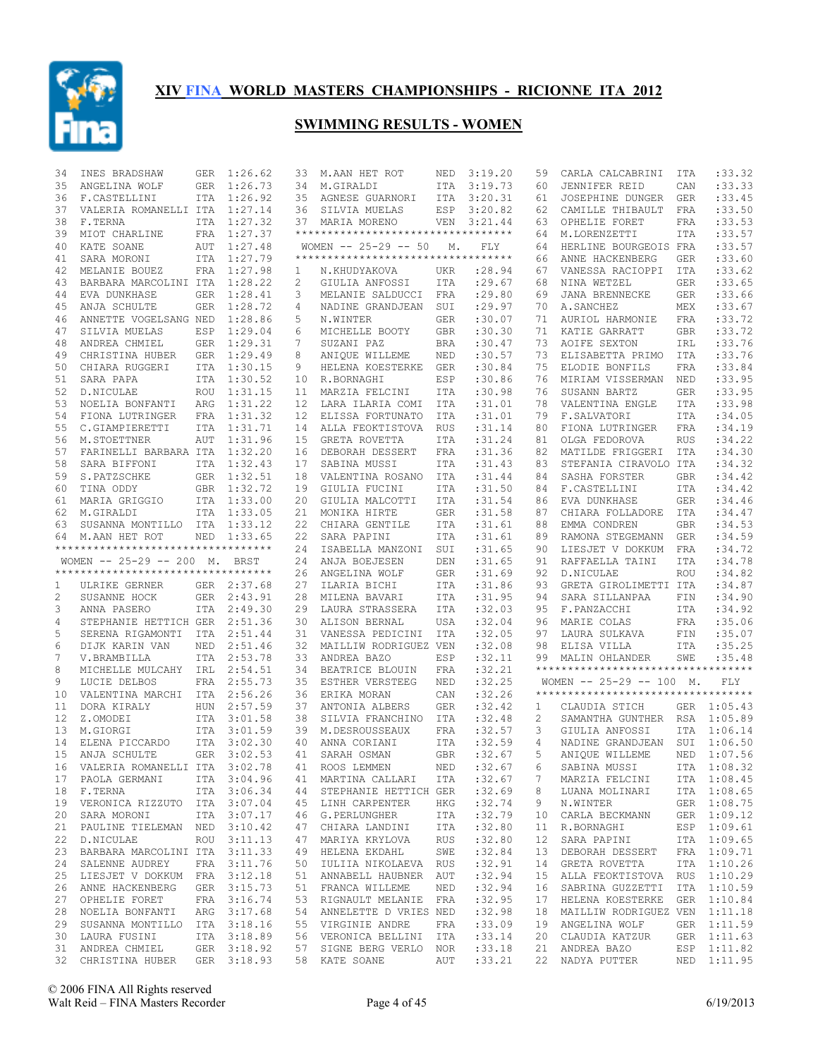

| 34 | INES BRADSHAW                      | GER        | 1:26.62     | 33                | M.AAN HET ROT                       | NED        | 3:19.20     | 59 | CARLA CALCABRINI                    | ITA        | : 33.32     |
|----|------------------------------------|------------|-------------|-------------------|-------------------------------------|------------|-------------|----|-------------------------------------|------------|-------------|
| 35 | ANGELINA WOLF                      | GER        | 1:26.73     | 34                | M.GIRALDI                           | ITA        | 3:19.73     | 60 | JENNIFER REID                       | CAN        | : 33.33     |
| 36 | F.CASTELLINI                       |            | ITA 1:26.92 |                   | 35 AGNESE GUARNORI                  | ITA        | 3:20.31     | 61 | JOSEPHINE DUNGER                    | GER        | :33.45      |
| 37 | VALERIA ROMANELLI ITA 1:27.14      |            |             | 36                | SILVIA MUELAS                       | ESP        | 3:20.82     | 62 | CAMILLE THIBAULT                    | FRA        | :33.50      |
| 38 | F.TERNA                            |            | ITA 1:27.32 |                   | 37 MARIA MORENO                     |            | VEN 3:21.44 | 63 | OPHELIE FORET                       | FRA        | :33.53      |
| 39 | MIOT CHARLINE                      |            | FRA 1:27.37 |                   | *********************************** |            |             | 64 | M.LORENZETTI                        | ITA        | :33.57      |
| 40 | KATE SOANE                         | AUT        | 1:27.48     |                   | $WOMEN$ -- 25-29 -- 50              | Μ.         | FLY.        | 64 | HERLINE BOURGEOIS FRA               |            | :33.57      |
| 41 | SARA MORONI                        |            | ITA 1:27.79 |                   | **********************************  |            |             | 66 | ANNE HACKENBERG                     | <b>GER</b> | :33.60      |
| 42 | MELANIE BOUEZ                      |            | FRA 1:27.98 | $\mathbf{1}$      | N.KHUDYAKOVA                        | UKR        | : 28.94     | 67 | VANESSA RACIOPPI                    | ITA        | : 33.62     |
| 43 | BARBARA MARCOLINI ITA 1:28.22      |            |             | 2                 | GIULIA ANFOSSI                      | ITA        | : 29.67     | 68 | NINA WETZEL                         | <b>GER</b> | :33.65      |
| 44 | EVA DUNKHASE                       |            | GER 1:28.41 | 3                 | MELANIE SALDUCCI                    | FRA        | : 29.80     | 69 | JANA BRENNECKE                      | GER        | :33.66      |
| 45 | ANJA SCHULTE                       |            | GER 1:28.72 | 4                 | NADINE GRANDJEAN                    | SUI        | : 29.97     | 70 | A.SANCHEZ                           | MEX        | :33.67      |
| 46 | ANNETTE VOGELSANG NED              |            | 1:28.86     | 5                 | N.WINTER                            | GER        | :30.07      | 71 | AURIOL HARMONIE                     | <b>FRA</b> | :33.72      |
| 47 | SILVIA MUELAS                      | ESP        | 1:29.04     | 6                 | MICHELLE BOOTY                      | <b>GBR</b> | :30.30      | 71 | KATIE GARRATT                       | <b>GBR</b> | :33.72      |
| 48 | ANDREA CHMIEL                      |            | GER 1:29.31 | 7                 | SUZANI PAZ                          | <b>BRA</b> | :30.47      | 73 | AOIFE SEXTON                        | IRL        | :33.76      |
| 49 | CHRISTINA HUBER                    |            | GER 1:29.49 | 8                 | ANIOUE WILLEME                      | NED        | :30.57      | 73 | ELISABETTA PRIMO                    | ITA        | :33.76      |
| 50 | CHIARA RUGGERI                     |            | ITA 1:30.15 | 9                 | HELENA KOESTERKE                    | <b>GER</b> | :30.84      | 75 | ELODIE BONFILS                      | FRA        | :33.84      |
| 51 |                                    |            |             |                   |                                     |            |             | 76 |                                     |            | :33.95      |
|    | SARA PAPA                          |            | ITA 1:30.52 | 10                | R.BORNAGHI                          | ESP        | :30.86      |    | MIRIAM VISSERMAN                    | NED        |             |
| 52 | D.NICULAE                          | ROU        | 1:31.15     | 11                | MARZIA FELCINI                      | ITA        | :30.98      | 76 | SUSANN BARTZ                        | <b>GER</b> | :33.95      |
| 53 | NOELIA BONFANTI                    | ARG        | 1:31.22     | 12                | LARA ILARIA COMI                    | ITA        | :31.01      | 78 | VALENTINA ENGLE                     | <b>ITA</b> | :33.98      |
| 54 | FIONA LUTRINGER                    |            | FRA 1:31.32 | $12 \overline{ }$ | ELISSA FORTUNATO                    | ITA        | :31.01      | 79 | F.SALVATORI                         | <b>ITA</b> | :34.05      |
| 55 | C.GIAMPIERETTI                     |            | ITA 1:31.71 | 14                | ALLA FEOKTISTOVA                    | <b>RUS</b> | : 31.14     | 80 | FIONA LUTRINGER                     | FRA        | :34.19      |
| 56 | M.STOETTNER                        | AUT        | 1:31.96     | 15                | GRETA ROVETTA                       | ITA        | : 31.24     | 81 | OLGA FEDOROVA                       | <b>RUS</b> | :34.22      |
| 57 | FARINELLI BARBARA ITA              |            | 1:32.20     | 16                | DEBORAH DESSERT                     | FRA        | : 31.36     | 82 | MATILDE FRIGGERI                    | <b>ITA</b> | :34.30      |
| 58 | SARA BIFFONI                       |            | ITA 1:32.43 | 17                | SABINA MUSSI                        | ITA        | : 31.43     | 83 | STEFANIA CIRAVOLO ITA               |            | :34.32      |
| 59 | S.PATZSCHKE                        |            | GER 1:32.51 | 18                | VALENTINA ROSANO                    | ITA        | : 31.44     | 84 | SASHA FORSTER                       | <b>GBR</b> | :34.42      |
| 60 | TINA ODDY                          |            | GBR 1:32.72 | 19                | GIULIA FUCINI                       | ITA        | :31.50      | 84 | F.CASTELLINI                        | ITA        | :34.42      |
| 61 | MARIA GRIGGIO                      |            | ITA 1:33.00 | 20                | GIULIA MALCOTTI                     | ITA        | : 31.54     | 86 | EVA DUNKHASE                        | <b>GER</b> | :34.46      |
| 62 | M.GIRALDI                          |            | ITA 1:33.05 | 21                | MONIKA HIRTE                        | GER        | : 31.58     | 87 | CHIARA FOLLADORE                    | ITA        | :34.47      |
| 63 | SUSANNA MONTILLO                   |            | ITA 1:33.12 | 22                | CHIARA GENTILE                      | ITA        | :31.61      | 88 | EMMA CONDREN                        | <b>GBR</b> | :34.53      |
| 64 | M.AAN HET ROT                      |            | NED 1:33.65 | 22                | SARA PAPINI                         | ITA        | :31.61      | 89 | RAMONA STEGEMANN                    | GER        | :34.59      |
|    | ********************************** |            |             | 24                | ISABELLA MANZONI                    | SUI        | :31.65      | 90 | LIESJET V DOKKUM                    | FRA        | :34.72      |
|    | WOMEN -- 25-29 -- 200 M. BRST      |            |             | 24                | ANJA BOEJESEN                       | DEN        | :31.65      | 91 | RAFFAELLA TAINI                     | ITA        | :34.78      |
|    | ********************************** |            |             | 26                | ANGELINA WOLF                       |            | :31.69      | 92 | D.NICULAE                           | <b>ROU</b> | :34.82      |
|    |                                    |            |             |                   |                                     | GER        |             |    |                                     |            |             |
| 1  | ULRIKE GERNER                      |            | GER 2:37.68 | 27                | ILARIA BICHI                        | ITA        | :31.86      | 93 | GRETA GIROLIMETTI ITA               |            | :34.87      |
| 2  | SUSANNE HOCK                       |            | GER 2:43.91 | 28                | MILENA BAVARI                       | ITA        | :31.95      | 94 | SARA SILLANPAA                      | FIN        | :34.90      |
| 3  | ANNA PASERO                        |            | ITA 2:49.30 | 29                | LAURA STRASSERA                     | ITA        | :32.03      | 95 | F.PANZACCHI                         | ITA        | :34.92      |
| 4  | STEPHANIE HETTICH GER 2:51.36      |            |             | 30                | ALISON BERNAL                       | USA        | :32.04      | 96 | MARIE COLAS                         | FRA        | :35.06      |
| 5  | SERENA RIGAMONTI ITA               |            | 2:51.44     | 31                | VANESSA PEDICINI                    | ITA        | :32.05      | 97 | LAURA SULKAVA                       | FIN        | :35.07      |
| 6  | DIJK KARIN VAN                     | NED        | 2:51.46     | 32                | MAILLIW RODRIGUEZ VEN               |            | :32.08      | 98 | ELISA VILLA                         | ITA        | :35.25      |
| 7  | V.BRAMBILLA                        | ITA        | 2:53.78     | 33                | ANDREA BAZO                         | ESP        | :32.11      | 99 | MALIN OHLANDER                      | SWE        | :35.48      |
| 8  | MICHELLE MULCAHY                   | IRL        | 2:54.51     | 34                | BEATRICE BLOUIN                     | FRA        | :32.21      |    | **********************************  |            |             |
| 9  | LUCIE DELBOS                       |            | FRA 2:55.73 | 35                | ESTHER VERSTEEG                     | NED        | :32.25      |    | WOMEN $-- 25-29 -- 100$ M.          |            | <b>FLY</b>  |
| 10 | VALENTINA MARCHI                   |            | ITA 2:56.26 | 36                | ERIKA MORAN                         | CAN        | :32.26      |    | *********************************** |            |             |
| 11 | DORA KIRALY                        | <b>HUN</b> | 2:57.59     | 37                | ANTONIA ALBERS                      | <b>GER</b> | :32.42      | 1  | CLAUDIA STICH                       |            | GER 1:05.43 |
| 12 | Z.OMODEI                           |            | ITA 3:01.58 | 38                | SILVIA FRANCHINO                    | ITA        | :32.48      | 2  | SAMANTHA GUNTHER RSA 1:05.89        |            |             |
| 13 | M.GIORGI                           |            | ITA 3:01.59 | 39                | M.DESROUSSEAUX                      | FRA        | :32.57      | 3  | GIULIA ANFOSSI                      | ITA        | 1:06.14     |
| 14 | ELENA PICCARDO                     |            | ITA 3:02.30 | 40                | ANNA CORIANI                        | <b>ITA</b> | :32.59      | 4  | NADINE GRANDJEAN                    | SUI        | 1:06.50     |
| 15 | ANJA SCHULTE                       |            | GER 3:02.53 | 41                | SARAH OSMAN                         | GBR        | :32.67      | 5  | ANIOUE WILLEME                      | NED        | 1:07.56     |
|    | 16 VALERIA ROMANELLI ITA 3:02.78   |            |             | 41                | ROOS LEMMEN                         |            | NED :32.67  | 6  | SABINA MUSSI                        |            | ITA 1:08.32 |
| 17 | PAOLA GERMANI ITA 3:04.96          |            |             |                   | 41 MARTINA CALLARI                  | ITA        | :32.67      | 7  | MARZIA FELCINI                      |            | ITA 1:08.45 |
|    | 18 F.TERNA ITA 3:06.34             |            |             |                   | 44 STEPHANIE HETTICH GER :32.69     |            |             | 8  | LUANA MOLINARI                      |            | ITA 1:08.65 |
|    | 19 VERONICA RIZZUTO ITA 3:07.04    |            |             |                   | 45 LINH CARPENTER                   | HKG        | :32.74      | 9  | N.WINTER                            |            | GER 1:08.75 |
|    |                                    |            |             |                   |                                     |            |             |    |                                     |            |             |
| 20 | SARA MORONI                        |            | ITA 3:07.17 |                   | 46 G.PERLUNGHER                     |            | ITA : 32.79 | 10 | CARLA BECKMANN                      |            | GER 1:09.12 |
| 21 | PAULINE TIELEMAN NED 3:10.42       |            |             |                   | 47 CHIARA LANDINI ITA               |            | :32.80      | 11 | R.BORNAGHI                          |            | ESP 1:09.61 |
| 22 | D.NICULAE                          |            | ROU 3:11.13 |                   | 47 MARIYA KRYLOVA                   | RUS        | :32.80      | 12 | SARA PAPINI                         |            | ITA 1:09.65 |
| 23 | BARBARA MARCOLINI ITA 3:11.33      |            |             |                   | 49 HELENA EKDAHL                    | SWE        | :32.84      | 13 | DEBORAH DESSERT                     |            | FRA 1:09.71 |
| 24 | SALENNE AUDREY                     |            | FRA 3:11.76 |                   | 50 IULIIA NIKOLAEVA RUS             |            | :32.91      | 14 | GRETA ROVETTA                       |            | ITA 1:10.26 |
| 25 | LIESJET V DOKKUM FRA 3:12.18       |            |             |                   | 51 ANNABELL HAUBNER AUT             |            | :32.94      | 15 | ALLA FEOKTISTOVA RUS 1:10.29        |            |             |
|    | 26 ANNE HACKENBERG                 |            | GER 3:15.73 |                   | 51 FRANCA WILLEME                   | NED        | :32.94      | 16 | SABRINA GUZZETTI                    |            | ITA 1:10.59 |
| 27 | OPHELIE FORET                      |            | FRA 3:16.74 |                   | 53 RIGNAULT MELANIE FRA             |            | :32.95      | 17 | HELENA KOESTERKE GER 1:10.84        |            |             |
|    | 28 NOELIA BONFANTI                 |            | ARG 3:17.68 |                   | 54 ANNELETTE D VRIES NED            |            | :32.98      | 18 | MAILLIW RODRIGUEZ VEN 1:11.18       |            |             |
| 29 | SUSANNA MONTILLO ITA 3:18.16       |            |             |                   | 55 VIRGINIE ANDRE                   | FRA        | :33.09      | 19 | ANGELINA WOLF                       |            | GER 1:11.59 |
|    | 30 LAURA FUSINI                    |            | ITA 3:18.89 |                   | 56 VERONICA BELLINI ITA             |            | : 33.14     | 20 | CLAUDIA KATZUR                      |            | GER 1:11.63 |
|    | 31 ANDREA CHMIEL                   |            | GER 3:18.92 |                   | 57 SIGNE BERG VERLO NOR             |            | : 33.18     |    | 21 ANDREA BAZO                      |            | ESP 1:11.82 |
|    | 32 CHRISTINA HUBER GER 3:18.93     |            |             |                   | 58 KATE SOANE                       |            | AUT :33.21  |    | 22 NADYA PUTTER                     |            | NED 1:11.95 |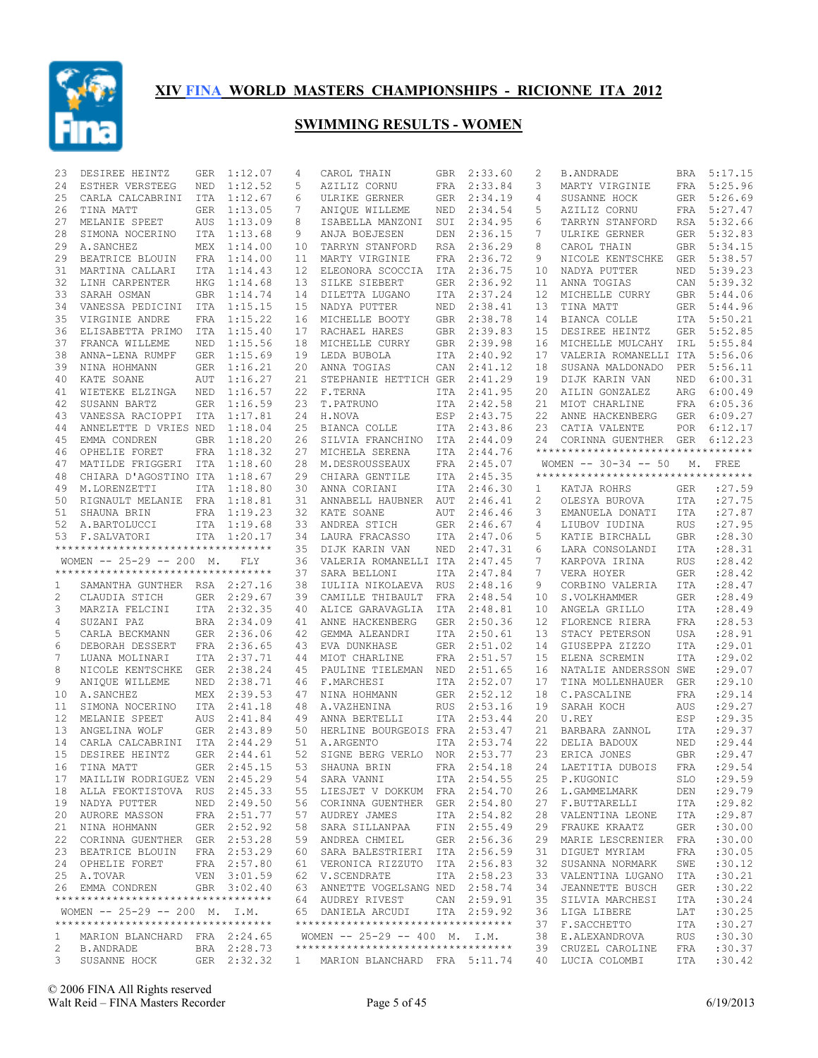

| 23       | DESIREE HEINTZ                     | GER        | 1:12.07                    | 4        | CAROL THAIN                                                        | <b>GBR</b>        | 2:33.60            | 2                   | <b>B.ANDRADE</b>                                             | BRA        | 5:17.15          |
|----------|------------------------------------|------------|----------------------------|----------|--------------------------------------------------------------------|-------------------|--------------------|---------------------|--------------------------------------------------------------|------------|------------------|
| 24       | ESTHER VERSTEEG                    | NED        | 1:12.52                    | 5        | AZILIZ CORNU                                                       | FRA               | 2:33.84            | 3                   | MARTY VIRGINIE                                               | <b>FRA</b> | 5:25.96          |
| 25       | CARLA CALCABRINI                   | ITA        | 1:12.67                    | 6        | ULRIKE GERNER                                                      | GER               | 2:34.19            | 4                   | SUSANNE HOCK                                                 | GER        | 5:26.69          |
| 26       | TINA MATT                          | <b>GER</b> | 1:13.05                    | 7        | ANIQUE WILLEME                                                     | NED               | 2:34.54            | 5                   | AZILIZ CORNU                                                 | FRA        | 5:27.47          |
| 27       | MELANIE SPEET                      | AUS        | 1:13.09                    | 8        | ISABELLA MANZONI                                                   | SUI               | 2:34.95            | 6                   | TARRYN STANFORD                                              | RSA        | 5:32.66          |
| 28       | SIMONA NOCERINO                    | <b>ITA</b> | 1:13.68                    | 9        | ANJA BOEJESEN                                                      | DEN               | 2:36.15            | 7                   | ULRIKE GERNER                                                | <b>GER</b> | 5:32.83          |
| 29       | A. SANCHEZ                         |            | MEX 1:14.00                | 10       | TARRYN STANFORD                                                    | RSA               | 2:36.29            | 8                   | CAROL THAIN                                                  | GBR        | 5:34.15          |
| 29       | BEATRICE BLOUIN                    |            | FRA 1:14.00                | 11       | MARTY VIRGINIE                                                     | FRA               | 2:36.72            | 9                   | NICOLE KENTSCHKE                                             | <b>GER</b> | 5:38.57          |
| 31       | MARTINA CALLARI                    | ITA        | 1:14.43                    | 12       | ELEONORA SCOCCIA                                                   | ITA               | 2:36.75            | 10                  | NADYA PUTTER                                                 | NED        | 5:39.23          |
| 32       | LINH CARPENTER                     | HKG        | 1:14.68                    | 13       | SILKE SIEBERT                                                      | <b>GER</b>        | 2:36.92            | 11                  | ANNA TOGIAS                                                  | CAN        | 5:39.32          |
| 33       | SARAH OSMAN                        | GBR        | 1:14.74                    | 14       | DILETTA LUGANO                                                     | ITA               | 2:37.24            | 12                  | MICHELLE CURRY                                               | GBR        | 5:44.06          |
| 34       | VANESSA PEDICINI                   | ITA        | 1:15.15                    | 15       | NADYA PUTTER                                                       | NED               | 2:38.41            | 13                  | TINA MATT                                                    | GER        | 5:44.96          |
| 35       | VIRGINIE ANDRE                     |            | FRA 1:15.22                | 16       | MICHELLE BOOTY                                                     | GBR               | 2:38.78            | 14                  | BIANCA COLLE                                                 |            | ITA 5:50.21      |
| 36       | ELISABETTA PRIMO                   | ITA        | 1:15.40                    | 17       | RACHAEL HARES                                                      | <b>GBR</b>        | 2:39.83            | 15                  | DESIREE HEINTZ                                               | GER        | 5:52.85          |
| 37       | FRANCA WILLEME                     | NED        | 1:15.56                    | 18       | MICHELLE CURRY                                                     | GBR               | 2:39.98            | 16                  | MICHELLE MULCAHY                                             | IRL        | 5:55.84          |
| 38       | ANNA-LENA RUMPF                    | <b>GER</b> | 1:15.69                    | 19       | LEDA BUBOLA                                                        | ITA               | 2:40.92            | 17                  | VALERIA ROMANELLI ITA                                        |            | 5:56.06          |
| 39       | NINA HOHMANN                       |            | GER 1:16.21                | 20       | ANNA TOGIAS                                                        | CAN               | 2:41.12            | 18                  | SUSANA MALDONADO                                             | PER        | 5:56.11          |
| 40       | KATE SOANE                         | AUT        | 1:16.27                    | 21       | STEPHANIE HETTICH GER                                              |                   | 2:41.29            | 19                  | DIJK KARIN VAN                                               | NED        | 6:00.31          |
| 41       | WIETEKE ELZINGA                    | NED        | 1:16.57                    | 22       | F.TERNA                                                            | ITA               | 2:41.95            | 20                  | AILIN GONZALEZ                                               | ARG        | 6:00.49          |
| 42       | SUSANN BARTZ                       | <b>GER</b> | 1:16.59                    | 23       | T.PATRUNO                                                          | ITA               | 2:42.58            | 21                  | MIOT CHARLINE                                                | FRA        | 6:05.36          |
| 43       | VANESSA RACIOPPI                   | ITA        | 1:17.81                    | 24       | H.NOVA                                                             | ESP               | 2:43.75            | 22                  | ANNE HACKENBERG                                              | GER        | 6:09.27          |
| 44       | ANNELETTE D VRIES NED              |            | 1:18.04                    | 25       | BIANCA COLLE                                                       | <b>ITA</b>        | 2:43.86            | 23                  | CATIA VALENTE                                                | POR        | 6:12.17          |
| 45       | EMMA CONDREN                       | <b>GBR</b> | 1:18.20                    | 26       | SILVIA FRANCHINO                                                   | ITA               | 2:44.09            | 24                  | CORINNA GUENTHER GER<br>**********************************   |            | 6:12.23          |
| 46       | OPHELIE FORET                      | FRA        | 1:18.32<br>1:18.60         | 27       | MICHELA SERENA                                                     | ITA               | 2:44.76<br>2:45.07 |                     |                                                              |            |                  |
| 47<br>48 | MATILDE FRIGGERI                   | ITA        | 1:18.67                    | 28<br>29 | M.DESROUSSEAUX                                                     | FRA<br><b>ITA</b> | 2:45.35            |                     | WOMEN $-- 30-34 -- 50$<br>********************************** | М.         | FREE             |
|          | CHIARA D'AGOSTINO ITA              |            |                            |          | CHIARA GENTILE                                                     |                   |                    |                     |                                                              |            |                  |
| 49<br>50 | M.LORENZETTI                       |            | ITA 1:18.80                | 30       | ANNA CORIANI                                                       | ITA               | 2:46.30<br>2:46.41 | 1<br>$\overline{c}$ | KATJA ROHRS                                                  | <b>GER</b> | :27.59<br>:27.75 |
| 51       | RIGNAULT MELANIE                   | FRA        | 1:18.81<br>FRA 1:19.23     | 31<br>32 | ANNABELL HAUBNER<br>KATE SOANE                                     | AUT<br>AUT        | 2:46.46            | 3                   | OLESYA BUROVA                                                | ITA<br>ITA | : 27.87          |
| 52       | SHAUNA BRIN<br>A.BARTOLUCCI        |            | ITA 1:19.68                | 33       | ANDREA STICH                                                       | <b>GER</b>        | 2:46.67            | 4                   | EMANUELA DONATI<br>LIUBOV IUDINA                             | <b>RUS</b> | :27.95           |
| 53       | F.SALVATORI                        |            | ITA 1:20.17                | 34       | LAURA FRACASSO                                                     | ITA               | 2:47.06            | 5                   | KATIE BIRCHALL                                               | <b>GBR</b> | :28.30           |
|          | ********************************** |            |                            | 35       | DIJK KARIN VAN                                                     | NED               | 2:47.31            | 6                   | LARA CONSOLANDI                                              | ITA        | :28.31           |
|          | WOMEN $-- 25-29 -- 200$ M.         |            | FLY                        | 36       | VALERIA ROMANELLI ITA                                              |                   | 2:47.45            | 7                   | KARPOVA IRINA                                                | <b>RUS</b> | :28.42           |
|          | ********************************** |            |                            | 37       | SARA BELLONI                                                       | ITA               | 2:47.84            | 7                   | VERA HOYER                                                   | <b>GER</b> | :28.42           |
| 1        | SAMANTHA GUNTHER RSA 2:27.16       |            |                            | 38       | IULIIA NIKOLAEVA                                                   | <b>RUS</b>        | 2:48.16            | 9                   | CORBINO VALERIA                                              | ITA        | :28.47           |
| 2        | CLAUDIA STICH                      | GER        | 2:29.67                    | 39       | CAMILLE THIBAULT                                                   | FRA               | 2:48.54            | 10                  | S.VOLKHAMMER                                                 | <b>GER</b> | :28.49           |
| 3        | MARZIA FELCINI                     | ITA        | 2:32.35                    | 40       | ALICE GARAVAGLIA                                                   | ITA               | 2:48.81            | 10                  | ANGELA GRILLO                                                | ITA        | :28.49           |
| 4        | SUZANI PAZ                         |            | BRA 2:34.09                | 41       | ANNE HACKENBERG                                                    | <b>GER</b>        | 2:50.36            | 12                  | FLORENCE RIERA                                               | FRA        | :28.53           |
| 5        | CARLA BECKMANN                     |            | GER 2:36.06                | 42       | GEMMA ALEANDRI                                                     | <b>ITA</b>        | 2:50.61            | 13                  | STACY PETERSON                                               | USA        | :28.91           |
| 6        | DEBORAH DESSERT                    |            | FRA 2:36.65                | 43       | EVA DUNKHASE                                                       | <b>GER</b>        | 2:51.02            | 14                  | GIUSEPPA ZIZZO                                               | <b>ITA</b> | :29.01           |
| 7        | LUANA MOLINARI                     |            | ITA 2:37.71                | 44       | MIOT CHARLINE                                                      | FRA               | 2:51.57            | 15                  | ELENA SCREMIN                                                | <b>ITA</b> | : 29.02          |
| 8        | NICOLE KENTSCHKE                   | GER        | 2:38.24                    | 45       | PAULINE TIELEMAN                                                   | NED               | 2:51.65            | 16                  | NATALIE ANDERSSON SWE                                        |            | :29.07           |
| 9        | ANIQUE WILLEME                     | NED        | 2:38.71                    | 46       | F.MARCHESI                                                         | ITA               | 2:52.07            | 17                  | TINA MOLLENHAUER                                             | <b>GER</b> | :29.10           |
| 10       | A.SANCHEZ                          |            | MEX 2:39.53                | 47       | NINA HOHMANN                                                       | <b>GER</b>        | 2:52.12            | 18                  | C.PASCALINE                                                  | <b>FRA</b> | :29.14           |
| 11       | SIMONA NOCERINO                    | <b>ITA</b> | 2:41.18                    | 48       | A.VAZHENINA                                                        | <b>RUS</b>        | 2:53.16            | 19                  | SARAH KOCH                                                   | AUS        | : 29.27          |
| 12       | MELANIE SPEET                      | <b>AUS</b> | 2:41.84                    | 49       | ANNA BERTELLI                                                      | ITA               | 2:53.44            | 20                  | U.REY                                                        | ESP        | : 29.35          |
| 13       | ANGELINA WOLF                      | <b>GER</b> | 2:43.89                    | 50       | HERLINE BOURGEOIS FRA                                              |                   | 2:53.47            | 21                  | BARBARA ZANNOL                                               | <b>ITA</b> | : 29.37          |
| 14       | CARLA CALCABRINI ITA 2:44.29       |            |                            | 51       | A.ARGENTO                                                          | <b>ITA</b>        | 2:53.74            | 22                  | DELIA BADOUX                                                 | NED        | :29.44           |
| 15       | DESIREE HEINTZ                     | GER        | 2:44.61                    | 52       | SIGNE BERG VERLO                                                   | NOR               | 2:53.77            | 23                  | ERICA JONES                                                  | <b>GBR</b> | : 29.47          |
| 16       | TINA MATT                          |            | GER 2:45.15                | 53       | SHAUNA BRIN                                                        |                   | FRA 2:54.18        |                     | 24 LAETITIA DUBOIS FRA : 29.54                               |            |                  |
|          | 17 MAILLIW RODRIGUEZ VEN 2:45.29   |            |                            |          | 54 SARA VANNI                                                      |                   | ITA 2:54.55        |                     | 25 P.KUGONIC                                                 | SLO        | : 29.59          |
|          | 18 ALLA FEOKTISTOVA RUS 2:45.33    |            |                            |          | 55 LIESJET V DOKKUM FRA 2:54.70                                    |                   |                    |                     | 26 L.GAMMELMARK                                              | DEN        | : 29.79          |
|          | 19 NADYA PUTTER                    |            | NED 2:49.50                |          | 56 CORINNA GUENTHER GER 2:54.80                                    |                   |                    | 27                  | F.BUTTARELLI                                                 | ITA        | : 29.82          |
|          | 20 AURORE MASSON                   |            | FRA 2:51.77                |          | 57 AUDREY JAMES                                                    |                   | ITA 2:54.82        | 28                  | VALENTINA LEONE                                              | ITA        | : 29.87          |
|          | 21 NINA HOHMANN                    |            | GER 2:52.92                | 58       | SARA SILLANPAA                                                     |                   | FIN 2:55.49        | 29                  | FRAUKE KRAATZ                                                | GER        | :30.00           |
|          | 22 CORINNA GUENTHER GER 2:53.28    |            |                            |          | 59 ANDREA CHMIEL                                                   |                   | GER 2:56.36        | 29                  | MARIE LESCRENIER                                             | FRA        | :30.00           |
|          | 23 BEATRICE BLOUIN                 |            | FRA 2:53.29                |          | 60 SARA BALESTRIERI ITA 2:56.59                                    |                   |                    | 31                  | DIGUET MYRIAM                                                | FRA        | :30.05           |
|          | 24 OPHELIE FORET                   |            | FRA 2:57.80                |          | 61 VERONICA RIZZUTO ITA 2:56.83                                    |                   |                    | 32                  | SUSANNA NORMARK                                              | SWE        | :30.12           |
|          | 25 A.TOVAR                         |            | VEN 3:01.59                |          | 62 V.SCENDRATE                                                     |                   | ITA 2:58.23        | 33                  | VALENTINA LUGANO                                             | ITA        | :30.21           |
|          | 26 EMMA CONDREN                    |            | GBR 3:02.40                |          | 63 ANNETTE VOGELSANG NED 2:58.74                                   |                   |                    | 34                  | JEANNETTE BUSCH                                              | GER        | :30.22           |
|          | ********************************** |            |                            |          | 64 AUDREY RIVEST                                                   |                   | CAN 2:59.91        | 35                  | SILVIA MARCHESI                                              | ITA        | :30.24           |
|          | WOMEN $-- 25-29 -- 200$ M. I.M.    |            |                            |          | 65 DANIELA ARCUDI                                                  |                   | ITA 2:59.92        | 36                  | LIGA LIBERE                                                  | LAT        | :30.25           |
|          | ********************************** |            |                            |          | **********************************                                 |                   |                    | 37                  | F. SACCHETTO                                                 | ITA        | :30.27           |
|          |                                    |            |                            |          |                                                                    |                   |                    |                     |                                                              |            |                  |
| 1        | MARION BLANCHARD FRA 2:24.65       |            |                            |          | WOMEN $-- 25-29 -- 400 M. I.M.$                                    |                   |                    |                     | 38 E.ALEXANDROVA                                             | RUS        | :30.30           |
| 2<br>3   | B.ANDRADE<br>SUSANNE HOCK          |            | BRA 2:28.73<br>GER 2:32.32 | 1        | **********************************<br>MARION BLANCHARD FRA 5:11.74 |                   |                    | 39                  | CRUZEL CAROLINE<br>40 LUCIA COLOMBI                          | FRA<br>ITA | :30.37<br>:30.42 |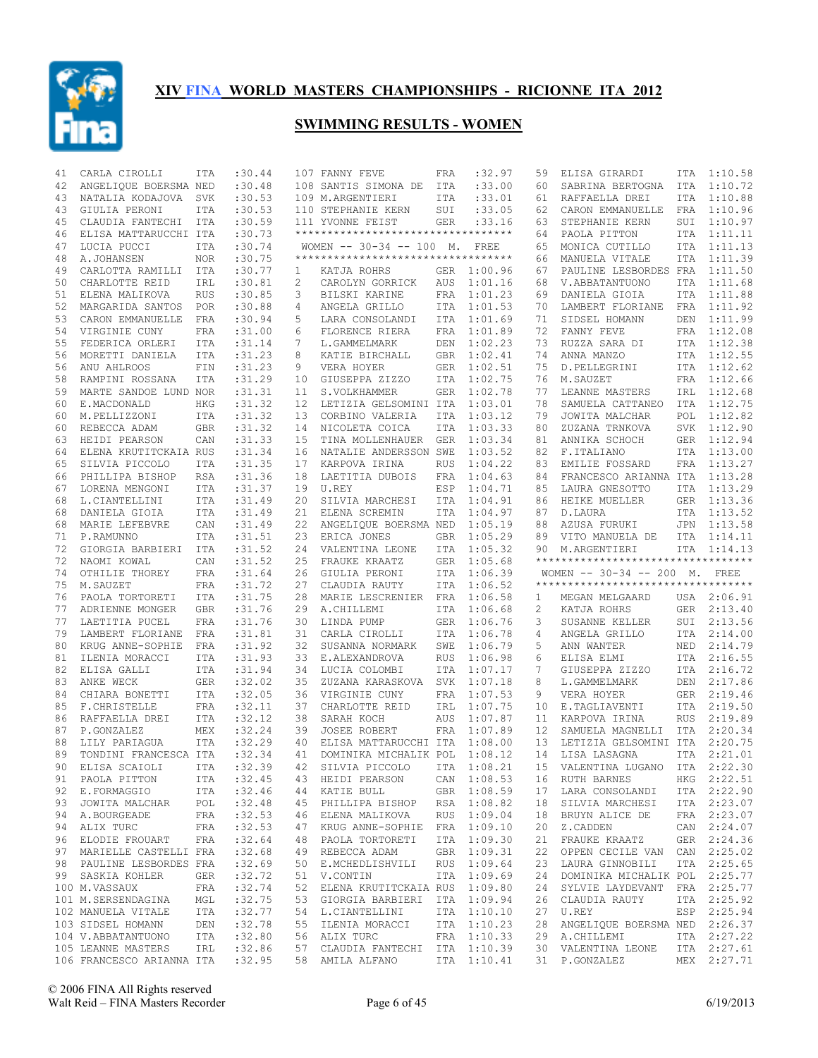

| 41 | CARLA CIROLLI                                   | ITA        | :30.44           |                 | 107 FANNY FEVE                                     | FRA        | :32.97      | 59 | ELISA GIRARDI                                                 | ITA | 1:10.58                |
|----|-------------------------------------------------|------------|------------------|-----------------|----------------------------------------------------|------------|-------------|----|---------------------------------------------------------------|-----|------------------------|
| 42 | ANGELIQUE BOERSMA NED                           |            | :30.48           |                 | 108 SANTIS SIMONA DE ITA                           |            | : 33.00     | 60 | SABRINA BERTOGNA                                              | ITA | 1:10.72                |
| 43 | NATALIA KODAJOVA                                | SVK        | :30.53           |                 | 109 M.ARGENTIERI                                   | ITA        | : 33.01     | 61 | RAFFAELLA DREI                                                |     | ITA 1:10.88            |
| 43 | GIULIA PERONI                                   | ITA        | :30.53           |                 | 110 STEPHANIE KERN                                 | SUI        | : 33.05     | 62 | CARON EMMANUELLE                                              | FRA | 1:10.96                |
| 45 | CLAUDIA FANTECHI                                | ITA        | :30.59           |                 | 111 YVONNE FEIST                                   | <b>GER</b> | : 33.16     | 63 | STEPHANIE KERN                                                |     | SUI 1:10.97            |
| 46 | ELISA MATTARUCCHI ITA                           |            | :30.73           |                 | ***********************************                |            |             | 64 | PAOLA PITTON                                                  | ITA | 1:11.11                |
| 47 | LUCIA PUCCI                                     | ITA        | :30.74           |                 | WOMEN $-- 30-34 -- 100$ M.                         |            | FREE        | 65 | MONICA CUTILLO                                                |     | ITA 1:11.13            |
| 48 | A.JOHANSEN                                      | <b>NOR</b> | :30.75           |                 | **********************************                 |            |             | 66 | MANUELA VITALE                                                | ITA | 1:11.39                |
| 49 | CARLOTTA RAMILLI ITA                            |            | :30.77           | $\mathbf{1}$    | KATJA ROHRS                                        |            | GER 1:00.96 | 67 | PAULINE LESBORDES FRA 1:11.50                                 |     |                        |
| 50 | CHARLOTTE REID                                  | IRL        | :30.81           | 2               | CAROLYN GORRICK                                    | AUS        | 1:01.16     | 68 | V.ABBATANTUONO                                                | ITA | 1:11.68                |
| 51 | ELENA MALIKOVA                                  | <b>RUS</b> | :30.85           | 3               | BILSKI KARINE                                      | FRA        | 1:01.23     | 69 | DANIELA GIOIA                                                 |     | ITA 1:11.88            |
| 52 | MARGARIDA SANTOS                                | POR        | :30.88           | 4               | ANGELA GRILLO                                      | ITA        | 1:01.53     | 70 | LAMBERT FLORIANE                                              | FRA | 1:11.92                |
| 53 | CARON EMMANUELLE                                | FRA        | :30.94           | 5               | LARA CONSOLANDI                                    | ITA        | 1:01.69     | 71 | SIDSEL HOMANN                                                 |     | DEN 1:11.99            |
| 54 | VIRGINIE CUNY                                   | FRA        | :31.00           | 6               | FLORENCE RIERA                                     | FRA        | 1:01.89     | 72 | FANNY FEVE                                                    |     | FRA 1:12.08            |
| 55 | FEDERICA ORLERI                                 | ITA        | : 31.14          | 7               | L.GAMMELMARK                                       | DEN        | 1:02.23     | 73 | RUZZA SARA DI                                                 |     | ITA 1:12.38            |
| 56 | MORETTI DANIELA                                 | ITA        | :31.23           | 8               | KATIE BIRCHALL                                     | <b>GBR</b> | 1:02.41     | 74 | ANNA MANZO                                                    |     | ITA 1:12.55            |
| 56 | ANU AHLROOS                                     | FIN        | :31.23           | 9               | VERA HOYER                                         | GER        | 1:02.51     | 75 | D. PELLEGRINI                                                 |     | ITA 1:12.62            |
| 58 | RAMPINI ROSSANA                                 | ITA        | :31.29           | 10              | GIUSEPPA ZIZZO                                     | ITA        | 1:02.75     | 76 | M.SAUZET                                                      |     | FRA 1:12.66            |
| 59 | MARTE SANDOE LUND NOR                           |            | :31.31           | 11              | S.VOLKHAMMER                                       | GER        | 1:02.78     | 77 | LEANNE MASTERS                                                |     | IRL 1:12.68            |
| 60 | E.MACDONALD                                     | HKG        | :31.32           | 12 <sup>°</sup> | LETIZIA GELSOMINI ITA                              |            | 1:03.01     | 78 | SAMUELA CATTANEO                                              | ITA | 1:12.75                |
| 60 | M.PELLIZZONI                                    | <b>ITA</b> | : 31.32          | 13              | CORBINO VALERIA                                    | ITA        | 1:03.12     | 79 | JOWITA MALCHAR                                                | POL | 1:12.82                |
| 60 | REBECCA ADAM                                    | <b>GBR</b> | :31.32           | 14              | NICOLETA COICA                                     | ITA        | 1:03.33     | 80 | ZUZANA TRNKOVA                                                | SVK | 1:12.90                |
| 63 | HEIDI PEARSON                                   | CAN        | :31.33           | 15              | TINA MOLLENHAUER                                   | <b>GER</b> | 1:03.34     | 81 | ANNIKA SCHOCH                                                 |     | GER 1:12.94            |
| 64 | ELENA KRUTITCKAIA RUS                           |            | :31.34           | 16              | NATALIE ANDERSSON SWE                              |            | 1:03.52     | 82 | F.ITALIANO                                                    |     | ITA 1:13.00            |
| 65 | SILVIA PICCOLO                                  | ITA        | :31.35           | 17              | KARPOVA IRINA                                      | <b>RUS</b> | 1:04.22     | 83 | EMILIE FOSSARD                                                |     | FRA 1:13.27            |
| 66 | PHILLIPA BISHOP                                 | RSA        | :31.36           | 18              | LAETITIA DUBOIS                                    | FRA        | 1:04.63     | 84 | FRANCESCO ARIANNA ITA                                         |     | 1:13.28                |
| 67 | LORENA MENGONI                                  | ITA        | :31.37           | 19              | U.REY                                              | ESP        | 1:04.71     | 85 | LAURA GNESOTTO                                                |     | ITA 1:13.29            |
| 68 | L.CIANTELLINI                                   | <b>ITA</b> | :31.49           | 20              | SILVIA MARCHESI                                    | ITA        | 1:04.91     | 86 | HEIKE MUELLER                                                 |     | GER 1:13.36            |
| 68 | DANIELA GIOIA                                   | <b>ITA</b> | :31.49           | 21              | ELENA SCREMIN                                      | ITA        | 1:04.97     | 87 | D.LAURA                                                       | ITA | 1:13.52                |
| 68 | MARIE LEFEBVRE                                  | CAN        | :31.49           | 22              | ANGELIQUE BOERSMA NED                              |            | 1:05.19     | 88 | AZUSA FURUKI                                                  |     | JPN 1:13.58            |
| 71 | P.RAMUNNO                                       | <b>ITA</b> | :31.51           | 23              | ERICA JONES                                        | GBR        | 1:05.29     | 89 | VITO MANUELA DE                                               |     | ITA 1:14.11            |
| 72 | GIORGIA BARBIERI                                | ITA        | :31.52           | 24              | VALENTINA LEONE                                    | ITA        | 1:05.32     | 90 | M.ARGENTIERI                                                  |     | ITA 1:14.13            |
|    |                                                 |            |                  |                 |                                                    |            |             |    |                                                               |     |                        |
| 72 | NAOMI KOWAL                                     | CAN        | :31.52           | 25              | FRAUKE KRAATZ                                      | <b>GER</b> | 1:05.68     |    | **********************************                            |     |                        |
| 74 | OTHILIE THOREY                                  | FRA        | :31.64           | 26              | GIULIA PERONI                                      | ITA        | 1:06.39     |    | WOMEN -- 30-34 -- 200 M. FREE                                 |     |                        |
| 75 | M.SAUZET                                        | FRA        | :31.72           | 27              | CLAUDIA RAUTY                                      | ITA        | 1:06.52     |    | ***********************************                           |     |                        |
| 76 | PAOLA TORTORETI                                 | <b>ITA</b> | :31.75           | 28              | MARIE LESCRENIER                                   | FRA        | 1:06.58     | 1  | MEGAN MELGAARD                                                |     | USA 2:06.91            |
| 77 | ADRIENNE MONGER                                 | GBR        | :31.76           | 29              | A.CHILLEMI                                         | ITA        | 1:06.68     | 2  | KATJA ROHRS                                                   | GER | 2:13.40                |
| 77 | LAETITIA PUCEL                                  | FRA        | :31.76           | 30              | LINDA PUMP                                         | <b>GER</b> | 1:06.76     | 3  | SUSANNE KELLER                                                |     | SUI 2:13.56            |
| 79 | LAMBERT FLORIANE                                | FRA        | :31.81           | 31              | CARLA CIROLLI                                      | ITA        | 1:06.78     | 4  | ANGELA GRILLO                                                 |     | ITA 2:14.00            |
| 80 | KRUG ANNE-SOPHIE                                | FRA        | :31.92           | 32              | SUSANNA NORMARK                                    | SWE        | 1:06.79     | 5  | ANN WANTER                                                    |     | NED 2:14.79            |
| 81 | ILENIA MORACCI                                  | ITA        | :31.93           | 33              | E.ALEXANDROVA                                      | <b>RUS</b> | 1:06.98     | 6  | ELISA ELMI                                                    |     | ITA 2:16.55            |
| 82 | ELISA GALLI                                     | ITA        | :31.94           | 34              | LUCIA COLOMBI                                      | ITA        | 1:07.17     | 7  | GIUSEPPA ZIZZO                                                |     | ITA 2:16.72            |
| 83 | ANKE WECK                                       | GER        | :32.02           | 35              | ZUZANA KARASKOVA                                   | SVK        | 1:07.18     | 8  | L.GAMMELMARK                                                  | DEN | 2:17.86                |
| 84 | CHIARA BONETTI                                  | <b>ITA</b> | :32.05           | 36              | VIRGINIE CUNY                                      | <b>FRA</b> | 1:07.53     | 9  | VERA HOYER                                                    |     | GER 2:19.46            |
| 85 | F.CHRISTELLE                                    | FRA        | :32.11           | 37              | CHARLOTTE REID                                     | IRL        | 1:07.75     | 10 | E.TAGLIAVENTI                                                 | ITA | 2:19.50                |
| 86 | RAFFAELLA DREI                                  | ITA        | :32.12           | 38              | SARAH KOCH                                         | AUS        | 1:07.87     | 11 | KARPOVA IRINA                                                 | RUS | 2:19.89                |
| 87 | P.GONZALEZ                                      | MEX        | :32.24           | 39              | JOSEE ROBERT                                       | FRA        | 1:07.89     | 12 | SAMUELA MAGNELLI                                              | ITA | 2:20.34                |
| 88 | LILY PARIAGUA                                   | <b>ITA</b> | :32.29           | 40              | ELISA MATTARUCCHI ITA                              |            | 1:08.00     | 13 | LETIZIA GELSOMINI ITA                                         |     | 2:20.75                |
| 89 | TONDINI FRANCESCA ITA                           |            | :32.34           | 41              | DOMINIKA MICHALIK POL                              |            | 1:08.12     | 14 | LISA LASAGNA                                                  | ITA | 2:21.01                |
|    | 90 ELISA SCAIOLI ITA :32.39                     |            |                  |                 |                                                    |            |             |    | 42 SILVIA PICCOLO ITA 1:08.21 15 VALENTINA LUGANO ITA 2:22.30 |     |                        |
|    | 91 PAOLA PITTON                                 | ITA        | :32.45           |                 | 43 HEIDI PEARSON                                   |            | CAN 1:08.53 |    | 16 RUTH BARNES                                                |     | HKG 2:22.51            |
|    | 92 E.FORMAGGIO                                  | ITA        | :32.46           |                 | 44 KATIE BULL                                      |            | GBR 1:08.59 | 17 | LARA CONSOLANDI                                               |     | ITA 2:22.90            |
|    | 93 JOWITA MALCHAR POL                           |            | :32.48           |                 | 45 PHILLIPA BISHOP                                 |            | RSA 1:08.82 | 18 | SILVIA MARCHESI                                               |     | ITA 2:23.07            |
|    | 94 A.BOURGEADE                                  | FRA        | :32.53           |                 | 46 ELENA MALIKOVA                                  |            | RUS 1:09.04 | 18 | BRUYN ALICE DE                                                |     | FRA 2:23.07            |
| 94 | ALIX TURC                                       | FRA        | :32.53           |                 | 47 KRUG ANNE-SOPHIE FRA 1:09.10                    |            |             | 20 | Z.CADDEN                                                      |     | CAN 2:24.07            |
|    | 96 ELODIE FROUART                               | FRA        | :32.64           |                 | 48 PAOLA TORTORETI                                 |            | ITA 1:09.30 | 21 | FRAUKE KRAATZ                                                 |     | GER 2:24.36            |
|    | 97 MARIELLE CASTELLI FRA                        |            | :32.68           |                 | 49 REBECCA ADAM                                    |            | GBR 1:09.31 | 22 | OPPEN CECILE VAN CAN 2:25.02                                  |     |                        |
|    | 98 PAULINE LESBORDES FRA                        |            | :32.69           |                 | 50 E.MCHEDLISHVILI                                 |            | RUS 1:09.64 | 23 | LAURA GINNOBILI                                               |     | ITA 2:25.65            |
|    | 99 SASKIA KOHLER                                | GER        | :32.72           |                 | 51 V.CONTIN                                        |            | ITA 1:09.69 | 24 | DOMINIKA MICHALIK POL 2:25.77                                 |     |                        |
|    | 100 M.VASSAUX                                   | FRA        | :32.74           | 52              | ELENA KRUTITCKAIA RUS 1:09.80                      |            |             | 24 | SYLVIE LAYDEVANT                                              |     | FRA 2:25.77            |
|    | 101 M.SERSENDAGINA                              | MGL        | :32.75           |                 | 53 GIORGIA BARBIERI ITA 1:09.94                    |            |             | 26 | CLAUDIA RAUTY                                                 |     | ITA 2:25.92            |
|    | 102 MANUELA VITALE                              | ITA        | :32.77           |                 | 54 L.CIANTELLINI                                   |            | ITA 1:10.10 | 27 | U.REY                                                         |     | ESP 2:25.94            |
|    | 103 SIDSEL HOMANN                               | DEN        | :32.78           |                 | 55 ILENIA MORACCI                                  |            | ITA 1:10.23 | 28 | ANGELIQUE BOERSMA NED 2:26.37                                 |     |                        |
|    | 104 V.ABBATANTUONO                              | ITA        | :32.80           |                 | 56 ALIX TURC                                       |            | FRA 1:10.33 | 29 | A.CHILLEMI                                                    |     | ITA 2:27.22            |
|    | 105 LEANNE MASTERS<br>106 FRANCESCO ARIANNA ITA | IRL        | :32.86<br>:32.95 |                 | 57 CLAUDIA FANTECHI ITA 1:10.39<br>58 AMILA ALFANO |            | ITA 1:10.41 | 30 | VALENTINA LEONE<br>31 P.GONZALEZ                              | MEX | ITA 2:27.61<br>2:27.71 |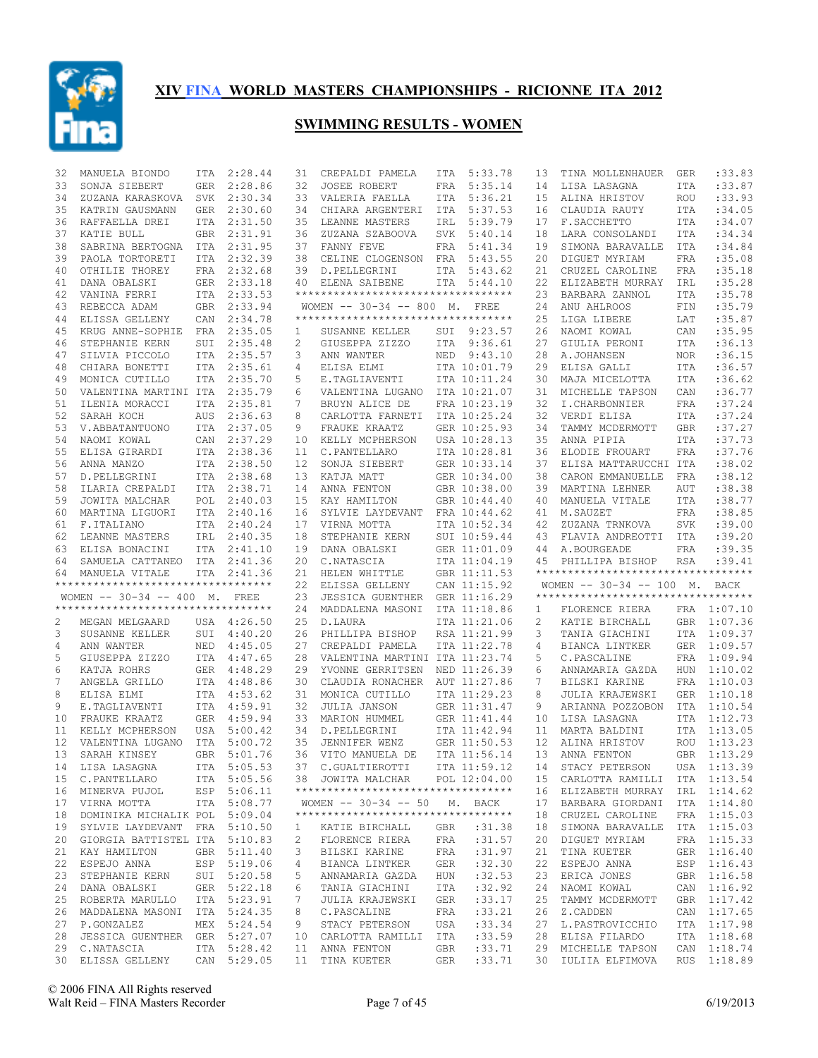

| 32 | MANUELA BIONDO                     | ITA        | 2:28.44                    | 31 | CREPALDI PAMELA                    |            | ITA 5:33.78        | 13 | TINA MOLLENHAUER                               | GER        | : 33.83                    |
|----|------------------------------------|------------|----------------------------|----|------------------------------------|------------|--------------------|----|------------------------------------------------|------------|----------------------------|
| 33 | SONJA SIEBERT                      | GER        | 2:28.86                    | 32 | JOSEE ROBERT                       | FRA        | 5:35.14            | 14 | LISA LASAGNA                                   | ITA        | :33.87                     |
| 34 | ZUZANA KARASKOVA                   |            | SVK 2:30.34                | 33 | VALERIA FAELLA                     |            | ITA 5:36.21        | 15 | ALINA HRISTOV                                  | <b>ROU</b> | :33.93                     |
| 35 | KATRIN GAUSMANN                    | GER        | 2:30.60                    | 34 | CHIARA ARGENTERI                   | ITA        | 5:37.53            | 16 | CLAUDIA RAUTY                                  | ITA        | :34.05                     |
| 36 | RAFFAELLA DREI                     |            | ITA 2:31.50                | 35 | LEANNE MASTERS                     | IRL        | 5:39.79            | 17 | F.SACCHETTO                                    | ITA        | :34.07                     |
| 37 | KATIE BULL                         | <b>GBR</b> | 2:31.91                    | 36 | ZUZANA SZABOOVA                    | SVK        | 5:40.14            | 18 | LARA CONSOLANDI                                | ITA        | :34.34                     |
| 38 | SABRINA BERTOGNA                   |            | ITA 2:31.95                |    | 37 FANNY FEVE                      | FRA        | 5:41.34            | 19 | SIMONA BARAVALLE                               | <b>ITA</b> | :34.84                     |
| 39 | PAOLA TORTORETI                    |            | ITA 2:32.39                | 38 | CELINE CLOGENSON FRA               |            | 5:43.55            | 20 | DIGUET MYRIAM                                  | <b>FRA</b> | :35.08                     |
| 40 | OTHILIE THOREY                     |            | FRA 2:32.68                | 39 | D.PELLEGRINI                       |            | ITA 5:43.62        | 21 | CRUZEL CAROLINE                                | FRA        | :35.18                     |
| 41 | DANA OBALSKI                       |            | GER 2:33.18                | 40 | ELENA SAIBENE                      |            | ITA 5:44.10        | 22 | ELIZABETH MURRAY                               | IRL        | :35.28                     |
| 42 | VANINA FERRI                       |            | ITA 2:33.53                |    | ********************************** |            |                    | 23 | BARBARA ZANNOL                                 | ITA        | :35.78                     |
| 43 | REBECCA ADAM                       |            | GBR 2:33.94                |    | WOMEN $-- 30-34 -- 800$ M.         |            | FREE               | 24 | ANU AHLROOS                                    | FIN        | :35.79                     |
| 44 | ELISSA GELLENY                     | CAN        | 2:34.78                    |    | ********************************** |            |                    | 25 | LIGA LIBERE                                    | LAT        | :35.87                     |
|    |                                    |            |                            |    |                                    |            |                    |    |                                                |            |                            |
| 45 | KRUG ANNE-SOPHIE                   | FRA        | 2:35.05                    | 1  | SUSANNE KELLER                     | SUI        | 9:23.57            | 26 | NAOMI KOWAL                                    | CAN        | :35.95                     |
| 46 | STEPHANIE KERN                     | SUI        | 2:35.48                    | 2  | GIUSEPPA ZIZZO                     |            | ITA 9:36.61        | 27 | GIULIA PERONI                                  | ITA        | :36.13                     |
| 47 | SILVIA PICCOLO                     | ITA        | 2:35.57                    | 3  | ANN WANTER                         | NED        | 9:43.10            | 28 | A.JOHANSEN                                     | <b>NOR</b> | :36.15                     |
| 48 | CHIARA BONETTI                     |            | ITA 2:35.61                | 4  | ELISA ELMI                         |            | ITA 10:01.79       | 29 | ELISA GALLI                                    | ITA        | :36.57                     |
| 49 | MONICA CUTILLO                     | ITA        | 2:35.70                    | 5  | E.TAGLIAVENTI                      |            | ITA 10:11.24       | 30 | MAJA MICELOTTA                                 | <b>ITA</b> | :36.62                     |
| 50 | VALENTINA MARTINI ITA              |            | 2:35.79                    | 6  | VALENTINA LUGANO                   |            | ITA 10:21.07       | 31 | MICHELLE TAPSON                                | CAN        | :36.77                     |
| 51 | ILENIA MORACCI                     | ITA        | 2:35.81                    | 7  | BRUYN ALICE DE                     |            | FRA 10:23.19       | 32 | I.CHARBONNIER                                  | FRA        | :37.24                     |
| 52 | SARAH KOCH                         | AUS        | 2:36.63                    | 8  | CARLOTTA FARNETI                   |            | ITA 10:25.24       | 32 | VERDI ELISA                                    | ITA        | :37.24                     |
| 53 | V.ABBATANTUONO                     |            | ITA 2:37.05                | 9  | FRAUKE KRAATZ                      |            | GER 10:25.93       | 34 | TAMMY MCDERMOTT                                | <b>GBR</b> | :37.27                     |
| 54 | NAOMI KOWAL                        |            | CAN 2:37.29                | 10 | KELLY MCPHERSON                    |            | USA 10:28.13       | 35 | ANNA PIPIA                                     | ITA        | :37.73                     |
| 55 | ELISA GIRARDI                      |            | ITA 2:38.36                | 11 | C. PANTELLARO                      |            | ITA 10:28.81       | 36 | ELODIE FROUART                                 | FRA        | :37.76                     |
| 56 | ANNA MANZO                         |            | ITA 2:38.50                | 12 | SONJA SIEBERT                      |            | GER 10:33.14       | 37 | ELISA MATTARUCCHI ITA                          |            | :38.02                     |
| 57 | D. PELLEGRINI                      |            | ITA 2:38.68                | 13 | KATJA MATT                         |            | GER 10:34.00       | 38 | CARON EMMANUELLE                               | FRA        | :38.12                     |
| 58 | ILARIA CREPALDI                    |            | ITA 2:38.71                | 14 | ANNA FENTON                        |            | GBR 10:38.00       | 39 | MARTINA LEHNER                                 | AUT        | :38.38                     |
| 59 | JOWITA MALCHAR                     |            | POL 2:40.03                | 15 | KAY HAMILTON                       |            | GBR 10:44.40       | 40 | MANUELA VITALE                                 | <b>ITA</b> | :38.77                     |
| 60 | MARTINA LIGUORI                    |            | ITA 2:40.16                | 16 | SYLVIE LAYDEVANT                   |            | FRA 10:44.62       | 41 | M.SAUZET                                       | <b>FRA</b> | :38.85                     |
| 61 | F.ITALIANO                         |            | ITA 2:40.24                | 17 | VIRNA MOTTA                        |            | ITA 10:52.34       | 42 | ZUZANA TRNKOVA                                 | <b>SVK</b> | :39.00                     |
| 62 | LEANNE MASTERS                     |            | IRL 2:40.35                | 18 | STEPHANIE KERN                     |            | SUI 10:59.44       | 43 | FLAVIA ANDREOTTI                               | ITA        | :39.20                     |
|    |                                    |            | ITA 2:41.10                |    |                                    |            |                    |    |                                                |            |                            |
| 63 | ELISA BONACINI                     |            |                            | 19 | DANA OBALSKI                       |            | GER 11:01.09       | 44 | A.BOURGEADE                                    | <b>FRA</b> | :39.35                     |
|    |                                    |            |                            |    |                                    |            |                    |    |                                                |            |                            |
| 64 | SAMUELA CATTANEO ITA 2:41.36       |            |                            | 20 | C.NATASCIA                         |            | ITA 11:04.19       | 45 | PHILLIPA BISHOP                                | RSA        | :39.41                     |
| 64 | MANUELA VITALE                     |            | ITA 2:41.36                | 21 | HELEN WHITTLE                      |            | GBR 11:11.53       |    | **********************************             |            |                            |
|    | ********************************** |            |                            | 22 | ELISSA GELLENY                     |            | CAN 11:15.92       |    | WOMEN -- 30-34 -- 100 M. BACK                  |            |                            |
|    | WOMEN -- 30-34 -- 400 M. FREE      |            |                            | 23 | JESSICA GUENTHER                   |            | GER 11:16.29       |    | **********************************             |            |                            |
|    | ********************************** |            |                            | 24 | MADDALENA MASONI                   |            | ITA 11:18.86       | 1  | FLORENCE RIERA                                 |            | FRA 1:07.10                |
| 2  | MEGAN MELGAARD                     |            | USA 4:26.50                | 25 | D.LAURA                            |            | ITA 11:21.06       | 2  | KATIE BIRCHALL                                 |            | GBR 1:07.36                |
| 3  | SUSANNE KELLER                     | SUI        | 4:40.20                    | 26 | PHILLIPA BISHOP                    |            | RSA 11:21.99       | 3  | TANIA GIACHINI                                 |            | ITA 1:09.37                |
| 4  | ANN WANTER                         |            | NED 4:45.05                | 27 | CREPALDI PAMELA                    |            | ITA 11:22.78       | 4  | BIANCA LINTKER                                 |            | GER 1:09.57                |
| 5  | GIUSEPPA ZIZZO                     |            | ITA 4:47.65                | 28 | VALENTINA MARTINI ITA 11:23.74     |            |                    | 5  | C.PASCALINE                                    |            | FRA 1:09.94                |
| 6  | KATJA ROHRS                        |            | GER 4:48.29                | 29 | YVONNE GERRITSEN                   |            | NED 11:26.39       | 6  | ANNAMARIA GAZDA                                |            | HUN 1:10.02                |
| 7  | ANGELA GRILLO                      |            | ITA 4:48.86                | 30 | CLAUDIA RONACHER                   |            | AUT 11:27.86       | 7  | BILSKI KARINE                                  |            | FRA 1:10.03                |
| 8  | ELISA ELMI                         |            | ITA 4:53.62                | 31 | MONICA CUTILLO                     |            | ITA 11:29.23       | 8  | JULIA KRAJEWSKI                                |            | GER 1:10.18                |
| 9  | E.TAGLIAVENTI                      |            | ITA 4:59.91                | 32 | JULIA JANSON                       |            | GER 11:31.47       | 9  | ARIANNA POZZOBON                               | ITA        | 1:10.54                    |
| 10 | FRAUKE KRAATZ                      |            | GER  4:59.94               | 33 | MARION HUMMEL                      |            | GER 11:41.44       | 10 | LISA LASAGNA                                   |            | ITA 1:12.73                |
| 11 |                                    |            | USA 5:00.42                | 34 | D.PELLEGRINI                       |            | ITA 11:42.94       | 11 | MARTA BALDINI                                  | ITA        | 1:13.05                    |
| 12 | KELLY MCPHERSON                    |            | ITA 5:00.72                | 35 | JENNIFER WENZ                      |            | GER 11:50.53       | 12 | ALINA HRISTOV                                  |            | ROU 1:13.23                |
|    | VALENTINA LUGANO<br>SARAH KINSEY   |            |                            |    |                                    |            |                    |    |                                                |            | GBR 1:13.29                |
| 13 |                                    | <b>GBR</b> | 5:01.76                    | 36 | VITO MANUELA DE                    |            | ITA 11:56.14       | 13 | ANNA FENTON                                    |            |                            |
|    | 14 LISA LASAGNA                    |            | ITA 5:05.53                |    | 37 C.GUALTIEROTTI                  |            |                    |    | ITA 11:59.12  14  STACY PETERSON  USA  1:13.39 |            |                            |
|    | 15 C.PANTELLARO                    |            | ITA 5:05.56                |    | 38 JOWITA MALCHAR                  |            | POL 12:04.00       |    | 15 CARLOTTA RAMILLI                            |            | ITA 1:13.54                |
|    | 16 MINERVA PUJOL                   |            | ESP 5:06.11                |    | ********************************** |            |                    |    | 16 ELIZABETH MURRAY                            |            | IRL 1:14.62                |
| 17 | VIRNA MOTTA                        |            | ITA 5:08.77                |    | WOMEN $-- 30-34 -- 50 M$ . BACK    |            |                    | 17 | BARBARA GIORDANI                               |            | ITA 1:14.80                |
|    | 18 DOMINIKA MICHALIK POL 5:09.04   |            |                            |    | ********************************** |            |                    | 18 | CRUZEL CAROLINE                                |            | FRA 1:15.03                |
| 19 | SYLVIE LAYDEVANT                   |            | FRA 5:10.50                | 1  | KATIE BIRCHALL                     | GBR        | :31.38             | 18 | SIMONA BARAVALLE                               |            | ITA 1:15.03                |
|    | 20 GIORGIA BATTISTEL ITA 5:10.83   |            |                            | 2  | FLORENCE RIERA                     | FRA        | :31.57             | 20 | DIGUET MYRIAM                                  |            | FRA 1:15.33                |
| 21 | KAY HAMILTON                       |            | GBR 5:11.40                | 3  | BILSKI KARINE                      | FRA        | :31.97             | 21 | TINA KUETER                                    |            | GER 1:16.40                |
| 22 | ESPEJO ANNA                        |            | ESP 5:19.06                | 4  | BIANCA LINTKER                     | GER        | :32.30             | 22 | ESPEJO ANNA                                    |            | ESP 1:16.43                |
| 23 | STEPHANIE KERN                     |            | SUI 5:20.58                | 5  | ANNAMARIA GAZDA                    | HUN        | :32.53             | 23 | ERICA JONES                                    |            | GBR 1:16.58                |
| 24 | DANA OBALSKI                       |            | GER 5:22.18                | 6  | TANIA GIACHINI                     | ITA        | :32.92             | 24 | NAOMI KOWAL                                    |            | CAN 1:16.92                |
| 25 | ROBERTA MARULLO                    |            | ITA 5:23.91                | 7  | JULIA KRAJEWSKI                    | GER        | : 33.17            | 25 | TAMMY MCDERMOTT                                |            | GBR 1:17.42                |
|    | 26 MADDALENA MASONI                |            | ITA 5:24.35                | 8  | C.PASCALINE                        | FRA        | : 33.21            | 26 | Z.CADDEN                                       |            | CAN 1:17.65                |
| 27 | P.GONZALEZ                         |            | MEX 5:24.54                | 9  | STACY PETERSON                     | USA        | : 33.34            | 27 | L.PASTROVICCHIO                                |            | ITA 1:17.98                |
|    | 28 JESSICA GUENTHER GER 5:27.07    |            |                            |    | 10 CARLOTTA RAMILLI                | ITA        | :33.59             | 28 | ELISA FILARDO                                  |            | ITA 1:18.68                |
|    | 29 C.NATASCIA<br>30 ELISSA GELLENY |            | ITA 5:28.42<br>CAN 5:29.05 |    | 11 ANNA FENTON<br>11 TINA KUETER   | GBR<br>GER | : 33.71<br>: 33.71 | 29 | MICHELLE TAPSON<br>30 IULIIA ELFIMOVA          |            | CAN 1:18.74<br>RUS 1:18.89 |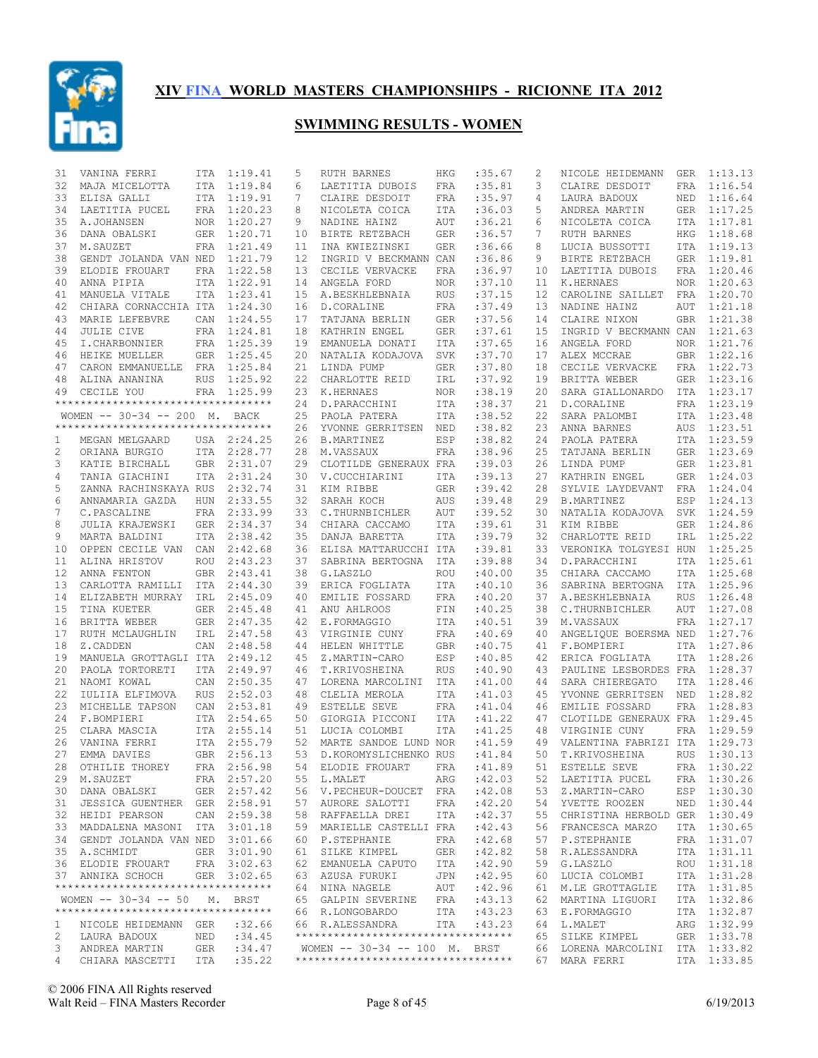

| 31             | VANINA FERRI                            | ITA        | 1:19.41                    | 5        | <b>RUTH BARNES</b>                 | HKG                | :35.67           | 2        | NICOLE HEIDEMANN                | GER        | 1:13.13                |
|----------------|-----------------------------------------|------------|----------------------------|----------|------------------------------------|--------------------|------------------|----------|---------------------------------|------------|------------------------|
| 32             | MAJA MICELOTTA                          | ITA        | 1:19.84                    | 6        | LAETITIA DUBOIS                    | FRA                | :35.81           | 3        | CLAIRE DESDOIT                  | FRA        | 1:16.54                |
| 33             | ELISA GALLI                             |            | ITA 1:19.91                | 7        | CLAIRE DESDOIT                     | FRA                | :35.97           | 4        | LAURA BADOUX                    |            | NED 1:16.64            |
| 34             | LAETITIA PUCEL                          |            | FRA 1:20.23                | 8        | NICOLETA COICA                     | ITA                | :36.03           | 5        | ANDREA MARTIN                   |            | GER 1:17.25            |
| 35             | A.JOHANSEN                              |            | NOR 1:20.27                | 9        | NADINE HAINZ                       | AUT                | :36.21           | 6        | NICOLETA COICA                  | ITA        | 1:17.81                |
| 36             | DANA OBALSKI                            | GER        | 1:20.71                    | 10       | BIRTE RETZBACH                     | <b>GER</b>         | :36.57           | 7        | RUTH BARNES                     | HKG        | 1:18.68                |
| 37             | M. SAUZET                               |            | FRA 1:21.49                | 11       | INA KWIEZINSKI                     | <b>GER</b>         | :36.66           | 8        | LUCIA BUSSOTTI                  |            | ITA 1:19.13            |
| 38             | GENDT JOLANDA VAN NED                   |            | 1:21.79                    | 12       | INGRID V BECKMANN CAN              |                    | :36.86           | 9        | BIRTE RETZBACH                  | GER        | 1:19.81                |
| 39             | ELODIE FROUART                          |            | FRA 1:22.58                | 13       | CECILE VERVACKE                    | FRA                | :36.97           | 10<br>11 | LAETITIA DUBOIS                 |            | FRA 1:20.46<br>1:20.63 |
| 40<br>41       | ANNA PIPIA                              |            | ITA 1:22.91<br>ITA 1:23.41 | 14<br>15 | ANGELA FORD<br>A.BESKHLEBNAIA      | NOR.<br><b>RUS</b> | :37.10<br>:37.15 | 12       | K.HERNAES<br>CAROLINE SAILLET   | NOR        | FRA 1:20.70            |
| 42             | MANUELA VITALE<br>CHIARA CORNACCHIA ITA |            | 1:24.30                    | 16       | D.CORALINE                         | FRA                | :37.49           | 13       | NADINE HAINZ                    | AUT        | 1:21.18                |
| 43             | MARIE LEFEBVRE                          | CAN        | 1:24.55                    | 17       | TATJANA BERLIN                     | <b>GER</b>         | :37.56           | 14       | CLAIRE NIXON                    |            | GBR 1:21.38            |
| 44             | <b>JULIE CIVE</b>                       |            | FRA 1:24.81                | 18       | KATHRIN ENGEL                      | <b>GER</b>         | :37.61           | 15       | INGRID V BECKMANN CAN           |            | 1:21.63                |
| 45             | I.CHARBONNIER                           |            | FRA 1:25.39                | 19       | EMANUELA DONATI                    | ITA                | :37.65           | 16       | ANGELA FORD                     |            | NOR 1:21.76            |
| 46             | HEIKE MUELLER                           |            | GER 1:25.45                | 20       | NATALIA KODAJOVA                   | <b>SVK</b>         | :37.70           | 17       | ALEX MCCRAE                     |            | GBR 1:22.16            |
| 47             | CARON EMMANUELLE FRA 1:25.84            |            |                            | 21       | LINDA PUMP                         | <b>GER</b>         | :37.80           | 18       | CECILE VERVACKE                 |            | FRA 1:22.73            |
| 48             | ALINA ANANINA                           | <b>RUS</b> | 1:25.92                    | 22       | CHARLOTTE REID                     | IRL                | :37.92           | 19       | BRITTA WEBER                    |            | GER 1:23.16            |
| 49             | CECILE YOU                              |            | FRA 1:25.99                | 23       | K.HERNAES                          | <b>NOR</b>         | :38.19           | 20       | SARA GIALLONARDO                |            | ITA 1:23.17            |
|                | **********************************      |            |                            | 24       | D.PARACCHINI                       | ITA                | : 38.37          | 21       | D.CORALINE                      |            | FRA 1:23.19            |
|                | WOMEN $--$ 30-34 $--$ 200 M.            |            | BACK                       | 25       | PAOLA PATERA                       | ITA                | :38.52           | 22       | SARA PALOMBI                    |            | ITA 1:23.48            |
|                | **********************************      |            |                            | 26       | YVONNE GERRITSEN                   | NED                | :38.82           | 23       | ANNA BARNES                     | AUS        | 1:23.51                |
| 1              | MEGAN MELGAARD                          |            | USA 2:24.25                | 26       | <b>B.MARTINEZ</b>                  | ESP                | :38.82           | 24       | PAOLA PATERA                    |            | ITA 1:23.59            |
| 2              | ORIANA BURGIO                           | ITA        | 2:28.77                    | 28       | M.VASSAUX                          | FRA                | :38.96           | 25       | TATJANA BERLIN                  | GER        | 1:23.69                |
| 3              | KATIE BIRCHALL                          |            | GBR 2:31.07                | 29       | CLOTILDE GENERAUX FRA              |                    | :39.03           | 26       | LINDA PUMP                      |            | GER 1:23.81            |
| 4              | TANIA GIACHINI                          |            | ITA 2:31.24                | 30       | V. CUCCHIARINI                     | <b>ITA</b>         | :39.13           | 27       | KATHRIN ENGEL                   | GER        | 1:24.03                |
| 5              | ZANNA RACHINSKAYA RUS                   |            | 2:32.74                    | 31       | KIM RIBBE                          | <b>GER</b>         | :39.42           | 28       | SYLVIE LAYDEVANT                | FRA        | 1:24.04                |
| 6              | ANNAMARIA GAZDA                         | <b>HUN</b> | 2:33.55                    | 32       | SARAH KOCH                         | AUS                | :39.48           | 29       | <b>B.MARTINEZ</b>               | ESP        | 1:24.13                |
| 7              | C.PASCALINE                             | FRA        | 2:33.99                    | 33       | C.THURNBICHLER                     | AUT                | :39.52           | 30       | NATALIA KODAJOVA                | SVK        | 1:24.59                |
| 8              | JULIA KRAJEWSKI                         | GER        | 2:34.37                    | 34       | CHIARA CACCAMO                     | ITA                | :39.61           | 31       | KIM RIBBE                       | GER        | 1:24.86                |
| 9              | MARTA BALDINI                           | ITA        | 2:38.42                    | 35       | DANJA BARETTA                      | ITA                | :39.79           | 32       | CHARLOTTE REID                  | IRL        | 1:25.22                |
| 10             | OPPEN CECILE VAN                        | CAN        | 2:42.68                    | 36       | ELISA MATTARUCCHI ITA              |                    | :39.81           | 33       | VERONIKA TOLGYESI HUN           |            | 1:25.25                |
| 11             | ALINA HRISTOV                           | ROU        | 2:43.23                    | 37       | SABRINA BERTOGNA                   | ITA                | :39.88           | 34       | D. PARACCHINI                   | ITA        | 1:25.61                |
| 12             | ANNA FENTON                             | <b>GBR</b> | 2:43.41                    | 38       | G.LASZLO                           | ROU                | :40.00           | 35       | CHIARA CACCAMO                  | ITA        | 1:25.68                |
| 13             | CARLOTTA RAMILLI ITA                    |            | 2:44.30                    | 39       | ERICA FOGLIATA                     | ITA                | :40.10           | 36       | SABRINA BERTOGNA                | ITA        | 1:25.96                |
| 14             | ELIZABETH MURRAY                        | IRL        | 2:45.09                    | 40       | EMILIE FOSSARD                     | FRA                | :40.20           | 37       | A.BESKHLEBNAIA                  | <b>RUS</b> | 1:26.48                |
| 15             | TINA KUETER                             | GER        | 2:45.48                    | 41       | ANU AHLROOS                        | FIN                | :40.25           | 38       | C.THURNBICHLER                  | AUT        | 1:27.08                |
| 16             | BRITTA WEBER                            | GER        | 2:47.35                    | 42       | E.FORMAGGIO                        | ITA                | :40.51           | 39       | M.VASSAUX                       |            | FRA 1:27.17            |
| 17             | RUTH MCLAUGHLIN                         | IRL        | 2:47.58                    | 43       | VIRGINIE CUNY                      | FRA                | :40.69           | 40       | ANGELIQUE BOERSMA NED           |            | 1:27.76<br>ITA 1:27.86 |
| 18<br>19       | Z.CADDEN<br>MANUELA GROTTAGLI ITA       | CAN        | 2:48.58<br>2:49.12         | 44<br>45 | HELEN WHITTLE<br>Z.MARTIN-CARO     | <b>GBR</b><br>ESP  | :40.75<br>:40.85 | 41<br>42 | F.BOMPIERI<br>ERICA FOGLIATA    | ITA        | 1:28.26                |
| 20             | PAOLA TORTORETI                         | <b>ITA</b> | 2:49.97                    | 46       | T.KRIVOSHEINA                      | <b>RUS</b>         | :40.90           | 43       | PAULINE LESBORDES FRA           |            | 1:28.37                |
| 21             | NAOMI KOWAL                             | CAN        | 2:50.35                    | 47       | LORENA MARCOLINI                   | ITA                | :41.00           | 44       | SARA CHIEREGATO                 | ITA        | 1:28.46                |
| 22             | IULIIA ELFIMOVA                         | <b>RUS</b> | 2:52.03                    | 48       | CLELIA MEROLA                      | <b>ITA</b>         | :41.03           | 45       | YVONNE GERRITSEN                | <b>NED</b> | 1:28.82                |
| 23             | MICHELLE TAPSON                         | CAN        | 2:53.81                    | 49       | <b>ESTELLE SEVE</b>                | FRA                | :41.04           | 46       | EMILIE FOSSARD                  | FRA        | 1:28.83                |
| 24             | F.BOMPIERI                              | ITA        | 2:54.65                    | 50       | GIORGIA PICCONI                    | ITA                | : 41.22          | 47       | CLOTILDE GENERAUX FRA           |            | 1:29.45                |
| 25             | CLARA MASCIA                            |            | ITA 2:55.14                | 51       | LUCIA COLOMBI                      | <b>ITA</b>         | : 41.25          | 48       | VIRGINIE CUNY                   | FRA        | 1:29.59                |
| 26             | VANINA FERRI                            |            | ITA 2:55.79                | 52       | MARTE SANDOE LUND NOR              |                    | : 41.59          | 49       | VALENTINA FABRIZI ITA           |            | 1:29.73                |
| 27             | EMMA DAVIES                             |            | GBR 2:56.13                | 53       | D.KOROMYSLICHENKO RUS              |                    | : 41.84          | 50       | T.KRIVOSHEINA                   | <b>RUS</b> | 1:30.13                |
| 28             | OTHILIE THOREY                          |            | FRA 2:56.98                |          | 54 ELODIE FROUART                  | FRA                | :41.89           |          | 51 ESTELLE SEVE                 |            | FRA 1:30.22            |
|                | 29 M.SAUZET                             |            | FRA 2:57.20                |          | 55 L.MALET                         | ARG                | :42.03           |          | 52 LAETITIA PUCEL               |            | FRA 1:30.26            |
|                | 30 DANA OBALSKI                         |            | GER 2:57.42                |          | 56 V.PECHEUR-DOUCET FRA            |                    | :42.08           | 53       | Z.MARTIN-CARO                   |            | ESP 1:30.30            |
|                | 31 JESSICA GUENTHER GER 2:58.91         |            |                            |          | 57 AURORE SALOTTI                  | FRA                | :42.20           | 54       | YVETTE ROOZEN                   |            | NED 1:30.44            |
|                | 32 HEIDI PEARSON                        |            | CAN 2:59.38                |          | 58 RAFFAELLA DREI                  | ITA                | :42.37           | 55       | CHRISTINA HERBOLD GER 1:30.49   |            |                        |
|                | 33 MADDALENA MASONI ITA 3:01.18         |            |                            |          | 59 MARIELLE CASTELLI FRA           |                    | :42.43           | 56       | FRANCESCA MARZO                 |            | ITA 1:30.65            |
|                | 34 GENDT JOLANDA VAN NED 3:01.66        |            |                            |          | 60 P.STEPHANIE                     | FRA                | :42.68           | 57       | P.STEPHANIE                     |            | FRA 1:31.07            |
|                | 35 A.SCHMIDT                            |            | GER 3:01.90                |          | 61 SILKE KIMPEL                    | GER                | :42.82           | 58       | R.ALESSANDRA                    |            | ITA 1:31.11            |
|                | 36 ELODIE FROUART                       |            | FRA 3:02.63                |          | 62 EMANUELA CAPUTO                 | ITA                | :42.90           | 59       | G.LASZLO                        |            | ROU 1:31.18            |
|                | 37 ANNIKA SCHOCH                        |            | GER 3:02.65                |          | 63 AZUSA FURUKI                    | JPN                | :42.95           | 60       | LUCIA COLOMBI                   |            | ITA 1:31.28            |
|                | **********************************      |            |                            |          | 64 NINA NAGELE                     | AUT                | :42.96           | 61       | M.LE GROTTAGLIE                 |            | ITA 1:31.85            |
|                | WOMEN $-- 30-34 -- 50$                  |            | M. BRST                    |          | 65 GALPIN SEVERINE                 | FRA                | :43.13           | 62       | MARTINA LIGUORI                 |            | ITA 1:32.86            |
|                | **********************************      |            |                            |          | 66 R.LONGOBARDO                    | ITA                | :43.23           |          | 63 E.FORMAGGIO                  |            | ITA 1:32.87            |
| $\mathbf{1}$   | NICOLE HEIDEMANN GER                    |            | :32.66                     |          | 66 R.ALESSANDRA                    | ITA                | :43.23           | 64       | L.MALET                         |            | ARG 1:32.99            |
| 2              | LAURA BADOUX                            | NED        | : 34.45                    |          | ********************************** |                    |                  |          | 65 SILKE KIMPEL                 |            | GER 1:33.78            |
| 3              | ANDREA MARTIN                           | GER        | : 34.47                    |          | WOMEN -- 30-34 -- 100 M. BRST      |                    |                  |          | 66 LORENA MARCOLINI ITA 1:33.82 |            |                        |
| $\overline{4}$ | CHIARA MASCETTI                         | ITA        | :35.22                     |          | ********************************** |                    |                  |          | 67 MARA FERRI                   |            | ITA 1:33.85            |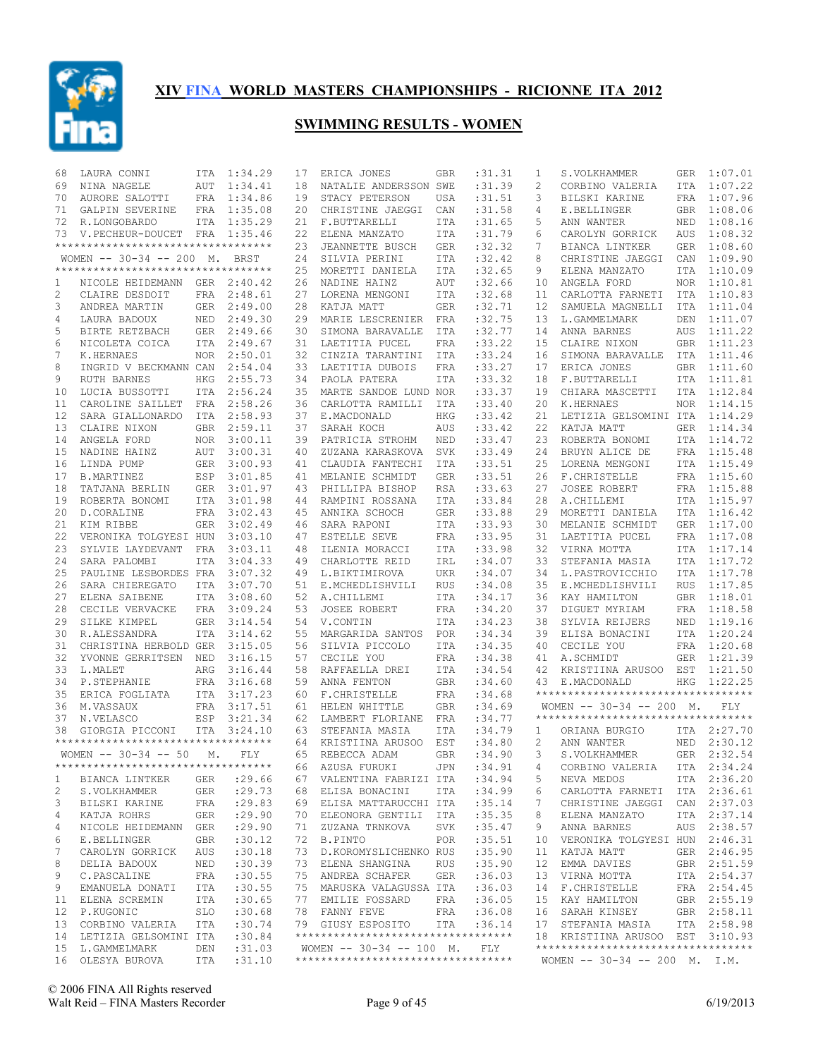

| 68       | LAURA CONNI                         | ITA               | 1:34.29            | 17       | ERICA JONES                        | <b>GBR</b>        | : 31.31              | 1            | S.VOLKHAMMER                        | GER        | 1:07.01                    |
|----------|-------------------------------------|-------------------|--------------------|----------|------------------------------------|-------------------|----------------------|--------------|-------------------------------------|------------|----------------------------|
| 69       | NINA NAGELE                         | <b>AUT</b>        | 1:34.41            | 18       | NATALIE ANDERSSON SWE              |                   | :31.39               | $\mathbf{2}$ | CORBINO VALERIA                     | ITA        | 1:07.22                    |
| 70       | AURORE SALOTTI                      | FRA               | 1:34.86            | 19       | STACY PETERSON                     | <b>USA</b>        | :31.51               | 3            | BILSKI KARINE                       | <b>FRA</b> | 1:07.96                    |
| 71       | GALPIN SEVERINE                     | FRA               | 1:35.08            | 20       | CHRISTINE JAEGGI                   | CAN               | :31.58               | 4            | E.BELLINGER                         | <b>GBR</b> | 1:08.06                    |
| 72       | R.LONGOBARDO                        |                   | ITA 1:35.29        | 21       | F.BUTTARELLI                       | <b>ITA</b>        | :31.65               | 5            | ANN WANTER                          | NED        | 1:08.16                    |
| 73       | V.PECHEUR-DOUCET                    | FRA               | 1:35.46            | 22       | ELENA MANZATO                      | ITA               | :31.79               | 6            | CAROLYN GORRICK                     | AUS        | 1:08.32                    |
|          | *********************************** |                   |                    | 23       | JEANNETTE BUSCH                    | <b>GER</b>        | :32.32               | 7            | BIANCA LINTKER                      | <b>GER</b> | 1:08.60                    |
|          | WOMEN -- 30-34 -- 200 M. BRST       |                   |                    | 24       | SILVIA PERINI                      | <b>ITA</b>        | :32.42               | 8            | CHRISTINE JAEGGI                    | CAN        | 1:09.90                    |
|          | **********************************  |                   |                    | 25       | MORETTI DANIELA                    | ITA               | :32.65               | 9            | ELENA MANZATO                       | ITA        | 1:10.09                    |
| 1        | NICOLE HEIDEMANN GER                |                   | 2:40.42            | 26       | NADINE HAINZ                       | AUT               | :32.66               | 10           | ANGELA FORD                         | <b>NOR</b> | 1:10.81                    |
| 2        | CLAIRE DESDOIT                      | FRA               | 2:48.61            | 27       | LORENA MENGONI                     | ITA               | :32.68               | 11           | CARLOTTA FARNETI                    | ITA        | 1:10.83                    |
| 3        | ANDREA MARTIN                       | GER               | 2:49.00            | 28       | KATJA MATT                         | <b>GER</b>        | :32.71               | 12           | SAMUELA MAGNELLI                    | <b>ITA</b> | 1:11.04                    |
| 4        | LAURA BADOUX                        | NED               | 2:49.30            | 29       | MARIE LESCRENIER                   | FRA               | :32.75               | 13           | L.GAMMELMARK                        | DEN        | 1:11.07                    |
| 5        | BIRTE RETZBACH                      | <b>GER</b>        | 2:49.66            | 30       | SIMONA BARAVALLE                   | ITA               | :32.77               | 14           | ANNA BARNES                         | AUS        | 1:11.22                    |
| 6        | NICOLETA COICA                      | <b>ITA</b>        | 2:49.67            | 31       | LAETITIA PUCEL                     | <b>FRA</b>        | :33.22               | 15           | CLAIRE NIXON                        |            | GBR 1:11.23                |
| 7        | K.HERNAES                           | <b>NOR</b>        | 2:50.01            | 32       | CINZIA TARANTINI                   | ITA               | :33.24               | 16           | SIMONA BARAVALLE                    | ITA        | 1:11.46                    |
| 8        | INGRID V BECKMANN CAN               |                   | 2:54.04            | 33       | LAETITIA DUBOIS                    | <b>FRA</b>        | :33.27               | 17           | ERICA JONES                         |            | GBR 1:11.60                |
| 9        | <b>RUTH BARNES</b>                  | <b>HKG</b>        | 2:55.73            | 34       | PAOLA PATERA                       | <b>ITA</b>        | :33.32               | 18           | F.BUTTARELLI                        | ITA        | 1:11.81                    |
| 10<br>11 | LUCIA BUSSOTTI                      | ITA               | 2:56.24            | 35       | MARTE SANDOE LUND NOR              |                   | : 33.37<br>:33.40    | 19<br>20     | CHIARA MASCETTI                     | ITA        | 1:12.84                    |
| 12       | CAROLINE SAILLET                    | <b>FRA</b>        | 2:58.26<br>2:58.93 | 36<br>37 | CARLOTTA RAMILLI<br>E.MACDONALD    | ITA<br><b>HKG</b> | :33.42               | 21           | K.HERNAES                           | <b>NOR</b> | 1:14.15<br>1:14.29         |
| 13       | SARA GIALLONARDO<br>CLAIRE NIXON    | ITA<br><b>GBR</b> | 2:59.11            | 37       | SARAH KOCH                         | <b>AUS</b>        | :33.42               | 22           | LETIZIA GELSOMINI ITA<br>KATJA MATT | <b>GER</b> | 1:14.34                    |
| 14       | ANGELA FORD                         | <b>NOR</b>        | 3:00.11            | 39       | PATRICIA STROHM                    | <b>NED</b>        | :33.47               | 23           | ROBERTA BONOMI                      | <b>ITA</b> | 1:14.72                    |
| 15       | NADINE HAINZ                        | AUT               | 3:00.31            | 40       | ZUZANA KARASKOVA                   | <b>SVK</b>        | :33.49               | 24           | BRUYN ALICE DE                      | FRA        | 1:15.48                    |
| 16       | LINDA PUMP                          | <b>GER</b>        | 3:00.93            | 41       | CLAUDIA FANTECHI                   | <b>ITA</b>        | :33.51               | 25           | LORENA MENGONI                      | <b>ITA</b> | 1:15.49                    |
| 17       | <b>B.MARTINEZ</b>                   | <b>ESP</b>        | 3:01.85            | 41       | MELANIE SCHMIDT                    | <b>GER</b>        | :33.51               | 26           | F.CHRISTELLE                        | <b>FRA</b> | 1:15.60                    |
| 18       | TATJANA BERLIN                      | <b>GER</b>        | 3:01.97            | 43       | PHILLIPA BISHOP                    | <b>RSA</b>        | :33.63               | 27           | <b>JOSEE ROBERT</b>                 | FRA        | 1:15.88                    |
| 19       | ROBERTA BONOMI                      | <b>ITA</b>        | 3:01.98            | 44       | RAMPINI ROSSANA                    | <b>ITA</b>        | :33.84               | 28           | A.CHILLEMI                          | ITA        | 1:15.97                    |
| 20       | D.CORALINE                          | FRA               | 3:02.43            | 45       | ANNIKA SCHOCH                      | <b>GER</b>        | :33.88               | 29           | MORETTI DANIELA                     | ITA        | 1:16.42                    |
| 21       | KIM RIBBE                           | GER               | 3:02.49            | 46       | SARA RAPONI                        | <b>ITA</b>        | :33.93               | 30           | MELANIE SCHMIDT                     | <b>GER</b> | 1:17.00                    |
| 22       | VERONIKA TOLGYESI HUN               |                   | 3:03.10            | 47       | ESTELLE SEVE                       | FRA               | :33.95               | 31           | LAETITIA PUCEL                      | FRA        | 1:17.08                    |
| 23       | SYLVIE LAYDEVANT                    | <b>FRA</b>        | 3:03.11            | 48       | ILENIA MORACCI                     | ITA               | :33.98               | 32           | VIRNA MOTTA                         | ITA        | 1:17.14                    |
| 24       | SARA PALOMBI                        | <b>ITA</b>        | 3:04.33            | 49       | CHARLOTTE REID                     | IRL               | :34.07               | 33           | STEFANIA MASIA                      | <b>ITA</b> | 1:17.72                    |
| 25       | PAULINE LESBORDES FRA               |                   | 3:07.32            | 49       | L.BIKTIMIROVA                      | UKR               | :34.07               | 34           | L. PASTROVICCHIO                    | ITA        | 1:17.78                    |
| 26       | SARA CHIEREGATO                     | ITA               | 3:07.70            | 51       | E.MCHEDLISHVILI                    | <b>RUS</b>        | :34.08               | 35           | E.MCHEDLISHVILI                     | <b>RUS</b> | 1:17.85                    |
| 27       | ELENA SAIBENE                       | <b>ITA</b>        | 3:08.60            | 52       | A.CHILLEMI                         | <b>ITA</b>        | :34.17               | 36           | KAY HAMILTON                        | GBR        | 1:18.01                    |
| 28       | CECILE VERVACKE                     | FRA               | 3:09.24            | 53       | <b>JOSEE ROBERT</b>                | FRA               | :34.20               | 37           | DIGUET MYRIAM                       | <b>FRA</b> | 1:18.58                    |
| 29       | SILKE KIMPEL                        | <b>GER</b>        | 3:14.54            | 54       | V.CONTIN                           | ITA               | :34.23               | 38           | SYLVIA REIJERS                      | NED        | 1:19.16                    |
| 30       | R.ALESSANDRA                        | ITA               | 3:14.62            | 55       | MARGARIDA SANTOS                   | POR               | :34.34               | 39           | ELISA BONACINI                      | ITA        | 1:20.24                    |
| 31       | CHRISTINA HERBOLD GER               |                   | 3:15.05            | 56       | SILVIA PICCOLO                     | <b>ITA</b>        | :34.35               | 40           | CECILE YOU                          | FRA        | 1:20.68                    |
| 32       | YVONNE GERRITSEN                    | NED               | 3:16.15            | 57       | CECILE YOU                         | <b>FRA</b>        | :34.38               | 41           | A.SCHMIDT                           | <b>GER</b> | 1:21.39                    |
| 33       | L.MALET                             | ARG               | 3:16.44            | 58       | RAFFAELLA DREI                     | ITA               | :34.54               | 42           | KRISTIINA ARUSOO                    | EST        | 1:21.50                    |
| 34       | P.STEPHANIE                         | <b>FRA</b>        | 3:16.68            | 59       | ANNA FENTON                        | <b>GBR</b>        | :34.60               | 43           | E.MACDONALD                         | <b>HKG</b> | 1:22.25                    |
| 35       | ERICA FOGLIATA                      | <b>ITA</b>        | 3:17.23            | 60       | F.CHRISTELLE                       | <b>FRA</b>        | :34.68               |              | **********************************  |            |                            |
| 36       | M.VASSAUX                           | FRA               | 3:17.51            | 61       | HELEN WHITTLE                      | <b>GBR</b>        | :34.69               |              | WOMEN $-- 30-34 -- 200$ M.          |            | FLY.                       |
| 37       | N.VELASCO                           | ESP               | 3:21.34            | 62       | LAMBERT FLORIANE                   | FRA               | :34.77               |              | *********************************** |            |                            |
| 38       | GIORGIA PICCONI                     | <b>ITA</b>        | 3:24.10            | 63       | STEFANIA MASIA                     | ITA               | :34.79               | 1            | ORIANA BURGIO                       | ITA        | 2:27.70                    |
|          | **********************************  |                   |                    | 64       | KRISTIINA ARUSOO                   | EST               | :34.80               | 2            | ANN WANTER                          | NED        | 2:30.12                    |
|          | WOMEN $-- 30-34 -- 50$              | М.                | FLY                | 65       | REBECCA ADAM                       | <b>GBR</b>        | :34.90               | 3            | S.VOLKHAMMER                        | GER        | 2:32.54                    |
|          | **********************************  |                   |                    |          | 66 AZUSA FURUKI                    | JPN               | :34.91               | $4 -$        | CORBINO VALERIA ITA 2:34.24         |            |                            |
| 1        | BIANCA LINTKER                      | GER               | : 29.66            |          | 67 VALENTINA FABRIZI ITA           |                   | :34.94               | 5            | NEVA MEDOS                          |            | ITA 2:36.20                |
| 2        | S.VOLKHAMMER                        | GER               | : 29.73            |          | 68 ELISA BONACINI                  | ITA               | :34.99               | 6            | CARLOTTA FARNETI ITA 2:36.61        |            |                            |
| 3        | BILSKI KARINE                       | FRA               | : 29.83            |          | 69 ELISA MATTARUCCHI ITA           |                   | : 35.14              | 7            | CHRISTINE JAEGGI CAN 2:37.03        |            |                            |
| 4        | KATJA ROHRS                         | GER               | : 29.90            |          | 70 ELEONORA GENTILI ITA            |                   | :35.35               | 8            | ELENA MANZATO                       |            | ITA 2:37.14                |
| 4        | NICOLE HEIDEMANN GER                |                   | : 29.90            | 71       | ZUZANA TRNKOVA                     | SVK               | :35.47               | 9            | ANNA BARNES                         |            | AUS 2:38.57                |
| 6        | E.BELLINGER                         | GBR               | :30.12             |          | 72 B.PINTO                         | POR               | :35.51               | 10           | VERONIKA TOLGYESI HUN 2:46.31       |            |                            |
| 7        | CAROLYN GORRICK                     | AUS               | :30.18             |          | 73 D.KOROMYSLICHENKO RUS           |                   | :35.90               | 11           | KATJA MATT                          |            | GER 2:46.95                |
| 8        | DELIA BADOUX                        | NED               | :30.39             |          | 73 ELENA SHANGINA                  | RUS               | :35.90               | 12           | EMMA DAVIES                         |            | GBR 2:51.59                |
| 9        | C.PASCALINE                         | FRA               | :30.55             |          | 75 ANDREA SCHAFER                  | GER               | :36.03               | 13           | VIRNA MOTTA                         |            | ITA 2:54.37                |
| 9        | EMANUELA DONATI                     | ITA               | :30.55             |          | 75 MARUSKA VALAGUSSA ITA           | FRA               | :36.03               | 14           | F. CHRISTELLE<br>KAY HAMILTON       |            | FRA 2:54.45<br>GBR 2:55.19 |
| 11<br>12 | ELENA SCREMIN<br>P.KUGONIC          | ITA<br>SLO        | :30.65             |          | 77 EMILIE FOSSARD<br>78 FANNY FEVE |                   | :36.05<br>FRA :36.08 | 15<br>16     | SARAH KINSEY                        |            | GBR 2:58.11                |
| 13       | CORBINO VALERIA                     | ITA               | :30.68<br>:30.74   |          | 79 GIUSY ESPOSITO                  | ITA               | :36.14               | 17           | STEFANIA MASIA                      |            | ITA 2:58.98                |
| 14       | LETIZIA GELSOMINI ITA               |                   | :30.84             |          | ********************************** |                   |                      |              | 18 KRISTIINA ARUSOO EST 3:10.93     |            |                            |
| 15       | L.GAMMELMARK                        | DEN               | :31.03             |          | WOMEN -- 30-34 -- 100 M. FLY       |                   |                      |              | **********************************  |            |                            |
|          | 16 OLESYA BUROVA                    | ITA               | :31.10             |          | ********************************** |                   |                      |              | WOMEN $-- 30-34 -- 200$ M. I.M.     |            |                            |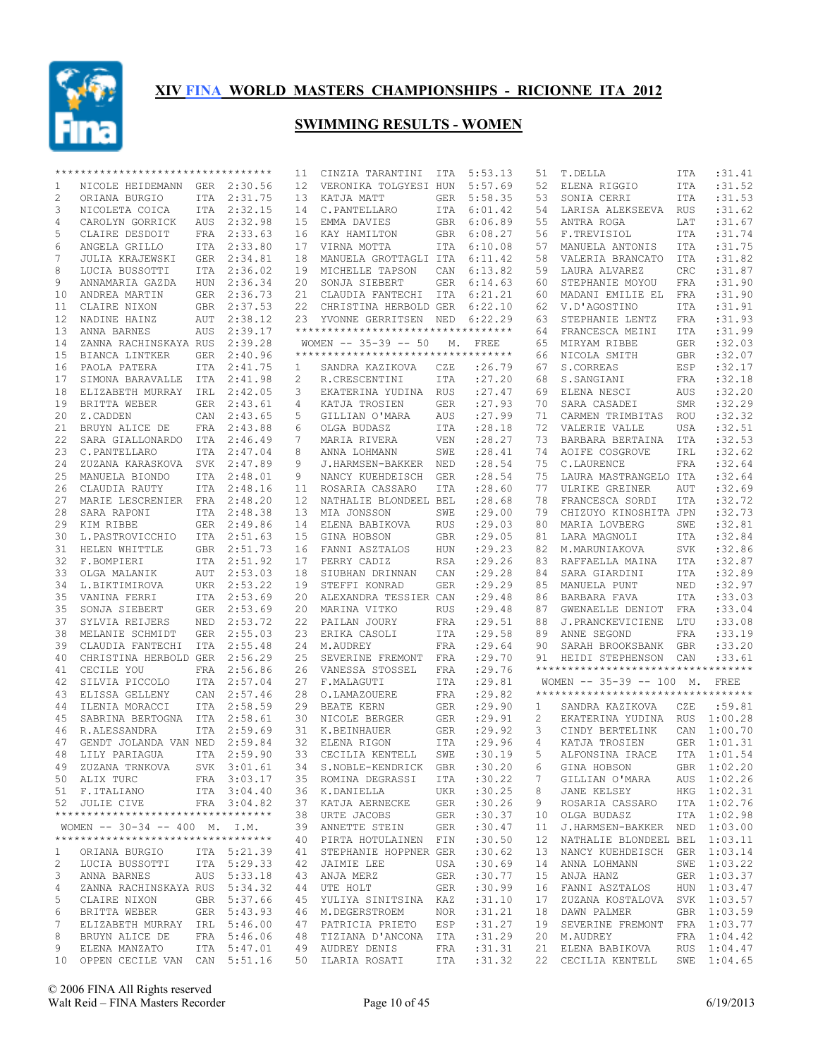

|              | **********************************  |     |             | 11              | CINZIA TARANTINI                   | ITA        | 5:53.13     | 51 | T.DELLA                            | ITA        | :31.41      |
|--------------|-------------------------------------|-----|-------------|-----------------|------------------------------------|------------|-------------|----|------------------------------------|------------|-------------|
| 1            | NICOLE HEIDEMANN GER 2:30.56        |     |             | 12              | VERONIKA TOLGYESI HUN              |            | 5:57.69     | 52 | ELENA RIGGIO                       | ITA        | :31.52      |
| 2            | ORIANA BURGIO                       |     | ITA 2:31.75 | 13              | KATJA MATT                         |            | GER 5:58.35 | 53 | SONIA CERRI                        | ITA        | :31.53      |
| 3            | NICOLETA COICA                      |     | ITA 2:32.15 | 14              | C.PANTELLARO                       | ITA        | 6:01.42     | 54 | LARISA ALEKSEEVA                   | RUS        | :31.62      |
| 4            | CAROLYN GORRICK                     | AUS | 2:32.98     | 15              | EMMA DAVIES                        | GBR        | 6:06.89     | 55 | ANTRA ROGA                         | LAT        | :31.67      |
| 5            | CLAIRE DESDOIT                      |     | FRA 2:33.63 | 16              | KAY HAMILTON                       | GBR        | 6:08.27     | 56 | F.TREVISIOL                        | ITA        | :31.74      |
| 6            | ANGELA GRILLO                       |     | ITA 2:33.80 | 17              | VIRNA MOTTA                        | ITA        | 6:10.08     | 57 | MANUELA ANTONIS                    | <b>ITA</b> | :31.75      |
| 7            | JULIA KRAJEWSKI                     |     | GER 2:34.81 | 18              | MANUELA GROTTAGLI ITA              |            | 6:11.42     | 58 | VALERIA BRANCATO                   | ITA        | :31.82      |
| 8            | LUCIA BUSSOTTI                      |     | ITA 2:36.02 | 19              | MICHELLE TAPSON                    | CAN        | 6:13.82     | 59 | LAURA ALVAREZ                      | CRC        | :31.87      |
| 9            | ANNAMARIA GAZDA                     | HUN | 2:36.34     | 20              | SONJA SIEBERT                      | GER        | 6:14.63     | 60 | STEPHANIE MOYOU                    | <b>FRA</b> | :31.90      |
| 10           | ANDREA MARTIN                       |     | GER 2:36.73 |                 | 21 CLAUDIA FANTECHI ITA            |            | 6:21.21     | 60 | MADANI EMILIE EL                   | FRA        | :31.90      |
| 11           | CLAIRE NIXON                        |     | GBR 2:37.53 |                 | 22 CHRISTINA HERBOLD GER           |            | 6:22.10     | 62 | V.D'AGOSTINO                       | ITA        | :31.91      |
| 12           | NADINE HAINZ                        | AUT | 2:38.12     |                 | 23 YVONNE GERRITSEN NED 6:22.29    |            |             | 63 | STEPHANIE LENTZ                    | <b>FRA</b> | :31.93      |
| 13           | ANNA BARNES                         | AUS | 2:39.17     |                 | ********************************** |            |             | 64 | FRANCESCA MEINI                    | <b>ITA</b> | :31.99      |
| 14           | ZANNA RACHINSKAYA RUS               |     | 2:39.28     |                 | WOMEN $-- 35-39 -- 50$             | М.         | FREE        | 65 | MIRYAM RIBBE                       | <b>GER</b> | :32.03      |
| 15           | BIANCA LINTKER                      | GER | 2:40.96     |                 | ********************************** |            |             | 66 | NICOLA SMITH                       | GBR        | :32.07      |
| 16           | PAOLA PATERA                        |     | ITA 2:41.75 | $\mathbf{1}$    | SANDRA KAZIKOVA                    | CZE        | : 26.79     | 67 | S.CORREAS                          | ESP        | :32.17      |
| 17           | SIMONA BARAVALLE ITA                |     | 2:41.98     | 2               | R.CRESCENTINI                      | ITA        | : 27.20     | 68 | S.SANGIANI                         | FRA        | :32.18      |
| 18           | ELIZABETH MURRAY                    | IRL | 2:42.05     | 3               |                                    |            | : 27.47     | 69 |                                    |            | :32.20      |
|              |                                     |     |             | 4               | EKATERINA YUDINA RUS               |            |             | 70 | ELENA NESCI                        | AUS        | :32.29      |
| 19           | BRITTA WEBER                        | GER | 2:43.61     |                 | KATJA TROSIEN                      | GER        | : 27.93     |    | SARA CASADEI                       | <b>SMR</b> |             |
| 20           | Z.CADDEN                            | CAN | 2:43.65     | 5               | GILLIAN O'MARA                     | AUS        | : 27.99     | 71 | CARMEN TRIMBITAS                   | ROU        | :32.32      |
| 21           | BRUYN ALICE DE                      |     | FRA 2:43.88 | 6               | OLGA BUDASZ                        | ITA        | :28.18      | 72 | VALERIE VALLE                      | <b>USA</b> | :32.51      |
| 22           | SARA GIALLONARDO                    |     | ITA 2:46.49 | 7               | MARIA RIVERA                       | VEN        | : 28.27     | 73 | BARBARA BERTAINA                   | ITA        | :32.53      |
| 23           | C.PANTELLARO                        | ITA | 2:47.04     | 8               | ANNA LOHMANN                       | SWE        | :28.41      | 74 | AOIFE COSGROVE                     | IRL        | :32.62      |
| 24           | ZUZANA KARASKOVA                    |     | SVK 2:47.89 | 9               | J.HARMSEN-BAKKER NED               |            | :28.54      | 75 | C.LAURENCE                         | <b>FRA</b> | :32.64      |
| 25           | MANUELA BIONDO                      |     | ITA 2:48.01 | 9               | NANCY KUEHDEISCH                   | GER        | :28.54      | 75 | LAURA MASTRANGELO ITA              |            | :32.64      |
| 26           | CLAUDIA RAUTY                       |     | ITA 2:48.16 | 11              | ROSARIA CASSARO                    | ITA        | : 28.60     | 77 | ULRIKE GREINER                     | AUT        | :32.69      |
| 27           | MARIE LESCRENIER                    | FRA | 2:48.20     | 12              | NATHALIE BLONDEEL BEL              |            | :28.68      | 78 | FRANCESCA SORDI                    | <b>ITA</b> | :32.72      |
| 28           | SARA RAPONI                         |     | ITA 2:48.38 | 13              | MIA JONSSON                        | SWE        | : 29.00     | 79 | CHIZUYO KINOSHITA JPN              |            | :32.73      |
| 29           | KIM RIBBE                           |     | GER 2:49.86 | 14              | ELENA BABIKOVA                     | RUS        | : 29.03     | 80 | MARIA LOVBERG                      | SWE        | :32.81      |
| 30           | L. PASTROVICCHIO                    |     | ITA 2:51.63 | 15              | GINA HOBSON                        | GBR        | : 29.05     | 81 | LARA MAGNOLI                       | ITA        | :32.84      |
| 31           | HELEN WHITTLE                       |     | GBR 2:51.73 | 16              | FANNI ASZTALOS                     | HUN        | : 29.23     | 82 | M.MARUNIAKOVA                      | <b>SVK</b> | :32.86      |
| 32           | F.BOMPIERI                          |     | ITA 2:51.92 | 17              | PERRY CADIZ                        | RSA        | : 29.26     | 83 | RAFFAELLA MAINA                    | ITA        | :32.87      |
| 33           | OLGA MALANIK                        |     | AUT 2:53.03 | 18              | SIUBHAN DRINNAN                    | CAN        | :29.28      | 84 | SARA GIARDINI                      | ITA        | :32.89      |
| 34           | L.BIKTIMIROVA                       |     | UKR 2:53.22 | 19              | STEFFI KONRAD                      | GER        | : 29.29     | 85 | MANUELA PUNT                       | NED        | :32.97      |
| 35           | VANINA FERRI                        |     | ITA 2:53.69 | 20              | ALEXANDRA TESSIER CAN              |            | : 29.48     | 86 | BARBARA FAVA                       | ITA        | :33.03      |
| 35           | SONJA SIEBERT                       |     | GER 2:53.69 | 20              | MARINA VITKO                       | <b>RUS</b> | : 29.48     | 87 | GWENAELLE DENIOT                   | FRA        | :33.04      |
| 37           | SYLVIA REIJERS                      | NED | 2:53.72     | 22              | PAILAN JOURY                       | FRA        | :29.51      | 88 | J.PRANCKEVICIENE                   | LTU        | :33.08      |
| 38           | MELANIE SCHMIDT                     |     | GER 2:55.03 | 23              | ERIKA CASOLI                       | ITA        | :29.58      | 89 | ANNE SEGOND                        | <b>FRA</b> | :33.19      |
| 39           | CLAUDIA FANTECHI                    |     | ITA 2:55.48 | 24              | M.AUDREY                           | FRA        | : 29.64     | 90 | SARAH BROOKSBANK GBR               |            | :33.20      |
| 40           | CHRISTINA HERBOLD GER               |     | 2:56.29     | 25              | SEVERINE FREMONT FRA               |            | : 29.70     | 91 | HEIDI STEPHENSON                   | CAN        | : 33.61     |
| 41           | CECILE YOU                          |     | FRA 2:56.86 | 26              | VANESSA STOSSEL                    | FRA        | :29.76      |    | ********************************** |            |             |
| 42           | SILVIA PICCOLO                      |     | ITA 2:57.04 | 27              | F.MALAGUTI                         | ITA        | : 29.81     |    | WOMEN $-- 35-39 -- 100$ M.         |            | FREE        |
| 43           | ELISSA GELLENY                      | CAN | 2:57.46     | 28              | O.LAMAZOUERE                       | FRA        | : 29.82     |    | ********************************** |            |             |
| 44           | ILENIA MORACCI                      |     | ITA 2:58.59 | 29              | BEATE KERN                         | GER        | : 29.90     | 1  | SANDRA KAZIKOVA                    | CZE        | :59.81      |
| 45           | SABRINA BERTOGNA ITA 2:58.61        |     |             | 30              | NICOLE BERGER                      | GER        | :29.91      | 2  | EKATERINA YUDINA RUS               |            | 1:00.28     |
| 46           | R.ALESSANDRA                        |     | ITA 2:59.69 | 31              | K.BEINHAUER                        | GER        | : 29.92     | 3  |                                    |            | CAN 1:00.70 |
| 47           | GENDT JOLANDA VAN NED               |     | 2:59.84     | 32 <sup>2</sup> | ELENA RIGON                        | ITA        | :29.96      | 4  | CINDY BERTELINK<br>KATJA TROSIEN   |            | GER 1:01.31 |
| 48           |                                     |     | ITA 2:59.90 | 33              |                                    |            | :30.19      | 5  |                                    | ITA        | 1:01.54     |
|              | LILY PARIAGUA                       |     |             |                 | CECILIA KENTELL                    | SWE        |             |    | ALFONSINA IRACE                    |            |             |
| 49           | ZUZANA TRNKOVA                      |     | SVK 3:01.61 |                 | 34 S.NOBLE-KENDRICK GBR : 30.20    |            |             |    | 6 GINA HOBSON                      |            | GBR 1:02.20 |
|              | 50 ALIX TURC                        |     | FRA 3:03.17 |                 | 35 ROMINA DEGRASSI                 | ITA        | :30.22      | 7  | GILLIAN O'MARA                     |            | AUS 1:02.26 |
|              | 51 F.ITALIANO                       |     | ITA 3:04.40 |                 | 36 K.DANIELLA                      | UKR        | :30.25      | 8  | JANE KELSEY                        |            | HKG 1:02.31 |
|              | 52 JULIE CIVE                       |     | FRA 3:04.82 |                 | 37 KATJA AERNECKE                  | GER        | :30.26      | 9  | ROSARIA CASSARO                    |            | ITA 1:02.76 |
|              | **********************************  |     |             |                 | 38 URTE JACOBS                     | GER        | :30.37      | 10 | OLGA BUDASZ                        |            | ITA 1:02.98 |
|              | WOMEN -- 30-34 -- 400 M. I.M.       |     |             |                 | 39 ANNETTE STEIN                   | GER        | :30.47      | 11 | J.HARMSEN-BAKKER NED 1:03.00       |            |             |
|              | *********************************** |     |             |                 | 40 PIRTA HOTULAINEN FIN            |            | :30.50      | 12 | NATHALIE BLONDEEL BEL 1:03.11      |            |             |
| $\mathbf{1}$ | ORIANA BURGIO                       |     | ITA 5:21.39 |                 | 41 STEPHANIE HOPPNER GER           |            | :30.62      | 13 | NANCY KUEHDEISCH GER 1:03.14       |            |             |
| 2            | LUCIA BUSSOTTI                      |     | ITA 5:29.33 |                 | 42 JAIMIE LEE                      | USA        | :30.69      | 14 | ANNA LOHMANN                       |            | SWE 1:03.22 |
| 3            | ANNA BARNES                         |     | AUS 5:33.18 |                 | 43 ANJA MERZ                       | GER        | :30.77      | 15 | ANJA HANZ                          |            | GER 1:03.37 |
| 4            | ZANNA RACHINSKAYA RUS 5:34.32       |     |             |                 | 44 UTE HOLT                        | GER        | :30.99      | 16 | FANNI ASZTALOS                     |            | HUN 1:03.47 |
| 5            | CLAIRE NIXON                        |     | GBR 5:37.66 |                 | 45 YULIYA SINITSINA KAZ            |            | :31.10      | 17 | ZUZANA KOSTALOVA SVK 1:03.57       |            |             |
| 6            | BRITTA WEBER                        |     | GER 5:43.93 |                 | 46 M.DEGERSTROEM                   | NOR        | :31.21      | 18 | DAWN PALMER                        |            | GBR 1:03.59 |
| 7            | ELIZABETH MURRAY IRL 5:46.00        |     |             |                 | 47 PATRICIA PRIETO                 | ESP        | :31.27      | 19 | SEVERINE FREMONT                   |            | FRA 1:03.77 |
| 8            | BRUYN ALICE DE                      |     | FRA 5:46.06 |                 | 48 TIZIANA D'ANCONA ITA            |            | :31.29      | 20 | M.AUDREY                           |            | FRA 1:04.42 |
| 9            | ELENA MANZATO                       |     | ITA 5:47.01 |                 | 49 AUDREY DENIS                    | FRA        | :31.31      |    | 21 ELENA BABIKOVA                  |            | RUS 1:04.47 |
|              | 10 OPPEN CECILE VAN CAN 5:51.16     |     |             |                 | 50 ILARIA ROSATI                   | ITA        | :31.32      |    | 22 CECILIA KENTELL SWE 1:04.65     |            |             |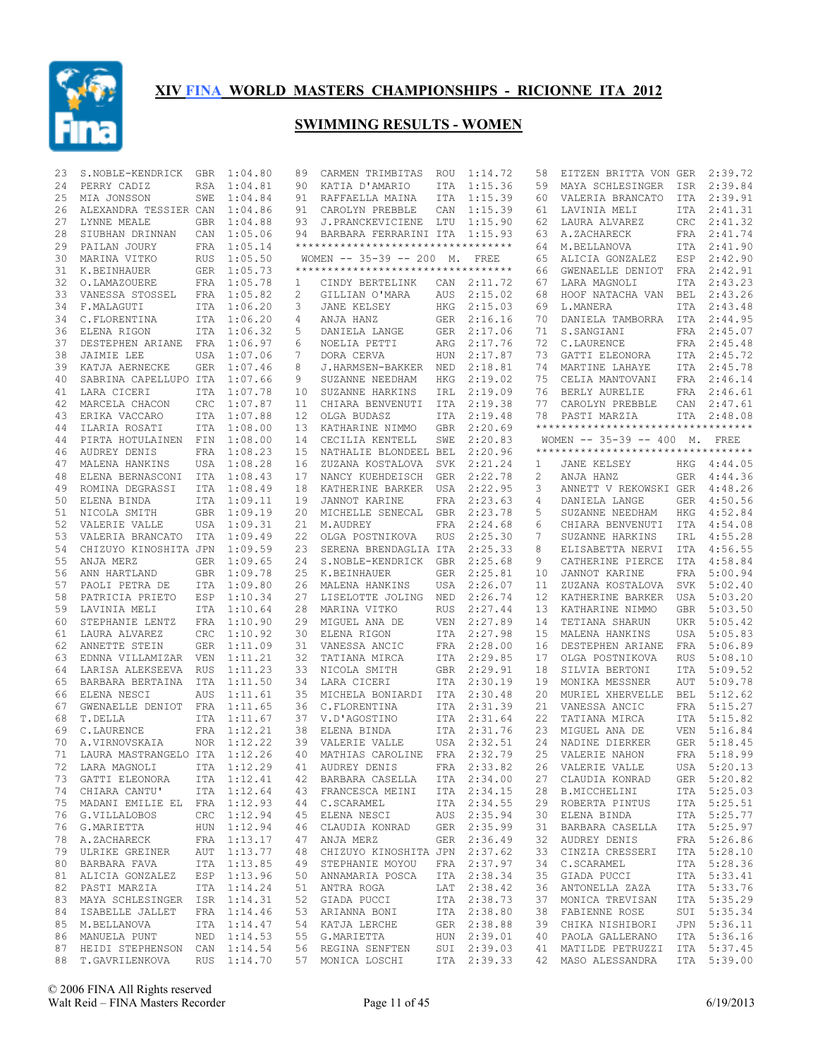

| 23       | S.NOBLE-KENDRICK                    | GBR        | 1:04.80                    | 89                | CARMEN TRIMBITAS                     | ROU                      | 1:14.72            | 58     | EITZEN BRITTA VON GER                                               |                   | 2:39.72            |
|----------|-------------------------------------|------------|----------------------------|-------------------|--------------------------------------|--------------------------|--------------------|--------|---------------------------------------------------------------------|-------------------|--------------------|
| 24       | PERRY CADIZ                         | RSA        | 1:04.81                    | 90                | KATIA D'AMARIO                       | ITA                      | 1:15.36            | 59     | MAYA SCHLESINGER                                                    | ISR               | 2:39.84            |
| 25       | MIA JONSSON                         | SWE        | 1:04.84                    | 91                | RAFFAELLA MAINA                      | ITA                      | 1:15.39            | 60     | VALERIA BRANCATO                                                    | ITA               | 2:39.91            |
| 26       | ALEXANDRA TESSIER CAN               |            | 1:04.86                    | 91                | CAROLYN PREBBLE                      | CAN                      | 1:15.39            | 61     | LAVINIA MELI                                                        | ITA               | 2:41.31            |
| 27       | LYNNE MEALE                         | <b>GBR</b> | 1:04.88                    | 93                | J.PRANCKEVICIENE LTU                 |                          | 1:15.90            | 62     | LAURA ALVAREZ                                                       | CRC               | 2:41.32            |
| 28       | SIUBHAN DRINNAN                     | CAN        | 1:05.06                    | 94                | BARBARA FERRARINI ITA                |                          | 1:15.93            | 63     | A.ZACHARECK                                                         | FRA               | 2:41.74            |
| 29       | PAILAN JOURY                        |            | FRA 1:05.14                |                   | **********************************   |                          |                    | 64     | M.BELLANOVA                                                         | ITA               | 2:41.90            |
| 30       | MARINA VITKO                        | RUS        | 1:05.50                    |                   | WOMEN $-- 35-39 -- 200$ M.           |                          | FREE               | 65     | ALICIA GONZALEZ                                                     | ESP               | 2:42.90            |
| 31       | K.BEINHAUER                         |            | GER 1:05.73                |                   | **********************************   |                          |                    | 66     | GWENAELLE DENIOT                                                    | FRA               | 2:42.91            |
| 32       | O.LAMAZOUERE                        |            | FRA 1:05.78                | 1                 | CINDY BERTELINK                      | CAN                      | 2:11.72            | 67     | LARA MAGNOLI                                                        | ITA               | 2:43.23            |
| 33       | VANESSA STOSSEL                     |            | FRA 1:05.82                | 2                 | GILLIAN O'MARA                       | AUS                      | 2:15.02            | 68     | HOOF NATACHA VAN                                                    | BEL               | 2:43.26            |
| 34       | F.MALAGUTI                          |            | ITA 1:06.20                | 3                 | JANE KELSEY                          | HKG                      | 2:15.03            | 69     | L.MANERA                                                            | ITA               | 2:43.48            |
| 34       | C.FLORENTINA                        |            | ITA 1:06.20                | 4                 | ANJA HANZ                            | GER                      | 2:16.16            | 70     | DANIELA TAMBORRA                                                    |                   | ITA 2:44.95        |
| 36       | ELENA RIGON                         |            | ITA 1:06.32                | 5                 | DANIELA LANGE                        | <b>GER</b>               | 2:17.06            | 71     | S. SANGIANI                                                         | FRA               | 2:45.07            |
| 37       | DESTEPHEN ARIANE                    |            | FRA 1:06.97                | 6                 | NOELIA PETTI                         | ARG                      | 2:17.76            | 72     | C.LAURENCE                                                          |                   | FRA 2:45.48        |
| 38       | JAIMIE LEE                          | USA        | 1:07.06                    | 7                 | DORA CERVA                           | <b>HUN</b>               | 2:17.87            | 73     | GATTI ELEONORA                                                      |                   | ITA 2:45.72        |
| 39       | KATJA AERNECKE                      | GER        | 1:07.46                    | 8                 | J.HARMSEN-BAKKER NED                 |                          | 2:18.81            | 74     | MARTINE LAHAYE                                                      |                   | ITA 2:45.78        |
| 40       | SABRINA CAPELLUPO ITA               |            | 1:07.66                    | 9                 | SUZANNE NEEDHAM                      | <b>HKG</b>               | 2:19.02            | 75     | CELIA MANTOVANI                                                     |                   | FRA 2:46.14        |
| 41       | LARA CICERI                         | <b>ITA</b> | 1:07.78                    | 10                | SUZANNE HARKINS                      | IRL                      | 2:19.09            | 76     | BERLY AURELIE                                                       |                   | FRA 2:46.61        |
| 42       | MARCELA CHACON                      | CRC        | 1:07.87                    | 11                | CHIARA BENVENUTI                     | ITA                      | 2:19.38            | 77     | CAROLYN PREBBLE                                                     |                   | CAN 2:47.61        |
| 43       | ERIKA VACCARO                       | ITA        | 1:07.88                    | $12 \overline{ }$ | OLGA BUDASZ                          | <b>ITA</b>               | 2:19.48            | 78     | PASTI MARZIA<br>***********************************                 |                   | ITA 2:48.08        |
| 44       | ILARIA ROSATI                       |            | ITA 1:08.00                | 13                | KATHARINE NIMMO                      | <b>GBR</b>               | 2:20.69            |        |                                                                     |                   |                    |
| 44       | PIRTA HOTULAINEN                    | FIN        | 1:08.00                    | 14                | CECILIA KENTELL                      | SWE                      | 2:20.83            |        | WOMEN -- 35-39 -- 400 M. FREE<br>********************************** |                   |                    |
| 46       | AUDREY DENIS                        | FRA        | 1:08.23                    | 15                | NATHALIE BLONDEEL BEL                |                          | 2:20.96            |        |                                                                     |                   |                    |
| 47<br>48 | MALENA HANKINS                      |            | USA 1:08.28<br>ITA 1:08.43 | 16<br>17          | ZUZANA KOSTALOVA<br>NANCY KUEHDEISCH | <b>SVK</b><br><b>GER</b> | 2:21.24<br>2:22.78 | 1<br>2 | JANE KELSEY                                                         | HKG<br>GER        | 4:44.05<br>4:44.36 |
|          | ELENA BERNASCONI<br>ROMINA DEGRASSI |            | ITA 1:08.49                |                   |                                      |                          | 2:22.95            |        | ANJA HANZ<br>ANNETT V REKOWSKI GER                                  |                   |                    |
| 49<br>50 | ELENA BINDA                         |            | ITA 1:09.11                | 18<br>19          | KATHERINE BARKER                     | USA                      |                    | 3      |                                                                     |                   | 4:48.26<br>4:50.56 |
| 51       | NICOLA SMITH                        | GBR        | 1:09.19                    | 20                | JANNOT KARINE<br>MICHELLE SENECAL    | FRA<br>GBR               | 2:23.63<br>2:23.78 | 4<br>5 | DANIELA LANGE                                                       | <b>GER</b><br>HKG | 4:52.84            |
| 52       | VALERIE VALLE                       |            | USA 1:09.31                | 21                | M.AUDREY                             | <b>FRA</b>               | 2:24.68            | 6      | SUZANNE NEEDHAM<br>CHIARA BENVENUTI                                 | ITA               | 4:54.08            |
| 53       | VALERIA BRANCATO                    |            | ITA 1:09.49                | 22                | OLGA POSTNIKOVA                      | <b>RUS</b>               | 2:25.30            | 7      | SUZANNE HARKINS                                                     | IRL               | 4:55.28            |
| 54       | CHIZUYO KINOSHITA JPN               |            | 1:09.59                    | 23                | SERENA BRENDAGLIA ITA                |                          | 2:25.33            | 8      | ELISABETTA NERVI                                                    | ITA               | 4:56.55            |
| 55       | ANJA MERZ                           | GER        | 1:09.65                    | 24                | S.NOBLE-KENDRICK                     | GBR                      | 2:25.68            | 9      | CATHERINE PIERCE                                                    | ITA               | 4:58.84            |
| 56       | ANN HARTLAND                        | <b>GBR</b> | 1:09.78                    | 25                | K.BEINHAUER                          | GER                      | 2:25.81            | 10     | JANNOT KARINE                                                       | FRA               | 5:00.94            |
| 57       | PAOLI PETRA DE                      |            | ITA 1:09.80                | 26                | MALENA HANKINS                       | USA                      | 2:26.07            | 11     | ZUZANA KOSTALOVA                                                    | <b>SVK</b>        | 5:02.40            |
| 58       | PATRICIA PRIETO                     | ESP        | 1:10.34                    | 27                | LISELOTTE JOLING                     | NED                      | 2:26.74            | 12     | KATHERINE BARKER                                                    | USA               | 5:03.20            |
| 59       | LAVINIA MELI                        |            | ITA 1:10.64                | 28                | MARINA VITKO                         | <b>RUS</b>               | 2:27.44            | 13     | KATHARINE NIMMO                                                     | <b>GBR</b>        | 5:03.50            |
| 60       | STEPHANIE LENTZ                     | FRA        | 1:10.90                    | 29                | MIGUEL ANA DE                        | <b>VEN</b>               | 2:27.89            | 14     | TETIANA SHARUN                                                      | UKR               | 5:05.42            |
| 61       | LAURA ALVAREZ                       | <b>CRC</b> | 1:10.92                    | 30                | ELENA RIGON                          | ITA                      | 2:27.98            | 15     | MALENA HANKINS                                                      | USA               | 5:05.83            |
| 62       | ANNETTE STEIN                       | GER        | 1:11.09                    | 31                | VANESSA ANCIC                        | FRA                      | 2:28.00            | 16     | DESTEPHEN ARIANE                                                    | FRA               | 5:06.89            |
| 63       | EDNNA VILLAMIZAR                    | VEN        | 1:11.21                    | 32                | TATIANA MIRCA                        | ITA                      | 2:29.85            | 17     | OLGA POSTNIKOVA                                                     | <b>RUS</b>        | 5:08.10            |
| 64       | LARISA ALEKSEEVA RUS                |            | 1:11.23                    | 33                | NICOLA SMITH                         | GBR                      | 2:29.91            | 18     | SILVIA BERTONI                                                      | ITA               | 5:09.52            |
| 65       | BARBARA BERTAINA                    | ITA        | 1:11.50                    | 34                | LARA CICERI                          | ITA                      | 2:30.19            | 19     | MONIKA MESSNER                                                      | <b>AUT</b>        | 5:09.78            |
| 66       | ELENA NESCI                         | <b>AUS</b> | 1:11.61                    | 35                | MICHELA BONIARDI                     | <b>ITA</b>               | 2:30.48            | 20     | MURIEL XHERVELLE                                                    | BEL               | 5:12.62            |
| 67       | GWENAELLE DENIOT FRA                |            | 1:11.65                    | 36                | C.FLORENTINA                         | <b>ITA</b>               | 2:31.39            | 21     | VANESSA ANCIC                                                       | FRA               | 5:15.27            |
| 68       | T.DELLA                             | <b>ITA</b> | 1:11.67                    | 37                | V.D'AGOSTINO                         | ITA                      | 2:31.64            | 22     | TATIANA MIRCA                                                       | ITA               | 5:15.82            |
| 69       | C.LAURENCE                          |            | FRA 1:12.21                | 38                | ELENA BINDA                          | ITA                      | 2:31.76            | 23     | MIGUEL ANA DE                                                       | <b>VEN</b>        | 5:16.84            |
| 70       | A.VIRNOVSKAIA                       | NOR        | 1:12.22                    | 39                | VALERIE VALLE                        |                          | USA 2:32.51        | 24     | NADINE DIERKER                                                      | GER               | 5:18.45            |
| 71       | LAURA MASTRANGELO ITA               |            | 1:12.26                    | 40                | MATHIAS CAROLINE                     | FRA                      | 2:32.79            | 25     | VALERIE NAHON                                                       | <b>FRA</b>        | 5:18.99            |
|          | 72 LARA MAGNOLI ITA 1:12.29         |            |                            |                   | 41 AUDREY DENIS                      |                          | FRA 2:33.82        |        | 26 VALERIE VALLE                                                    |                   | USA 5:20.13        |
|          | 73 GATTI ELEONORA                   |            | ITA 1:12.41                |                   | 42 BARBARA CASELLA                   |                          | ITA 2:34.00        | 27     | CLAUDIA KONRAD                                                      |                   | GER 5:20.82        |
|          | 74 CHIARA CANTU'                    |            | ITA 1:12.64                |                   | 43 FRANCESCA MEINI                   |                          | ITA 2:34.15        |        | 28 B.MICCHELINI                                                     |                   | ITA 5:25.03        |
|          | 75 MADANI EMILIE EL FRA 1:12.93     |            |                            |                   | 44 C.SCARAMEL                        |                          | ITA 2:34.55        | 29     | ROBERTA PINTUS                                                      |                   | ITA 5:25.51        |
|          | 76 G.VILLALOBOS                     |            | CRC 1:12.94                |                   | 45 ELENA NESCI                       |                          | AUS 2:35.94        | 30     | ELENA BINDA                                                         |                   | ITA 5:25.77        |
| 76       | G.MARIETTA                          |            | HUN 1:12.94                |                   | 46 CLAUDIA KONRAD                    |                          | GER 2:35.99        | 31     | BARBARA CASELLA                                                     |                   | ITA 5:25.97        |
|          | 78 A.ZACHARECK                      |            | FRA 1:13.17                |                   | 47 ANJA MERZ                         |                          | GER 2:36.49        | 32     | AUDREY DENIS                                                        |                   | FRA 5:26.86        |
| 79       | ULRIKE GREINER                      |            | AUT 1:13.77                |                   | 48 CHIZUYO KINOSHITA JPN 2:37.62     |                          |                    | 33     | CINZIA CRESSERI                                                     |                   | ITA 5:28.10        |
|          | 80 BARBARA FAVA                     |            | ITA 1:13.85                |                   | 49 STEPHANIE MOYOU                   |                          | FRA 2:37.97        | 34     | C.SCARAMEL                                                          |                   | ITA 5:28.36        |
| 81       | ALICIA GONZALEZ                     |            | ESP 1:13.96                |                   | 50 ANNAMARIA POSCA                   |                          | ITA 2:38.34        | 35     | GIADA PUCCI                                                         |                   | ITA 5:33.41        |
| 82       | PASTI MARZIA                        |            | ITA 1:14.24                |                   | 51 ANTRA ROGA                        |                          | LAT 2:38.42        | 36     | ANTONELLA ZAZA                                                      |                   | ITA 5:33.76        |
| 83       | MAYA SCHLESINGER ISR 1:14.31        |            |                            |                   | 52 GIADA PUCCI                       |                          | ITA 2:38.73        | 37     | MONICA TREVISAN                                                     |                   | ITA 5:35.29        |
| 84       | ISABELLE JALLET                     |            | FRA 1:14.46                |                   | 53 ARIANNA BONI                      |                          | ITA 2:38.80        | 38     | FABIENNE ROSE                                                       |                   | SUI 5:35.34        |
| 85       | M.BELLANOVA                         |            | ITA 1:14.47                |                   | 54 KATJA LERCHE                      |                          | GER 2:38.88        | 39     | CHIKA NISHIBORI                                                     |                   | JPN 5:36.11        |
|          | 86 MANUELA PUNT                     |            | NED 1:14.53                |                   | 55 G.MARIETTA                        |                          | HUN 2:39.01        | 40     | PAOLA GALLERANO                                                     |                   | ITA 5:36.16        |
| 87       | HEIDI STEPHENSON CAN 1:14.54        |            |                            |                   | 56 REGINA SENFTEN                    |                          | SUI 2:39.03        | 41     | MATILDE PETRUZZI                                                    |                   | ITA 5:37.45        |
| 88       | T.GAVRILENKOVA                      |            | RUS 1:14.70                |                   | 57 MONICA LOSCHI                     |                          | ITA 2:39.33        |        | 42 MASO ALESSANDRA                                                  |                   | ITA 5:39.00        |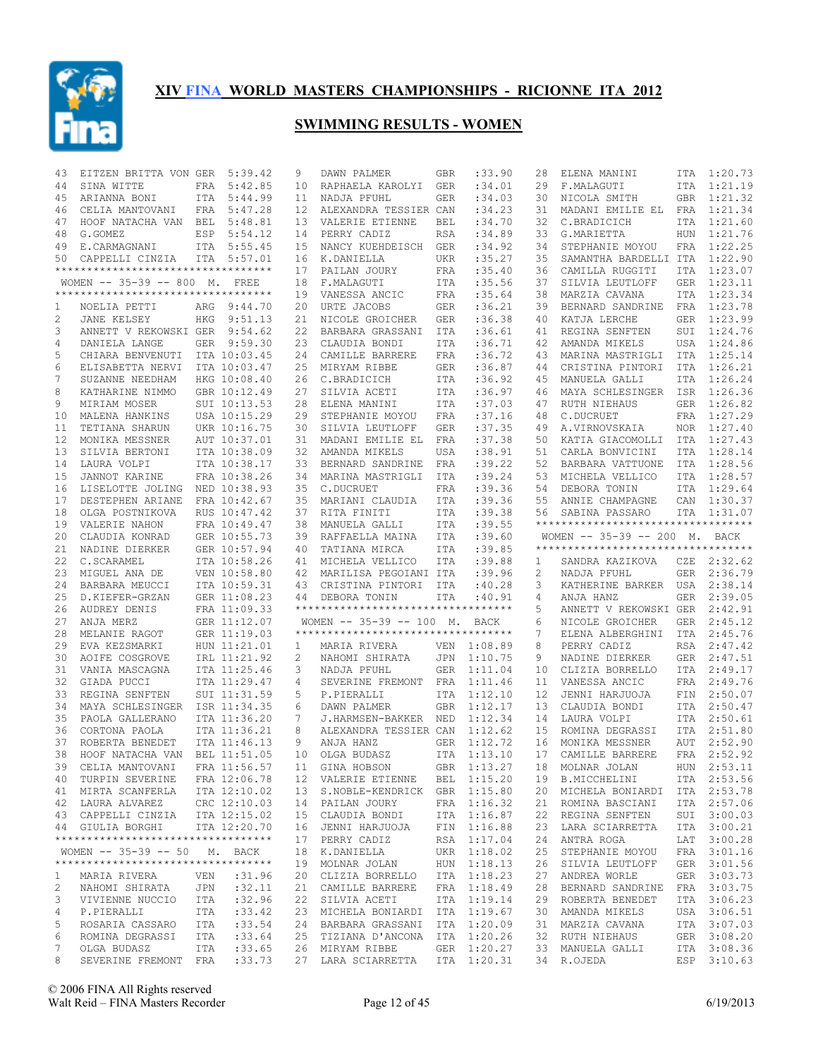

| 43             | EITZEN BRITTA VON GER               |     | 5:39.42                      | 9        | DAWN PALMER                                                       | <b>GBR</b>        | :33.90                     | 28             | ELENA MANINI                        |                   | ITA 1:20.73                |
|----------------|-------------------------------------|-----|------------------------------|----------|-------------------------------------------------------------------|-------------------|----------------------------|----------------|-------------------------------------|-------------------|----------------------------|
| 44             | SINA WITTE                          | FRA | 5:42.85                      | 10       | RAPHAELA KAROLYI                                                  | <b>GER</b>        | :34.01                     | 29             | F.MALAGUTI                          |                   | ITA 1:21.19                |
| 45             | ARIANNA BONI                        |     | ITA 5:44.99                  | 11       | NADJA PFUHL                                                       | <b>GER</b>        | :34.03                     | 30             | NICOLA SMITH                        |                   | GBR 1:21.32                |
| 46             | CELIA MANTOVANI                     | FRA | 5:47.28                      | 12       | ALEXANDRA TESSIER CAN                                             |                   | :34.23                     | 31             | MADANI EMILIE EL                    |                   | FRA 1:21.34                |
| 47             | HOOF NATACHA VAN BEL                |     | 5:48.81                      | 13       | VALERIE ETIENNE                                                   | <b>BEL</b>        | :34.70                     | 32             | C.BRADICICH                         |                   | ITA 1:21.60                |
| 48             | G.GOMEZ                             | ESP | 5:54.12                      | 14       | PERRY CADIZ                                                       | <b>RSA</b>        | :34.89                     | 33             | G.MARIETTA                          | HUN               | 1:21.76                    |
| 49             | E.CARMAGNANI                        |     | ITA 5:55.45                  | 15       | NANCY KUEHDEISCH                                                  | <b>GER</b>        | :34.92                     | 34             | STEPHANIE MOYOU                     | <b>FRA</b>        | 1:22.25                    |
| 50             | CAPPELLI CINZIA                     |     | ITA 5:57.01                  | 16       | K.DANIELLA                                                        | <b>UKR</b>        | :35.27                     | 35             | SAMANTHA BARDELLI ITA               |                   | 1:22.90                    |
|                | *********************************   |     |                              | 17       | PAILAN JOURY                                                      | FRA               | :35.40                     | 36             | CAMILLA RUGGITI                     | <b>ITA</b>        | 1:23.07                    |
|                | WOMEN -- 35-39 -- 800 M. FREE       |     |                              | 18       | F.MALAGUTI                                                        | <b>ITA</b>        | :35.56                     | 37             | SILVIA LEUTLOFF                     | <b>GER</b>        | 1:23.11                    |
|                | **********************************  |     |                              | 19       | VANESSA ANCIC                                                     | FRA               | :35.64                     | 38             | MARZIA CAVANA                       | ITA               | 1:23.34                    |
| 1              | NOELIA PETTI                        | ARG | 9:44.70                      | 20       | URTE JACOBS                                                       | <b>GER</b>        | :36.21                     | 39             | BERNARD SANDRINE                    | FRA               | 1:23.78                    |
| $\mathbf{2}$   | JANE KELSEY                         | HKG | 9:51.13                      | 21       | NICOLE GROICHER                                                   | GER               | :36.38                     | 40             | KATJA LERCHE                        | GER               | 1:23.99                    |
| 3              | ANNETT V REKOWSKI GER               |     | 9:54.62                      | 22       | BARBARA GRASSANI                                                  | ITA               | :36.61                     | 41             | REGINA SENFTEN                      | SUI               | 1:24.76                    |
| 4              | DANIELA LANGE                       |     | GER 9:59.30<br>ITA 10:03.45  | 23       | CLAUDIA BONDI<br>CAMILLE BARRERE                                  | ITA               | :36.71                     | 42             | AMANDA MIKELS                       | USA               | 1:24.86<br>1:25.14         |
| 5              | CHIARA BENVENUTI                    |     |                              | 24       |                                                                   | FRA               | :36.72<br>:36.87           | 43             | MARINA MASTRIGLI                    | ITA               | 1:26.21                    |
| 6              | ELISABETTA NERVI                    |     | ITA 10:03.47                 | 25       | MIRYAM RIBBE                                                      | GER               | :36.92                     | 44             | CRISTINA PINTORI                    | ITA               | 1:26.24                    |
| 7              | SUZANNE NEEDHAM                     |     | HKG 10:08.40                 | 26       | C.BRADICICH                                                       | ITA               |                            | 45             | MANUELA GALLI                       | ITA               | 1:26.36                    |
| 8<br>9         | KATHARINE NIMMO<br>MIRIAM MOSER     |     | GBR 10:12.49<br>SUI 10:13.53 | 27<br>28 | SILVIA ACETI                                                      | ITA<br>ITA        | :36.97<br>:37.03           | 46<br>47       | MAYA SCHLESINGER                    | ISR<br>GER        | 1:26.82                    |
|                |                                     |     |                              |          | ELENA MANINI                                                      |                   |                            |                | RUTH NIEHAUS                        |                   |                            |
| 10             | MALENA HANKINS                      |     | USA 10:15.29                 | 29       | STEPHANIE MOYOU                                                   | FRA               | :37.16<br>:37.35           | 48<br>49       | C.DUCRUET                           | FRA               | 1:27.29<br>1:27.40         |
| 11             | TETIANA SHARUN                      |     | UKR 10:16.75                 | 30       | SILVIA LEUTLOFF<br>MADANI EMILIE EL                               | GER               |                            |                | A.VIRNOVSKAIA<br>KATIA GIACOMOLLI   | NOR               | 1:27.43                    |
| 12<br>13       | MONIKA MESSNER<br>SILVIA BERTONI    |     | AUT 10:37.01<br>ITA 10:38.09 | 31<br>32 | AMANDA MIKELS                                                     | FRA<br><b>USA</b> | :37.38<br>:38.91           | 50<br>51       | CARLA BONVICINI                     | ITA               | ITA 1:28.14                |
| 14             | LAURA VOLPI                         |     | ITA 10:38.17                 | 33       | BERNARD SANDRINE                                                  | FRA               | :39.22                     | 52             | BARBARA VATTUONE                    | ITA               | 1:28.56                    |
| 15             | JANNOT KARINE                       |     | FRA 10:38.26                 | 34       | MARINA MASTRIGLI                                                  | ITA               | :39.24                     | 53             | MICHELA VELLICO                     |                   | ITA 1:28.57                |
| 16             | LISELOTTE JOLING                    |     | NED 10:38.93                 | 35       | C.DUCRUET                                                         | FRA               | :39.36                     | 54             | DEBORA TONIN                        | ITA               | 1:29.64                    |
| 17             | DESTEPHEN ARIANE                    |     | FRA 10:42.67                 | 35       | MARIANI CLAUDIA                                                   | ITA               | :39.36                     | 55             | ANNIE CHAMPAGNE                     | CAN               | 1:30.37                    |
| 18             | OLGA POSTNIKOVA                     |     | RUS 10:47.42                 | 37       | RITA FINITI                                                       | ITA               | :39.38                     | 56             | SABINA PASSARO                      | ITA               | 1:31.07                    |
| 19             | VALERIE NAHON                       |     | FRA 10:49.47                 | 38       | MANUELA GALLI                                                     | ITA               | :39.55                     |                | *********************************** |                   |                            |
| 20             | CLAUDIA KONRAD                      |     | GER 10:55.73                 | 39       | RAFFAELLA MAINA                                                   | ITA               | :39.60                     |                | WOMEN -- 35-39 -- 200 M. BACK       |                   |                            |
| 21             | NADINE DIERKER                      |     | GER 10:57.94                 | 40       | TATIANA MIRCA                                                     | <b>ITA</b>        | :39.85                     |                | *********************************** |                   |                            |
|                |                                     |     |                              |          |                                                                   |                   |                            |                |                                     |                   |                            |
|                |                                     |     |                              |          |                                                                   |                   |                            |                |                                     |                   |                            |
| 22             | C.SCARAMEL                          |     | ITA 10:58.26                 | 41       | MICHELA VELLICO                                                   | ITA               | :39.88                     | 1              | SANDRA KAZIKOVA                     |                   | CZE 2:32.62                |
| 23             | MIGUEL ANA DE                       |     | VEN 10:58.80                 | 42       | MARILISA PEGOIANI ITA                                             |                   | :39.96                     | $\overline{c}$ | NADJA PFUHL                         | GER               | 2:36.79                    |
| 24             | BARBARA MEUCCI                      |     | ITA 10:59.31                 | 43       | CRISTINA PINTORI                                                  | ITA               | :40.28                     | 3              | KATHERINE BARKER                    | USA               | 2:38.14                    |
| 25             | D.KIEFER-GRZAN                      |     | GER 11:08.23                 | 44       | DEBORA TONIN<br>***********************************               | ITA               | :40.91                     | 4              | ANJA HANZ                           | GER               | 2:39.05                    |
| 26             | AUDREY DENIS                        |     | FRA 11:09.33                 |          |                                                                   |                   |                            | 5              | ANNETT V REKOWSKI GER               |                   | 2:42.91                    |
| 27             | ANJA MERZ                           |     | GER 11:12.07                 |          | WOMEN $-- 35-39 -- 100$ M.<br>*********************************** |                   | BACK                       | 6              | NICOLE GROICHER                     | GER               | 2:45.12                    |
| 28             | MELANIE RAGOT                       |     | GER 11:19.03                 |          |                                                                   |                   |                            | 7              | ELENA ALBERGHINI                    | ITA               | 2:45.76                    |
| 29             | EVA KEZSMARKI                       |     | HUN 11:21.01                 | 1        | MARIA RIVERA                                                      |                   | VEN 1:08.89                | 8<br>9         | PERRY CADIZ                         |                   | RSA 2:47.42                |
| 30             | AOIFE COSGROVE                      |     | IRL 11:21.92                 | 2<br>3   | NAHOMI SHIRATA                                                    | JPN               | 1:10.75                    | 10             | NADINE DIERKER                      | GER               | 2:47.51                    |
| 31<br>32       | VANIA MASCAGNA                      |     | ITA 11:25.46                 | 4        | NADJA PFUHL                                                       | <b>GER</b><br>FRA | 1:11.04                    | 11             | CLIZIA BORRELLO                     | ITA<br><b>FRA</b> | 2:49.17<br>2:49.76         |
| 33             | GIADA PUCCI<br>REGINA SENFTEN       |     | ITA 11:29.47<br>SUI 11:31.59 | 5        | SEVERINE FREMONT<br>P.PIERALLI                                    | ITA               | 1:11.46<br>1:12.10         | 12             | VANESSA ANCIC<br>JENNI HARJUOJA     | FIN               | 2:50.07                    |
| 34             | MAYA SCHLESINGER                    |     | ISR 11:34.35                 | 6        |                                                                   | <b>GBR</b>        | 1:12.17                    | 13             |                                     | ITA               | 2:50.47                    |
| 35             | PAOLA GALLERANO                     |     | ITA 11:36.20                 | 7        | DAWN PALMER<br>J.HARMSEN-BAKKER NED                               |                   | 1:12.34                    | 14             | CLAUDIA BONDI<br>LAURA VOLPI        | ITA               | 2:50.61                    |
| 36             | CORTONA PAOLA                       |     | ITA 11:36.21                 | 8        | ALEXANDRA TESSIER CAN                                             |                   | 1:12.62                    | 15             | ROMINA DEGRASSI                     | ITA               | 2:51.80                    |
| 37             | ROBERTA BENEDET                     |     | ITA 11:46.13                 | 9        | ANJA HANZ                                                         | GER               | 1:12.72                    | 16             | MONIKA MESSNER                      | AUT               | 2:52.90                    |
| 38             | HOOF NATACHA VAN                    |     | BEL 11:51.05                 | 10       | OLGA BUDASZ                                                       | ITA               | 1:13.10                    | 17             | CAMILLE BARRERE                     |                   | FRA 2:52.92                |
|                | 39 CELIA MANTOVANI                  |     | FRA 11:56.57                 |          | 11 GINA HOBSON                                                    |                   | GBR 1:13.27                |                | 18 MOLNAR JOLAN                     |                   | HUN 2:53.11                |
|                | 40 TURPIN SEVERINE                  |     | FRA 12:06.78                 |          | 12 VALERIE ETIENNE                                                |                   | BEL 1:15.20                |                | 19 B.MICCHELINI                     |                   | ITA 2:53.56                |
|                | 41 MIRTA SCANFERLA                  |     | ITA 12:10.02                 |          | 13 S.NOBLE-KENDRICK GBR 1:15.80                                   |                   |                            |                | 20 MICHELA BONIARDI                 |                   | ITA 2:53.78                |
|                | 42 LAURA ALVAREZ CRC 12:10.03       |     |                              |          | 14 PAILAN JOURY                                                   |                   | FRA 1:16.32                | 21             | ROMINA BASCIANI                     |                   | ITA 2:57.06                |
|                | 43 CAPPELLI CINZIA ITA 12:15.02     |     |                              |          | 15 CLAUDIA BONDI                                                  |                   | ITA 1:16.87                | 22             | REGINA SENFTEN                      |                   | SUI 3:00.03                |
|                | 44 GIULIA BORGHI                    |     | ITA 12:20.70                 |          | 16 JENNI HARJUOJA                                                 |                   | FIN 1:16.88                | 23             | LARA SCIARRETTA                     |                   | ITA 3:00.21                |
|                | **********************************  |     |                              |          | 17 PERRY CADIZ                                                    |                   | RSA 1:17.04                | 24             | ANTRA ROGA                          |                   | LAT 3:00.28                |
|                | WOMEN -- 35-39 -- 50 M. BACK        |     |                              |          | 18 K.DANIELLA                                                     |                   | UKR 1:18.02                | 25             | STEPHANIE MOYOU                     |                   | FRA 3:01.16                |
|                | **********************************  |     |                              |          | 19 MOLNAR JOLAN                                                   |                   | HUN 1:18.13                | 26             | SILVIA LEUTLOFF                     |                   | GER 3:01.56                |
| $\mathbf{1}$   | MARIA RIVERA                        | VEN | :31.96                       |          | 20 CLIZIA BORRELLO                                                |                   | ITA 1:18.23                | 27             | ANDREA WORLE                        |                   | GER 3:03.73                |
| $\overline{c}$ | NAHOMI SHIRATA                      | JPN | :32.11                       |          | 21 CAMILLE BARRERE                                                |                   | FRA 1:18.49                | 28             | BERNARD SANDRINE                    |                   | FRA 3:03.75                |
| 3              | VIVIENNE NUCCIO                     | ITA | :32.96                       |          | 22 SILVIA ACETI                                                   |                   | ITA 1:19.14                | 29             | ROBERTA BENEDET                     |                   | ITA 3:06.23                |
| 4              | P.PIERALLI                          | ITA | : 33.42                      |          | 23 MICHELA BONIARDI ITA 1:19.67                                   |                   |                            | 30             | AMANDA MIKELS                       |                   | USA 3:06.51                |
| 5              | ROSARIA CASSARO                     | ITA | : 33.54                      |          | 24 BARBARA GRASSANI                                               |                   | ITA 1:20.09                | 31             | MARZIA CAVANA                       |                   | ITA 3:07.03                |
| 6              | ROMINA DEGRASSI                     | ITA | : 33.64                      |          | 25 TIZIANA D'ANCONA                                               |                   | ITA 1:20.26                | 32             | RUTH NIEHAUS                        |                   | GER 3:08.20                |
| 7<br>8         | OLGA BUDASZ<br>SEVERINE FREMONT FRA | ITA | : 33.65<br>: 33.73           |          | 26 MIRYAM RIBBE<br>27 LARA SCIARRETTA                             |                   | GER 1:20.27<br>ITA 1:20.31 |                | 33 MANUELA GALLI<br>34 R.OJEDA      |                   | ITA 3:08.36<br>ESP 3:10.63 |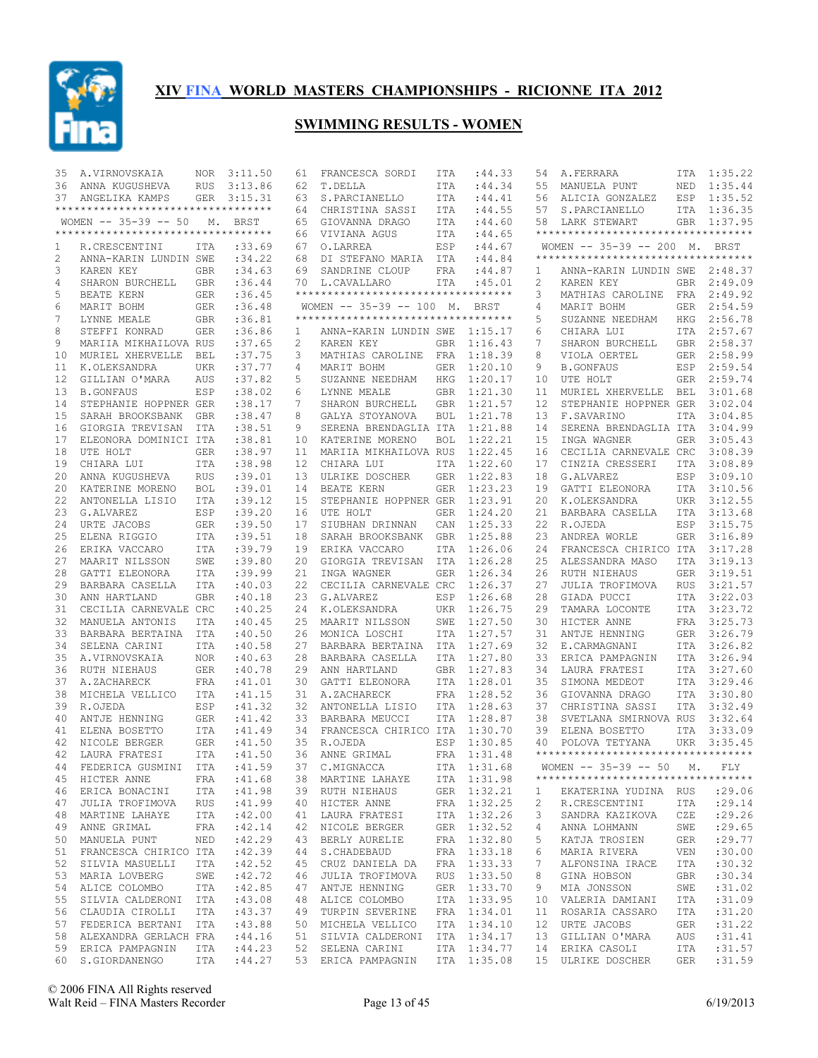

| 35 | A.VIRNOVSKAIA                      | NOR        | 3:11.50     | 61                | FRANCESCA SORDI                     | ITA        | : 44.33     | 54           | A.FERRARA                           | ITA        | 1:35.22     |
|----|------------------------------------|------------|-------------|-------------------|-------------------------------------|------------|-------------|--------------|-------------------------------------|------------|-------------|
| 36 | ANNA KUGUSHEVA                     | <b>RUS</b> | 3:13.86     | 62                | T.DELLA                             | ITA        | : 44.34     | 55           | MANUELA PUNT                        | NED        | 1:35.44     |
| 37 | ANGELIKA KAMPS                     |            | GER 3:15.31 | 63                | S. PARCIANELLO                      | <b>ITA</b> | :44.41      | 56           | ALICIA GONZALEZ                     |            | ESP 1:35.52 |
|    | ********************************** |            |             | 64                | CHRISTINA SASSI                     | ITA        | : 44.55     | 57           | S. PARCIANELLO                      |            | ITA 1:36.35 |
|    | WOMEN -- 35-39 -- 50 M. BRST       |            |             | 65                | GIOVANNA DRAGO                      | ITA        | :44.60      | 58           | LARK STEWART                        |            | GBR 1:37.95 |
|    | ********************************** |            |             | 66                | VIVIANA AGUS                        | ITA        | :44.65      |              | *********************************** |            |             |
| 1  | R. CRESCENTINI                     | ITA        | :33.69      | 67                | O.LARREA                            | ESP        | :44.67      |              | WOMEN -- 35-39 -- 200 M. BRST       |            |             |
| 2  | ANNA-KARIN LUNDIN SWE              |            | :34.22      | 68                | DI STEFANO MARIA                    | ITA        | :44.84      |              | **********************************  |            |             |
| 3  | KAREN KEY                          | <b>GBR</b> | :34.63      | 69                | SANDRINE CLOUP                      | FRA        | :44.87      | 1            | ANNA-KARIN LUNDIN SWE 2:48.37       |            |             |
| 4  | SHARON BURCHELL                    | GBR        | :36.44      |                   | 70 L.CAVALLARO                      | ITA        | :45.01      | 2            | KAREN KEY                           | GBR        | 2:49.09     |
| 5  | BEATE KERN                         | GER        | :36.45      |                   | **********************************  |            |             | 3            | MATHIAS CAROLINE                    | FRA        | 2:49.92     |
| 6  | MARIT BOHM                         | GER        | :36.48      |                   | WOMEN $-- 35-39 -- 100 M.$          |            | BRST        | 4            | MARIT BOHM                          | GER        | 2:54.59     |
| 7  | LYNNE MEALE                        | <b>GBR</b> | :36.81      |                   | *********************************** |            |             | 5            | SUZANNE NEEDHAM                     | HKG        | 2:56.78     |
| 8  | STEFFI KONRAD                      | <b>GER</b> | :36.86      |                   | ANNA-KARIN LUNDIN SWE               |            |             | 6            | CHIARA LUI                          |            | ITA 2:57.67 |
|    | MARIIA MIKHAILOVA RUS              |            |             | 1                 |                                     |            | 1:15.17     | 7            |                                     |            | GBR 2:58.37 |
| 9  |                                    |            | :37.65      | 2                 | KAREN KEY                           | GBR        | 1:16.43     |              | SHARON BURCHELL                     |            |             |
| 10 | MURIEL XHERVELLE                   | BEL        | :37.75      | 3                 | MATHIAS CAROLINE                    | FRA        | 1:18.39     | 8            | VIOLA OERTEL                        | GER        | 2:58.99     |
| 11 | K.OLEKSANDRA                       | <b>UKR</b> | :37.77      | 4                 | MARIT BOHM                          | <b>GER</b> | 1:20.10     | 9            | <b>B.GONFAUS</b>                    | ESP        | 2:59.54     |
| 12 | GILLIAN O'MARA                     | AUS        | :37.82      | 5                 | SUZANNE NEEDHAM                     | <b>HKG</b> | 1:20.17     | 10           | UTE HOLT                            | GER        | 2:59.74     |
| 13 | <b>B.GONFAUS</b>                   | ESP        | :38.02      | 6                 | LYNNE MEALE                         | <b>GBR</b> | 1:21.30     | 11           | MURIEL XHERVELLE                    | BEL        | 3:01.68     |
| 14 | STEPHANIE HOPPNER GER              |            | : 38.17     | 7                 | SHARON BURCHELL                     | <b>GBR</b> | 1:21.57     | 12           | STEPHANIE HOPPNER GER               |            | 3:02.04     |
| 15 | SARAH BROOKSBANK GBR               |            | : 38.47     | 8                 | GALYA STOYANOVA                     | <b>BUL</b> | 1:21.78     | 13           | F.SAVARINO                          | <b>ITA</b> | 3:04.85     |
| 16 | GIORGIA TREVISAN                   | <b>ITA</b> | :38.51      | 9                 | SERENA BRENDAGLIA ITA               |            | 1:21.88     | 14           | SERENA BRENDAGLIA ITA               |            | 3:04.99     |
| 17 | ELEONORA DOMINICI ITA              |            | :38.81      | 10                | KATERINE MORENO                     | <b>BOL</b> | 1:22.21     | 15           | INGA WAGNER                         | <b>GER</b> | 3:05.43     |
| 18 | UTE HOLT                           | <b>GER</b> | :38.97      | 11                | MARIIA MIKHAILOVA RUS               |            | 1:22.45     | 16           | CECILIA CARNEVALE CRC               |            | 3:08.39     |
| 19 | CHIARA LUI                         | <b>ITA</b> | : 38.98     | $12 \overline{ }$ | CHIARA LUI                          | <b>ITA</b> | 1:22.60     | 17           | CINZIA CRESSERI                     | <b>ITA</b> | 3:08.89     |
| 20 | ANNA KUGUSHEVA                     | <b>RUS</b> | :39.01      | 13                | ULRIKE DOSCHER                      | <b>GER</b> | 1:22.83     | 18           | G.ALVAREZ                           | ESP        | 3:09.10     |
| 20 | KATERINE MORENO                    | <b>BOL</b> | :39.01      | 14                | BEATE KERN                          | <b>GER</b> | 1:23.23     | 19           | GATTI ELEONORA                      | ITA        | 3:10.56     |
| 22 | ANTONELLA LISIO                    | <b>ITA</b> | : 39.12     | 15                | STEPHANIE HOPPNER GER               |            | 1:23.91     | 20           | K.OLEKSANDRA                        | <b>UKR</b> | 3:12.55     |
| 23 | G.ALVAREZ                          | ESP        | :39.20      | 16                | UTE HOLT                            | <b>GER</b> | 1:24.20     | 21           | BARBARA CASELLA                     | ITA        | 3:13.68     |
| 24 | URTE JACOBS                        | <b>GER</b> | :39.50      | 17                | SIUBHAN DRINNAN                     | CAN        | 1:25.33     | 22           | R.OJEDA                             | ESP        | 3:15.75     |
| 25 | ELENA RIGGIO                       | ITA        | :39.51      | 18                | SARAH BROOKSBANK                    | GBR        | 1:25.88     | 23           | ANDREA WORLE                        | GER        | 3:16.89     |
| 26 | ERIKA VACCARO                      | <b>ITA</b> | :39.79      | 19                | ERIKA VACCARO                       | ITA        | 1:26.06     | 24           | FRANCESCA CHIRICO ITA               |            | 3:17.28     |
| 27 | MAARIT NILSSON                     | SWE        | :39.80      | 20                | GIORGIA TREVISAN                    | ITA        | 1:26.28     | 25           | ALESSANDRA MASO                     | <b>ITA</b> | 3:19.13     |
|    |                                    |            |             |                   |                                     |            |             |              |                                     |            |             |
| 28 | GATTI ELEONORA                     | ITA        | :39.99      | 21                | INGA WAGNER                         | <b>GER</b> | 1:26.34     | 26           | RUTH NIEHAUS                        | GER        | 3:19.51     |
| 29 | BARBARA CASELLA                    | ITA        | :40.03      | 22                | CECILIA CARNEVALE CRC               |            | 1:26.37     | 27           | JULIA TROFIMOVA                     | <b>RUS</b> | 3:21.57     |
| 30 | ANN HARTLAND                       | <b>GBR</b> | :40.18      | 23                | G.ALVAREZ                           | ESP        | 1:26.68     | 28           | GIADA PUCCI                         | ITA        | 3:22.03     |
| 31 | CECILIA CARNEVALE CRC              |            | :40.25      | 24                | K.OLEKSANDRA                        | <b>UKR</b> | 1:26.75     | 29           | TAMARA LOCONTE                      | ITA        | 3:23.72     |
| 32 | MANUELA ANTONIS                    | <b>ITA</b> | :40.45      | 25                | MAARIT NILSSON                      | SWE        | 1:27.50     | 30           | HICTER ANNE                         |            | FRA 3:25.73 |
| 33 | BARBARA BERTAINA                   | <b>ITA</b> | :40.50      | 26                | MONICA LOSCHI                       | ITA        | 1:27.57     | 31           | ANTJE HENNING                       | GER        | 3:26.79     |
| 34 | SELENA CARINI                      | ITA        | :40.58      | 27                | BARBARA BERTAINA                    | ITA        | 1:27.69     | 32           | E.CARMAGNANI                        | ITA        | 3:26.82     |
| 35 | A.VIRNOVSKAIA                      | <b>NOR</b> | :40.63      | 28                | BARBARA CASELLA                     | ITA        | 1:27.80     | 33           | ERICA PAMPAGNIN                     | ITA        | 3:26.94     |
| 36 | RUTH NIEHAUS                       | <b>GER</b> | :40.78      | 29                | ANN HARTLAND                        | <b>GBR</b> | 1:27.83     | 34           | LAURA FRATESI                       |            | ITA 3:27.60 |
| 37 | A.ZACHARECK                        | <b>FRA</b> | :41.01      | 30                | GATTI ELEONORA                      | ITA        | 1:28.01     | 35           | SIMONA MEDEOT                       | ITA        | 3:29.46     |
| 38 | MICHELA VELLICO                    | ITA        | :41.15      | 31                | A.ZACHARECK                         | <b>FRA</b> | 1:28.52     | 36           | GIOVANNA DRAGO                      | <b>ITA</b> | 3:30.80     |
| 39 | R.OJEDA                            | ESP        | : 41.32     | 32                | ANTONELLA LISIO                     | ITA        | 1:28.63     | 37           | CHRISTINA SASSI                     | <b>ITA</b> | 3:32.49     |
| 40 | ANTJE HENNING                      | GER        | :41.42      | 33                | BARBARA MEUCCI                      | ITA        | 1:28.87     | 38           | SVETLANA SMIRNOVA RUS               |            | 3:32.64     |
| 41 | ELENA BOSETTO                      | ITA        | :41.49      |                   | 34 FRANCESCA CHIRICO ITA            |            | 1:30.70     | 39           | ELENA BOSETTO                       | <b>ITA</b> | 3:33.09     |
| 42 | NICOLE BERGER                      | <b>GER</b> | :41.50      | 35                | R.OJEDA                             | ESP        | 1:30.85     | 40           | POLOVA TETYANA                      | UKR        | 3:35.45     |
| 42 | LAURA FRATESI                      | ITA        | :41.50      | 36                | ANNE GRIMAL                         | FRA        | 1:31.48     |              | **********************************  |            |             |
|    | 44 FEDERICA GUSMINI ITA : 41.59    |            |             |                   | 37 C.MIGNACCA                       |            | ITA 1:31.68 |              | WOMEN -- 35-39 -- 50 M. FLY         |            |             |
|    | 45 HICTER ANNE<br><b>FRA</b>       |            | :41.68      |                   | 38 MARTINE LAHAYE                   |            | ITA 1:31.98 |              | **********************************  |            |             |
|    | 46 ERICA BONACINI ITA              |            | :41.98      |                   | 39 RUTH NIEHAUS                     |            | GER 1:32.21 | $\mathbf{1}$ | EKATERINA YUDINA RUS : 29.06        |            |             |
| 47 | JULIA TROFIMOVA RUS                |            | :41.99      |                   | 40 HICTER ANNE                      |            | FRA 1:32.25 | 2            | R.CRESCENTINI                       | ITA        | : 29.14     |
|    | 48 MARTINE LAHAYE ITA              |            | :42.00      |                   | 41 LAURA FRATESI                    |            | ITA 1:32.26 | 3            | SANDRA KAZIKOVA                     | CZE        | : 29.26     |
| 49 | ANNE GRIMAL<br>FRA                 |            | :42.14      |                   | 42 NICOLE BERGER                    |            | GER 1:32.52 | 4            | ANNA LOHMANN                        | SWE        | : 29.65     |
|    | 50 MANUELA PUNT                    | NED        | :42.29      |                   |                                     |            | FRA 1:32.80 | 5            |                                     | GER        | : 29.77     |
|    |                                    |            |             |                   | 43 BERLY AURELIE                    |            |             |              | KATJA TROSIEN                       |            |             |
| 51 | FRANCESCA CHIRICO ITA              |            | :42.39      |                   | 44 S.CHADEBAUD                      |            | FRA 1:33.18 | 6            | MARIA RIVERA                        | VEN        | :30.00      |
| 52 | SILVIA MASUELLI ITA                |            | :42.52      |                   | 45 CRUZ DANIELA DA                  |            | FRA 1:33.33 | 7            | ALFONSINA IRACE                     | ITA        | :30.32      |
| 53 | MARIA LOVBERG                      | SWE        | :42.72      |                   | 46 JULIA TROFIMOVA                  |            | RUS 1:33.50 | 8            | GINA HOBSON                         | GBR        | :30.34      |
| 54 | ALICE COLOMBO                      | ITA        | :42.85      |                   | 47 ANTJE HENNING                    |            | GER 1:33.70 | 9            | MIA JONSSON                         | SWE        | :31.02      |
| 55 | SILVIA CALDERONI ITA               |            | :43.08      |                   | 48 ALICE COLOMBO ITA 1:33.95        |            |             | 10           | VALERIA DAMIANI                     | ITA        | :31.09      |
|    | 56 CLAUDIA CIROLLI ITA             |            | :43.37      |                   | 49 TURPIN SEVERINE                  |            | FRA 1:34.01 | 11           | ROSARIA CASSARO                     | ITA        | :31.20      |
| 57 | FEDERICA BERTANI ITA               |            | :43.88      |                   | 50 MICHELA VELLICO                  |            | ITA 1:34.10 | 12           | URTE JACOBS                         | GER        | :31.22      |
|    | 58 ALEXANDRA GERLACH FRA           |            | : 44.16     |                   | 51 SILVIA CALDERONI ITA 1:34.17     |            |             | 13           | GILLIAN O'MARA                      | AUS        | :31.41      |
|    | 59 ERICA PAMPAGNIN                 |            | ITA : 44.23 |                   | 52 SELENA CARINI                    |            | ITA 1:34.77 |              | 14 ERIKA CASOLI                     | ITA        | :31.57      |
|    | 60 S.GIORDANENGO ITA : 44.27       |            |             |                   | 53 ERICA PAMPAGNIN ITA 1:35.08      |            |             |              | 15 ULRIKE DOSCHER GER               |            | :31.59      |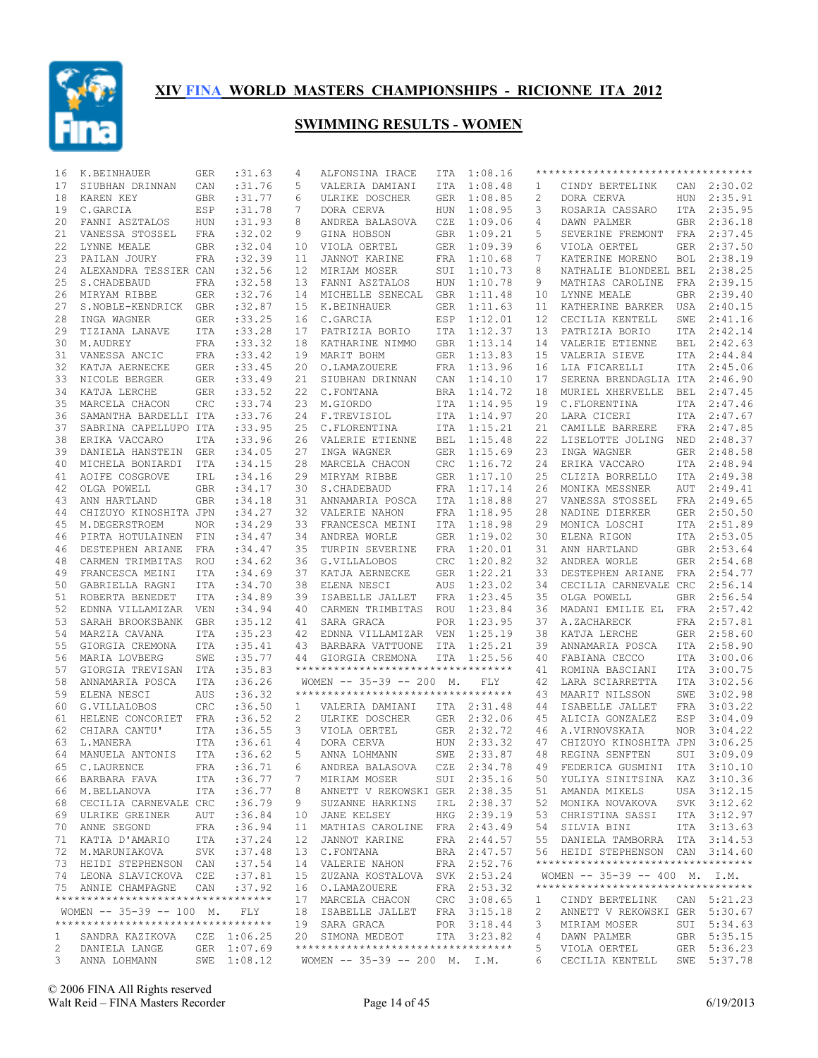

| 16           | K.BEINHAUER                                                    | <b>GER</b> | :31.63      | 4               | ALFONSINA IRACE                                        | ITA        | 1:08.16     |                | **********************************                                    |            |             |
|--------------|----------------------------------------------------------------|------------|-------------|-----------------|--------------------------------------------------------|------------|-------------|----------------|-----------------------------------------------------------------------|------------|-------------|
| 17           | SIUBHAN DRINNAN                                                | CAN        | :31.76      | 5               | VALERIA DAMIANI                                        | ITA        | 1:08.48     | 1              | CINDY BERTELINK                                                       |            | CAN 2:30.02 |
| 18           | KAREN KEY                                                      | GBR        | :31.77      | 6               | ULRIKE DOSCHER                                         | <b>GER</b> | 1:08.85     | $\overline{c}$ | DORA CERVA                                                            |            | HUN 2:35.91 |
| 19           | C.GARCIA                                                       | ESP        | :31.78      | 7               | DORA CERVA                                             | HUN        | 1:08.95     | 3              | ROSARIA CASSARO                                                       |            | ITA 2:35.95 |
| 20           | FANNI ASZTALOS                                                 | HUN        | :31.93      | 8               | ANDREA BALASOVA                                        | CZE        | 1:09.06     | 4              | DAWN PALMER                                                           |            | GBR 2:36.18 |
| 21           | VANESSA STOSSEL                                                | FRA        | :32.02      | 9               | GINA HOBSON                                            | GBR        | 1:09.21     | 5              | SEVERINE FREMONT                                                      | FRA        | 2:37.45     |
| 22           | LYNNE MEALE                                                    | GBR        | :32.04      | $10 \,$         | VIOLA OERTEL                                           | GER        | 1:09.39     | 6              | VIOLA OERTEL                                                          | GER        | 2:37.50     |
| 23           | PAILAN JOURY                                                   | FRA        | :32.39      | 11              | JANNOT KARINE                                          | FRA        | 1:10.68     | 7              | KATERINE MORENO                                                       | BOL        | 2:38.19     |
| 24           | ALEXANDRA TESSIER CAN                                          |            | :32.56      | 12 <sup>°</sup> | MIRIAM MOSER                                           | SUI        | 1:10.73     | 8              | NATHALIE BLONDEEL BEL                                                 |            | 2:38.25     |
| 25           | S. CHADEBAUD                                                   | FRA        | :32.58      | 13              | FANNI ASZTALOS                                         | HUN        | 1:10.78     | 9              | MATHIAS CAROLINE                                                      | FRA        | 2:39.15     |
| 26           | MIRYAM RIBBE                                                   | GER        | :32.76      | 14              | MICHELLE SENECAL                                       | GBR        | 1:11.48     | 10             | LYNNE MEALE                                                           | GBR        | 2:39.40     |
| 27           | S.NOBLE-KENDRICK                                               | GBR        | :32.87      | 15              | K.BEINHAUER                                            | GER        | 1:11.63     | 11             | KATHERINE BARKER                                                      | USA        | 2:40.15     |
| 28           | INGA WAGNER                                                    | GER        | :33.25      | 16              | C.GARCIA                                               | ESP        | 1:12.01     | 12             | CECILIA KENTELL                                                       | SWE        | 2:41.16     |
| 29           | TIZIANA LANAVE                                                 | <b>ITA</b> | : 33.28     | 17              | PATRIZIA BORIO                                         | ITA        | 1:12.37     | 13             | PATRIZIA BORIO                                                        | ITA        | 2:42.14     |
| 30           | M.AUDREY                                                       | FRA        | : 33.32     | 18              | KATHARINE NIMMO                                        | <b>GBR</b> | 1:13.14     | 14             | VALERIE ETIENNE                                                       | BEL        | 2:42.63     |
| 31           | VANESSA ANCIC                                                  | FRA        | : 33.42     | 19              | MARIT BOHM                                             | <b>GER</b> | 1:13.83     | 15             | VALERIA SIEVE                                                         |            | ITA 2:44.84 |
| 32           | KATJA AERNECKE                                                 | <b>GER</b> | : 33.45     | 20              | O.LAMAZOUERE                                           | FRA        | 1:13.96     | 16             | LIA FICARELLI                                                         |            | ITA 2:45.06 |
| 33           | NICOLE BERGER                                                  | GER        | : 33.49     | 21              | SIUBHAN DRINNAN                                        | CAN        | 1:14.10     | 17             | SERENA BRENDAGLIA ITA                                                 |            | 2:46.90     |
| 34           | KATJA LERCHE                                                   | GER        | : 33.52     | 22              | C.FONTANA                                              | <b>BRA</b> | 1:14.72     | 18             | MURIEL XHERVELLE                                                      | BEL        | 2:47.45     |
| 35           | MARCELA CHACON                                                 | <b>CRC</b> | : 33.74     | 23              | M.GIORDO                                               | ITA        | 1:14.95     | 19             | C.FLORENTINA                                                          |            | ITA 2:47.46 |
| 36           | SAMANTHA BARDELLI ITA                                          |            | : 33.76     | 24              | F.TREVISIOL                                            | ITA        | 1:14.97     | 20             | LARA CICERI                                                           | ITA        | 2:47.67     |
| 37           | SABRINA CAPELLUPO ITA                                          |            | :33.95      | 25              | C.FLORENTINA                                           | ITA        | 1:15.21     | 21             | CAMILLE BARRERE                                                       | FRA        | 2:47.85     |
| 38           | ERIKA VACCARO                                                  | <b>ITA</b> | : 33.96     | 26              | VALERIE ETIENNE                                        | <b>BEL</b> | 1:15.48     | 22             | LISELOTTE JOLING                                                      | NED        | 2:48.37     |
| 39           | DANIELA HANSTEIN                                               | GER        | :34.05      | 27              | INGA WAGNER                                            | <b>GER</b> | 1:15.69     | 23             | INGA WAGNER                                                           | GER        | 2:48.58     |
| 40           | MICHELA BONIARDI                                               | ITA        | :34.15      | 28              | MARCELA CHACON                                         | CRC        | 1:16.72     | 24             | ERIKA VACCARO                                                         | ITA        | 2:48.94     |
| 41           | AOIFE COSGROVE                                                 | IRL        | :34.16      | 29              | MIRYAM RIBBE                                           | GER        | 1:17.10     | 25             | CLIZIA BORRELLO                                                       | ITA        | 2:49.38     |
| 42           | OLGA POWELL                                                    | GBR        | : 34.17     | 30              | S. CHADEBAUD                                           | FRA        | 1:17.14     | 26             | MONIKA MESSNER                                                        | AUT        | 2:49.41     |
| 43           | ANN HARTLAND                                                   | <b>GBR</b> | :34.18      | 31              | ANNAMARIA POSCA                                        | ITA        | 1:18.88     | 27             | VANESSA STOSSEL                                                       | FRA        | 2:49.65     |
| 44           | CHIZUYO KINOSHITA JPN                                          |            | :34.27      | 32              | VALERIE NAHON                                          | FRA        | 1:18.95     | 28             | NADINE DIERKER                                                        | GER        | 2:50.50     |
| 45           | M.DEGERSTROEM                                                  | NOR.       | :34.29      | 33              | FRANCESCA MEINI                                        | ITA        | 1:18.98     | 29             | MONICA LOSCHI                                                         |            | ITA 2:51.89 |
| 46           | PIRTA HOTULAINEN FIN                                           |            | : 34.47     | 34              | ANDREA WORLE                                           | GER        | 1:19.02     | 30             | ELENA RIGON                                                           |            | ITA 2:53.05 |
| 46           | DESTEPHEN ARIANE                                               | FRA        | : 34.47     | 35              | TURPIN SEVERINE                                        | FRA        | 1:20.01     | 31             | ANN HARTLAND                                                          |            | GBR 2:53.64 |
| 48           | CARMEN TRIMBITAS                                               | ROU        | :34.62      | 36              | G.VILLALOBOS                                           | CRC        | 1:20.82     | 32             | ANDREA WORLE                                                          | GER        | 2:54.68     |
| 49           | FRANCESCA MEINI                                                | ITA        | :34.69      | 37              | KATJA AERNECKE                                         | GER        | 1:22.21     | 33             | DESTEPHEN ARIANE                                                      | FRA        | 2:54.77     |
| 50           | GABRIELLA RAGNI                                                | ITA        | :34.70      | 38              | ELENA NESCI                                            | AUS        | 1:23.02     | 34             | CECILIA CARNEVALE CRC                                                 |            | 2:56.14     |
| 51           | ROBERTA BENEDET                                                | ITA        | :34.89      | 39              | ISABELLE JALLET                                        | FRA        | 1:23.45     | 35             | OLGA POWELL                                                           | GBR        | 2:56.54     |
| 52           | EDNNA VILLAMIZAR                                               | VEN        | :34.94      | 40              | CARMEN TRIMBITAS                                       | ROU        | 1:23.84     | 36             | MADANI EMILIE EL                                                      | FRA        | 2:57.42     |
| 53           | SARAH BROOKSBANK                                               | <b>GBR</b> | : 35.12     | 41              | SARA GRACA                                             | POR        | 1:23.95     | 37             | A.ZACHARECK                                                           |            | FRA 2:57.81 |
| 54           | MARZIA CAVANA                                                  | ITA        | :35.23      | 42              | EDNNA VILLAMIZAR VEN                                   |            | 1:25.19     | 38             | KATJA LERCHE                                                          |            | GER 2:58.60 |
| 55           | GIORGIA CREMONA                                                | ITA        | : 35.41     | 43              | BARBARA VATTUONE                                       | ITA        | 1:25.21     | 39             | ANNAMARIA POSCA                                                       |            | ITA 2:58.90 |
| 56           | MARIA LOVBERG                                                  | SWE        | :35.77      | 44              | GIORGIA CREMONA                                        | ITA        | 1:25.56     | 40             | FABIANA CECCO                                                         | ITA        | 3:00.06     |
| 57           | GIORGIA TREVISAN                                               | ITA        | :35.83      |                 | **********************************                     |            |             | 41             | ROMINA BASCIANI                                                       | ITA        | 3:00.75     |
| 58           | ANNAMARIA POSCA                                                | ITA        | :36.26      |                 | WOMEN $-- 35-39 -- 200$ M.                             |            | FLY         | 42             | LARA SCIARRETTA                                                       | ITA        | 3:02.56     |
| 59           | ELENA NESCI                                                    | <b>AUS</b> | :36.32      |                 | ***********************************                    |            |             | 43             | MAARIT NILSSON                                                        | SWE        | 3:02.98     |
| 60           | G.VILLALOBOS                                                   | CRC        | :36.50      | 1               | VALERIA DAMIANI                                        |            | ITA 2:31.48 | 44             | ISABELLE JALLET                                                       | FRA        | 3:03.22     |
| 61           | HELENE CONCORIET FRA                                           |            | :36.52      | 2               | ULRIKE DOSCHER                                         |            | GER 2:32.06 | 45             | ALICIA GONZALEZ                                                       | ESP        | 3:04.09     |
| 62           | CHIARA CANTU'                                                  | ITA        | :36.55      | 3               | VIOLA OERTEL                                           |            | GER 2:32.72 | 46             | A.VIRNOVSKAIA                                                         | <b>NOR</b> | 3:04.22     |
| 63           | L.MANERA                                                       | ITA        | :36.61      | $\overline{4}$  | DORA CERVA                                             |            | HUN 2:33.32 | 47             | CHIZUYO KINOSHITA JPN                                                 |            | 3:06.25     |
| 64           | MANUELA ANTONIS                                                | ITA        | :36.62      | 5               | ANNA LOHMANN                                           | SWE        | 2:33.87     | 48             | REGINA SENFTEN                                                        | SUI        | 3:09.09     |
|              | 65 C.LAURENCE                                                  |            |             |                 | FRA : 36.71 6 ANDREA BALASOVA CZE 2:34.78              |            |             |                | 49 FEDERICA GUSMINI ITA 3:10.10                                       |            |             |
|              | 66 BARBARA FAVA                                                | ITA        | :36.77      | 7               | MIRIAM MOSER                                           |            | SUI 2:35.16 |                | 50 YULIYA SINITSINA KAZ 3:10.36                                       |            |             |
|              | 66 M.BELLANOVA                                                 | ITA        | :36.77      | 8               | ANNETT V REKOWSKI GER 2:38.35                          |            |             |                | 51 AMANDA MIKELS                                                      |            | USA 3:12.15 |
|              | 68 CECILIA CARNEVALE CRC                                       |            | :36.79      | 9               | SUZANNE HARKINS                                        |            | IRL 2:38.37 | 52             | MONIKA NOVAKOVA                                                       |            |             |
|              |                                                                |            | :36.84      |                 |                                                        |            |             |                | 53 CHRISTINA SASSI                                                    |            | SVK 3:12.62 |
|              | 69 ULRIKE GREINER                                              | AUT        |             | 10              | JANE KELSEY                                            |            | HKG 2:39.19 |                |                                                                       |            | ITA 3:12.97 |
|              | 70 ANNE SEGOND                                                 | FRA        | :36.94      | 11              | MATHIAS CAROLINE FRA 2:43.49                           |            |             | 54             | SILVIA BINI                                                           |            | ITA 3:13.63 |
|              | 71 KATIA D'AMARIO                                              | ITA        | :37.24      | 12              | JANNOT KARINE                                          |            | FRA 2:44.57 |                | 55 DANIELA TAMBORRA ITA 3:14.53                                       |            |             |
|              | 72 M.MARUNIAKOVA                                               | SVK        | :37.48      |                 | 13 C.FONTANA                                           |            | BRA 2:47.57 |                | 56 HEIDI STEPHENSON CAN 3:14.60<br>********************************** |            |             |
|              | 73 HEIDI STEPHENSON CAN                                        |            | :37.54      |                 | 14 VALERIE NAHON                                       |            | FRA 2:52.76 |                |                                                                       |            |             |
|              | 74 LEONA SLAVICKOVA CZE                                        |            | :37.81      |                 | 15 ZUZANA KOSTALOVA SVK 2:53.24                        |            |             |                | WOMEN $-- 35-39 -- 400$ M. I.M.<br>********************************** |            |             |
|              | 75 ANNIE CHAMPAGNE                                             | CAN        | :37.92      |                 | 16 O.LAMAZOUERE                                        |            | FRA 2:53.32 |                |                                                                       |            |             |
|              | **********************************                             |            |             |                 | 17 MARCELA CHACON                                      |            | CRC 3:08.65 | 1              | CINDY BERTELINK                                                       |            | CAN 5:21.23 |
|              | WOMEN -- 35-39 -- 100 M.<br>********************************** |            | FLY         |                 | 18 ISABELLE JALLET                                     |            | FRA 3:15.18 | 2              | ANNETT V REKOWSKI GER 5:30.67                                         |            |             |
|              |                                                                |            |             |                 | 19 SARA GRACA                                          |            | POR 3:18.44 | 3              | MIRIAM MOSER                                                          |            | SUI 5:34.63 |
| $\mathbf{1}$ | SANDRA KAZIKOVA                                                |            | CZE 1:06.25 |                 | 20 SIMONA MEDEOT<br>********************************** |            | ITA 3:23.82 | 4              | DAWN PALMER                                                           |            | GBR 5:35.15 |
| 2            | DANIELA LANGE                                                  |            | GER 1:07.69 |                 |                                                        |            |             | 5              | VIOLA OERTEL                                                          |            | GER 5:36.23 |
| $3^{\circ}$  | ANNA LOHMANN                                                   |            | SWE 1:08.12 |                 | WOMEN $-- 35-39 -- 200$ M. I.M.                        |            |             | 6              | CECILIA KENTELL SWE 5:37.78                                           |            |             |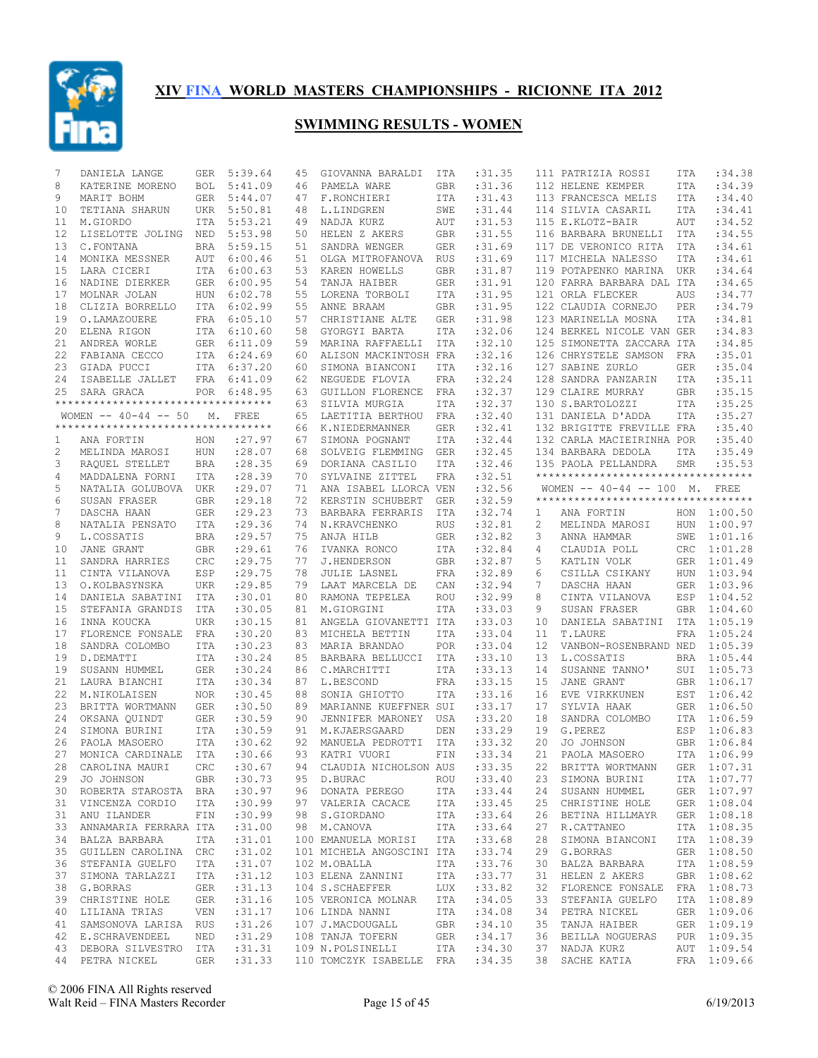

| 7            | DANIELA LANGE                       | GER        | 5:39.64     | 45 | GIOVANNA BARALDI                 | ITA        | : 31.35    |                | 111 PATRIZIA ROSSI                 | ITA        | :34.38            |
|--------------|-------------------------------------|------------|-------------|----|----------------------------------|------------|------------|----------------|------------------------------------|------------|-------------------|
| 8            | KATERINE MORENO                     | <b>BOL</b> | 5:41.09     | 46 | PAMELA WARE                      | GBR        | :31.36     |                | 112 HELENE KEMPER                  | ITA        | :34.39            |
| 9            | MARIT BOHM                          | GER        | 5:44.07     | 47 | F.RONCHIERI                      | ITA        | :31.43     |                | 113 FRANCESCA MELIS                | ITA        | :34.40            |
| 10           | TETIANA SHARUN                      | UKR        | 5:50.81     | 48 | L.LINDGREN                       | SWE        | :31.44     |                | 114 SILVIA CASARIL                 | <b>ITA</b> | :34.41            |
| 11           | M.GIORDO                            | ITA        | 5:53.21     | 49 | NADJA KURZ                       | AUT        | :31.53     |                | 115 E.KLOTZ-BAIR                   | AUT        | :34.52            |
| 12           | LISELOTTE JOLING NED                |            | 5:53.98     | 50 | HELEN Z AKERS                    | <b>GBR</b> | : 31.55    |                | 116 BARBARA BRUNELLI               | ITA        | :34.55            |
| 13           | C.FONTANA                           |            | BRA 5:59.15 | 51 | SANDRA WENGER                    | <b>GER</b> | :31.69     |                | 117 DE VERONICO RITA               | ITA        | :34.61            |
| 14           | MONIKA MESSNER                      | AUT        | 6:00.46     | 51 | OLGA MITROFANOVA                 | <b>RUS</b> | :31.69     |                | 117 MICHELA NALESSO                | <b>ITA</b> | :34.61            |
| 15           | LARA CICERI                         | ITA        | 6:00.63     | 53 | KAREN HOWELLS                    | GBR        | :31.87     |                | 119 POTAPENKO MARINA               | UKR        | :34.64            |
| 16           | NADINE DIERKER                      | GER        | 6:00.95     | 54 | TANJA HAIBER                     | GER        | :31.91     |                | 120 FARRA BARBARA DAL ITA          |            | :34.65            |
| 17           | MOLNAR JOLAN                        | HUN        | 6:02.78     | 55 | LORENA TORBOLI                   | ITA        | :31.95     |                | 121 ORLA FLECKER                   | AUS        | :34.77            |
| 18           | CLIZIA BORRELLO                     | ITA        | 6:02.99     | 55 | ANNE BRAAM                       | <b>GBR</b> | :31.95     |                | 122 CLAUDIA CORNEJO                | PER        | :34.79            |
| 19           | O.LAMAZOUERE                        |            | FRA 6:05.10 | 57 | CHRISTIANE ALTE                  | GER        | :31.98     |                | 123 MARINELLA MOSNA                | <b>ITA</b> | :34.81            |
|              |                                     |            | ITA 6:10.60 |    | GYORGYI BARTA                    |            |            |                |                                    |            |                   |
| 20           | ELENA RIGON                         |            |             | 58 |                                  | ITA        | :32.06     |                | 124 BERKEL NICOLE VAN GER          |            | :34.83<br>: 34.85 |
| 21           | ANDREA WORLE                        |            | GER 6:11.09 | 59 | MARINA RAFFAELLI                 | ITA        | :32.10     |                | 125 SIMONETTA ZACCARA ITA          |            |                   |
| 22           | FABIANA CECCO                       |            | ITA 6:24.69 | 60 | ALISON MACKINTOSH FRA            |            | :32.16     |                | 126 CHRYSTELE SAMSON               | FRA        | : 35.01           |
| 23           | GIADA PUCCI                         |            | ITA 6:37.20 | 60 | SIMONA BIANCONI                  | ITA        | :32.16     |                | 127 SABINE ZURLO                   | <b>GER</b> | :35.04            |
| 24           | ISABELLE JALLET                     |            | FRA 6:41.09 | 62 | NEGUEDE FLOVIA                   | FRA        | :32.24     |                | 128 SANDRA PANZARIN                | <b>ITA</b> | : 35.11           |
| 25           | SARA GRACA                          |            | POR 6:48.95 | 63 | GUILLON FLORENCE                 | FRA        | :32.37     |                | 129 CLAIRE MURRAY                  | <b>GBR</b> | :35.15            |
|              | **********************************  |            |             | 63 | SILVIA MURGIA                    | ITA        | :32.37     |                | 130 S.BARTOLOZZI                   | ITA        | :35.25            |
|              | WOMEN $--$ 40-44 $--$ 50            | М.         | FREE        | 65 | LAETITIA BERTHOU                 | FRA        | :32.40     |                | 131 DANIELA D'ADDA                 | ITA        | :35.27            |
|              | *********************************** |            |             | 66 | K.NIEDERMANNER                   | <b>GER</b> | :32.41     |                | 132 BRIGITTE FREVILLE FRA          |            | :35.40            |
| 1            | ANA FORTIN                          | HON        | : 27.97     | 67 | SIMONA POGNANT                   | ITA        | :32.44     |                | 132 CARLA MACIEIRINHA POR          |            | : 35.40           |
| $\mathbf{2}$ | MELINDA MAROSI                      | HUN        | :28.07      | 68 | SOLVEIG FLEMMING                 | <b>GER</b> | :32.45     |                | 134 BARBARA DEDOLA                 | ITA        | :35.49            |
| 3            | RAQUEL STELLET                      | BRA        | :28.35      | 69 | DORIANA CASILIO                  | ITA        | :32.46     |                | 135 PAOLA PELLANDRA                | <b>SMR</b> | :35.53            |
| 4            | MADDALENA FORNI                     | ITA        | :28.39      | 70 | SYLVAINE ZITTEL                  | <b>FRA</b> | :32.51     |                | ********************************** |            |                   |
| 5            | NATALIA GOLUBOVA UKR                |            | : 29.07     | 71 | ANA ISABEL LLORCA VEN            |            | :32.56     |                | WOMEN $-- 40-44 -- 100$ M. FREE    |            |                   |
| 6            | SUSAN FRASER                        | GBR        | :29.18      | 72 | KERSTIN SCHUBERT                 | <b>GER</b> | :32.59     |                | ********************************** |            |                   |
| 7            | DASCHA HAAN                         | GER        | : 29.23     | 73 | BARBARA FERRARIS                 | ITA        | :32.74     | 1              | ANA FORTIN                         |            | HON 1:00.50       |
| 8            | NATALIA PENSATO                     | ITA        | :29.36      | 74 | N.KRAVCHENKO                     | <b>RUS</b> | :32.81     | $\overline{c}$ | MELINDA MAROSI                     |            | HUN 1:00.97       |
| 9            | L.COSSATIS                          | <b>BRA</b> | : 29.57     | 75 | ANJA HILB                        | <b>GER</b> | :32.82     | 3              | ANNA HAMMAR                        |            | SWE 1:01.16       |
|              |                                     |            | : 29.61     |    |                                  |            | :32.84     | 4              |                                    |            | CRC 1:01.28       |
| 10           | JANE GRANT                          | GBR        |             | 76 | IVANKA RONCO                     | ITA        |            |                | CLAUDIA POLL                       |            |                   |
| 11           | SANDRA HARRIES                      | CRC        | : 29.75     | 77 | J.HENDERSON                      | <b>GBR</b> | :32.87     | 5              | KATLIN VOLK                        | GER        | 1:01.49           |
| 11           | CINTA VILANOVA                      | ESP        | : 29.75     | 78 | JULIE LASNEL                     | FRA        | :32.89     | 6              | CSILLA CSIKANY                     | HUN        | 1:03.94           |
| 13           | O.KOLBASYNSKA                       | UKR        | : 29.85     | 79 | LAAT MARCELA DE                  | CAN        | :32.94     | 7              | DASCHA HAAN                        |            | GER 1:03.96       |
| 14           | DANIELA SABATINI                    | ITA        | :30.01      | 80 | RAMONA TEPELEA                   | <b>ROU</b> | :32.99     | 8              | CINTA VILANOVA                     | ESP        | 1:04.52           |
| 15           | STEFANIA GRANDIS                    | ITA        | :30.05      | 81 | M.GIORGINI                       | ITA        | : 33.03    | 9              | SUSAN FRASER                       | GBR        | 1:04.60           |
| 16           | INNA KOUCKA                         | <b>UKR</b> | :30.15      | 81 | ANGELA GIOVANETTI ITA            |            | : 33.03    | 10             | DANIELA SABATINI                   |            | ITA 1:05.19       |
| 17           | FLORENCE FONSALE FRA                |            | :30.20      | 83 | MICHELA BETTIN                   | ITA        | : 33.04    | 11             | T.LAURE                            | FRA        | 1:05.24           |
| 18           | SANDRA COLOMBO                      | ITA        | :30.23      | 83 | MARIA BRANDAO                    | POR        | :33.04     | 12             | VANBON-ROSENBRAND NED 1:05.39      |            |                   |
| 19           | D.DEMATTI                           | ITA        | :30.24      | 85 | BARBARA BELLUCCI                 | ITA        | : 33.10    | 13             | L.COSSATIS                         | BRA        | 1:05.44           |
| 19           | SUSANN HUMMEL                       | GER        | :30.24      | 86 | C.MARCHITTI                      | ITA        | : 33.13    | 14             | SUSANNE TANNO'                     |            | SUI 1:05.73       |
| 21           | LAURA BIANCHI                       | ITA        | :30.34      | 87 | L.BESCOND                        | FRA        | : 33.15    | 15             | JANE GRANT                         |            | GBR 1:06.17       |
| 22           | M.NIKOLAISEN                        | <b>NOR</b> | :30.45      | 88 | SONIA GHIOTTO                    | <b>ITA</b> | :33.16     | 16             | EVE VIRKKUNEN                      |            | EST 1:06.42       |
| 23           | BRITTA WORTMANN                     | GER        | :30.50      | 89 | MARIANNE KUEFFNER SUI            |            | :33.17     | 17             | SYLVIA HAAK                        |            | GER 1:06.50       |
| 24           | OKSANA OUINDT                       | GER        | :30.59      | 90 | JENNIFER MARONEY                 | USA        | :33.20     | 18             | SANDRA COLOMBO                     |            | ITA 1:06.59       |
| 24           | SIMONA BURINI                       | ITA        | :30.59      | 91 | M.KJAERSGAARD                    | DEN        | :33.29     | 19             | G.PEREZ                            | ESP        | 1:06.83           |
| 26           | PAOLA MASOERO                       | ITA        | :30.62      | 92 | MANUELA PEDROTTI                 | ITA        | :33.32     | 20             | JO JOHNSON                         |            | GBR 1:06.84       |
| 27           | MONICA CARDINALE                    | ITA        | :30.66      | 93 | KATRI VUORI                      | FIN        | :33.34     | 21             | PAOLA MASOERO                      |            | ITA 1:06.99       |
|              | 28 CAROLINA MAURI CRC :30.67        |            |             |    | 94 CLAUDIA NICHOLSON AUS : 33.35 |            |            |                | 22 BRITTA WORTMANN GER 1:07.31     |            |                   |
| 29           | JO JOHNSON                          | GBR        | :30.73      |    | 95 D.BURAC                       | ROU        | :33.40     | 23             | SIMONA BURINI                      |            | ITA 1:07.77       |
|              | 30 ROBERTA STAROSTA BRA             |            | :30.97      |    | 96 DONATA PEREGO ITA             |            | : 33.44    | 24             | SUSANN HUMMEL                      |            | GER 1:07.97       |
| 31           | VINCENZA CORDIO                     | ITA        |             |    | 97 VALERIA CACACE ITA            |            |            | 25             |                                    |            | GER 1:08.04       |
|              |                                     |            | :30.99      |    |                                  |            | :33.45     |                | CHRISTINE HOLE                     |            |                   |
| 31           | ANU ILANDER                         | FIN        | :30.99      |    | 98 S.GIORDANO                    |            | ITA :33.64 | 26             | BETINA HILLMAYR                    |            | GER 1:08.18       |
| 33           | ANNAMARIA FERRARA ITA               |            | :31.00      |    | 98 M.CANOVA                      | ITA        | : 33.64    | 27             | R.CATTANEO                         |            | ITA 1:08.35       |
|              | 34 BALZA BARBARA                    | ITA        | :31.01      |    | 100 EMANUELA MORISI ITA          |            | : 33.68    | 28             | SIMONA BIANCONI                    |            | ITA 1:08.39       |
| 35           | GUILLEN CAROLINA CRC                |            | :31.02      |    | 101 MICHELA ANGOSCINI ITA        |            | :33.74     | 29             | G.BORRAS                           |            | GER 1:08.50       |
| 36           | STEFANIA GUELFO                     | ITA        | :31.07      |    | 102 M.OBALLA                     |            | ITA :33.76 | 30             | BALZA BARBARA                      |            | ITA 1:08.59       |
| 37           | SIMONA TARLAZZI                     | ITA        | :31.12      |    | 103 ELENA ZANNINI                | ITA        | : 33.77    | 31             | HELEN Z AKERS                      |            | GBR 1:08.62       |
| 38           | G.BORRAS                            | GER        | :31.13      |    | 104 S.SCHAEFFER                  | LUX        | : 33.82    | 32             | FLORENCE FONSALE                   |            | FRA 1:08.73       |
| 39           | CHRISTINE HOLE                      | GER        | :31.16      |    | 105 VERONICA MOLNAR ITA          |            | :34.05     | 33             | STEFANIA GUELFO                    |            | ITA 1:08.89       |
| 40           | LILIANA TRIAS                       | VEN        | :31.17      |    | 106 LINDA NANNI                  | ITA        | :34.08     | 34             | PETRA NICKEL                       |            | GER 1:09.06       |
| 41           | SAMSONOVA LARISA RUS                |            | :31.26      |    | 107 J.MACDOUGALL                 | GBR        | :34.10     | 35             | TANJA HAIBER                       |            | GER 1:09.19       |
|              | 42 E.SCHRAVENDEEL                   | NED        | :31.29      |    | 108 TANJA TOFERN                 | GER        | : 34.17    | 36             | BEILLA NOGUERAS                    |            | PUR 1:09.35       |
|              | 43 DEBORA SILVESTRO ITA             |            | :31.31      |    | ITA<br>109 N.POLSINELLI          |            | :34.30     | 37             | NADJA KURZ                         |            | AUT 1:09.54       |
|              | 44 PETRA NICKEL                     |            | GER : 31.33 |    | 110 TOMCZYK ISABELLE FRA :34.35  |            |            |                | 38 SACHE KATIA FRA 1:09.66         |            |                   |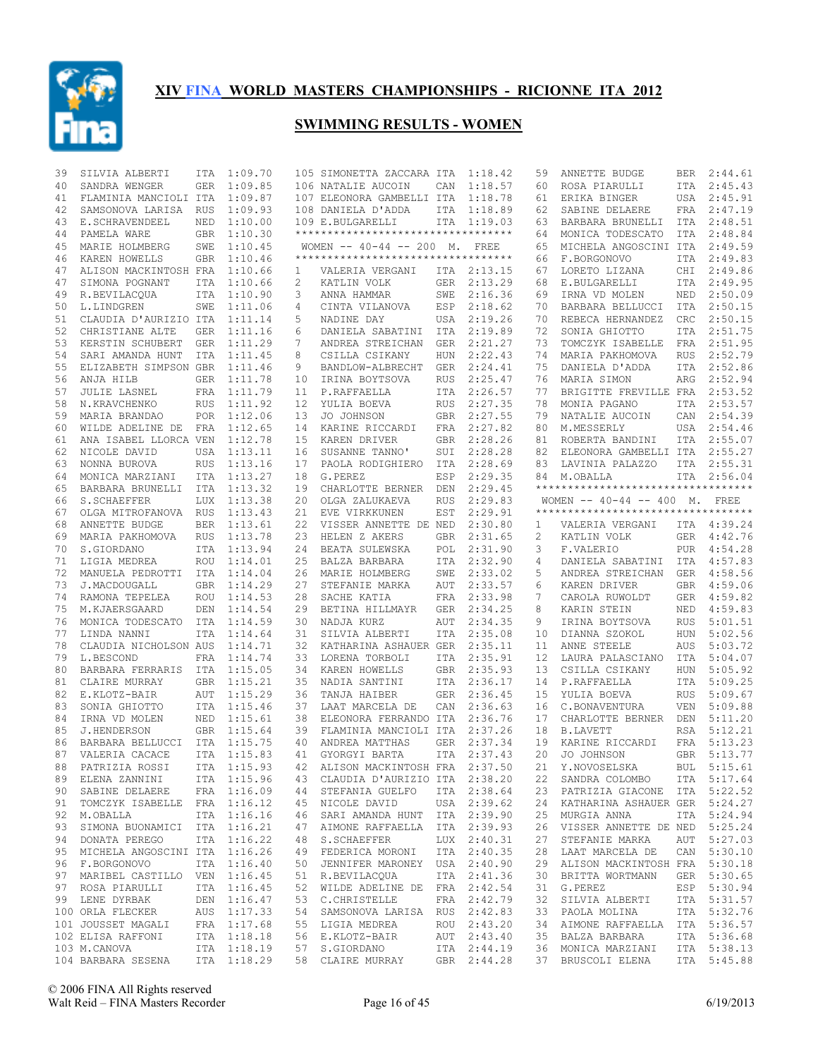

| 39 | SILVIA ALBERTI                   | ITA        | 1:09.70     |              | 105 SIMONETTA ZACCARA ITA           |            | 1:18.42     | 59 | ANNETTE BUDGE                      | BER        | 2:44.61     |
|----|----------------------------------|------------|-------------|--------------|-------------------------------------|------------|-------------|----|------------------------------------|------------|-------------|
| 40 | SANDRA WENGER                    | <b>GER</b> | 1:09.85     |              | 106 NATALIE AUCOIN                  | CAN        | 1:18.57     | 60 | ROSA PIARULLI                      | ITA        | 2:45.43     |
| 41 | FLAMINIA MANCIOLI ITA            |            | 1:09.87     |              | 107 ELEONORA GAMBELLI ITA           |            | 1:18.78     | 61 | ERIKA BINGER                       |            | USA 2:45.91 |
| 42 | SAMSONOVA LARISA RUS             |            | 1:09.93     |              | 108 DANIELA D'ADDA                  | ITA        | 1:18.89     | 62 | SABINE DELAERE                     | FRA        | 2:47.19     |
| 43 | E.SCHRAVENDEEL                   | NED        | 1:10.00     |              | 109 E.BULGARELLI                    |            | ITA 1:19.03 | 63 | BARBARA BRUNELLI                   | ITA        | 2:48.51     |
| 44 | PAMELA WARE                      | <b>GBR</b> | 1:10.30     |              | *********************************** |            |             | 64 | MONICA TODESCATO                   | ITA        | 2:48.84     |
| 45 | MARIE HOLMBERG                   | SWE        | 1:10.45     |              | WOMEN -- 40-44 -- 200 M. FREE       |            |             | 65 | MICHELA ANGOSCINI ITA              |            | 2:49.59     |
| 46 | KAREN HOWELLS                    | GBR        | 1:10.46     |              | **********************************  |            |             | 66 | F.BORGONOVO                        | ITA        | 2:49.83     |
| 47 | ALISON MACKINTOSH FRA 1:10.66    |            |             | $\mathbf{1}$ | VALERIA VERGANI                     |            | ITA 2:13.15 | 67 | LORETO LIZANA                      | CHI        | 2:49.86     |
| 47 | SIMONA POGNANT                   | ITA        | 1:10.66     | 2            | KATLIN VOLK                         | GER        | 2:13.29     | 68 | E.BULGARELLI                       | ITA        | 2:49.95     |
| 49 | R.BEVILACQUA                     |            | ITA 1:10.90 | 3            | ANNA HAMMAR                         | SWE        | 2:16.36     | 69 | IRNA VD MOLEN                      | NED        | 2:50.09     |
| 50 | L.LINDGREN                       | SWE        | 1:11.06     | 4            | CINTA VILANOVA                      | ESP        | 2:18.62     | 70 | BARBARA BELLUCCI                   | ITA        | 2:50.15     |
| 51 | CLAUDIA D'AURIZIO ITA 1:11.14    |            |             | 5            | NADINE DAY                          |            | USA 2:19.26 | 70 | REBECA HERNANDEZ                   | CRC        | 2:50.15     |
|    |                                  |            |             |              |                                     |            |             |    | SONIA GHIOTTO                      |            |             |
| 52 | CHRISTIANE ALTE                  | <b>GER</b> | 1:11.16     | 6            | DANIELA SABATINI                    | ITA        | 2:19.89     | 72 |                                    | ITA        | 2:51.75     |
| 53 | KERSTIN SCHUBERT                 | GER        | 1:11.29     | 7            | ANDREA STREICHAN                    | GER        | 2:21.27     | 73 | TOMCZYK ISABELLE                   | FRA        | 2:51.95     |
| 54 | SARI AMANDA HUNT                 | ITA        | 1:11.45     | 8            | CSILLA CSIKANY                      | HUN        | 2:22.43     | 74 | MARIA PAKHOMOVA                    | <b>RUS</b> | 2:52.79     |
| 55 | ELIZABETH SIMPSON GBR            |            | 1:11.46     | 9            | BANDLOW-ALBRECHT                    | GER        | 2:24.41     | 75 | DANIELA D'ADDA                     |            | ITA 2:52.86 |
| 56 | ANJA HILB                        |            | GER 1:11.78 | 10           | IRINA BOYTSOVA                      | <b>RUS</b> | 2:25.47     | 76 | MARIA SIMON                        | ARG        | 2:52.94     |
| 57 | <b>JULIE LASNEL</b>              |            | FRA 1:11.79 | 11           | P.RAFFAELLA                         | ITA        | 2:26.57     | 77 | BRIGITTE FREVILLE FRA 2:53.52      |            |             |
| 58 | N.KRAVCHENKO                     | <b>RUS</b> | 1:11.92     | 12           | YULIA BOEVA                         | <b>RUS</b> | 2:27.35     | 78 | MONIA PAGANO                       | ITA        | 2:53.57     |
| 59 | MARIA BRANDAO                    |            | POR 1:12.06 | 13           | JO JOHNSON                          |            | GBR 2:27.55 | 79 | NATALIE AUCOIN                     | CAN        | 2:54.39     |
| 60 | WILDE ADELINE DE                 | FRA        | 1:12.65     | 14           | KARINE RICCARDI                     | <b>FRA</b> | 2:27.82     | 80 | M.MESSERLY                         | USA        | 2:54.46     |
| 61 | ANA ISABEL LLORCA VEN            |            | 1:12.78     | 15           | KAREN DRIVER                        | GBR        | 2:28.26     | 81 | ROBERTA BANDINI                    | ITA        | 2:55.07     |
| 62 | NICOLE DAVID                     | USA        | 1:13.11     | 16           | SUSANNE TANNO'                      | SUI        | 2:28.28     | 82 | ELEONORA GAMBELLI ITA              |            | 2:55.27     |
| 63 | NONNA BUROVA                     | <b>RUS</b> | 1:13.16     | 17           | PAOLA RODIGHIERO                    | ITA        | 2:28.69     | 83 | LAVINIA PALAZZO                    | ITA        | 2:55.31     |
| 64 | MONICA MARZIANI                  |            | ITA 1:13.27 | 18           | G.PEREZ                             | ESP        | 2:29.35     | 84 | M.OBALLA                           |            | ITA 2:56.04 |
| 65 | BARBARA BRUNELLI                 |            | ITA 1:13.32 | 19           | CHARLOTTE BERNER                    | DEN        | 2:29.45     |    | ********************************** |            |             |
| 66 | S. SCHAEFFER                     | <b>LUX</b> | 1:13.38     | 20           | OLGA ZALUKAEVA                      | <b>RUS</b> | 2:29.83     |    | WOMEN $-- 40-44 -- 400$ M. FREE    |            |             |
| 67 | OLGA MITROFANOVA RUS             |            | 1:13.43     | 21           | EVE VIRKKUNEN                       | EST        | 2:29.91     |    | ********************************** |            |             |
| 68 | ANNETTE BUDGE                    | <b>BER</b> | 1:13.61     | 22           | VISSER ANNETTE DE NED               |            | 2:30.80     | 1  | VALERIA VERGANI                    |            | ITA 4:39.24 |
| 69 | MARIA PAKHOMOVA                  | RUS        | 1:13.78     | 23           | HELEN Z AKERS                       | GBR        | 2:31.65     | 2  | KATLIN VOLK                        | GER        | 4:42.76     |
|    |                                  |            |             |              |                                     |            |             |    |                                    |            |             |
| 70 | S.GIORDANO                       |            | ITA 1:13.94 | 24           | BEATA SULEWSKA                      | POL        | 2:31.90     | 3  | F.VALERIO                          | PUR        | 4:54.28     |
| 71 | LIGIA MEDREA                     |            | ROU 1:14.01 | 25           | BALZA BARBARA                       | ITA        | 2:32.90     | 4  | DANIELA SABATINI                   | ITA        | 4:57.83     |
| 72 | MANUELA PEDROTTI ITA 1:14.04     |            |             | 26           | MARIE HOLMBERG                      | SWE        | 2:33.02     | 5  | ANDREA STREICHAN                   | GER        | 4:58.56     |
| 73 | J.MACDOUGALL                     |            | GBR 1:14.29 | 27           | STEFANIE MARKA                      | AUT        | 2:33.57     | 6  | KAREN DRIVER                       | GBR        | 4:59.06     |
| 74 | RAMONA TEPELEA                   | ROU        | 1:14.53     | 28           | SACHE KATIA                         | FRA        | 2:33.98     | 7  | CAROLA RUWOLDT                     | GER        | 4:59.82     |
| 75 | M.KJAERSGAARD                    | DEN        | 1:14.54     | 29           | BETINA HILLMAYR                     | GER        | 2:34.25     | 8  | KARIN STEIN                        | NED        | 4:59.83     |
| 76 | MONICA TODESCATO                 | ITA        | 1:14.59     | 30           | NADJA KURZ                          | AUT        | 2:34.35     | 9  | IRINA BOYTSOVA                     | <b>RUS</b> | 5:01.51     |
| 77 | LINDA NANNI                      | <b>ITA</b> | 1:14.64     | 31           | SILVIA ALBERTI                      | ITA        | 2:35.08     | 10 | DIANNA SZOKOL                      | <b>HUN</b> | 5:02.56     |
| 78 | CLAUDIA NICHOLSON AUS            |            | 1:14.71     | 32           | KATHARINA ASHAUER GER               |            | 2:35.11     | 11 | ANNE STEELE                        | AUS        | 5:03.72     |
| 79 | L.BESCOND                        |            | FRA 1:14.74 | 33           | LORENA TORBOLI                      | ITA        | 2:35.91     | 12 | LAURA PALASCIANO                   | ITA        | 5:04.07     |
| 80 | BARBARA FERRARIS ITA 1:15.05     |            |             | 34           | KAREN HOWELLS                       | GBR        | 2:35.93     | 13 | CSILLA CSIKANY                     | <b>HUN</b> | 5:05.92     |
| 81 | CLAIRE MURRAY                    |            | GBR 1:15.21 | 35           | NADIA SANTINI                       | ITA        | 2:36.17     | 14 | P.RAFFAELLA                        | ITA        | 5:09.25     |
| 82 | E.KLOTZ-BAIR                     | AUT        | 1:15.29     | 36           | TANJA HAIBER                        |            | GER 2:36.45 | 15 | YULIA BOEVA                        | <b>RUS</b> | 5:09.67     |
| 83 | SONIA GHIOTTO                    |            | ITA 1:15.46 | 37           | LAAT MARCELA DE                     | CAN        | 2:36.63     | 16 | C.BONAVENTURA                      | <b>VEN</b> | 5:09.88     |
| 84 | IRNA VD MOLEN                    | NED        | 1:15.61     | 38           | ELEONORA FERRANDO ITA               |            | 2:36.76     | 17 | CHARLOTTE BERNER                   | DEN        | 5:11.20     |
| 85 | J.HENDERSON                      |            | GBR 1:15.64 | 39           | FLAMINIA MANCIOLI ITA               |            | 2:37.26     | 18 | <b>B.LAVETT</b>                    | RSA        | 5:12.21     |
| 86 | BARBARA BELLUCCI ITA 1:15.75     |            |             | 40           | ANDREA MATTHAS                      |            | GER 2:37.34 | 19 | KARINE RICCARDI                    | FRA        | 5:13.23     |
| 87 | VALERIA CACACE                   |            | ITA 1:15.83 | 41           | GYORGYI BARTA                       | <b>ITA</b> | 2:37.43     | 20 | JO JOHNSON                         | GBR        | 5:13.77     |
| 88 | PATRIZIA ROSSI ITA 1:15.93       |            |             |              | 42 ALISON MACKINTOSH FRA 2:37.50    |            |             |    | 21 Y.NOVOSELSKA                    |            | BUL 5:15.61 |
|    |                                  |            | ITA 1:15.96 |              | 43 CLAUDIA D'AURIZIO ITA 2:38.20    |            |             |    | 22 SANDRA COLOMBO                  |            | ITA 5:17.64 |
|    | 89 ELENA ZANNINI                 |            |             |              | 44 STEFANIA GUELFO                  |            | ITA 2:38.64 |    |                                    |            |             |
|    | 90 SABINE DELAERE FRA 1:16.09    |            |             |              |                                     |            |             |    | 23 PATRIZIA GIACONE ITA 5:22.52    |            |             |
|    | 91 TOMCZYK ISABELLE FRA 1:16.12  |            |             |              | 45 NICOLE DAVID                     |            | USA 2:39.62 | 24 | KATHARINA ASHAUER GER 5:24.27      |            |             |
|    | 92 M.OBALLA                      |            | ITA 1:16.16 |              | 46 SARI AMANDA HUNT ITA 2:39.90     |            |             | 25 | MURGIA ANNA                        |            | ITA 5:24.94 |
| 93 | SIMONA BUONAMICI ITA 1:16.21     |            |             | 47           | AIMONE RAFFAELLA ITA 2:39.93        |            |             | 26 | VISSER ANNETTE DE NED 5:25.24      |            |             |
|    | 94 DONATA PEREGO                 |            | ITA 1:16.22 |              | 48 S.SCHAEFFER                      |            | LUX 2:40.31 | 27 | STEFANIE MARKA                     |            | AUT 5:27.03 |
|    | 95 MICHELA ANGOSCINI ITA 1:16.26 |            |             |              | 49 FEDERICA MORONI                  |            | ITA 2:40.35 | 28 | LAAT MARCELA DE                    |            | CAN 5:30.10 |
|    | 96 F.BORGONOVO                   |            | ITA 1:16.40 |              | 50 JENNIFER MARONEY USA 2:40.90     |            |             | 29 | ALISON MACKINTOSH FRA 5:30.18      |            |             |
|    | 97 MARIBEL CASTILLO VEN 1:16.45  |            |             |              | 51 R.BEVILACQUA                     |            | ITA 2:41.36 | 30 | BRITTA WORTMANN                    |            | GER 5:30.65 |
|    | 97 ROSA PIARULLI                 |            | ITA 1:16.45 |              | 52 WILDE ADELINE DE FRA 2:42.54     |            |             | 31 | G.PEREZ                            |            | ESP 5:30.94 |
|    | 99 LENE DYRBAK                   |            | DEN 1:16.47 |              | 53 C. CHRISTELLE                    |            | FRA 2:42.79 | 32 | SILVIA ALBERTI                     |            | ITA 5:31.57 |
|    | 100 ORLA FLECKER                 |            | AUS 1:17.33 |              | 54 SAMSONOVA LARISA RUS 2:42.83     |            |             | 33 | PAOLA MOLINA                       |            | ITA 5:32.76 |
|    | 101 JOUSSET MAGALI               |            | FRA 1:17.68 |              | 55 LIGIA MEDREA                     |            | ROU 2:43.20 | 34 | AIMONE RAFFAELLA                   |            | ITA 5:36.57 |
|    | 102 ELISA RAFFONI                |            | ITA 1:18.18 |              | 56 E.KLOTZ-BAIR                     |            | AUT 2:43.40 | 35 | BALZA BARBARA                      |            | ITA 5:36.68 |
|    | 103 M.CANOVA                     |            | ITA 1:18.19 |              | 57 S.GIORDANO                       |            | ITA 2:44.19 | 36 | MONICA MARZIANI                    |            | ITA 5:38.13 |
|    | 104 BARBARA SESENA ITA 1:18.29   |            |             |              | 58 CLAIRE MURRAY GBR 2:44.28        |            |             |    | 37 BRUSCOLI ELENA                  |            | ITA 5:45.88 |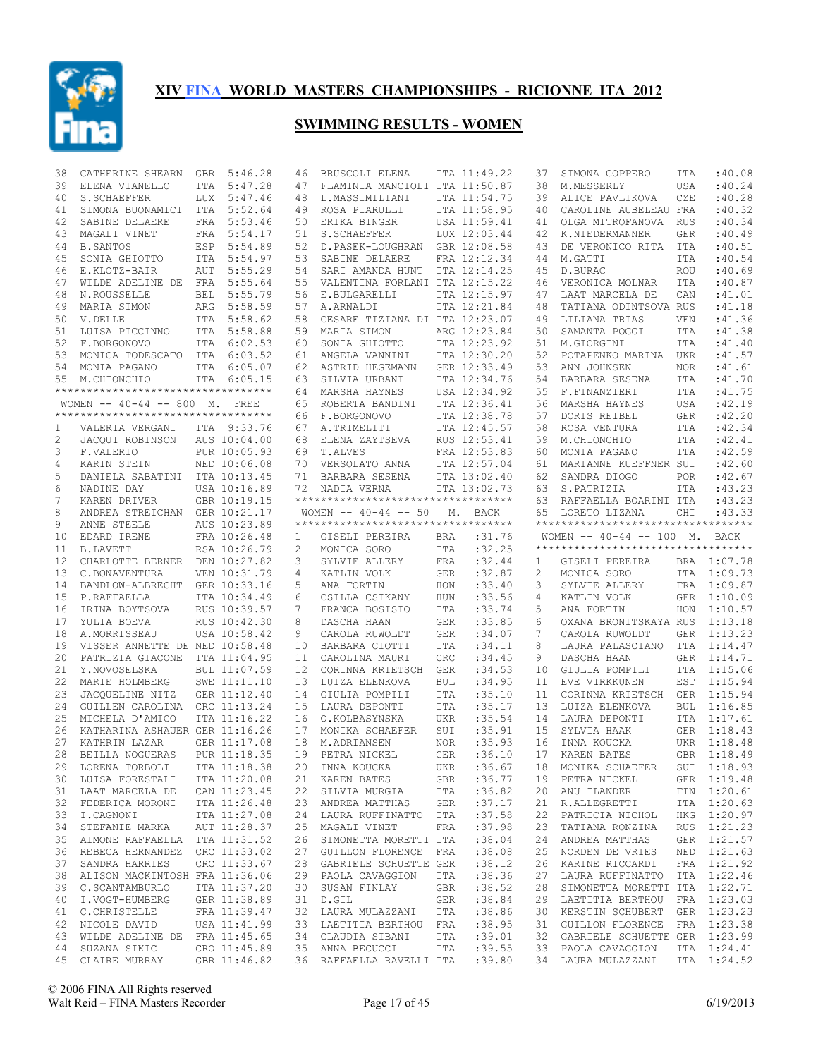

| 38 | CATHERINE SHEARN                    | <b>GBR</b> | 5:46.28                      | 46                    | BRUSCOLI ELENA                                     |            | ITA 11:49.22 | 37 | SIMONA COPPERO                           | ITA        | :40.08                     |
|----|-------------------------------------|------------|------------------------------|-----------------------|----------------------------------------------------|------------|--------------|----|------------------------------------------|------------|----------------------------|
| 39 | ELENA VIANELLO                      | ITA        | 5:47.28                      | 47                    | FLAMINIA MANCIOLI ITA 11:50.87                     |            |              | 38 | M.MESSERLY                               | <b>USA</b> | :40.24                     |
| 40 | S. SCHAEFFER                        | <b>LUX</b> | 5:47.46                      | 48                    | L.MASSIMILIANI                                     |            | ITA 11:54.75 | 39 | ALICE PAVLIKOVA                          | CZE        | :40.28                     |
| 41 | SIMONA BUONAMICI ITA                |            | 5:52.64                      | 49                    | ROSA PIARULLI                                      |            | ITA 11:58.95 | 40 | CAROLINE AUBELEAU FRA                    |            | :40.32                     |
| 42 | SABINE DELAERE                      | FRA        | 5:53.46                      | 50                    | ERIKA BINGER                                       |            | USA 11:59.41 | 41 | OLGA MITROFANOVA                         | <b>RUS</b> | :40.34                     |
| 43 | MAGALI VINET                        | FRA        | 5:54.17                      | 51                    | S. SCHAEFFER                                       |            | LUX 12:03.44 | 42 | K.NIEDERMANNER                           | GER        | :40.49                     |
|    |                                     |            |                              |                       |                                                    |            |              |    |                                          |            |                            |
| 44 | <b>B.SANTOS</b>                     | ESP        | 5:54.89                      | 52                    | D. PASEK-LOUGHRAN                                  |            | GBR 12:08.58 | 43 | DE VERONICO RITA                         | ITA        | :40.51                     |
| 45 | SONIA GHIOTTO                       | ITA        | 5:54.97                      | 53                    | SABINE DELAERE                                     |            | FRA 12:12.34 | 44 | M.GATTI                                  | <b>ITA</b> | :40.54                     |
| 46 | E.KLOTZ-BAIR                        | AUT        | 5:55.29                      | 54                    | SARI AMANDA HUNT                                   |            | ITA 12:14.25 | 45 | D.BURAC                                  | <b>ROU</b> | :40.69                     |
| 47 | WILDE ADELINE DE FRA                |            | 5:55.64                      | 55                    | VALENTINA FORLANI ITA 12:15.22                     |            |              | 46 | VERONICA MOLNAR                          | <b>ITA</b> | :40.87                     |
| 48 | N.ROUSSELLE                         | BEL        | 5:55.79                      | 56                    | E.BULGARELLI                                       |            | ITA 12:15.97 | 47 | LAAT MARCELA DE                          | CAN        | :41.01                     |
| 49 | MARIA SIMON                         | ARG        | 5:58.59                      | 57                    | A.ARNALDI                                          |            | ITA 12:21.84 | 48 | TATIANA ODINTSOVA RUS                    |            | : 41.18                    |
| 50 | V.DELLE                             |            | ITA 5:58.62                  | 58                    | CESARE TIZIANA DI ITA 12:23.07                     |            |              | 49 | LILIANA TRIAS                            | <b>VEN</b> | : 41.36                    |
| 51 | LUISA PICCINNO                      | ITA        | 5:58.88                      | 59                    | MARIA SIMON                                        |            | ARG 12:23.84 | 50 | SAMANTA POGGI                            | <b>ITA</b> | : 41.38                    |
| 52 | F.BORGONOVO                         |            | ITA 6:02.53                  | 60                    | SONIA GHIOTTO                                      |            | ITA 12:23.92 | 51 | M.GIORGINI                               | <b>ITA</b> | :41.40                     |
|    |                                     |            |                              |                       |                                                    |            |              |    |                                          |            |                            |
| 53 | MONICA TODESCATO                    |            | ITA 6:03.52                  | 61                    | ANGELA VANNINI                                     |            | ITA 12:30.20 | 52 | POTAPENKO MARINA                         | UKR        | :41.57                     |
| 54 | MONIA PAGANO                        |            | ITA 6:05.07                  | 62                    | ASTRID HEGEMANN                                    |            | GER 12:33.49 | 53 | ANN JOHNSEN                              | <b>NOR</b> | :41.61                     |
| 55 | M.CHIONCHIO                         |            | ITA 6:05.15                  | 63                    | SILVIA URBANI                                      |            | ITA 12:34.76 | 54 | BARBARA SESENA                           | <b>ITA</b> | : 41.70                    |
|    | **********************************  |            |                              | 64                    | MARSHA HAYNES                                      |            | USA 12:34.92 | 55 | F.FINANZIERI                             | <b>ITA</b> | : 41.75                    |
|    | WOMEN -- 40-44 -- 800 M. FREE       |            |                              | 65                    | ROBERTA BANDINI                                    |            | ITA 12:36.41 | 56 | MARSHA HAYNES                            | <b>USA</b> | :42.19                     |
|    | *********************************** |            |                              | 66                    | F.BORGONOVO                                        |            | ITA 12:38.78 | 57 | DORIS REIBEL                             | <b>GER</b> | :42.20                     |
| 1  | VALERIA VERGANI                     |            | ITA 9:33.76                  | 67                    | A.TRIMELITI                                        |            | ITA 12:45.57 | 58 | ROSA VENTURA                             | ITA        | :42.34                     |
| 2  | JACQUI ROBINSON                     |            | AUS 10:04.00                 | 68                    | ELENA ZAYTSEVA                                     |            | RUS 12:53.41 | 59 | M.CHIONCHIO                              | <b>ITA</b> | :42.41                     |
|    |                                     |            | PUR 10:05.93                 |                       |                                                    |            |              |    |                                          |            |                            |
| 3  | F.VALERIO                           |            |                              | 69                    | T.ALVES                                            |            | FRA 12:53.83 | 60 | MONIA PAGANO                             | <b>ITA</b> | :42.59                     |
| 4  | KARIN STEIN                         |            | NED 10:06.08                 | 70                    | VERSOLATO ANNA                                     |            | ITA 12:57.04 | 61 | MARIANNE KUEFFNER SUI                    |            | :42.60                     |
| 5  | DANIELA SABATINI                    |            | ITA 10:13.45                 | 71                    | BARBARA SESENA                                     |            | ITA 13:02.40 | 62 | SANDRA DIOGO                             | <b>POR</b> | :42.67                     |
| 6  | NADINE DAY                          |            | USA 10:16.89                 | 72                    | NADIA VERNA                                        |            | ITA 13:02.73 | 63 | S.PATRIZIA                               | ITA        | :43.23                     |
| 7  | KAREN DRIVER                        |            | GBR 10:19.15                 |                       | **********************************                 |            |              | 63 | RAFFAELLA BOARINI ITA                    |            | :43.23                     |
| 8  | ANDREA STREICHAN                    |            | GER 10:21.17                 |                       | WOMEN $--$ 40-44 $--$ 50                           | М.         | BACK         | 65 | LORETO LIZANA                            | CHI        | :43.33                     |
| 9  | ANNE STEELE                         |            | AUS 10:23.89                 |                       | **********************************                 |            |              |    | ***********************************      |            |                            |
| 10 | EDARD IRENE                         |            | FRA 10:26.48                 | $\mathbf{1}$          | GISELI PEREIRA                                     | BRA        | :31.76       |    | WOMEN $-- 40-44 -- 100$ M. BACK          |            |                            |
| 11 | <b>B.LAVETT</b>                     |            | RSA 10:26.79                 | $\mathbf{2}^{\prime}$ | MONICA SORO                                        | ITA        | :32.25       |    | **********************************       |            |                            |
|    |                                     |            |                              |                       |                                                    |            |              |    |                                          |            |                            |
|    |                                     |            |                              |                       |                                                    |            |              |    |                                          |            |                            |
| 12 | CHARLOTTE BERNER                    |            | DEN 10:27.82                 | 3                     | SYLVIE ALLERY                                      | FRA        | :32.44       | 1  | GISELI PEREIRA                           |            | BRA 1:07.78                |
| 13 | C.BONAVENTURA                       |            | VEN 10:31.79                 | 4                     | KATLIN VOLK                                        | <b>GER</b> | :32.87       | 2  | MONICA SORO                              |            | ITA 1:09.73                |
| 14 | BANDLOW-ALBRECHT                    |            | GER 10:33.16                 | 5                     | ANA FORTIN                                         | HON        | : 33.40      | 3  | SYLVIE ALLERY                            | FRA        | 1:09.87                    |
| 15 | P.RAFFAELLA                         |            | ITA 10:34.49                 | 6                     | CSILLA CSIKANY                                     | <b>HUN</b> | :33.56       | 4  | KATLIN VOLK                              | GER        | 1:10.09                    |
| 16 |                                     |            | RUS 10:39.57                 | 7                     |                                                    | ITA        | : 33.74      |    | ANA FORTIN                               | HON        | 1:10.57                    |
|    | IRINA BOYTSOVA                      |            |                              |                       | FRANCA BOSISIO                                     |            |              | 5  |                                          |            |                            |
| 17 | YULIA BOEVA                         |            | RUS 10:42.30                 | 8                     | DASCHA HAAN                                        | <b>GER</b> | :33.85       | 6  | OXANA BRONITSKAYA RUS                    |            | 1:13.18                    |
| 18 | A.MORRISSEAU                        |            | USA 10:58.42                 | 9                     | CAROLA RUWOLDT                                     | <b>GER</b> | :34.07       | 7  | CAROLA RUWOLDT                           | GER        | 1:13.23                    |
| 19 | VISSER ANNETTE DE NED 10:58.48      |            |                              | 10                    | BARBARA CIOTTI                                     | ITA        | : 34.11      | 8  | LAURA PALASCIANO                         | ITA        | 1:14.47                    |
| 20 | PATRIZIA GIACONE                    |            | ITA 11:04.95                 | 11                    | CAROLINA MAURI                                     | CRC        | :34.45       | 9  | DASCHA HAAN                              | GER        | 1:14.71                    |
| 21 | Y.NOVOSELSKA                        |            | BUL 11:07.59                 | 12                    | CORINNA KRIETSCH                                   | <b>GER</b> | :34.53       | 10 | GIULIA POMPILI                           |            | ITA 1:15.06                |
| 22 | MARIE HOLMBERG                      |            | SWE 11:11.10                 | 13                    | LUIZA ELENKOVA                                     | BUL        | :34.95       | 11 | EVE VIRKKUNEN                            | EST        | 1:15.94                    |
| 23 | JACOUELINE NITZ                     |            | GER 11:12.40                 | 14                    | GIULIA POMPILI                                     | <b>ITA</b> | :35.10       | 11 | CORINNA KRIETSCH                         | GER        | 1:15.94                    |
| 24 | GUILLEN CAROLINA                    |            | CRC 11:13.24                 | 15                    | LAURA DEPONTI                                      | ITA        | :35.17       | 13 | LUIZA ELENKOVA                           | <b>BUL</b> | 1:16.85                    |
| 25 |                                     |            |                              |                       | O.KOLBASYNSKA                                      |            |              | 14 |                                          |            | ITA 1:17.61                |
|    | MICHELA D'AMICO                     |            | ITA 11:16.22                 | 16                    |                                                    | <b>UKR</b> | :35.54       |    | LAURA DEPONTI                            |            |                            |
| 26 | KATHARINA ASHAUER GER 11:16.26      |            |                              | 17                    | MONIKA SCHAEFER                                    | SUI        | :35.91       | 15 | SYLVIA HAAK                              | GER        | 1:18.43                    |
| 27 | KATHRIN LAZAR                       |            | GER 11:17.08                 | 18                    | M.ADRIANSEN                                        | <b>NOR</b> | :35.93       | 16 | INNA KOUCKA                              |            | UKR 1:18.48                |
| 28 | BEILLA NOGUERAS                     |            | PUR 11:18.35                 | 19                    | PETRA NICKEL                                       | <b>GER</b> | :36.10       | 17 | KAREN BATES                              |            | GBR 1:18.49                |
|    | 29 LORENA TORBOLI                   |            | ITA 11:18.38                 |                       | 20 INNA KOUCKA                                     | UKR        | :36.67       |    | 18 MONIKA SCHAEFER                       |            | SUI 1:18.93                |
|    | 30 LUISA FORESTALI                  |            | ITA 11:20.08                 |                       | 21 KAREN BATES                                     | GBR        | :36.77       | 19 | PETRA NICKEL                             |            | GER 1:19.48                |
|    | 31 LAAT MARCELA DE                  |            | CAN 11:23.45                 |                       | 22 SILVIA MURGIA                                   | ITA        | :36.82       | 20 | ANU ILANDER                              |            | FIN 1:20.61                |
| 32 | FEDERICA MORONI                     |            | ITA 11:26.48                 |                       | 23 ANDREA MATTHAS                                  | GER        | :37.17       | 21 | R.ALLEGRETTI                             |            | ITA 1:20.63                |
|    |                                     |            |                              |                       |                                                    |            |              |    |                                          |            |                            |
|    | 33 I.CAGNONI                        |            | ITA 11:27.08                 |                       | 24 LAURA RUFFINATTO ITA                            |            | :37.58       | 22 | PATRICIA NICHOL                          |            | HKG 1:20.97                |
| 34 | STEFANIE MARKA                      |            | AUT 11:28.37                 |                       | 25 MAGALI VINET                                    | FRA        | :37.98       | 23 | TATIANA RONZINA                          |            | RUS 1:21.23                |
| 35 | AIMONE RAFFAELLA ITA 11:31.52       |            |                              |                       | 26 SIMONETTA MORETTI ITA                           |            | :38.04       | 24 | ANDREA MATTHAS                           |            | GER 1:21.57                |
| 36 | REBECA HERNANDEZ CRC 11:33.02       |            |                              | 27                    | GUILLON FLORENCE FRA                               |            | :38.08       | 25 | NORDEN DE VRIES                          |            | NED 1:21.63                |
| 37 | SANDRA HARRIES                      |            | CRC 11:33.67                 |                       | 28 GABRIELE SCHUETTE GER                           |            | : 38.12      | 26 | KARINE RICCARDI                          |            | FRA 1:21.92                |
| 38 | ALISON MACKINTOSH FRA 11:36.06      |            |                              |                       | 29 PAOLA CAVAGGION                                 | ITA        | :38.36       | 27 | LAURA RUFFINATTO ITA 1:22.46             |            |                            |
| 39 | C.SCANTAMBURLO                      |            | ITA 11:37.20                 | 30                    | SUSAN FINLAY                                       | GBR        | :38.52       | 28 | SIMONETTA MORETTI ITA 1:22.71            |            |                            |
| 40 | I.VOGT-HUMBERG                      |            | GER 11:38.89                 | 31                    | D.GIL                                              | GER        | :38.84       | 29 | LAETITIA BERTHOU FRA 1:23.03             |            |                            |
|    |                                     |            |                              |                       |                                                    |            |              |    |                                          |            |                            |
| 41 | C. CHRISTELLE                       |            | FRA 11:39.47                 |                       | 32 LAURA MULAZZANI                                 | ITA        | :38.86       | 30 | KERSTIN SCHUBERT                         |            | GER 1:23.23                |
| 42 | NICOLE DAVID                        |            | USA 11:41.99                 |                       | 33 LAETITIA BERTHOU FRA                            |            | :38.95       | 31 | GUILLON FLORENCE                         |            | FRA 1:23.38                |
| 43 | WILDE ADELINE DE FRA 11:45.65       |            |                              |                       | 34 CLAUDIA SIBANI                                  | ITA        | :39.01       | 32 | GABRIELE SCHUETTE GER 1:23.99            |            |                            |
| 44 | SUZANA SIKIC<br>45 CLAIRE MURRAY    |            | CRO 11:45.89<br>GBR 11:46.82 |                       | 35 ANNA BECUCCI<br>36 RAFFAELLA RAVELLI ITA :39.80 | ITA        | :39.55       |    | 33 PAOLA CAVAGGION<br>34 LAURA MULAZZANI |            | ITA 1:24.41<br>ITA 1:24.52 |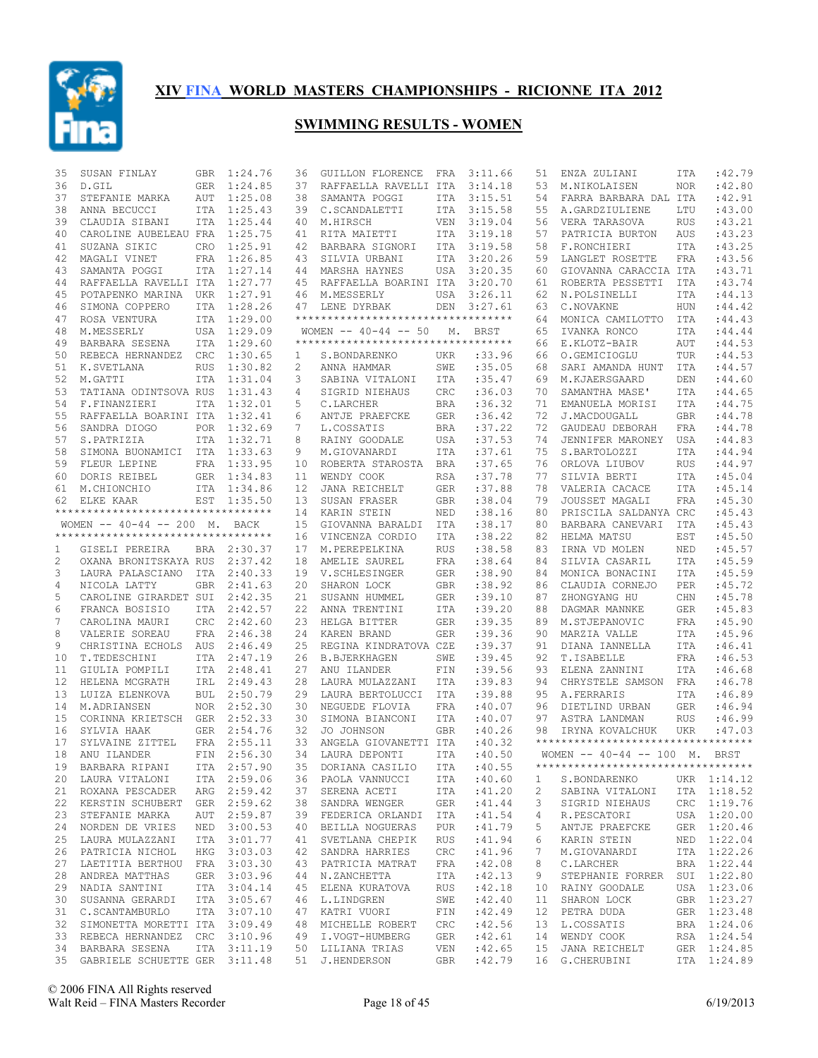

| 35 | SUSAN FINLAY                        | <b>GBR</b> | 1:24.76     | 36 | <b>GUILLON FLORENCE</b>            | FRA        | 3:11.66     | 51 | ENZA ZULIANI                        | ITA        | :42.79      |
|----|-------------------------------------|------------|-------------|----|------------------------------------|------------|-------------|----|-------------------------------------|------------|-------------|
| 36 | D.GIL                               | <b>GER</b> | 1:24.85     | 37 | RAFFAELLA RAVELLI ITA              |            | 3:14.18     | 53 | M.NIKOLAISEN                        | <b>NOR</b> | :42.80      |
| 37 | STEFANIE MARKA                      | AUT        | 1:25.08     | 38 | SAMANTA POGGI                      | ITA        | 3:15.51     | 54 | FARRA BARBARA DAL ITA               |            | :42.91      |
| 38 | ANNA BECUCCI                        |            | ITA 1:25.43 | 39 | C.SCANDALETTI                      | ITA        | 3:15.58     | 55 | A.GARDZIULIENE                      | LTU        | :43.00      |
| 39 | CLAUDIA SIBANI                      |            | ITA 1:25.44 | 40 | M.HIRSCH                           | <b>VEN</b> | 3:19.04     | 56 | VERA TARASOVA                       | <b>RUS</b> | :43.21      |
| 40 | CAROLINE AUBELEAU FRA               |            | 1:25.75     | 41 | RITA MAIETTI                       | ITA        | 3:19.18     | 57 | PATRICIA BURTON                     | AUS        | :43.23      |
| 41 | SUZANA SIKIC                        | CRO        | 1:25.91     | 42 | BARBARA SIGNORI                    | ITA        | 3:19.58     | 58 | F.RONCHIERI                         | <b>ITA</b> | : 43.25     |
| 42 | MAGALI VINET                        |            | FRA 1:26.85 | 43 | SILVIA URBANI                      | ITA        | 3:20.26     | 59 | LANGLET ROSETTE                     | <b>FRA</b> | :43.56      |
| 43 | SAMANTA POGGI                       |            | ITA 1:27.14 |    | 44 MARSHA HAYNES                   | USA        | 3:20.35     | 60 | GIOVANNA CARACCIA ITA               |            | :43.71      |
| 44 | RAFFAELLA RAVELLI ITA 1:27.77       |            |             | 45 | RAFFAELLA BOARINI ITA              |            | 3:20.70     | 61 | ROBERTA PESSETTI                    | ITA        | :43.74      |
| 45 | POTAPENKO MARINA UKR 1:27.91        |            |             | 46 | M.MESSERLY                         | USA        | 3:26.11     | 62 | N. POLSINELLI                       | ITA        | : 44.13     |
| 46 | SIMONA COPPERO                      |            | ITA 1:28.26 | 47 | LENE DYRBAK                        | DEN        | 3:27.61     | 63 | C.NOVAKNE                           | HUN        | :44.42      |
|    |                                     |            |             |    | ********************************** |            |             |    |                                     |            |             |
| 47 | ROSA VENTURA                        |            | ITA 1:29.00 |    |                                    |            |             | 64 | MONICA CAMILOTTO                    | ITA        | :44.43      |
| 48 | M.MESSERLY                          |            | USA 1:29.09 |    | WOMEN $--$ 40-44 $--$ 50           | М.         | BRST        | 65 | IVANKA RONCO                        | <b>ITA</b> | : 44.44     |
| 49 | BARBARA SESENA                      |            | ITA 1:29.60 |    | ********************************** |            |             | 66 | E.KLOTZ-BAIR                        | AUT        | : 44.53     |
| 50 | REBECA HERNANDEZ                    | CRC        | 1:30.65     | 1  | S.BONDARENKO                       | UKR        | :33.96      | 66 | O.GEMICIOGLU                        | TUR        | : 44.53     |
| 51 | K.SVETLANA                          | <b>RUS</b> | 1:30.82     | 2  | ANNA HAMMAR                        | SWE        | :35.05      | 68 | SARI AMANDA HUNT                    | <b>ITA</b> | :44.57      |
| 52 | M.GATTI                             | <b>ITA</b> | 1:31.04     | 3  | SABINA VITALONI                    | ITA        | : 35.47     | 69 | M.KJAERSGAARD                       | DEN        | :44.60      |
| 53 | TATIANA ODINTSOVA RUS               |            | 1:31.43     | 4  | SIGRID NIEHAUS                     | CRC        | :36.03      | 70 | SAMANTHA MASE'                      | <b>ITA</b> | :44.65      |
| 54 | F.FINANZIERI                        | <b>ITA</b> | 1:32.01     | 5  | C.LARCHER                          | <b>BRA</b> | :36.32      | 71 | EMANUELA MORISI                     | <b>ITA</b> | :44.75      |
| 55 | RAFFAELLA BOARINI ITA               |            | 1:32.41     | 6  | ANTJE PRAEFCKE                     | <b>GER</b> | :36.42      | 72 | J.MACDOUGALL                        | <b>GBR</b> | :44.78      |
| 56 | SANDRA DIOGO                        |            | POR 1:32.69 | 7  | L.COSSATIS                         | <b>BRA</b> | :37.22      | 72 | GAUDEAU DEBORAH                     | FRA        | :44.78      |
| 57 | S.PATRIZIA                          |            | ITA 1:32.71 | 8  | RAINY GOODALE                      | USA        | :37.53      | 74 | JENNIFER MARONEY                    | USA        | :44.83      |
| 58 | SIMONA BUONAMICI ITA 1:33.63        |            |             | 9  | M.GIOVANARDI                       | ITA        | :37.61      | 75 | S.BARTOLOZZI                        | <b>ITA</b> | :44.94      |
| 59 | FLEUR LEPINE                        |            | FRA 1:33.95 | 10 | ROBERTA STAROSTA BRA               |            | :37.65      | 76 | ORLOVA LIUBOV                       | <b>RUS</b> | :44.97      |
| 60 | DORIS REIBEL                        |            | GER 1:34.83 | 11 | WENDY COOK                         | <b>RSA</b> | :37.78      | 77 | SILVIA BERTI                        | <b>ITA</b> | :45.04      |
|    |                                     |            | ITA 1:34.86 |    |                                    |            |             |    |                                     |            | :45.14      |
| 61 | M.CHIONCHIO                         |            |             | 12 | JANA REICHELT                      | <b>GER</b> | :37.88      | 78 | VALERIA CACACE                      | <b>ITA</b> |             |
| 62 | ELKE KAAR                           | EST        | 1:35.50     | 13 | SUSAN FRASER                       | <b>GBR</b> | :38.04      | 79 | JOUSSET MAGALI                      | FRA        | :45.30      |
|    | **********************************  |            |             | 14 | KARIN STEIN                        | NED        | :38.16      | 80 | PRISCILA SALDANYA CRC               |            | :45.43      |
|    | WOMEN $-- 40-44 -- 200$ M. BACK     |            |             | 15 | GIOVANNA BARALDI                   | ITA        | :38.17      | 80 | BARBARA CANEVARI                    | ITA        | :45.43      |
|    | *********************************** |            |             | 16 | VINCENZA CORDIO                    | ITA        | :38.22      | 82 | HELMA MATSU                         | EST        | :45.50      |
| 1  | GISELI PEREIRA                      |            | BRA 2:30.37 | 17 | M. PEREPELKINA                     | <b>RUS</b> | :38.58      | 83 | IRNA VD MOLEN                       | NED        | :45.57      |
| 2  | OXANA BRONITSKAYA RUS               |            | 2:37.42     | 18 | AMELIE SAUREL                      | FRA        | : 38.64     | 84 | SILVIA CASARIL                      | <b>ITA</b> | :45.59      |
| 3  | LAURA PALASCIANO                    | ITA        | 2:40.33     | 19 | V.SCHLESINGER                      | <b>GER</b> | :38.90      | 84 | MONICA BONACINI                     | <b>ITA</b> | :45.59      |
| 4  | NICOLA LATTY                        | GBR        | 2:41.63     | 20 | SHARON LOCK                        | GBR        | :38.92      | 86 | CLAUDIA CORNEJO                     | PER        | :45.72      |
| 5  | CAROLINE GIRARDET SUI               |            | 2:42.35     | 21 | SUSANN HUMMEL                      | <b>GER</b> | :39.10      | 87 | ZHONGYANG HU                        | CHN        | :45.78      |
| 6  | FRANCA BOSISIO                      | ITA        | 2:42.57     | 22 | ANNA TRENTINI                      | ITA        | :39.20      | 88 | DAGMAR MANNKE                       | GER        | :45.83      |
| 7  | CAROLINA MAURI                      | CRC        | 2:42.60     | 23 | HELGA BITTER                       | <b>GER</b> | :39.35      | 89 | M.STJEPANOVIC                       | FRA        | :45.90      |
| 8  | VALERIE SOREAU                      | FRA        | 2:46.38     | 24 | KAREN BRAND                        | <b>GER</b> | :39.36      | 90 | MARZIA VALLE                        | <b>ITA</b> | :45.96      |
| 9  | CHRISTINA ECHOLS                    | AUS        | 2:46.49     | 25 | REGINA KINDRATOVA CZE              |            | :39.37      | 91 | DIANA IANNELLA                      | <b>ITA</b> | :46.41      |
| 10 | T.TEDESCHINI                        | <b>ITA</b> | 2:47.19     | 26 | <b>B.BJERKHAGEN</b>                | SWE        | :39.45      | 92 | T.ISABELLE                          | <b>FRA</b> | :46.53      |
| 11 |                                     | <b>ITA</b> | 2:48.41     | 27 | ANU ILANDER                        | FIN        | :39.56      | 93 | ELENA ZANNINI                       | <b>ITA</b> | :46.68      |
|    | GIULIA POMPILI                      |            |             |    |                                    |            |             |    |                                     |            |             |
| 12 | HELENA MCGRATH                      | IRL        | 2:49.43     | 28 | LAURA MULAZZANI                    | ITA        | :39.83      | 94 | CHRYSTELE SAMSON                    | FRA        | :46.78      |
| 13 | LUIZA ELENKOVA                      |            | BUL 2:50.79 | 29 | LAURA BERTOLUCCI                   | <b>ITA</b> | :39.88      | 95 | A. FERRARIS                         | <b>ITA</b> | :46.89      |
| 14 | M.ADRIANSEN                         |            | NOR 2:52.30 | 30 | NEGUEDE FLOVIA                     | FRA        | :40.07      | 96 | DIETLIND URBAN                      | <b>GER</b> | :46.94      |
| 15 | CORINNA KRIETSCH                    |            | GER 2:52.33 | 30 | SIMONA BIANCONI                    | ITA        | :40.07      | 97 | ASTRA LANDMAN                       | <b>RUS</b> | :46.99      |
| 16 | SYLVIA HAAK                         | GER        | 2:54.76     | 32 | JO JOHNSON                         | <b>GBR</b> | :40.26      | 98 | IRYNA KOVALCHUK                     | UKR        | :47.03      |
| 17 | SYLVAINE ZITTEL                     |            | FRA 2:55.11 | 33 | ANGELA GIOVANETTI ITA              |            | :40.32      |    | *********************************** |            |             |
| 18 | ANU ILANDER                         | FIN        | 2:56.30     | 34 | LAURA DEPONTI                      | <b>ITA</b> | :40.50      |    | WOMEN -- 40-44 -- 100 M. BRST       |            |             |
| 19 | BARBARA RIPANI                      |            | ITA 2:57.90 |    | 35 DORIANA CASILIO ITA : 40.55     |            |             |    | *********************************** |            |             |
| 20 | LAURA VITALONI                      |            | ITA 2:59.06 |    | 36 PAOLA VANNUCCI                  | ITA        | :40.60      | 1  | S.BONDARENKO                        |            | UKR 1:14.12 |
|    | 21 ROXANA PESCADER                  |            | ARG 2:59.42 |    | 37 SERENA ACETI                    | ITA        | :41.20      | 2  | SABINA VITALONI                     |            | ITA 1:18.52 |
| 22 | KERSTIN SCHUBERT GER 2:59.62        |            |             |    | 38 SANDRA WENGER                   | GER        | :41.44      | 3  | SIGRID NIEHAUS                      |            | CRC 1:19.76 |
| 23 | STEFANIE MARKA                      |            | AUT 2:59.87 |    | 39 FEDERICA ORLANDI ITA            |            | : 41.54     | 4  | R.PESCATORI                         |            | USA 1:20.00 |
| 24 | NORDEN DE VRIES                     |            | NED 3:00.53 |    | 40 BEILLA NOGUERAS                 | <b>PUR</b> | :41.79      | 5  | ANTJE PRAEFCKE                      |            | GER 1:20.46 |
| 25 | LAURA MULAZZANI                     |            | ITA 3:01.77 |    | 41 SVETLANA CHEPIK                 | RUS        | :41.94      | 6  | KARIN STEIN                         |            | NED 1:22.04 |
|    |                                     |            |             |    |                                    | <b>CRC</b> |             | 7  |                                     |            | ITA 1:22.26 |
| 26 | PATRICIA NICHOL                     |            | HKG 3:03.03 | 42 | SANDRA HARRIES                     |            | :41.96      |    | M.GIOVANARDI                        |            |             |
| 27 | LAETITIA BERTHOU FRA 3:03.30        |            |             |    | 43 PATRICIA MATRAT                 | FRA        | :42.08      | 8  | C.LARCHER                           |            | BRA 1:22.44 |
| 28 | ANDREA MATTHAS                      |            | GER 3:03.96 |    | 44 N.ZANCHETTA                     | ITA        | :42.13      | 9  | STEPHANIE FORRER                    |            | SUI 1:22.80 |
| 29 | NADIA SANTINI                       |            | ITA 3:04.14 |    | 45 ELENA KURATOVA                  | RUS        | :42.18      | 10 | RAINY GOODALE                       |            | USA 1:23.06 |
| 30 | SUSANNA GERARDI                     |            | ITA 3:05.67 |    | 46 L.LINDGREN                      | SWE        | :42.40      | 11 | SHARON LOCK                         |            | GBR 1:23.27 |
| 31 | C.SCANTAMBURLO                      |            | ITA 3:07.10 |    | 47 KATRI VUORI                     | FIN        | :42.49      | 12 | PETRA DUDA                          |            | GER 1:23.48 |
| 32 | SIMONETTA MORETTI ITA 3:09.49       |            |             |    | 48 MICHELLE ROBERT                 | CRC        | :42.56      | 13 | L.COSSATIS                          |            | BRA 1:24.06 |
|    | 33 REBECA HERNANDEZ CRC 3:10.96     |            |             | 49 | I.VOGT-HUMBERG                     | GER        | :42.61      | 14 | WENDY COOK                          |            | RSA 1:24.54 |
|    | 34 BARBARA SESENA                   |            | ITA 3:11.19 |    | 50 LILIANA TRIAS                   | VEN        | :42.65      | 15 | JANA REICHELT                       |            | GER 1:24.85 |
|    | 35 GABRIELE SCHUETTE GER 3:11.48    |            |             |    | 51 J.HENDERSON                     |            | GBR : 42.79 |    | 16 G. CHERUBINI                     |            | ITA 1:24.89 |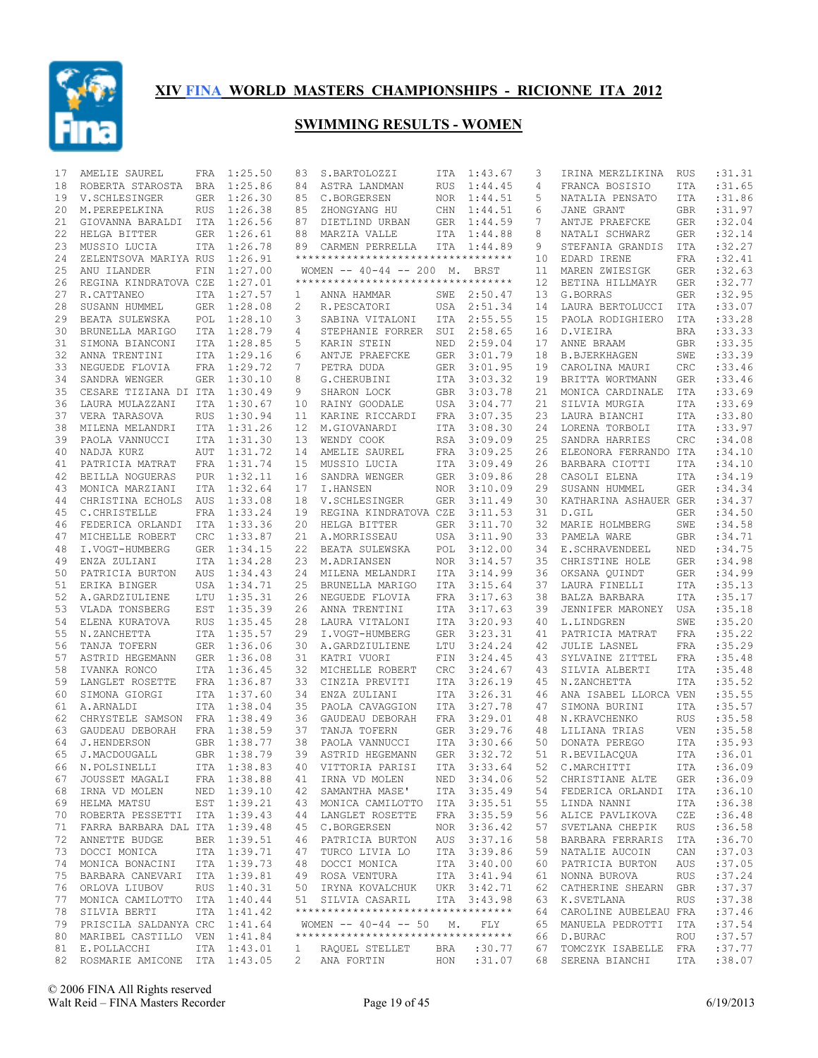

| 17 | AMELIE SAUREL                   | FRA        | 1:25.50     | 83                | S.BARTOLOZZI                        | ITA        | 1:43.67     | 3  | IRINA MERZLIKINA      | RUS        | : 31.31    |
|----|---------------------------------|------------|-------------|-------------------|-------------------------------------|------------|-------------|----|-----------------------|------------|------------|
| 18 | ROBERTA STAROSTA                | BRA        | 1:25.86     | 84                | ASTRA LANDMAN                       | <b>RUS</b> | 1:44.45     | 4  | FRANCA BOSISIO        | ITA        | :31.65     |
| 19 | V. SCHLESINGER                  | <b>GER</b> | 1:26.30     | 85                | C.BORGERSEN                         | NOR        | 1:44.51     | 5  | NATALIA PENSATO       | ITA        | :31.86     |
| 20 | M. PEREPELKINA                  | <b>RUS</b> | 1:26.38     | 85                | ZHONGYANG HU                        | CHN        | 1:44.51     | 6  | JANE GRANT            | <b>GBR</b> | :31.97     |
| 21 | GIOVANNA BARALDI                | ITA        | 1:26.56     | 87                | DIETLIND URBAN                      | GER        | 1:44.59     | 7  | ANTJE PRAEFCKE        | <b>GER</b> | :32.04     |
| 22 | HELGA BITTER                    | GER        | 1:26.61     | 88                | MARZIA VALLE                        | ITA        | 1:44.88     | 8  | NATALI SCHWARZ        | <b>GER</b> | :32.14     |
| 23 | MUSSIO LUCIA                    | <b>ITA</b> | 1:26.78     | 89                | CARMEN PERRELLA                     |            | ITA 1:44.89 | 9  | STEFANIA GRANDIS      | <b>ITA</b> | :32.27     |
| 24 | ZELENTSOVA MARIYA RUS           |            | 1:26.91     |                   | **********************************  |            |             | 10 | EDARD IRENE           | <b>FRA</b> | :32.41     |
| 25 | ANU ILANDER                     | FIN        | 1:27.00     |                   | WOMEN -- 40-44 -- 200 M. BRST       |            |             | 11 | MAREN ZWIESIGK        | <b>GER</b> | :32.63     |
| 26 | REGINA KINDRATOVA CZE           |            | 1:27.01     |                   | **********************************  |            |             | 12 | BETINA HILLMAYR       | <b>GER</b> | :32.77     |
| 27 | R.CATTANEO                      |            | ITA 1:27.57 | 1                 | ANNA HAMMAR                         | SWE        | 2:50.47     | 13 | G.BORRAS              | <b>GER</b> | :32.95     |
| 28 | SUSANN HUMMEL                   |            | GER 1:28.08 | 2                 | R.PESCATORI                         | USA        | 2:51.34     | 14 | LAURA BERTOLUCCI      | ITA        | :33.07     |
| 29 | BEATA SULEWSKA                  |            | POL 1:28.10 | 3                 | SABINA VITALONI                     | ITA        | 2:55.55     | 15 | PAOLA RODIGHIERO      | ITA        | :33.28     |
|    |                                 |            | 1:28.79     | 4                 | STEPHANIE FORRER                    |            |             |    |                       |            | : 33.33    |
| 30 | BRUNELLA MARIGO                 | ITA        |             |                   |                                     | SUI        | 2:58.65     | 16 | D.VIEIRA              | <b>BRA</b> |            |
| 31 | SIMONA BIANCONI                 |            | ITA 1:28.85 | 5                 | KARIN STEIN                         | NED        | 2:59.04     | 17 | ANNE BRAAM            | <b>GBR</b> | :33.35     |
| 32 | ANNA TRENTINI                   | <b>ITA</b> | 1:29.16     | 6                 | ANTJE PRAEFCKE                      | <b>GER</b> | 3:01.79     | 18 | <b>B.BJERKHAGEN</b>   | SWE        | :33.39     |
| 33 | NEGUEDE FLOVIA                  |            | FRA 1:29.72 | 7                 | PETRA DUDA                          | <b>GER</b> | 3:01.95     | 19 | CAROLINA MAURI        | CRC        | :33.46     |
| 34 | SANDRA WENGER                   | <b>GER</b> | 1:30.10     | 8                 | G. CHERUBINI                        | ITA        | 3:03.32     | 19 | BRITTA WORTMANN       | <b>GER</b> | :33.46     |
| 35 | CESARE TIZIANA DI ITA           |            | 1:30.49     | 9                 | SHARON LOCK                         | <b>GBR</b> | 3:03.78     | 21 | MONICA CARDINALE      | <b>ITA</b> | :33.69     |
| 36 | LAURA MULAZZANI                 | <b>ITA</b> | 1:30.67     | 10                | RAINY GOODALE                       | USA        | 3:04.77     | 21 | SILVIA MURGIA         | <b>ITA</b> | :33.69     |
| 37 | VERA TARASOVA                   | <b>RUS</b> | 1:30.94     | 11                | KARINE RICCARDI                     | FRA        | 3:07.35     | 23 | LAURA BIANCHI         | <b>ITA</b> | :33.80     |
| 38 | MILENA MELANDRI                 | ITA        | 1:31.26     | $12 \overline{ }$ | M.GIOVANARDI                        | <b>ITA</b> | 3:08.30     | 24 | LORENA TORBOLI        | <b>ITA</b> | :33.97     |
| 39 | PAOLA VANNUCCI                  | <b>ITA</b> | 1:31.30     | 13                | WENDY COOK                          | <b>RSA</b> | 3:09.09     | 25 | SANDRA HARRIES        | CRC        | :34.08     |
| 40 | NADJA KURZ                      | AUT        | 1:31.72     | 14                | AMELIE SAUREL                       | FRA        | 3:09.25     | 26 | ELEONORA FERRANDO ITA |            | :34.10     |
| 41 | PATRICIA MATRAT                 | FRA        | 1:31.74     | 15                | MUSSIO LUCIA                        | <b>ITA</b> | 3:09.49     | 26 | BARBARA CIOTTI        | ITA        | :34.10     |
| 42 | BEILLA NOGUERAS                 | <b>PUR</b> | 1:32.11     | 16                | SANDRA WENGER                       | <b>GER</b> | 3:09.86     | 28 | CASOLI ELENA          | <b>ITA</b> | :34.19     |
| 43 | MONICA MARZIANI                 | ITA        | 1:32.64     | 17                | I.HANSEN                            | NOR.       | 3:10.09     | 29 | SUSANN HUMMEL         | <b>GER</b> | :34.34     |
| 44 | CHRISTINA ECHOLS                | AUS        | 1:33.08     | 18                | V.SCHLESINGER                       | <b>GER</b> | 3:11.49     | 30 | KATHARINA ASHAUER GER |            | : 34.37    |
| 45 | C. CHRISTELLE                   | FRA        | 1:33.24     | 19                | REGINA KINDRATOVA CZE               |            | 3:11.53     | 31 | D.GIL                 | <b>GER</b> | :34.50     |
| 46 | FEDERICA ORLANDI                | ITA        | 1:33.36     | 20                | HELGA BITTER                        | <b>GER</b> | 3:11.70     | 32 | MARIE HOLMBERG        | SWE        | :34.58     |
| 47 | MICHELLE ROBERT                 | CRC        | 1:33.87     | 21                | A.MORRISSEAU                        | USA        | 3:11.90     | 33 | PAMELA WARE           | GBR        | :34.71     |
| 48 | I.VOGT-HUMBERG                  | GER        | 1:34.15     | 22                | BEATA SULEWSKA                      | POL        | 3:12.00     | 34 | E.SCHRAVENDEEL        | NED        | :34.75     |
|    |                                 |            |             |                   |                                     |            |             |    |                       |            | :34.98     |
| 49 | ENZA ZULIANI                    | <b>ITA</b> | 1:34.28     | 23                | M.ADRIANSEN                         | <b>NOR</b> | 3:14.57     | 35 | CHRISTINE HOLE        | <b>GER</b> |            |
| 50 | PATRICIA BURTON                 | AUS        | 1:34.43     | 24                | MILENA MELANDRI                     | ITA        | 3:14.99     | 36 | OKSANA QUINDT         | <b>GER</b> | :34.99     |
| 51 | ERIKA BINGER                    |            | USA 1:34.71 | 25                | BRUNELLA MARIGO                     | ITA        | 3:15.64     | 37 | LAURA FINELLI         | ITA        | :35.13     |
| 52 | A.GARDZIULIENE                  | LTU        | 1:35.31     | 26                | NEGUEDE FLOVIA                      | FRA        | 3:17.63     | 38 | BALZA BARBARA         | ITA        | :35.17     |
| 53 | VLADA TONSBERG                  | EST        | 1:35.39     | 26                | ANNA TRENTINI                       | ITA        | 3:17.63     | 39 | JENNIFER MARONEY      | <b>USA</b> | :35.18     |
| 54 | ELENA KURATOVA                  | <b>RUS</b> | 1:35.45     | 28                | LAURA VITALONI                      | ITA        | 3:20.93     | 40 | L.LINDGREN            | SWE        | :35.20     |
| 55 | N.ZANCHETTA                     |            | ITA 1:35.57 | 29                | I.VOGT-HUMBERG                      | <b>GER</b> | 3:23.31     | 41 | PATRICIA MATRAT       | <b>FRA</b> | :35.22     |
| 56 | TANJA TOFERN                    |            | GER 1:36.06 | 30                | A.GARDZIULIENE                      | LTU        | 3:24.24     | 42 | <b>JULIE LASNEL</b>   | FRA        | :35.29     |
| 57 | ASTRID HEGEMANN                 | GER        | 1:36.08     | 31                | KATRI VUORI                         | FIN        | 3:24.45     | 43 | SYLVAINE ZITTEL       | <b>FRA</b> | :35.48     |
| 58 | IVANKA RONCO                    |            | ITA 1:36.45 | 32                | MICHELLE ROBERT                     | CRC        | 3:24.67     | 43 | SILVIA ALBERTI        | <b>ITA</b> | :35.48     |
| 59 | LANGLET ROSETTE                 |            | FRA 1:36.87 | 33                | CINZIA PREVITI                      | ITA        | 3:26.19     | 45 | N.ZANCHETTA           | ITA        | :35.52     |
| 60 | SIMONA GIORGI                   |            | ITA 1:37.60 | 34                | ENZA ZULIANI                        | <b>ITA</b> | 3:26.31     | 46 | ANA ISABEL LLORCA VEN |            | :35.55     |
| 61 | A.ARNALDI                       |            | ITA 1:38.04 | 35                | PAOLA CAVAGGION                     | <b>ITA</b> | 3:27.78     | 47 | SIMONA BURINI         | ITA        | :35.57     |
| 62 | CHRYSTELE SAMSON FRA 1:38.49    |            |             | 36                | GAUDEAU DEBORAH                     | FRA        | 3:29.01     | 48 | N.KRAVCHENKO          | <b>RUS</b> | :35.58     |
| 63 | GAUDEAU DEBORAH                 |            | FRA 1:38.59 | 37                | TANJA TOFERN                        | <b>GER</b> | 3:29.76     | 48 | LILIANA TRIAS         | <b>VEN</b> | :35.58     |
| 64 | <b>J.HENDERSON</b>              |            | GBR 1:38.77 | 38                | PAOLA VANNUCCI                      | <b>ITA</b> | 3:30.66     | 50 | DONATA PEREGO         | <b>ITA</b> | :35.93     |
| 65 | J.MACDOUGALL                    |            | GBR 1:38.79 | 39                | ASTRID HEGEMANN                     | GER        | 3:32.72     | 51 | R.BEVILACQUA          | <b>ITA</b> | :36.01     |
|    | 66 N.POLSINELLI                 |            | ITA 1:38.83 |                   | 40 VITTORIA PARISI                  |            | ITA 3:33.64 |    | 52 C.MARCHITTI        |            | ITA :36.09 |
| 67 | JOUSSET MAGALI                  |            | FRA 1:38.88 |                   | 41 IRNA VD MOLEN                    |            | NED 3:34.06 |    | 52 CHRISTIANE ALTE    | GER        | :36.09     |
|    | 68 IRNA VD MOLEN                |            | NED 1:39.10 |                   | 42 SAMANTHA MASE'                   |            | ITA 3:35.49 | 54 | FEDERICA ORLANDI      | ITA        | :36.10     |
|    | 69 HELMA MATSU                  |            | EST 1:39.21 |                   | 43 MONICA CAMILOTTO                 |            | ITA 3:35.51 | 55 | LINDA NANNI           | ITA        | :36.38     |
|    | 70 ROBERTA PESSETTI ITA 1:39.43 |            |             |                   | 44 LANGLET ROSETTE                  |            | FRA 3:35.59 | 56 | ALICE PAVLIKOVA       | CZE        | :36.48     |
| 71 | FARRA BARBARA DAL ITA 1:39.48   |            |             |                   | 45 C.BORGERSEN                      |            | NOR 3:36.42 | 57 | SVETLANA CHEPIK       | RUS        | :36.58     |
|    | 72 ANNETTE BUDGE                |            | BER 1:39.51 |                   | 46 PATRICIA BURTON                  |            | AUS 3:37.16 | 58 | BARBARA FERRARIS      | ITA        | :36.70     |
| 73 | DOCCI MONICA                    |            | ITA 1:39.71 | 47                | TURCO LIVIA LO                      |            | ITA 3:39.86 | 59 | NATALIE AUCOIN        | CAN        | :37.03     |
|    | 74 MONICA BONACINI              |            | ITA 1:39.73 |                   | 48 DOCCI MONICA                     |            | ITA 3:40.00 | 60 | PATRICIA BURTON       | AUS        | :37.05     |
|    |                                 |            |             |                   |                                     |            |             |    |                       |            |            |
| 75 | BARBARA CANEVARI                |            | ITA 1:39.81 |                   | 49 ROSA VENTURA                     |            | ITA 3:41.94 | 61 | NONNA BUROVA          | RUS        | :37.24     |
|    | 76 ORLOVA LIUBOV                |            | RUS 1:40.31 | 50                | IRYNA KOVALCHUK                     |            | UKR 3:42.71 | 62 | CATHERINE SHEARN      | GBR        | :37.37     |
| 77 | MONICA CAMILOTTO                |            | ITA 1:40.44 |                   | 51 SILVIA CASARIL                   |            | ITA 3:43.98 | 63 | K.SVETLANA            | RUS        | :37.38     |
| 78 | SILVIA BERTI                    |            | ITA 1:41.42 |                   | **********************************  |            |             | 64 | CAROLINE AUBELEAU FRA |            | :37.46     |
| 79 | PRISCILA SALDANYA CRC 1:41.64   |            |             |                   | WOMEN $--$ 40-44 $--$ 50            | М.         | FLY         | 65 | MANUELA PEDROTTI      | ITA        | :37.54     |
|    | 80 MARIBEL CASTILLO VEN 1:41.84 |            |             |                   | *********************************** |            |             | 66 | D.BURAC               | ROU        | :37.57     |
|    | 81 E.POLLACCHI                  |            | ITA 1:43.01 | $\mathbf{1}$      | RAQUEL STELLET                      | BRA        | :30.77      | 67 | TOMCZYK ISABELLE FRA  |            | :37.77     |
|    | 82 ROSMARIE AMICONE ITA 1:43.05 |            |             | $2^{\circ}$       | ANA FORTIN                          |            | HON : 31.07 |    | 68 SERENA BIANCHI     | ITA        | :38.07     |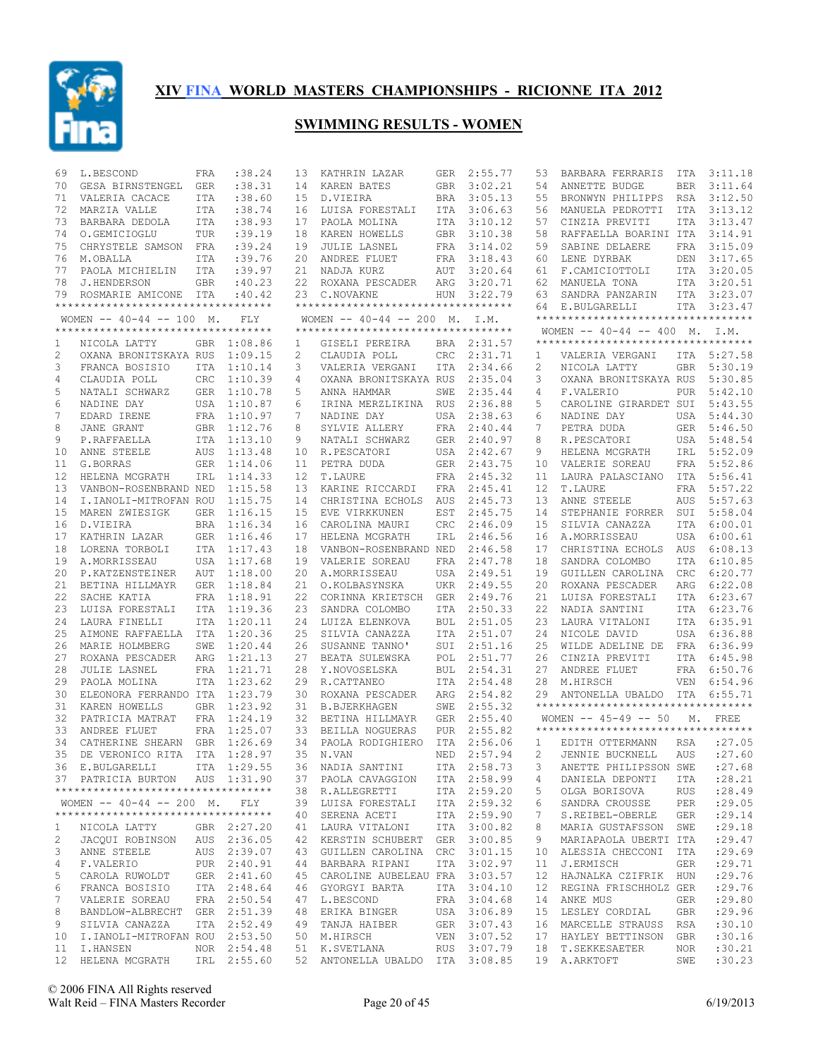

| 69           | L.BESCOND                               | FRA        | : 38.24            | 13           | KATHRIN LAZAR                      | GER        | 2:55.77            | 53             | BARBARA FERRARIS                    | ITA        | 3:11.18            |
|--------------|-----------------------------------------|------------|--------------------|--------------|------------------------------------|------------|--------------------|----------------|-------------------------------------|------------|--------------------|
| 70           | GESA BIRNSTENGEL                        | <b>GER</b> | : 38.31            | 14           | KAREN BATES                        | GBR        | 3:02.21            | 54             | ANNETTE BUDGE                       | <b>BER</b> | 3:11.64            |
| 71           | VALERIA CACACE                          | <b>ITA</b> | : 38.60            | 15           | D.VIEIRA                           | <b>BRA</b> | 3:05.13            | 55             | BRONWYN PHILIPPS                    | RSA        | 3:12.50            |
| 72           | MARZIA VALLE                            | ITA        | : 38.74            | 16           | LUISA FORESTALI                    | ITA        | 3:06.63            | 56             | MANUELA PEDROTTI                    | <b>ITA</b> | 3:13.12            |
| 73           | BARBARA DEDOLA                          | ITA        | : 38.93            | 17           | PAOLA MOLINA                       | ITA        | 3:10.12            | 57             | CINZIA PREVITI                      | ITA        | 3:13.47            |
| 74           | O.GEMICIOGLU                            | TUR        | :39.19             | 18           | KAREN HOWELLS                      | <b>GBR</b> | 3:10.38            | 58             | RAFFAELLA BOARINI ITA               |            | 3:14.91            |
| 75           | CHRYSTELE SAMSON                        | FRA        | :39.24             | 19           | <b>JULIE LASNEL</b>                | FRA        | 3:14.02            | 59             | SABINE DELAERE                      | <b>FRA</b> | 3:15.09            |
| 76           | M.OBALLA                                | <b>ITA</b> | :39.76             | 20           | ANDREE FLUET                       | FRA        | 3:18.43            | 60             | LENE DYRBAK                         | DEN        | 3:17.65            |
| 77           | PAOLA MICHIELIN                         | <b>ITA</b> | :39.97             | 21           | NADJA KURZ                         | AUT        | 3:20.64            | 61             | F.CAMICIOTTOLI                      | ITA        | 3:20.05            |
| 78           | J.HENDERSON                             | <b>GBR</b> | :40.23             | 22           | ROXANA PESCADER                    | ARG        | 3:20.71            | 62             | MANUELA TONA                        | ITA        | 3:20.51            |
| 79           | ROSMARIE AMICONE                        | ITA        | :40.42             |              | 23 C.NOVAKNE                       | <b>HUN</b> | 3:22.79            | 63             | SANDRA PANZARIN                     | ITA        | 3:23.07            |
|              | **********************************      |            |                    |              | ********************************** |            |                    | 64             | E.BULGARELLI                        |            | ITA 3:23.47        |
|              | WOMEN $-- 40-44 -- 100$ M.              |            | FLY                |              | WOMEN $-- 40-44 -- 200$ M. I.M.    |            |                    |                | **********************************  |            |                    |
|              | **********************************      |            |                    |              | ********************************** |            |                    |                | WOMEN $-- 40-44 -- 400$ M. I.M.     |            |                    |
| 1            | NICOLA LATTY                            | GBR        | 1:08.86            | $\mathbf{1}$ | GISELI PEREIRA                     | BRA        | 2:31.57            |                | **********************************  |            |                    |
| $\mathbf{2}$ | OXANA BRONITSKAYA RUS                   |            | 1:09.15            | 2            | CLAUDIA POLL                       | CRC        | 2:31.71            | 1              | VALERIA VERGANI                     | ITA        | 5:27.58            |
| 3            | FRANCA BOSISIO                          | ITA        | 1:10.14            | 3            | VALERIA VERGANI                    | ITA        | 2:34.66            | $\overline{c}$ | NICOLA LATTY                        | <b>GBR</b> | 5:30.19            |
| 4            | CLAUDIA POLL                            | <b>CRC</b> | 1:10.39            | 4            | OXANA BRONITSKAYA RUS              |            | 2:35.04            | 3              | OXANA BRONITSKAYA RUS               |            | 5:30.85            |
| 5            | NATALI SCHWARZ                          |            | GER 1:10.78        | 5            | ANNA HAMMAR                        | SWE        | 2:35.44            | 4              | F.VALERIO                           | <b>PUR</b> | 5:42.10            |
| 6            | NADINE DAY                              |            | USA 1:10.87        | 6            | IRINA MERZLIKINA                   | <b>RUS</b> | 2:36.88            | 5              | CAROLINE GIRARDET SUI               |            | 5:43.55            |
| 7            | EDARD IRENE                             |            | FRA 1:10.97        | 7            | NADINE DAY                         | USA        | 2:38.63            | 6              | NADINE DAY                          | <b>USA</b> | 5:44.30            |
| 8            | JANE GRANT                              |            | GBR 1:12.76        | 8            | SYLVIE ALLERY                      | FRA        | 2:40.44            | 7              | PETRA DUDA                          | GER        | 5:46.50            |
| 9            | P.RAFFAELLA                             |            | ITA 1:13.10        | 9            | NATALI SCHWARZ                     | <b>GER</b> | 2:40.97            | 8              | R.PESCATORI                         | USA        | 5:48.54<br>5:52.09 |
| 10           | ANNE STEELE                             | AUS        | 1:13.48            | 10           | R.PESCATORI                        | USA        | 2:42.67            | 9              | HELENA MCGRATH                      | IRL        |                    |
| 11<br>12     | G.BORRAS                                | <b>GER</b> | 1:14.06            | 11<br>12     | PETRA DUDA                         | GER        | 2:43.75            | 10<br>11       | VALERIE SOREAU                      | <b>FRA</b> | 5:52.86<br>5:56.41 |
|              | HELENA MCGRATH<br>VANBON-ROSENBRAND NED | IRL        | 1:14.33<br>1:15.58 |              | T.LAURE                            | FRA        | 2:45.32            |                | LAURA PALASCIANO                    | ITA        | 5:57.22            |
| 13<br>14     | I.IANOLI-MITROFAN ROU                   |            | 1:15.75            | 13<br>14     | KARINE RICCARDI                    | FRA        | 2:45.41<br>2:45.73 | 12<br>13       | T.LAURE                             | FRA        | 5:57.63            |
| 15           | MAREN ZWIESIGK                          | <b>GER</b> | 1:16.15            | 15           | CHRISTINA ECHOLS<br>EVE VIRKKUNEN  | AUS<br>EST | 2:45.75            | 14             | ANNE STEELE<br>STEPHANIE FORRER     | AUS<br>SUI | 5:58.04            |
| 16           | D.VIEIRA                                |            | BRA 1:16.34        | 16           | CAROLINA MAURI                     | CRC        | 2:46.09            | 15             | SILVIA CANAZZA                      | ITA        | 6:00.01            |
| 17           | KATHRIN LAZAR                           |            | GER 1:16.46        | 17           | HELENA MCGRATH                     | IRL        | 2:46.56            | 16             | A.MORRISSEAU                        | USA        | 6:00.61            |
| 18           | LORENA TORBOLI                          |            | ITA 1:17.43        | 18           | VANBON-ROSENBRAND NED              |            | 2:46.58            | 17             | CHRISTINA ECHOLS                    | AUS        | 6:08.13            |
| 19           | A.MORRISSEAU                            |            | USA 1:17.68        | 19           | VALERIE SOREAU                     | FRA        | 2:47.78            | 18             | SANDRA COLOMBO                      | <b>ITA</b> | 6:10.85            |
| 20           | P.KATZENSTEINER                         | <b>AUT</b> | 1:18.00            | 20           | A.MORRISSEAU                       | USA        | 2:49.51            | 19             | GUILLEN CAROLINA                    | CRC        | 6:20.77            |
| 21           | BETINA HILLMAYR                         | <b>GER</b> | 1:18.84            | 21           | O.KOLBASYNSKA                      | UKR        | 2:49.55            | 20             | ROXANA PESCADER                     | ARG        | 6:22.08            |
| 22           | SACHE KATIA                             | FRA        | 1:18.91            | 22           | CORINNA KRIETSCH                   | <b>GER</b> | 2:49.76            | 21             | LUISA FORESTALI                     | ITA        | 6:23.67            |
| 23           | LUISA FORESTALI                         | <b>ITA</b> | 1:19.36            | 23           | SANDRA COLOMBO                     | <b>ITA</b> | 2:50.33            | 22             | NADIA SANTINI                       | ITA        | 6:23.76            |
| 24           | LAURA FINELLI                           | <b>ITA</b> | 1:20.11            | 24           | LUIZA ELENKOVA                     | <b>BUL</b> | 2:51.05            | 23             | LAURA VITALONI                      | ITA        | 6:35.91            |
| 25           | AIMONE RAFFAELLA                        | ITA        | 1:20.36            | 25           | SILVIA CANAZZA                     | ITA        | 2:51.07            | 24             | NICOLE DAVID                        | USA        | 6:36.88            |
| 26           | MARIE HOLMBERG                          | SWE        | 1:20.44            | 26           | SUSANNE TANNO'                     | SUI        | 2:51.16            | 25             | WILDE ADELINE DE                    | FRA        | 6:36.99            |
| 27           | ROXANA PESCADER                         | ARG        | 1:21.13            | 27           | BEATA SULEWSKA                     | POL        | 2:51.77            | 26             | CINZIA PREVITI                      | ITA        | 6:45.98            |
| 28           | <b>JULIE LASNEL</b>                     | FRA        | 1:21.71            | 28           | Y.NOVOSELSKA                       | <b>BUL</b> | 2:54.31            | 27             | ANDREE FLUET                        | <b>FRA</b> | 6:50.76            |
| 29           | PAOLA MOLINA                            |            | ITA 1:23.62        | 29           | R.CATTANEO                         | ITA        | 2:54.48            | 28             | M.HIRSCH                            | <b>VEN</b> | 6:54.96            |
| 30           | ELEONORA FERRANDO ITA 1:23.79           |            |                    | 30           | ROXANA PESCADER                    | ARG        | 2:54.82            | 29             | ANTONELLA UBALDO                    | ITA        | 6:55.71            |
| 31           | KAREN HOWELLS                           | <b>GBR</b> | 1:23.92            | 31           | <b>B.BJERKHAGEN</b>                | SWE        | 2:55.32            |                | **********************************  |            |                    |
| 32           | PATRICIA MATRAT                         |            | FRA 1:24.19        | 32           | BETINA HILLMAYR                    | <b>GER</b> | 2:55.40            |                | WOMEN $-- 45-49 -- 50$              |            | M. FREE            |
| 33           | ANDREE FLUET                            | FRA        | 1:25.07            | 33           | BEILLA NOGUERAS                    | <b>PUR</b> | 2:55.82            |                | *********************************** |            |                    |
| 34           | CATHERINE SHEARN GBR                    |            | 1:26.69            |              | 34 PAOLA RODIGHIERO                | ITA        | 2:56.06            | 1              | EDITH OTTERMANN                     | RSA        | : 27.05            |
| 35           | DE VERONICO RITA                        | ITA        | 1:28.97            | 35           | N.VAN                              | NED        | 2:57.94            | $\overline{c}$ | JENNIE BUCKNELL                     | AUS        | : 27.60            |
|              | 36 E.BULGARELLI ITA 1:29.55             |            |                    |              | 36 NADIA SANTINI                   |            | ITA 2:58.73        |                | 3 ANETTE PHILIPSSON SWE : 27.68     |            |                    |
|              | 37 PATRICIA BURTON AUS 1:31.90          |            |                    |              | 37 PAOLA CAVAGGION                 |            | ITA 2:58.99        | 4              | DANIELA DEPONTI ITA                 |            | : 28.21            |
|              | ***********************************     |            |                    |              | 38 R.ALLEGRETTI                    |            | ITA 2:59.20        | 5              | OLGA BORISOVA                       | RUS        | : 28.49            |
|              | WOMEN -- 40-44 -- 200 M. FLY            |            |                    |              | 39 LUISA FORESTALI                 |            | ITA 2:59.32        | 6              | SANDRA CROUSSE                      | PER        | : 29.05            |
|              | ***********************************     |            |                    |              | 40 SERENA ACETI                    |            | ITA 2:59.90        | 7              | S.REIBEL-OBERLE                     | GER        | : 29.14            |
| $\mathbf{1}$ | NICOLA LATTY                            |            | GBR 2:27.20        |              | 41 LAURA VITALONI                  |            | ITA 3:00.82        | 8              | MARIA GUSTAFSSON SWE                |            | : 29.18            |
| 2            | JACQUI ROBINSON AUS 2:36.05             |            |                    |              | 42 KERSTIN SCHUBERT GER 3:00.85    |            |                    | 9              | MARIAPAOLA UBERTI ITA               |            | : 29.47            |
| 3            | ANNE STEELE                             |            | AUS 2:39.07        |              | 43 GUILLEN CAROLINA CRC 3:01.15    |            |                    | 10             | ALESSIA CHECCONI                    | ITA        | : 29.69            |
| 4            | F.VALERIO                               |            | PUR 2:40.91        |              | 44 BARBARA RIPANI                  |            | ITA 3:02.97        | 11             | J.ERMISCH                           | GER        | : 29.71            |
| 5            | CAROLA RUWOLDT                          |            | GER 2:41.60        |              | 45 CAROLINE AUBELEAU FRA 3:03.57   |            |                    | 12             | HAJNALKA CZIFRIK HUN                |            | : 29.76            |
| 6            | FRANCA BOSISIO                          |            | ITA 2:48.64        |              | 46 GYORGYI BARTA                   |            | ITA 3:04.10        | 12             | REGINA FRISCHHOLZ GER               |            | : 29.76            |
| 7            | VALERIE SOREAU                          |            | FRA 2:50.54        |              | 47 L.BESCOND                       |            | FRA 3:04.68        | 14             | ANKE MUS                            | GER        | : 29.80            |
| 8            | BANDLOW-ALBRECHT GER 2:51.39            |            |                    |              | 48 ERIKA BINGER                    |            | USA 3:06.89        |                | 15 LESLEY CORDIAL                   | GBR        | : 29.96            |
| 9            | SILVIA CANAZZA                          |            | ITA 2:52.49        |              | 49 TANJA HAIBER                    |            | GER 3:07.43        | 16             | MARCELLE STRAUSS RSA                |            | :30.10             |
|              | 10 I.IANOLI-MITROFAN ROU 2:53.50        |            |                    |              | 50 M.HIRSCH                        |            | VEN 3:07.52        | 17             | HAYLEY BETTINSON                    | GBR        | :30.16             |
|              | 11 I.HANSEN                             |            | NOR 2:54.48        |              | 51 K.SVETLANA RUS 3:07.79          |            |                    |                | 18 T. SEKKESAETER                   | NOR        | :30.21             |
|              | 12 HELENA MCGRATH IRL 2:55.60           |            |                    |              | 52 ANTONELLA UBALDO ITA 3:08.85    |            |                    |                | 19 A.ARKTOFT                        | SWE        | :30.23             |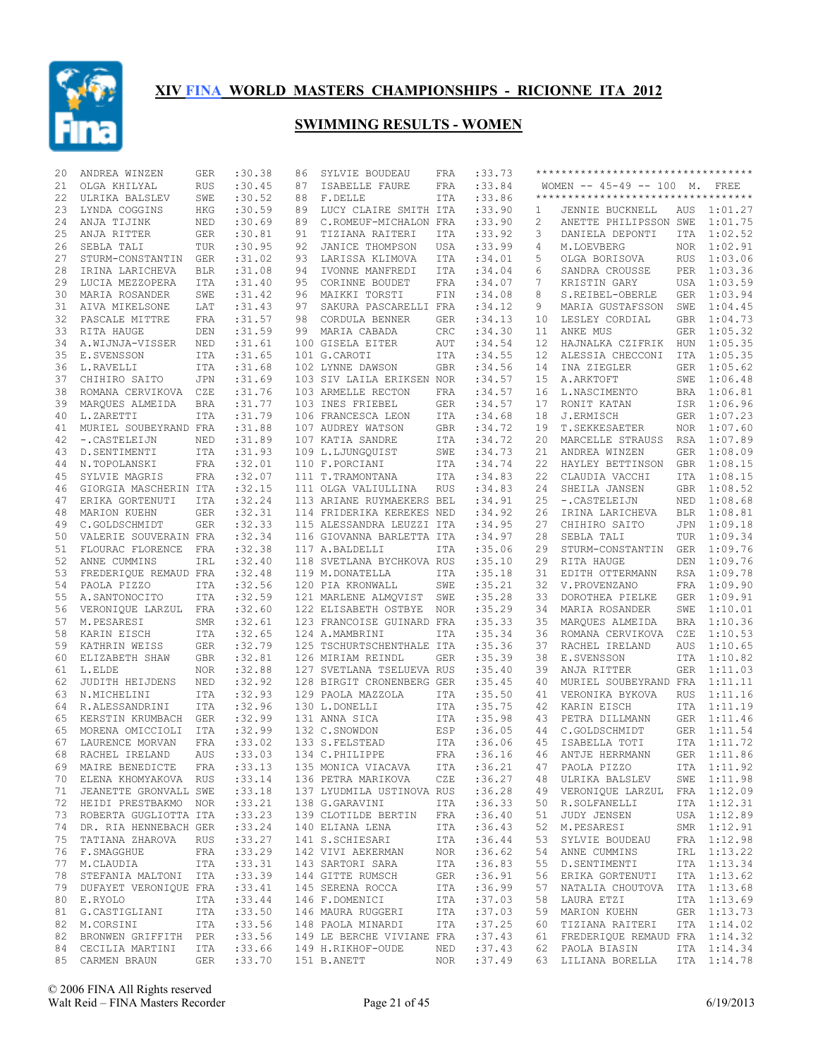

| 20 | ANDREA WINZEN                  | GER        | :30.38      | 86 | SYLVIE BOUDEAU                   | FRA               | :33.73            |      | ********************************** |            |             |
|----|--------------------------------|------------|-------------|----|----------------------------------|-------------------|-------------------|------|------------------------------------|------------|-------------|
| 21 | OLGA KHILYAL                   | <b>RUS</b> | :30.45      | 87 | ISABELLE FAURE                   | FRA               | :33.84            |      | WOMEN -- 45-49 -- 100 M. FREE      |            |             |
| 22 | ULRIKA BALSLEV                 | SWE        | :30.52      | 88 | F.DELLE                          | ITA               | :33.86            |      | ********************************** |            |             |
| 23 | LYNDA COGGINS                  | HKG        | :30.59      | 89 | LUCY CLAIRE SMITH ITA            |                   | :33.90            | 1    | JENNIE BUCKNELL                    | AUS        | 1:01.27     |
| 24 | ANJA TIJINK                    | NED        | :30.69      | 89 | C.ROMEUF-MICHALON FRA            |                   | :33.90            | 2    | ANETTE PHILIPSSON SWE              |            | 1:01.75     |
| 25 | ANJA RITTER                    | GER        | :30.81      | 91 | TIZIANA RAITERI                  | ITA               | : 33.92           | 3    | DANIELA DEPONTI                    | ITA        | 1:02.52     |
| 26 | SEBLA TALI                     | TUR        | :30.95      | 92 | JANICE THOMPSON                  | USA               | :33.99            | 4    | M.LOEVBERG                         | NOR        | 1:02.91     |
| 27 | STURM-CONSTANTIN GER           |            | :31.02      | 93 | LARISSA KLIMOVA                  | ITA               | :34.01            | 5    | OLGA BORISOVA                      | <b>RUS</b> | 1:03.06     |
| 28 | IRINA LARICHEVA                | <b>BLR</b> | :31.08      | 94 | IVONNE MANFREDI                  | ITA               | :34.04            | 6    | SANDRA CROUSSE                     |            | PER 1:03.36 |
| 29 | LUCIA MEZZOPERA                | ITA        | :31.40      | 95 | CORINNE BOUDET                   | FRA               | :34.07            | 7    | KRISTIN GARY                       | USA        | 1:03.59     |
|    |                                |            |             |    |                                  |                   |                   | 8    |                                    |            | 1:03.94     |
| 30 | MARIA ROSANDER                 | SWE        | :31.42      | 96 | MAIKKI TORSTI                    | FIN               | :34.08<br>: 34.12 |      | S.REIBEL-OBERLE                    | <b>GER</b> | 1:04.45     |
| 31 | AIVA MIKELSONE                 | LAT        | :31.43      | 97 | SAKURA PASCARELLI FRA            |                   |                   | 9    | MARIA GUSTAFSSON                   | SWE        |             |
| 32 | PASCALE MITTRE                 | FRA        | : 31.57     | 98 | CORDULA BENNER                   | <b>GER</b>        | :34.13            | 10   | LESLEY CORDIAL                     | <b>GBR</b> | 1:04.73     |
| 33 | RITA HAUGE                     | DEN        | :31.59      | 99 | MARIA CABADA                     | CRC               | :34.30            | 11   | ANKE MUS                           | <b>GER</b> | 1:05.32     |
| 34 | A.WIJNJA-VISSER                | NED        | :31.61      |    | 100 GISELA EITER                 | AUT               | :34.54            | 12   | HAJNALKA CZIFRIK                   | HUN        | 1:05.35     |
| 35 | E.SVENSSON                     | ITA        | :31.65      |    | 101 G.CAROTI                     | ITA               | :34.55            | 12   | ALESSIA CHECCONI                   | <b>ITA</b> | 1:05.35     |
| 36 | L.RAVELLI                      | ITA        | :31.68      |    | 102 LYNNE DAWSON                 | <b>GBR</b>        | :34.56            | 14   | INA ZIEGLER                        | <b>GER</b> | 1:05.62     |
| 37 | CHIHIRO SAITO                  | <b>JPN</b> | :31.69      |    | 103 SIV LAILA ERIKSEN NOR        |                   | :34.57            | 15   | A.ARKTOFT                          | SWE        | 1:06.48     |
| 38 | ROMANA CERVIKOVA CZE           |            | :31.76      |    | 103 ARMELLE RECTON               | FRA               | :34.57            | 16   | L.NASCIMENTO                       | BRA        | 1:06.81     |
| 39 | MARQUES ALMEIDA                | <b>BRA</b> | : 31.77     |    | 103 INES FRIEBEL                 | <b>GER</b>        | :34.57            | 17   | RONIT KATAN                        | ISR        | 1:06.96     |
| 40 | L.ZARETTI                      | ITA        | :31.79      |    | 106 FRANCESCA LEON               | ITA               | :34.68            | 18   | J.ERMISCH                          | GER        | 1:07.23     |
| 41 | MURIEL SOUBEYRAND FRA          |            | :31.88      |    | 107 AUDREY WATSON                | <b>GBR</b>        | :34.72            | 19   | T. SEKKESAETER                     | <b>NOR</b> | 1:07.60     |
| 42 | -. CASTELEIJN                  | NED        | :31.89      |    | 107 KATIA SANDRE                 | ITA               | :34.72            | 20   | MARCELLE STRAUSS                   | RSA        | 1:07.89     |
| 43 | D. SENTIMENTI                  | ITA        | :31.93      |    | 109 L.LJUNGQUIST                 | SWE               | :34.73            | 21   | ANDREA WINZEN                      | <b>GER</b> | 1:08.09     |
| 44 | N.TOPOLANSKI                   | FRA        | :32.01      |    | 110 F.PORCIANI                   | ITA               | :34.74            | 22   | HAYLEY BETTINSON                   | GBR        | 1:08.15     |
| 45 | SYLVIE MAGRIS                  | FRA        | :32.07      |    | 111 T.TRAMONTANA                 | ITA               | :34.83            | 22   | CLAUDIA VACCHI                     | ITA        | 1:08.15     |
| 46 | GIORGIA MASCHERIN ITA          |            | :32.15      |    | 111 OLGA VALIULLINA              | RUS               | :34.83            | 24   | SHEILA JANSEN                      | <b>GBR</b> | 1:08.52     |
| 47 | ERIKA GORTENUTI                | ITA        | :32.24      |    | 113 ARIANE RUYMAEKERS BEL        |                   | :34.91            | 25   | -. CASTELEIJN                      | NED        | 1:08.68     |
| 48 | MARION KUEHN                   | GER        | :32.31      |    | 114 FRIDERIKA KEREKES NED        |                   | :34.92            | 26   | IRINA LARICHEVA                    | <b>BLR</b> | 1:08.81     |
| 49 | C.GOLDSCHMIDT                  | GER        | :32.33      |    | 115 ALESSANDRA LEUZZI ITA        |                   | :34.95            | 27   | CHIHIRO SAITO                      | JPN        | 1:09.18     |
| 50 | VALERIE SOUVERAIN FRA          |            | :32.34      |    | 116 GIOVANNA BARLETTA ITA        |                   | :34.97            | 28   | SEBLA TALI                         | TUR        | 1:09.34     |
| 51 | FLOURAC FLORENCE               | FRA        | :32.38      |    | 117 A.BALDELLI                   | ITA               | :35.06            | 29   | STURM-CONSTANTIN                   | GER        | 1:09.76     |
|    |                                |            | :32.40      |    |                                  |                   | :35.10            |      |                                    |            | 1:09.76     |
| 52 | ANNE CUMMINS                   | IRL        |             |    | 118 SVETLANA BYCHKOVA RUS        |                   |                   | 29   | RITA HAUGE                         | DEN        |             |
| 53 | FREDERIQUE REMAUD FRA          |            | :32.48      |    | 119 M.DONATELLA                  | ITA               | :35.18            | 31   | EDITH OTTERMANN                    | RSA        | 1:09.78     |
| 54 | PAOLA PIZZO                    | <b>ITA</b> | :32.56      |    | 120 PIA KRONWALL                 | SWE               | :35.21            | 32   | V.PROVENZANO                       | FRA        | 1:09.90     |
| 55 | A.SANTONOCITO                  | ITA        | :32.59      |    | 121 MARLENE ALMQVIST             | SWE               | :35.28            | 33   | DOROTHEA PIELKE                    | GER        | 1:09.91     |
| 56 | VERONIQUE LARZUL               | FRA        | :32.60      |    | 122 ELISABETH OSTBYE             | <b>NOR</b>        | :35.29            | 34   | MARIA ROSANDER                     | SWE        | 1:10.01     |
| 57 | M.PESARESI                     | SMR        | :32.61      |    | 123 FRANCOISE GUINARD FRA        |                   | :35.33            | 35   | MARQUES ALMEIDA                    | BRA        | 1:10.36     |
| 58 | KARIN EISCH                    | ITA        | :32.65      |    | 124 A.MAMBRINI                   | ITA               | :35.34            | 36   | ROMANA CERVIKOVA                   | CZE        | 1:10.53     |
| 59 | KATHRIN WEISS                  | GER        | :32.79      |    | 125 TSCHURTSCHENTHALE ITA        |                   | :35.36            | 37   | RACHEL IRELAND                     | <b>AUS</b> | 1:10.65     |
| 60 | ELIZABETH SHAW                 | GBR        | :32.81      |    | 126 MIRIAM REINDL                | <b>GER</b>        | :35.39            | 38   | E.SVENSSON                         | ITA        | 1:10.82     |
| 61 | L.ELDE                         | <b>NOR</b> | :32.88      |    | 127 SVETLANA TSELUEVA RUS        |                   | :35.40            | 39   | ANJA RITTER                        | GER        | 1:11.03     |
| 62 | JUDITH HEIJDENS                | NED        | :32.92      |    | 128 BIRGIT CRONENBERG GER        |                   | :35.45            | 40   | MURIEL SOUBEYRAND FRA              |            | 1:11.11     |
| 63 | N.MICHELINI                    | <b>ITA</b> | :32.93      |    | 129 PAOLA MAZZOLA                | ITA               | :35.50            | 41   | VERONIKA BYKOVA                    | <b>RUS</b> | 1:11.16     |
| 64 | R.ALESSANDRINI                 | ITA        | :32.96      |    | 130 L.DONELLI                    | ITA               | :35.75            | 42   | KARIN EISCH                        | ITA        | 1:11.19     |
| 65 | KERSTIN KRUMBACH               | GER        | :32.99      |    | 131 ANNA SICA                    | ITA               | :35.98            | 43   | PETRA DILLMANN                     | GER        | 1:11.46     |
| 65 | MORENA OMICCIOLI               | ITA        | :32.99      |    | 132 C.SNOWDON                    | ESP               | :36.05            | 44   | C.GOLDSCHMIDT                      | GER        | 1:11.54     |
| 67 | LAURENCE MORVAN                | <b>FRA</b> | : 33.02     |    | 133 S.FELSTEAD                   | ITA               | :36.06            | 45   | ISABELLA TOTI                      | ITA        | 1:11.72     |
| 68 | RACHEL IRELAND                 | <b>AUS</b> | : 33.03     |    | 134 C.PHILIPPE                   | FRA               | :36.16            | 46   | ANTJE HERRMANN                     |            | GER 1:11.86 |
|    | 69 MAIRE BENEDICTE FRA : 33.13 |            |             |    | 135 MONICA VIACAVA               |                   | ITA :36.21        |      | 47 PAOLA PIZZO                     |            | ITA 1:11.92 |
|    | 70 ELENA KHOMYAKOVA RUS        |            | : 33.14     |    | 136 PETRA MARIKOVA               | CZE               | :36.27            |      | 48 ULRIKA BALSLEV SWE 1:11.98      |            |             |
|    | 71 JEANETTE GRONVALL SWE       |            | : 33.18     |    | 137 LYUDMILA USTINOVA RUS :36.28 |                   |                   |      | 49 VERONIQUE LARZUL FRA 1:12.09    |            |             |
|    | 72 HEIDI PRESTBAKMO NOR        |            | : 33.21     |    | 138 G.GARAVINI                   |                   | ITA :36.33        | 50   | R.SOLFANELLI                       |            | ITA 1:12.31 |
|    | 73 ROBERTA GUGLIOTTA ITA       |            | : 33.23     |    | 139 CLOTILDE BERTIN FRA :36.40   |                   |                   | 51   | JUDY JENSEN                        |            | USA 1:12.89 |
|    | 74 DR. RIA HENNEBACH GER       |            | : 33.24     |    | 140 ELIANA LENA                  | ITA               | :36.43            | 52   | M.PESARESI                         |            | SMR 1:12.91 |
|    | 75 TATIANA ZHAROVA RUS         |            | : 33.27     |    | 141 S.SCHIESARI                  |                   | ITA : 36.44       | 53   | SYLVIE BOUDEAU                     |            | FRA 1:12.98 |
|    | 76 F.SMAGGHUE FRA              |            | :33.29      |    |                                  |                   | :36.62            | 54   | ANNE CUMMINS                       |            | IRL 1:13.22 |
|    | 77 M.CLAUDIA ITA               |            | : 33.31     |    |                                  |                   | :36.83            | 55   | D.SENTIMENTI                       |            | ITA 1:13.34 |
| 78 | STEFANIA MALTONI ITA           |            | :33.39      |    | 144 GITTE RUMSCH                 |                   | :36.91            | 56   | ERIKA GORTENUTI                    |            | ITA 1:13.62 |
|    | 79 DUFAYET VERONIQUE FRA       |            | : 33.41     |    | 145 SERENA ROCCA                 | GER<br>ITA<br>ITA | :36.99            | 57   | NATALIA CHOUTOVA ITA 1:13.68       |            |             |
|    | 80 E.RYOLO                     | ITA        | :33.44      |    | 146 F.DOMENICI                   | ITA               | :37.03            | 58   | LAURA ETZI                         |            | ITA 1:13.69 |
|    | 81 G.CASTIGLIANI               | ITA        | : 33.50     |    | 146 MAURA RUGGERI ITA            |                   | :37.03            | 59   | MARION KUEHN                       |            | GER 1:13.73 |
| 82 | M.CORSINI                      | ITA        | :33.56      |    | 148 PAOLA MINARDI                | ITA               | :37.25            | 60 - | TIZIANA RAITERI                    |            | ITA 1:14.02 |
| 82 | BRONWEN GRIFFITH PER           |            | : 33.56     |    | 149 LE BERCHE VIVIANE FRA        |                   | :37.43            |      | 61 FREDERIQUE REMAUD FRA 1:14.32   |            |             |
|    | 84 CECILIA MARTINI             |            | ITA :33.66  |    | 149 H.RIKHOF-OUDE                | NED               | :37.43            |      | 62 PAOLA BIASIN                    |            | ITA 1:14.34 |
|    | 85 CARMEN BRAUN                |            | GER : 33.70 |    | 151 B.ANETT                      | NOR               | :37.49            |      | 63 LILIANA BORELLA                 |            | ITA 1:14.78 |
|    |                                |            |             |    |                                  |                   |                   |      |                                    |            |             |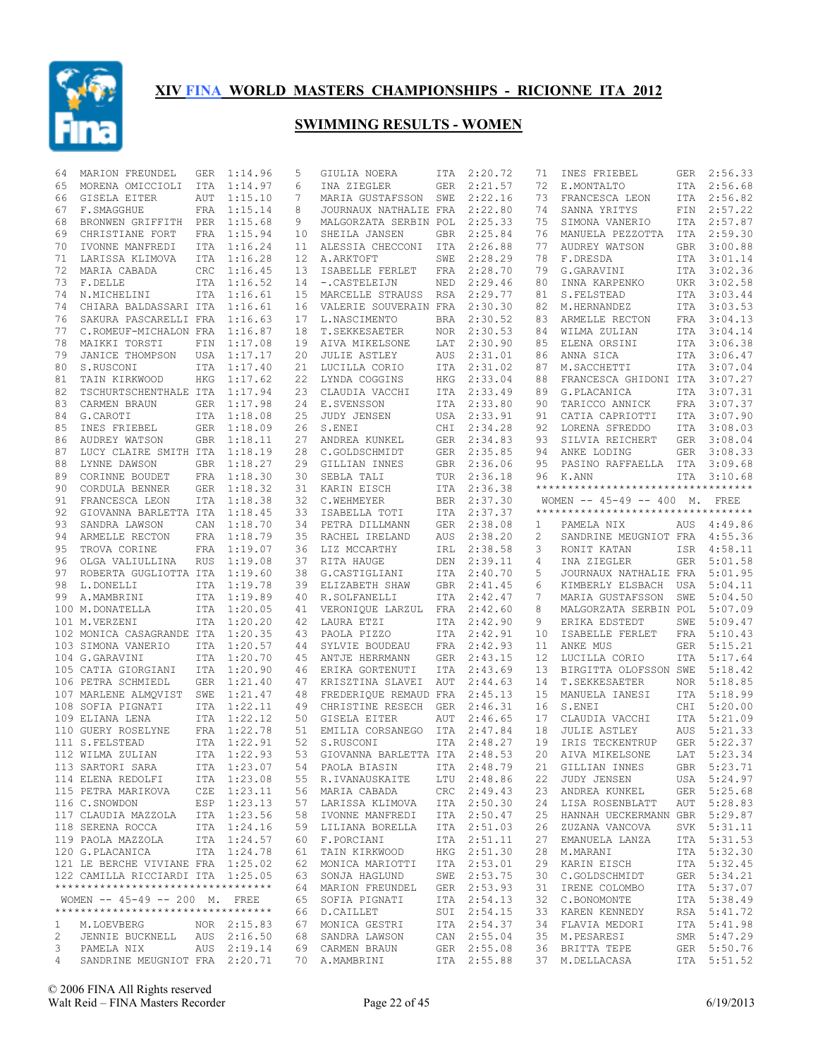

| 64           | MARION FREUNDEL                     | GER        | 1:14.96     | 5  | GIULIA NOERA                | ITA        | 2:20.72     | 71 | INES FRIEBEL                        | GER        | 2:56.33     |
|--------------|-------------------------------------|------------|-------------|----|-----------------------------|------------|-------------|----|-------------------------------------|------------|-------------|
| 65           | MORENA OMICCIOLI                    | ITA        | 1:14.97     | 6  | INA ZIEGLER                 | GER        | 2:21.57     | 72 | E.MONTALTO                          | ITA        | 2:56.68     |
| 66           | GISELA EITER                        | <b>AUT</b> | 1:15.10     | 7  | MARIA GUSTAFSSON            | SWE        | 2:22.16     | 73 | FRANCESCA LEON                      |            | ITA 2:56.82 |
| 67           | F.SMAGGHUE                          |            | FRA 1:15.14 | 8  | JOURNAUX NATHALIE FRA       |            | 2:22.80     | 74 | SANNA YRITYS                        | FIN        | 2:57.22     |
| 68           | BRONWEN GRIFFITH PER                |            | 1:15.68     | 9  | MALGORZATA SERBIN POL       |            | 2:25.33     | 75 | SIMONA VANERIO                      | ITA        | 2:57.87     |
| 69           | CHRISTIANE FORT                     |            | FRA 1:15.94 | 10 | SHEILA JANSEN               | GBR        | 2:25.84     | 76 | MANUELA PEZZOTTA                    | ITA        | 2:59.30     |
| 70           | IVONNE MANFREDI                     |            | ITA 1:16.24 | 11 | ALESSIA CHECCONI            | ITA        | 2:26.88     | 77 | AUDREY WATSON                       | GBR        | 3:00.88     |
| 71           | LARISSA KLIMOVA                     | <b>ITA</b> | 1:16.28     | 12 | A.ARKTOFT                   | SWE        | 2:28.29     | 78 | F.DRESDA                            | ITA        | 3:01.14     |
| 72           | MARIA CABADA                        | <b>CRC</b> | 1:16.45     | 13 | ISABELLE FERLET             | FRA        | 2:28.70     | 79 | G.GARAVINI                          |            | ITA 3:02.36 |
| 73           | F.DELLE                             |            | ITA 1:16.52 | 14 | -. CASTELEIJN               | NED        | 2:29.46     | 80 | INNA KARPENKO                       | UKR        | 3:02.58     |
| 74           | N.MICHELINI                         |            | ITA 1:16.61 | 15 | MARCELLE STRAUSS            | RSA        | 2:29.77     | 81 | S.FELSTEAD                          | ITA        | 3:03.44     |
| 74           | CHIARA BALDASSARI ITA               |            | 1:16.61     | 16 | VALERIE SOUVERAIN FRA       |            | 2:30.30     | 82 | M.HERNANDEZ                         | ITA        | 3:03.53     |
| 76           | SAKURA PASCARELLI FRA               |            | 1:16.63     | 17 | L.NASCIMENTO                | <b>BRA</b> | 2:30.52     | 83 | ARMELLE RECTON                      |            | FRA 3:04.13 |
| 77           | C.ROMEUF-MICHALON FRA               |            | 1:16.87     | 18 | T. SEKKESAETER              | <b>NOR</b> | 2:30.53     | 84 | WILMA ZULIAN                        | ITA        | 3:04.14     |
| 78           | MAIKKI TORSTI                       | FIN        | 1:17.08     | 19 | AIVA MIKELSONE              | LAT        | 2:30.90     | 85 | ELENA ORSINI                        |            | ITA 3:06.38 |
| 79           | JANICE THOMPSON                     |            | USA 1:17.17 | 20 | <b>JULIE ASTLEY</b>         | AUS        | 2:31.01     | 86 | ANNA SICA                           |            | ITA 3:06.47 |
| 80           | S.RUSCONI                           |            | ITA 1:17.40 | 21 | LUCILLA CORIO               | ITA        | 2:31.02     | 87 | M.SACCHETTI                         | ITA        | 3:07.04     |
| 81           | TAIN KIRKWOOD                       | HKG        | 1:17.62     | 22 | LYNDA COGGINS               | HKG        | 2:33.04     | 88 | FRANCESCA GHIDONI ITA               |            | 3:07.27     |
| 82           | TSCHURTSCHENTHALE ITA 1:17.94       |            |             | 23 | CLAUDIA VACCHI              | ITA        | 2:33.49     | 89 | G.PLACANICA                         | ITA        | 3:07.31     |
| 83           | CARMEN BRAUN                        |            | GER 1:17.98 | 24 | E.SVENSSON                  | ITA        | 2:33.80     | 90 | TARICCO ANNICK                      | FRA        | 3:07.37     |
| 84           | G.CAROTI                            |            | ITA 1:18.08 | 25 |                             |            |             | 91 |                                     |            | 3:07.90     |
|              |                                     |            |             | 26 | JUDY JENSEN                 |            | USA 2:33.91 |    | CATIA CAPRIOTTI                     | ITA        |             |
| 85           | INES FRIEBEL                        |            | GER 1:18.09 |    | S.ENEI                      | CHI        | 2:34.28     | 92 | LORENA SFREDDO                      | ITA        | 3:08.03     |
| 86           | AUDREY WATSON                       |            | GBR 1:18.11 | 27 | ANDREA KUNKEL               |            | GER 2:34.83 | 93 | SILVIA REICHERT                     | GER        | 3:08.04     |
| 87           | LUCY CLAIRE SMITH ITA               |            | 1:18.19     | 28 | C.GOLDSCHMIDT               | GER        | 2:35.85     | 94 | ANKE LODING                         | GER        | 3:08.33     |
| 88           | LYNNE DAWSON                        |            | GBR 1:18.27 | 29 | GILLIAN INNES               | GBR        | 2:36.06     | 95 | PASINO RAFFAELLA ITA                |            | 3:09.68     |
| 89           | CORINNE BOUDET                      |            | FRA 1:18.30 | 30 | SEBLA TALI                  | TUR        | 2:36.18     | 96 | K.ANN                               | ITA        | 3:10.68     |
| 90           | CORDULA BENNER                      |            | GER 1:18.32 | 31 | KARIN EISCH                 | ITA        | 2:36.38     |    | **********************************  |            |             |
| 91           | FRANCESCA LEON                      |            | ITA 1:18.38 | 32 | C.WEHMEYER                  | <b>BER</b> | 2:37.30     |    | WOMEN -- 45-49 -- 400 M. FREE       |            |             |
| 92           | GIOVANNA BARLETTA ITA 1:18.45       |            |             | 33 | ISABELLA TOTI               | ITA        | 2:37.37     |    | *********************************** |            |             |
| 93           | SANDRA LAWSON                       | CAN        | 1:18.70     | 34 | PETRA DILLMANN              | <b>GER</b> | 2:38.08     | 1  | PAMELA NIX                          | AUS        | 4:49.86     |
| 94           | ARMELLE RECTON                      |            | FRA 1:18.79 | 35 | RACHEL IRELAND              | AUS        | 2:38.20     | 2  | SANDRINE MEUGNIOT FRA               |            | 4:55.36     |
| 95           | TROVA CORINE                        |            | FRA 1:19.07 | 36 | LIZ MCCARTHY                | IRL        | 2:38.58     | 3  | RONIT KATAN                         | ISR        | 4:58.11     |
| 96           | OLGA VALIULLINA                     | RUS        | 1:19.08     | 37 | RITA HAUGE                  | DEN        | 2:39.11     | 4  | INA ZIEGLER                         | GER        | 5:01.58     |
| 97           | ROBERTA GUGLIOTTA ITA 1:19.60       |            |             | 38 | G.CASTIGLIANI               | ITA        | 2:40.70     | 5  | JOURNAUX NATHALIE FRA               |            | 5:01.95     |
| 98           | L.DONELLI                           |            | ITA 1:19.78 | 39 | ELIZABETH SHAW              | GBR        | 2:41.45     | 6  | KIMBERLY ELSBACH USA                |            | 5:04.11     |
| 99           | A.MAMBRINI                          |            | ITA 1:19.89 | 40 | R.SOLFANELLI                | ITA        | 2:42.47     | 7  | MARIA GUSTAFSSON                    | SWE        | 5:04.50     |
|              | 100 M.DONATELLA                     |            | ITA 1:20.05 | 41 | VERONIQUE LARZUL            | FRA        | 2:42.60     | 8  | MALGORZATA SERBIN POL               |            | 5:07.09     |
|              |                                     |            |             |    |                             |            |             |    |                                     |            |             |
|              | 101 M.VERZENI                       |            | ITA 1:20.20 | 42 | LAURA ETZI                  | ITA        | 2:42.90     | 9  | ERIKA EDSTEDT                       | SWE        | 5:09.47     |
|              | 102 MONICA CASAGRANDE ITA 1:20.35   |            |             | 43 | PAOLA PIZZO                 | ITA        | 2:42.91     | 10 | ISABELLE FERLET                     | FRA        | 5:10.43     |
|              | 103 SIMONA VANERIO                  |            | ITA 1:20.57 | 44 | SYLVIE BOUDEAU              | FRA        | 2:42.93     | 11 | ANKE MUS                            | GER        | 5:15.21     |
|              | 104 G.GARAVINI                      |            | ITA 1:20.70 | 45 | ANTJE HERRMANN              | <b>GER</b> | 2:43.15     | 12 | LUCILLA CORIO                       | ITA        | 5:17.64     |
|              | 105 CATIA GIORGIANI                 |            | ITA 1:20.90 | 46 | ERIKA GORTENUTI             | ITA        | 2:43.69     | 13 | BIRGITTA OLOFSSON SWE               |            | 5:18.42     |
|              | 106 PETRA SCHMIEDL                  |            | GER 1:21.40 | 47 | KRISZTINA SLAVEI            | AUT        | 2:44.63     | 14 | T.SEKKESAETER                       | <b>NOR</b> | 5:18.85     |
|              | 107 MARLENE ALMQVIST SWE 1:21.47    |            |             | 48 | FREDERIQUE REMAUD FRA       |            | 2:45.13     | 15 | MANUELA IANESI                      | ITA        | 5:18.99     |
|              | 108 SOFIA PIGNATI                   |            | ITA 1:22.11 | 49 | CHRISTINE RESECH            | <b>GER</b> | 2:46.31     | 16 | S.ENEI                              | CHI        | 5:20.00     |
|              | 109 ELIANA LENA                     |            | ITA 1:22.12 | 50 | GISELA EITER                | AUT        | 2:46.65     | 17 | CLAUDIA VACCHI                      | ITA        | 5:21.09     |
|              | 110 GUERY ROSELYNE                  |            | FRA 1:22.78 | 51 | EMILIA CORSANEGO            | ITA        | 2:47.84     | 18 | <b>JULIE ASTLEY</b>                 | AUS        | 5:21.33     |
|              | 111 S.FELSTEAD                      |            | ITA 1:22.91 | 52 | S.RUSCONI                   |            | ITA 2:48.27 | 19 | IRIS TECKENTRUP                     | GER        | 5:22.37     |
|              | 112 WILMA ZULIAN                    |            | ITA 1:22.93 | 53 | GIOVANNA BARLETTA ITA       |            | 2:48.53     | 20 | AIVA MIKELSONE                      | LAT        | 5:23.34     |
|              | 113 SARTORI SARA                    |            | ITA 1:23.07 |    | 54 PAOLA BIASIN ITA 2:48.79 |            |             |    | 21 GILLIAN INNES                    |            | GBR 5:23.71 |
|              | 114 ELENA REDOLFI                   |            | ITA 1:23.08 |    | 55 R.IVANAUSKAITE           |            | LTU 2:48.86 | 22 | JUDY JENSEN                         |            | USA 5:24.97 |
|              | 115 PETRA MARIKOVA                  |            | CZE 1:23.11 |    | 56 MARIA CABADA             |            | CRC 2:49.43 | 23 | ANDREA KUNKEL                       |            | GER 5:25.68 |
|              | 116 C.SNOWDON                       |            | ESP 1:23.13 |    | 57 LARISSA KLIMOVA          |            | ITA 2:50.30 | 24 | LISA ROSENBLATT                     |            | AUT 5:28.83 |
|              | 117 CLAUDIA MAZZOLA ITA 1:23.56     |            |             |    |                             |            |             | 25 |                                     |            |             |
|              |                                     |            |             |    | 58 IVONNE MANFREDI          |            | ITA 2:50.47 |    | HANNAH UECKERMANN GBR 5:29.87       |            |             |
|              | 118 SERENA ROCCA                    |            | ITA 1:24.16 |    | 59 LILIANA BORELLA          |            | ITA 2:51.03 | 26 | ZUZANA VANCOVA                      |            | SVK 5:31.11 |
|              | 119 PAOLA MAZZOLA                   |            | ITA 1:24.57 |    | 60 F.PORCIANI               |            | ITA 2:51.11 | 27 | EMANUELA LANZA                      |            | ITA 5:31.53 |
|              | 120 G.PLACANICA                     |            | ITA 1:24.78 | 61 | TAIN KIRKWOOD               |            | HKG 2:51.30 | 28 | M.MARANI                            |            | ITA 5:32.30 |
|              | 121 LE BERCHE VIVIANE FRA 1:25.02   |            |             |    | 62 MONICA MARIOTTI          |            | ITA 2:53.01 | 29 | KARIN EISCH                         |            | ITA 5:32.45 |
|              | 122 CAMILLA RICCIARDI ITA 1:25.05   |            |             |    | 63 SONJA HAGLUND            |            | SWE 2:53.75 | 30 | C.GOLDSCHMIDT                       |            | GER 5:34.21 |
|              | **********************************  |            |             |    | 64 MARION FREUNDEL          |            | GER 2:53.93 | 31 | IRENE COLOMBO                       |            | ITA 5:37.07 |
|              | WOMEN -- 45-49 -- 200 M. FREE       |            |             |    | 65 SOFIA PIGNATI            |            | ITA 2:54.13 | 32 | C.BONOMONTE                         |            | ITA 5:38.49 |
|              | *********************************** |            |             |    | 66 D.CAILLET                |            | SUI 2:54.15 | 33 | KAREN KENNEDY                       |            | RSA 5:41.72 |
| $\mathbf{1}$ | M.LOEVBERG                          |            | NOR 2:15.83 |    | 67 MONICA GESTRI            |            | ITA 2:54.37 | 34 | FLAVIA MEDORI                       |            | ITA 5:41.98 |
| 2            | JENNIE BUCKNELL AUS 2:16.50         |            |             |    | 68 SANDRA LAWSON            |            | CAN 2:55.04 | 35 | M.PESARESI                          |            | SMR 5:47.29 |
| 3            | PAMELA NIX                          |            | AUS 2:19.14 |    | 69 CARMEN BRAUN             |            | GER 2:55.08 | 36 | BRITTA TEPE                         |            | GER 5:50.76 |
| 4            | SANDRINE MEUGNIOT FRA 2:20.71       |            |             |    | 70 A.MAMBRINI               |            | ITA 2:55.88 |    | 37 M.DELLACASA                      |            | ITA 5:51.52 |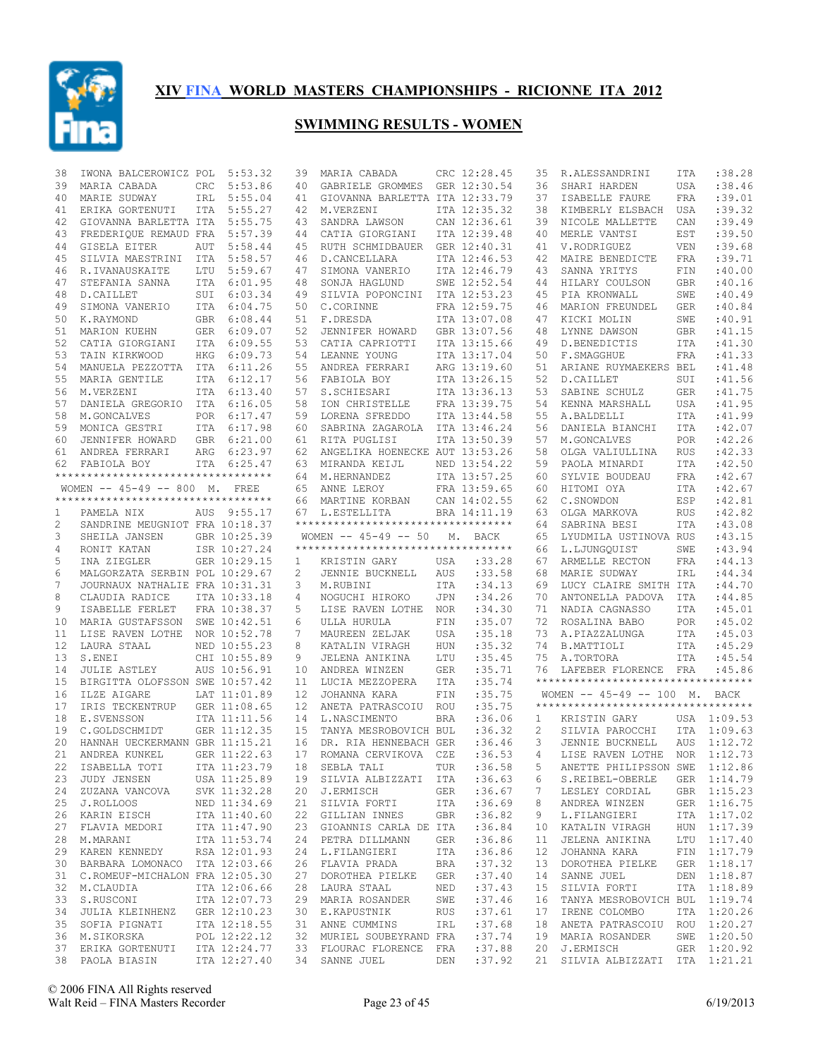

| 38 | IWONA BALCEROWICZ POL                 |     | 5:53.32                      | 39                | MARIA CABADA                                           |            | CRC 12:28.45     | 35 | R.ALESSANDRINI                                  | ITA        | :38.28      |
|----|---------------------------------------|-----|------------------------------|-------------------|--------------------------------------------------------|------------|------------------|----|-------------------------------------------------|------------|-------------|
| 39 | MARIA CABADA                          | CRC | 5:53.86                      | 40                | GABRIELE GROMMES                                       |            | GER 12:30.54     | 36 | SHARI HARDEN                                    | USA        | :38.46      |
| 40 | MARIE SUDWAY                          | IRL | 5:55.04                      | 41                | GIOVANNA BARLETTA ITA 12:33.79                         |            |                  | 37 | ISABELLE FAURE                                  | <b>FRA</b> | :39.01      |
| 41 | ERIKA GORTENUTI                       | ITA | 5:55.27                      | 42                | M.VERZENI                                              |            | ITA 12:35.32     | 38 | KIMBERLY ELSBACH                                | USA        | :39.32      |
| 42 | GIOVANNA BARLETTA ITA                 |     | 5:55.75                      | 43                | SANDRA LAWSON                                          |            | CAN 12:36.61     | 39 | NICOLE MALLETTE                                 | CAN        | :39.49      |
| 43 | FREDERIQUE REMAUD FRA                 |     | 5:57.39                      | 44                | CATIA GIORGIANI                                        |            | ITA 12:39.48     | 40 | MERLE VANTSI                                    | EST        | :39.50      |
| 44 | GISELA EITER                          | AUT | 5:58.44                      | 45                | RUTH SCHMIDBAUER                                       |            | GER 12:40.31     | 41 | V.RODRIGUEZ                                     | <b>VEN</b> | :39.68      |
| 45 | SILVIA MAESTRINI                      | ITA | 5:58.57                      | 46                | D.CANCELLARA                                           |            | ITA 12:46.53     | 42 | MAIRE BENEDICTE                                 | <b>FRA</b> | :39.71      |
| 46 | R.IVANAUSKAITE                        | LTU | 5:59.67                      | 47                | SIMONA VANERIO                                         |            | ITA 12:46.79     | 43 | SANNA YRITYS                                    | FIN        | :40.00      |
| 47 | STEFANIA SANNA                        | ITA | 6:01.95                      | 48                | SONJA HAGLUND                                          |            | SWE 12:52.54     | 44 | HILARY COULSON                                  | <b>GBR</b> | :40.16      |
| 48 | D.CAILLET                             |     | SUI 6:03.34                  | 49                | SILVIA POPONCINI                                       |            | ITA 12:53.23     | 45 | PIA KRONWALL                                    | SWE        | :40.49      |
| 49 | SIMONA VANERIO                        |     | ITA 6:04.75                  | 50                | C.CORINNE                                              |            | FRA 12:59.75     | 46 | MARION FREUNDEL                                 | GER        | :40.84      |
|    |                                       |     |                              |                   |                                                        |            |                  |    |                                                 |            |             |
| 50 | K.RAYMOND                             |     | GBR 6:08.44                  | 51                | F.DRESDA                                               |            | ITA 13:07.08     | 47 | KICKI MOLIN                                     | SWE        | :40.91      |
| 51 | MARION KUEHN                          |     | GER 6:09.07                  | 52                | JENNIFER HOWARD                                        |            | GBR 13:07.56     | 48 | LYNNE DAWSON                                    | GBR        | : 41.15     |
| 52 | CATIA GIORGIANI                       |     | ITA 6:09.55                  | 53                | CATIA CAPRIOTTI                                        |            | ITA 13:15.66     | 49 | D.BENEDICTIS                                    | ITA        | :41.30      |
| 53 | TAIN KIRKWOOD                         | HKG | 6:09.73                      | 54                | LEANNE YOUNG                                           |            | ITA 13:17.04     | 50 | F. SMAGGHUE                                     | <b>FRA</b> | : 41.33     |
| 54 | MANUELA PEZZOTTA                      |     | ITA 6:11.26                  | 55                | ANDREA FERRARI                                         |            | ARG 13:19.60     | 51 | ARIANE RUYMAEKERS BEL                           |            | : 41.48     |
| 55 | MARIA GENTILE                         | ITA | 6:12.17                      | 56                | FABIOLA BOY                                            |            | ITA 13:26.15     | 52 | D.CAILLET                                       | SUI        | : 41.56     |
| 56 | M.VERZENI                             |     | ITA 6:13.40                  | 57                | S.SCHIESARI                                            |            | ITA 13:36.13     | 53 | SABINE SCHULZ                                   | <b>GER</b> | : 41.75     |
| 57 | DANIELA GREGORIO                      | ITA | 6:16.05                      | 58                | ION CHRISTELLE                                         |            | FRA 13:39.75     | 54 | KENNA MARSHALL                                  | USA        | : 41.95     |
| 58 | M.GONCALVES                           |     | POR 6:17.47                  | 59                | LORENA SFREDDO                                         |            | ITA 13:44.58     | 55 | A.BALDELLI                                      | ITA        | : 41.99     |
| 59 | MONICA GESTRI                         |     | ITA 6:17.98                  | 60                | SABRINA ZAGAROLA                                       |            | ITA 13:46.24     | 56 | DANIELA BIANCHI                                 | <b>ITA</b> | :42.07      |
| 60 | JENNIFER HOWARD                       |     | GBR 6:21.00                  | 61                | RITA PUGLISI                                           |            | ITA 13:50.39     | 57 | M.GONCALVES                                     | <b>POR</b> | :42.26      |
| 61 | ANDREA FERRARI                        | ARG | 6:23.97                      | 62                | ANGELIKA HOENECKE AUT 13:53.26                         |            |                  | 58 | OLGA VALIULLINA                                 | <b>RUS</b> | :42.33      |
| 62 | FABIOLA BOY                           |     | ITA 6:25.47                  | 63                | MIRANDA KEIJL                                          |            | NED 13:54.22     | 59 | PAOLA MINARDI                                   | ITA        | :42.50      |
|    | **********************************    |     |                              |                   | 64 M.HERNANDEZ                                         |            | ITA 13:57.25     | 60 | SYLVIE BOUDEAU                                  | <b>FRA</b> | :42.67      |
|    | WOMEN $-- 45-49 -- 800$ M.            |     | FREE                         | 65                | ANNE LEROY                                             |            | FRA 13:59.65     | 60 | HITOMI OYA                                      | ITA        | :42.67      |
|    | **********************************    |     |                              | 66                | MARTINE KORBAN                                         |            | CAN 14:02.55     | 62 | C.SNOWDON                                       | ESP        | :42.81      |
|    |                                       |     |                              |                   | L.ESTELLITA                                            |            | BRA 14:11.19     |    | OLGA MARKOVA                                    |            | :42.82      |
| 1  | PAMELA NIX                            |     | AUS 9:55.17                  | 67                | **********************************                     |            |                  | 63 |                                                 | <b>RUS</b> |             |
| 2  | SANDRINE MEUGNIOT FRA 10:18.37        |     |                              |                   |                                                        |            |                  | 64 | SABRINA BESI                                    | <b>ITA</b> | :43.08      |
| 3  | SHEILA JANSEN                         |     | GBR 10:25.39                 |                   | WOMEN $-- 45-49 -- 50$                                 | М.         | BACK             | 65 | LYUDMILA USTINOVA RUS                           |            | :43.15      |
| 4  | RONIT KATAN                           |     | ISR 10:27.24                 |                   | ***********************************                    |            |                  | 66 | L.LJUNGQUIST                                    | SWE        | :43.94      |
| 5  | INA ZIEGLER                           |     | GER 10:29.15                 | 1                 | KRISTIN GARY                                           | USA        | :33.28           | 67 | ARMELLE RECTON                                  | FRA        | : 44.13     |
| 6  | MALGORZATA SERBIN POL 10:29.67        |     |                              | 2                 | JENNIE BUCKNELL                                        | AUS        | :33.58           | 68 | MARIE SUDWAY                                    | IRL        | : 44.34     |
| 7  | JOURNAUX NATHALIE FRA 10:31.31        |     |                              | 3                 | M.RUBINI                                               | ITA        | :34.13           | 69 | LUCY CLAIRE SMITH ITA                           |            | :44.70      |
| 8  | CLAUDIA RADICE                        |     | ITA 10:33.18                 | 4                 | NOGUCHI HIROKO                                         | JPN        | :34.26           | 70 | ANTONELLA PADOVA                                | ITA        | : 44.85     |
| 9  | ISABELLE FERLET                       |     | FRA 10:38.37                 | 5                 | LISE RAVEN LOTHE                                       | NOR        | :34.30           | 71 | NADIA CAGNASSO                                  | ITA        | :45.01      |
| 10 | MARIA GUSTAFSSON                      |     | SWE 10:42.51                 | 6                 | ULLA HURULA                                            | FIN        | :35.07           | 72 | ROSALINA BABO                                   | POR        | :45.02      |
| 11 | LISE RAVEN LOTHE                      |     | NOR 10:52.78                 | 7                 | MAUREEN ZELJAK                                         | USA        | :35.18           | 73 | A.PIAZZALUNGA                                   | ITA        | :45.03      |
| 12 | LAURA STAAL                           |     | NED 10:55.23                 | 8                 | KATALIN VIRAGH                                         | <b>HUN</b> | :35.32           | 74 | B.MATTIOLI                                      | ITA        | :45.29      |
| 13 | S.ENEI                                |     | CHI 10:55.89                 | 9                 | JELENA ANIKINA                                         | LTU        | :35.45           | 75 | A.TORTORA                                       | ITA        | :45.54      |
| 14 | <b>JULIE ASTLEY</b>                   |     | AUS 10:56.91                 | 10                | ANDREA WINZEN                                          | <b>GER</b> | :35.71           |    | LAFEBER FLORENCE FRA                            |            | :45.86      |
| 15 | BIRGITTA OLOFSSON SWE 10:57.42        |     |                              | 11                |                                                        |            |                  |    |                                                 |            |             |
| 16 | ILZE AIGARE                           |     |                              |                   |                                                        |            |                  | 76 |                                                 |            |             |
| 17 |                                       |     |                              |                   | LUCIA MEZZOPERA                                        | ITA        | :35.74           |    | **********************************              |            |             |
| 18 |                                       |     | LAT 11:01.89                 | $12 \overline{ }$ | JOHANNA KARA                                           | FIN        | :35.75           |    | WOMEN -- 45-49 -- 100 M. BACK                   |            |             |
|    | IRIS TECKENTRUP                       |     | GER 11:08.65                 | 12 <sup>°</sup>   | ANETA PATRASCOIU                                       | ROU        | :35.75           |    | ***********************************             |            |             |
| 19 | E.SVENSSON                            |     | ITA 11:11.56                 | 14                | L.NASCIMENTO                                           | <b>BRA</b> | :36.06           | 1  | KRISTIN GARY                                    |            | USA 1:09.53 |
|    | C.GOLDSCHMIDT                         |     | GER 11:12.35                 | 15                | TANYA MESROBOVICH BUL                                  |            | :36.32           | 2  | SILVIA PAROCCHI                                 | ITA        | 1:09.63     |
| 20 | HANNAH UECKERMANN GBR 11:15.21        |     |                              | 16                | DR. RIA HENNEBACH GER                                  |            | :36.46           | 3  | JENNIE BUCKNELL                                 | <b>AUS</b> | 1:12.72     |
| 21 | ANDREA KUNKEL                         |     | GER 11:22.63                 | 17                | ROMANA CERVIKOVA CZE                                   |            | :36.53           | 4  | LISE RAVEN LOTHE NOR 1:12.73                    |            |             |
|    | 22 ISABELLA TOTI                      |     | ITA 11:23.79                 | 18                | SEBLA TALI                                             | TUR        | :36.58           |    | 5 ANETTE PHILIPSSON SWE 1:12.86                 |            |             |
|    | 23 JUDY JENSEN                        |     | USA 11:25.89                 |                   | 19 SILVIA ALBIZZATI ITA                                |            | :36.63           | 6  | S.REIBEL-OBERLE                                 |            | GER 1:14.79 |
|    | 24 ZUZANA VANCOVA                     |     | SVK 11:32.28                 |                   | 20 J.ERMISCH                                           | GER        | :36.67           | 7  | LESLEY CORDIAL                                  |            | GBR 1:15.23 |
|    | 25 J.ROLLOOS                          |     | NED 11:34.69                 |                   | 21 SILVIA FORTI                                        | ITA        | :36.69           | 8  | ANDREA WINZEN                                   |            | GER 1:16.75 |
|    | 26 KARIN EISCH                        |     | ITA 11:40.60                 |                   | 22 GILLIAN INNES                                       | GBR        | :36.82           | 9  | L.FILANGIERI                                    |            | ITA 1:17.02 |
| 27 | FLAVIA MEDORI                         |     | ITA 11:47.90                 |                   | 23 GIOANNIS CARLA DE ITA                               |            | :36.84           | 10 | KATALIN VIRAGH                                  |            | HUN 1:17.39 |
|    | 28 M.MARANI                           |     | ITA 11:53.74                 |                   | 24 PETRA DILLMANN                                      | GER        | :36.86           | 11 | JELENA ANIKINA                                  |            | LTU 1:17.40 |
|    | 29 KAREN KENNEDY                      |     | RSA 12:01.93                 |                   | 24 L.FILANGIERI                                        | ITA        | :36.86           | 12 | JOHANNA KARA                                    |            | FIN 1:17.79 |
|    | 30 BARBARA LOMONACO ITA 12:03.66      |     |                              |                   | 26 FLAVIA PRADA                                        | BRA        | :37.32           | 13 | DOROTHEA PIELKE                                 |            | GER 1:18.17 |
| 31 |                                       |     |                              |                   | 27 DOROTHEA PIELKE                                     | GER        |                  | 14 |                                                 |            |             |
|    | C.ROMEUF-MICHALON FRA 12:05.30        |     |                              |                   |                                                        |            | :37.40           |    | SANNE JUEL                                      |            | DEN 1:18.87 |
|    | 32 M.CLAUDIA                          |     | ITA 12:06.66                 |                   | 28 LAURA STAAL                                         | NED        | :37.43           | 15 | SILVIA FORTI                                    |            | ITA 1:18.89 |
| 33 | S.RUSCONI                             |     | ITA 12:07.73                 |                   | 29 MARIA ROSANDER                                      | SWE        | :37.46           | 16 | TANYA MESROBOVICH BUL 1:19.74                   |            |             |
|    | 34 JULIA KLEINHENZ                    |     | GER 12:10.23                 |                   | 30 E.KAPUSTNIK                                         | RUS        | :37.61           | 17 | IRENE COLOMBO                                   |            | ITA 1:20.26 |
| 35 | SOFIA PIGNATI                         |     | ITA 12:18.55                 |                   | 31 ANNE CUMMINS                                        | IRL        | :37.68           | 18 | ANETA PATRASCOIU ROU 1:20.27                    |            |             |
|    | 36 M.SIKORSKA                         |     | POL 12:22.12                 |                   | 32 MURIEL SOUBEYRAND FRA                               |            | :37.74           | 19 | MARIA ROSANDER                                  |            | SWE 1:20.50 |
|    | 37 ERIKA GORTENUTI<br>38 PAOLA BIASIN |     | ITA 12:24.77<br>ITA 12:27.40 |                   | 33 FLOURAC FLORENCE FRA<br>34 SANNE JUEL<br><b>DEN</b> |            | :37.88<br>:37.92 |    | 20 J.ERMISCH<br>21 SILVIA ALBIZZATI ITA 1:21.21 |            | GER 1:20.92 |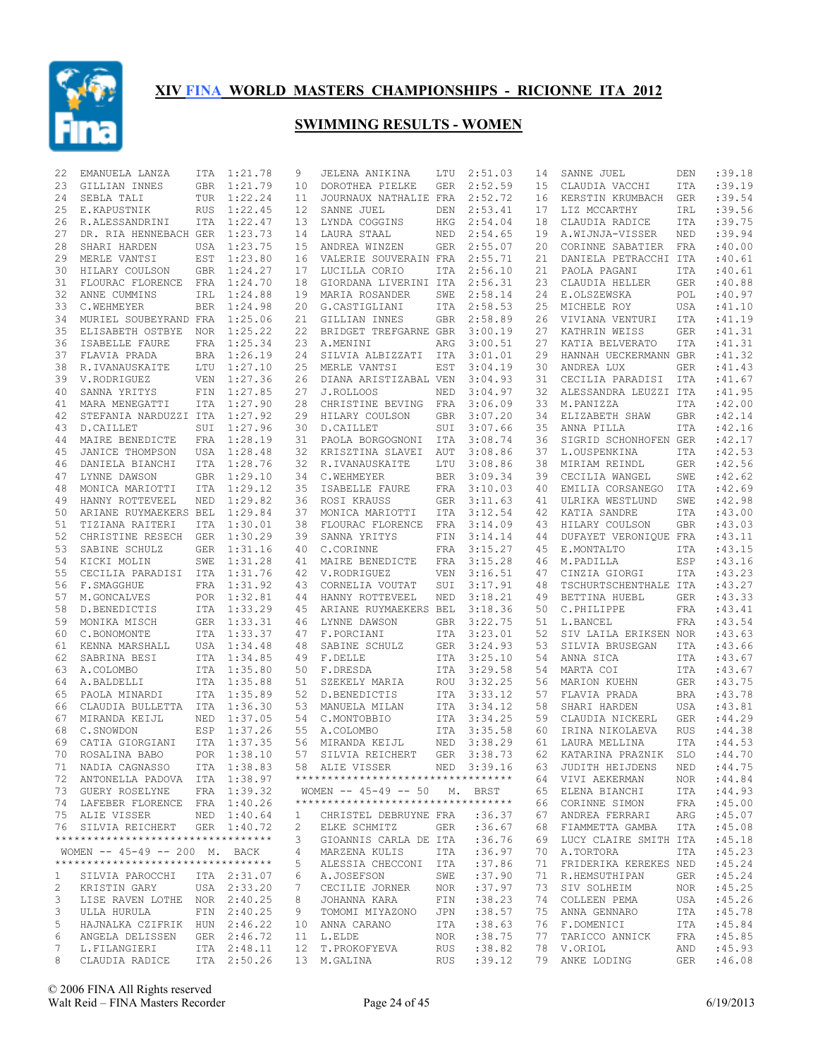

| 22       | EMANUELA LANZA                     | ITA        | 1:21.78            | 9            | JELENA ANIKINA                     | LTU               | 2:51.03            | 14       | SANNE JUEL                             | DEN        | :39.18           |
|----------|------------------------------------|------------|--------------------|--------------|------------------------------------|-------------------|--------------------|----------|----------------------------------------|------------|------------------|
| 23       | GILLIAN INNES                      | <b>GBR</b> | 1:21.79            | 10           | DOROTHEA PIELKE                    | <b>GER</b>        | 2:52.59            | 15       | CLAUDIA VACCHI                         | ITA        | :39.19           |
| 24       | SEBLA TALI                         | TUR        | 1:22.24            | 11           | JOURNAUX NATHALIE FRA              |                   | 2:52.72            | 16       | KERSTIN KRUMBACH                       | <b>GER</b> | :39.54           |
| 25       | E.KAPUSTNIK                        | <b>RUS</b> | 1:22.45            | 12           | SANNE JUEL                         | DEN               | 2:53.41            | 17       | LIZ MCCARTHY                           | IRL        | :39.56           |
| 26       | R.ALESSANDRINI                     | ITA        | 1:22.47            | 13           | LYNDA COGGINS                      | HKG               | 2:54.04            | 18       | CLAUDIA RADICE                         | ITA        | :39.75           |
| 27       | DR. RIA HENNEBACH GER              |            | 1:23.73            | 14           | LAURA STAAL                        | NED               | 2:54.65            | 19       | A.WIJNJA-VISSER                        | NED        | :39.94           |
| 28       | SHARI HARDEN                       | USA        | 1:23.75            | 15           | ANDREA WINZEN                      | <b>GER</b>        | 2:55.07            | 20       | CORINNE SABATIER                       | FRA        | :40.00           |
| 29       | MERLE VANTSI                       | EST        | 1:23.80            | 16           | VALERIE SOUVERAIN FRA              |                   | 2:55.71            | 21       | DANIELA PETRACCHI ITA                  |            | :40.61           |
| 30       | HILARY COULSON                     | <b>GBR</b> | 1:24.27            | 17           | LUCILLA CORIO                      | ITA               | 2:56.10            | 21       | PAOLA PAGANI                           | ITA        | :40.61           |
| 31       | FLOURAC FLORENCE                   | FRA        | 1:24.70            | 18           | GIORDANA LIVERINI ITA              |                   | 2:56.31            | 23       | CLAUDIA HELLER                         | <b>GER</b> | :40.88           |
| 32       | ANNE CUMMINS                       | IRL        | 1:24.88            | 19           | MARIA ROSANDER                     | SWE               | 2:58.14            | 24       | E.OLSZEWSKA                            | POL        | :40.97           |
| 33       | C.WEHMEYER                         | <b>BER</b> | 1:24.98            | 20           | G.CASTIGLIANI                      | <b>ITA</b>        | 2:58.53            | 25       | MICHELE ROY                            | <b>USA</b> | : 41.10          |
| 34       | MURIEL SOUBEYRAND FRA              |            | 1:25.06            | 21           | GILLIAN INNES                      | <b>GBR</b>        | 2:58.89            | 26       | VIVIANA VENTURI                        | <b>ITA</b> | : 41.19          |
| 35       | ELISABETH OSTBYE                   | <b>NOR</b> | 1:25.22            | 22           | BRIDGET TREFGARNE GBR              |                   | 3:00.19            | 27       | KATHRIN WEISS                          | <b>GER</b> | :41.31           |
| 36       | ISABELLE FAURE                     | <b>FRA</b> | 1:25.34            | 23           | A.MENINI                           | ARG               | 3:00.51            | 27       | KATIA BELVERATO                        | <b>ITA</b> | :41.31           |
| 37       | FLAVIA PRADA                       | <b>BRA</b> | 1:26.19            | 24           | SILVIA ALBIZZATI                   | ITA               | 3:01.01            | 29       | HANNAH UECKERMANN GBR                  |            | : 41.32          |
| 38       | R.IVANAUSKAITE                     | LTU        | 1:27.10            | 25           | MERLE VANTSI                       | EST               | 3:04.19            | 30       | ANDREA LUX                             | <b>GER</b> | :41.43           |
| 39       | V.RODRIGUEZ                        | <b>VEN</b> | 1:27.36            | 26           | DIANA ARISTIZABAL VEN              |                   | 3:04.93            | 31       | CECILIA PARADISI                       | <b>ITA</b> | :41.67           |
| 40       | SANNA YRITYS                       | FIN        | 1:27.85            | 27           | J.ROLLOOS                          | NED               | 3:04.97            | 32       | ALESSANDRA LEUZZI ITA                  |            | : 41.95          |
| 41       | MARA MENEGATTI                     | <b>ITA</b> | 1:27.90            | 28           | CHRISTINE BEVING                   | FRA               | 3:06.09            | 33       | M.PANIZZA                              | <b>ITA</b> | :42.00           |
| 42       | STEFANIA NARDUZZI ITA              |            | 1:27.92            | 29           | HILARY COULSON                     | <b>GBR</b>        | 3:07.20            | 34       | ELIZABETH SHAW                         | <b>GBR</b> | :42.14           |
| 43       | D.CAILLET                          | SUI        | 1:27.96            | 30           | D.CAILLET                          | SUI               | 3:07.66            | 35       | ANNA PILLA                             | <b>ITA</b> | :42.16           |
| 44       | MAIRE BENEDICTE                    | FRA        | 1:28.19            | 31           | PAOLA BORGOGNONI                   | ITA               | 3:08.74            | 36       | SIGRID SCHONHOFEN GER                  |            | :42.17           |
| 45       | JANICE THOMPSON                    | USA        | 1:28.48            | 32           | KRISZTINA SLAVEI                   | AUT               | 3:08.86            | 37       | L.OUSPENKINA                           | <b>ITA</b> | :42.53           |
| 46       | DANIELA BIANCHI                    | <b>ITA</b> | 1:28.76            | 32           | R.IVANAUSKAITE                     | LTU               | 3:08.86            | 38       | MIRIAM REINDL                          | <b>GER</b> | :42.56           |
| 47       | LYNNE DAWSON                       | <b>GBR</b> | 1:29.10            | 34           | C.WEHMEYER                         | <b>BER</b>        | 3:09.34            | 39       | CECILIA WANGEL                         | SWE        | :42.62           |
| 48       | MONICA MARIOTTI                    | <b>ITA</b> | 1:29.12            | 35           | ISABELLE FAURE                     | FRA               | 3:10.03            | 40       | EMILIA CORSANEGO                       | ITA        | :42.69           |
| 49       | HANNY ROTTEVEEL                    | NED        | 1:29.82            | 36           | ROSI KRAUSS                        | <b>GER</b>        | 3:11.63            | 41       | ULRIKA WESTLUND                        | SWE        | :42.98           |
| 50       | ARIANE RUYMAEKERS BEL              |            | 1:29.84            | 37           | MONICA MARIOTTI                    | ITA               | 3:12.54            | 42       | KATIA SANDRE                           | ITA        | :43.00           |
| 51<br>52 | TIZIANA RAITERI                    | <b>ITA</b> | 1:30.01            | 38           | FLOURAC FLORENCE                   | FRA               | 3:14.09            | 43       | HILARY COULSON                         | <b>GBR</b> | :43.03           |
|          | CHRISTINE RESECH                   | GER        | 1:30.29            | 39           | SANNA YRITYS                       | FIN               | 3:14.14            | 44       | DUFAYET VERONIQUE FRA                  |            | :43.11           |
| 53       | SABINE SCHULZ                      | <b>GER</b> | 1:31.16            | 40           | C.CORINNE                          | FRA               | 3:15.27            | 45       | E.MONTALTO                             | ITA        | :43.15<br>:43.16 |
| 54<br>55 | KICKI MOLIN                        | SWE        | 1:31.28<br>1:31.76 | 41<br>42     | MAIRE BENEDICTE<br>V.RODRIGUEZ     | FRA<br><b>VEN</b> | 3:15.28<br>3:16.51 | 46<br>47 | M.PADILLA                              | ESP        | :43.23           |
| 56       | CECILIA PARADISI<br>F.SMAGGHUE     | ITA        | FRA 1:31.92        | 43           |                                    |                   | 3:17.91            | 48       | CINZIA GIORGI<br>TSCHURTSCHENTHALE ITA | ITA        | : 43.27          |
| 57       | M.GONCALVES                        | POR        | 1:32.81            | 44           | CORNELIA VOUTAT<br>HANNY ROTTEVEEL | SUI<br>NED        | 3:18.21            | 49       | BETTINA HUEBL                          | <b>GER</b> | :43.33           |
| 58       | D.BENEDICTIS                       |            | ITA 1:33.29        | 45           | ARIANE RUYMAEKERS BEL              |                   | 3:18.36            | 50       | C.PHILIPPE                             | <b>FRA</b> | :43.41           |
| 59       | MONIKA MISCH                       | GER        | 1:33.31            | 46           | LYNNE DAWSON                       | <b>GBR</b>        | 3:22.75            | 51       | L.BANCEL                               | FRA        | :43.54           |
| 60       | C.BONOMONTE                        | ITA        | 1:33.37            | 47           | F.PORCIANI                         | ITA               | 3:23.01            | 52       | SIV LAILA ERIKSEN NOR                  |            | :43.63           |
| 61       | KENNA MARSHALL                     | USA        | 1:34.48            | 48           | SABINE SCHULZ                      | <b>GER</b>        | 3:24.93            | 53       | SILVIA BRUSEGAN                        | <b>ITA</b> | :43.66           |
| 62       | SABRINA BESI                       | <b>ITA</b> | 1:34.85            | 49           | F.DELLE                            | ITA               | 3:25.10            | 54       | ANNA SICA                              | <b>ITA</b> | :43.67           |
| 63       | A.COLOMBO                          | <b>ITA</b> | 1:35.80            | 50           | F.DRESDA                           | ITA               | 3:29.58            | 54       | MARTA COI                              | <b>ITA</b> | :43.67           |
| 64       | A.BALDELLI                         | ITA        | 1:35.88            | 51           | SZEKELY MARIA                      | ROU               | 3:32.25            | 56       | MARION KUEHN                           | <b>GER</b> | :43.75           |
| 65       | PAOLA MINARDI                      |            | ITA 1:35.89        | 52           | D.BENEDICTIS                       | <b>ITA</b>        | 3:33.12            | 57       | FLAVIA PRADA                           | <b>BRA</b> | :43.78           |
| 66       | CLAUDIA BULLETTA                   | ITA        | 1:36.30            | 53           | MANUELA MILAN                      | <b>ITA</b>        | 3:34.12            | 58       | SHARI HARDEN                           | <b>USA</b> | :43.81           |
| 67       | MIRANDA KEIJL                      | NED        | 1:37.05            | 54           | C.MONTOBBIO                        | ITA               | 3:34.25            | 59       | CLAUDIA NICKERL                        | <b>GER</b> | : 44.29          |
| 68       | C.SNOWDON                          | ESP        | 1:37.26            | 55           | A.COLOMBO                          | <b>ITA</b>        | 3:35.58            | 60       | IRINA NIKOLAEVA                        | <b>RUS</b> | :44.38           |
| 69       | CATIA GIORGIANI                    | <b>ITA</b> | 1:37.35            | 56           | MIRANDA KEIJL                      | <b>NED</b>        | 3:38.29            | 61       | LAURA MELLINA                          | <b>ITA</b> | :44.53           |
| 70       | ROSALINA BABO                      | POR        | 1:38.10            | 57           | SILVIA REICHERT                    | <b>GER</b>        | 3:38.73            | 62       | KATARINA PRAZNIK                       | <b>SLO</b> | :44.70           |
|          | 71 NADIA CAGNASSO                  |            | ITA 1:38.83        |              | 58 ALIE VISSER                     |                   | NED 3:39.16        |          | 63 JUDITH HEIJDENS                     | NED        | : 44.75          |
|          | 72 ANTONELLA PADOVA ITA 1:38.97    |            |                    |              | ********************************** |                   |                    |          | 64 VIVI AEKERMAN                       | NOR        | :44.84           |
|          | 73 GUERY ROSELYNE FRA 1:39.32      |            |                    |              | WOMEN -- 45-49 -- 50 M. BRST       |                   |                    |          | 65 ELENA BIANCHI                       | ITA        | :44.93           |
|          | 74 LAFEBER FLORENCE FRA 1:40.26    |            |                    |              | ********************************** |                   |                    | 66       | CORINNE SIMON                          | FRA        | :45.00           |
|          | 75 ALIE VISSER                     |            | NED 1:40.64        | $\mathbf{1}$ | CHRISTEL DEBRUYNE FRA              |                   | :36.37             | 67       | ANDREA FERRARI                         | ARG        | :45.07           |
|          | 76 SILVIA REICHERT GER 1:40.72     |            |                    | 2            | ELKE SCHMITZ                       |                   | GER : 36.67        | 68       | FIAMMETTA GAMBA                        | ITA        | :45.08           |
|          | ********************************** |            |                    | 3            | GIOANNIS CARLA DE ITA :36.76       |                   |                    | 69       | LUCY CLAIRE SMITH ITA                  |            | :45.18           |
|          | WOMEN -- 45-49 -- 200 M. BACK      |            |                    | 4            | MARZENA KULIS                      | ITA               | :36.97             | 70       | A.TORTORA                              | ITA        | :45.23           |
|          | ********************************** |            |                    | 5            | ALESSIA CHECCONI ITA               |                   | :37.86             | 71       | FRIDERIKA KEREKES NED                  |            | :45.24           |
| 1        | SILVIA PAROCCHI                    |            | ITA 2:31.07        | 6            | A.JOSEFSON                         | SWE               | :37.90             | 71       | R.HEMSUTHIPAN                          | GER        | :45.24           |
| 2        | KRISTIN GARY                       |            | USA 2:33.20        | 7            | CECILIE JORNER                     | NOR               | :37.97             | 73       | SIV SOLHEIM                            | NOR        | :45.25           |
| 3        | LISE RAVEN LOTHE NOR 2:40.25       |            |                    | 8            | JOHANNA KARA                       | FIN               | :38.23             | 74       | COLLEEN PEMA                           | USA        | :45.26           |
| 3        | ULLA HURULA                        |            | FIN 2:40.25        | 9            | TOMOMI MIYAZONO                    | JPN               | : 38.57            | 75       | ANNA GENNARO                           | ITA        | :45.78           |
| 5        | HAJNALKA CZIFRIK HUN 2:46.22       |            |                    |              | 10 ANNA CARANO                     | ITA               | : 38.63            |          | 76 F.DOMENICI                          | ITA        | :45.84           |
| 6        | ANGELA DELISSEN                    |            | GER 2:46.72        |              | 11 L.ELDE                          | NOR               | :38.75             | 77       | TARICCO ANNICK                         | FRA        | :45.85           |
| 7        | L.FILANGIERI                       |            | ITA 2:48.11        |              | 12 T.PROKOFYEVA                    | RUS               | :38.82             |          | 78 V.ORIOL                             | AND        | :45.93           |
| 8        | CLAUDIA RADICE                     |            | ITA 2:50.26        |              | 13 M.GALINA                        | RUS               | :39.12             |          | 79 ANKE LODING                         | GER        | :46.08           |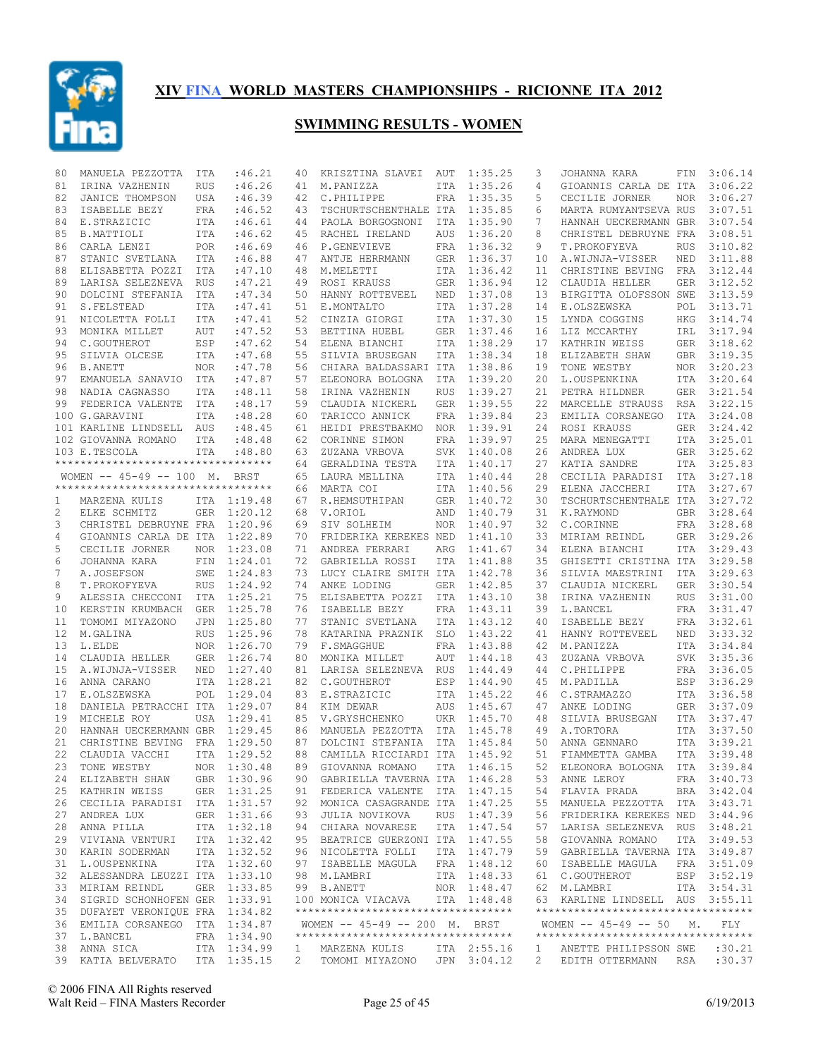

| 80           | MANUELA PEZZOTTA                                                 | ITA        | :46.21                     | 40           | KRISZTINA SLAVEI                   | AUT        | 1:35.25     | 3            | JOHANNA KARA                        | FIN        | 3:06.14     |
|--------------|------------------------------------------------------------------|------------|----------------------------|--------------|------------------------------------|------------|-------------|--------------|-------------------------------------|------------|-------------|
| 81           | IRINA VAZHENIN                                                   | <b>RUS</b> | :46.26                     | 41           | M.PANIZZA                          | ITA        | 1:35.26     | 4            | GIOANNIS CARLA DE ITA               |            | 3:06.22     |
| 82           | JANICE THOMPSON                                                  | USA        | :46.39                     | 42           | C.PHILIPPE                         | FRA        | 1:35.35     | 5            | CECILIE JORNER                      | NOR        | 3:06.27     |
| 83           | ISABELLE BEZY                                                    | FRA        | :46.52                     | 43           | TSCHURTSCHENTHALE ITA              |            | 1:35.85     | 6            | MARTA RUMYANTSEVA RUS               |            | 3:07.51     |
| 84           | E.STRAZICIC                                                      | <b>ITA</b> | :46.61                     | 44           | PAOLA BORGOGNONI                   | ITA        | 1:35.90     | 7            | HANNAH UECKERMANN GBR               |            | 3:07.54     |
| 85           | B.MATTIOLI                                                       | ITA        | :46.62                     | 45           | RACHEL IRELAND                     | AUS        | 1:36.20     | 8            | CHRISTEL DEBRUYNE FRA               |            | 3:08.51     |
| 86           | CARLA LENZI                                                      | POR        | :46.69                     | 46           | P.GENEVIEVE                        | FRA        | 1:36.32     | 9            | T.PROKOFYEVA                        | <b>RUS</b> | 3:10.82     |
| 87           | STANIC SVETLANA                                                  | ITA        | :46.88                     | 47           | ANTJE HERRMANN                     | <b>GER</b> | 1:36.37     | 10           | A.WIJNJA-VISSER                     | NED        | 3:11.88     |
| 88           | ELISABETTA POZZI ITA                                             |            | :47.10                     | 48           | M.MELETTI                          | ITA        | 1:36.42     | 11           | CHRISTINE BEVING                    | FRA        | 3:12.44     |
| 89           | LARISA SELEZNEVA RUS                                             |            | :47.21                     | 49           | ROSI KRAUSS                        | <b>GER</b> | 1:36.94     | 12           | CLAUDIA HELLER                      | <b>GER</b> | 3:12.52     |
| 90           | DOLCINI STEFANIA                                                 | ITA        | :47.34                     | 50           | HANNY ROTTEVEEL                    | NED        | 1:37.08     | 13           | BIRGITTA OLOFSSON SWE               |            | 3:13.59     |
| 91           | S. FELSTEAD                                                      | ITA        | :47.41                     | 51           | E.MONTALTO                         | ITA        | 1:37.28     | 14           | E.OLSZEWSKA                         | POL        | 3:13.71     |
| 91           | NICOLETTA FOLLI                                                  | ITA        | :47.41                     | 52           | CINZIA GIORGI                      | ITA        | 1:37.30     | 15           | LYNDA COGGINS                       | HKG        | 3:14.74     |
| 93           | MONIKA MILLET                                                    | AUT        | :47.52                     | 53           | BETTINA HUEBL                      | <b>GER</b> | 1:37.46     | 16           | LIZ MCCARTHY                        | IRL        | 3:17.94     |
| 94           | C.GOUTHEROT                                                      | ESP        | :47.62                     | 54           | ELENA BIANCHI                      | ITA        | 1:38.29     | 17           | KATHRIN WEISS                       |            | GER 3:18.62 |
| 95           | SILVIA OLCESE                                                    | ITA        | :47.68                     | 55           | SILVIA BRUSEGAN                    | ITA        | 1:38.34     | 18           | ELIZABETH SHAW                      |            | GBR 3:19.35 |
| 96           | <b>B.ANETT</b>                                                   | <b>NOR</b> | :47.78                     | 56           | CHIARA BALDASSARI ITA              |            | 1:38.86     | 19           | TONE WESTBY                         |            | NOR 3:20.23 |
| 97           | EMANUELA SANAVIO                                                 | ITA        | :47.87                     | 57           | ELEONORA BOLOGNA                   | ITA        | 1:39.20     | 20           | L.OUSPENKINA                        |            | ITA 3:20.64 |
| 98           | NADIA CAGNASSO                                                   | <b>ITA</b> | :48.11                     | 58           | IRINA VAZHENIN                     | <b>RUS</b> | 1:39.27     | 21           | PETRA HILDNER                       |            | GER 3:21.54 |
| 99           | FEDERICA VALENTE                                                 | ITA        | :48.17                     | 59           | CLAUDIA NICKERL                    | <b>GER</b> | 1:39.55     | 22           | MARCELLE STRAUSS                    | RSA        | 3:22.15     |
|              | 100 G.GARAVINI                                                   | <b>ITA</b> | :48.28                     | 60           | TARICCO ANNICK                     | FRA        | 1:39.84     | 23           | EMILIA CORSANEGO                    | ITA        | 3:24.08     |
|              | 101 KARLINE LINDSELL AUS                                         |            | :48.45                     | 61           | HEIDI PRESTBAKMO                   | <b>NOR</b> | 1:39.91     | 24           | ROSI KRAUSS                         | GER        | 3:24.42     |
|              | 102 GIOVANNA ROMANO                                              | ITA        | :48.48                     | 62           | CORINNE SIMON                      | FRA        | 1:39.97     | 25           | MARA MENEGATTI                      | ITA        | 3:25.01     |
|              | 103 E.TESCOLA                                                    |            |                            | 63           |                                    |            | 1:40.08     | 26           | ANDREA LUX                          | GER        | 3:25.62     |
|              | **********************************                               | <b>ITA</b> | :48.80                     |              | ZUZANA VRBOVA                      | <b>SVK</b> |             |              |                                     |            | 3:25.83     |
|              |                                                                  |            |                            | 64           | GERALDINA TESTA                    | <b>ITA</b> | 1:40.17     | 27           | KATIA SANDRE                        | ITA        |             |
|              | WOMEN $-- 45-49 -- 100$ M.<br>********************************** |            | BRST                       | 65           | LAURA MELLINA                      | ITA        | 1:40.44     | 28           | CECILIA PARADISI                    | ITA        | 3:27.18     |
|              |                                                                  |            |                            | 66           | MARTA COI                          | ITA        | 1:40.56     | 29           | ELENA JACCHERI                      | ITA        | 3:27.67     |
| 1            | MARZENA KULIS                                                    |            | ITA 1:19.48                | 67           | R.HEMSUTHIPAN                      | <b>GER</b> | 1:40.72     | 30           | TSCHURTSCHENTHALE ITA               |            | 3:27.72     |
| $\mathbf{2}$ | ELKE SCHMITZ                                                     |            | GER 1:20.12                | 68           | V.ORIOL                            | AND        | 1:40.79     | 31           | K.RAYMOND                           | GBR        | 3:28.64     |
| 3            | CHRISTEL DEBRUYNE FRA                                            |            | 1:20.96                    | 69           | SIV SOLHEIM                        | <b>NOR</b> | 1:40.97     | 32           | C.CORINNE                           | FRA        | 3:28.68     |
| 4            | GIOANNIS CARLA DE ITA 1:22.89                                    |            |                            | 70           | FRIDERIKA KEREKES NED              |            | 1:41.10     | 33           | MIRIAM REINDL                       | GER        | 3:29.26     |
| 5            | CECILIE JORNER                                                   | <b>NOR</b> | 1:23.08                    | 71           | ANDREA FERRARI                     | ARG        | 1:41.67     | 34           | ELENA BIANCHI                       | ITA        | 3:29.43     |
| 6            | JOHANNA KARA                                                     | FIN        | 1:24.01                    | 72           | GABRIELLA ROSSI                    | ITA        | 1:41.88     | 35           | GHISETTI CRISTINA ITA               |            | 3:29.58     |
| 7            | A.JOSEFSON                                                       | SWE        | 1:24.83                    | 73           | LUCY CLAIRE SMITH ITA              |            | 1:42.78     | 36           | SILVIA MAESTRINI                    | ITA        | 3:29.63     |
| 8            | T.PROKOFYEVA                                                     | RUS        | 1:24.92                    | 74           | ANKE LODING                        | GER        | 1:42.85     | 37           | CLAUDIA NICKERL                     | <b>GER</b> | 3:30.54     |
| 9            | ALESSIA CHECCONI ITA 1:25.21                                     |            |                            | 75           | ELISABETTA POZZI                   | ITA        | 1:43.10     | 38           | IRINA VAZHENIN                      | <b>RUS</b> | 3:31.00     |
| 10           | KERSTIN KRUMBACH                                                 | GER        | 1:25.78                    | 76           | ISABELLE BEZY                      | FRA        | 1:43.11     | 39           | L.BANCEL                            | FRA        | 3:31.47     |
| 11           | TOMOMI MIYAZONO                                                  | JPN        | 1:25.80                    | 77           | STANIC SVETLANA                    | ITA        | 1:43.12     | 40           | ISABELLE BEZY                       |            | FRA 3:32.61 |
| 12           | M.GALINA                                                         | <b>RUS</b> | 1:25.96                    | 78           | KATARINA PRAZNIK                   | <b>SLO</b> | 1:43.22     | 41           | HANNY ROTTEVEEL                     | NED        | 3:33.32     |
| 13           | L.ELDE                                                           |            | NOR 1:26.70                | 79           | F.SMAGGHUE                         | FRA        | 1:43.88     | 42           | M.PANIZZA                           | ITA        | 3:34.84     |
| 14           | CLAUDIA HELLER                                                   | GER        | 1:26.74                    | 80           | MONIKA MILLET                      | AUT        | 1:44.18     | 43           | ZUZANA VRBOVA                       | SVK        | 3:35.36     |
| 15           | A.WIJNJA-VISSER                                                  | NED        | 1:27.40                    | 81           | LARISA SELEZNEVA                   | <b>RUS</b> | 1:44.49     | 44           | C.PHILIPPE                          |            | FRA 3:36.05 |
| 16           | ANNA CARANO                                                      |            | ITA 1:28.21                | 82           | C.GOUTHEROT                        | ESP        | 1:44.90     | 45           | M.PADILLA                           | ESP        | 3:36.29     |
| 17           | E.OLSZEWSKA                                                      | POL        | 1:29.04                    | 83           | E.STRAZICIC                        | <b>ITA</b> | 1:45.22     | 46           | C.STRAMAZZO                         |            | ITA 3:36.58 |
| 18           | DANIELA PETRACCHI ITA 1:29.07                                    |            |                            | 84           | KIM DEWAR                          | AUS        | 1:45.67     | 47           | ANKE LODING                         | GER        | 3:37.09     |
| 19           | MICHELE ROY                                                      |            | USA 1:29.41                | 85           | V.GRYSHCHENKO                      | UKR        | 1:45.70     | 48           | SILVIA BRUSEGAN                     | ITA        | 3:37.47     |
| 20           | HANNAH UECKERMANN GBR                                            |            | 1:29.45                    | 86           | MANUELA PEZZOTTA ITA               |            | 1:45.78     | 49           | A.TORTORA                           | ITA        | 3:37.50     |
| 21           | CHRISTINE BEVING FRA 1:29.50                                     |            |                            | 87           | DOLCINI STEFANIA                   | ITA        | 1:45.84     | 50           | ANNA GENNARO                        | ITA        | 3:39.21     |
| 22           | CLAUDIA VACCHI                                                   |            | ITA 1:29.52                | 88           | CAMILLA RICCIARDI ITA              |            | 1:45.92     | 51           | FIAMMETTA GAMBA                     | <b>ITA</b> | 3:39.48     |
| 23           | TONE WESTBY                                                      |            | NOR 1:30.48                |              | 89 GIOVANNA ROMANO ITA 1:46.15     |            |             |              | 52 ELEONORA BOLOGNA ITA 3:39.84     |            |             |
|              |                                                                  |            |                            |              |                                    |            |             |              | 53 ANNE LEROY                       |            |             |
|              | 24 ELIZABETH SHAW                                                |            | GBR 1:30.96<br>GER 1:31.25 |              | 90 GABRIELLA TAVERNA ITA 1:46.28   |            |             |              |                                     |            | FRA 3:40.73 |
|              | 25 KATHRIN WEISS                                                 |            |                            |              | 91 FEDERICA VALENTE ITA 1:47.15    |            |             |              | 54 FLAVIA PRADA                     |            | BRA 3:42.04 |
|              | 26 CECILIA PARADISI ITA 1:31.57                                  |            |                            |              | 92 MONICA CASAGRANDE ITA 1:47.25   |            |             | 55           | MANUELA PEZZOTTA ITA 3:43.71        |            |             |
|              | 27 ANDREA LUX                                                    |            | GER 1:31.66                |              | 93 JULIA NOVIKOVA                  |            | RUS 1:47.39 |              | 56 FRIDERIKA KEREKES NED 3:44.96    |            |             |
| 28           | ANNA PILLA                                                       |            | ITA 1:32.18                |              | 94 CHIARA NOVARESE                 |            | ITA 1:47.54 | 57           | LARISA SELEZNEVA RUS 3:48.21        |            |             |
|              | 29 VIVIANA VENTURI                                               |            | ITA 1:32.42                |              | 95 BEATRICE GUERZONI ITA 1:47.55   |            |             |              | 58 GIOVANNA ROMANO                  |            | ITA 3:49.53 |
|              | 30 KARIN SODERMAN                                                |            | ITA 1:32.52                |              | 96 NICOLETTA FOLLI                 |            | ITA 1:47.79 |              | 59 GABRIELLA TAVERNA ITA 3:49.87    |            |             |
|              | 31 L.OUSPENKINA                                                  |            | ITA 1:32.60                |              | 97 ISABELLE MAGULA FRA 1:48.12     |            |             |              | 60 ISABELLE MAGULA                  |            | FRA 3:51.09 |
| 32           | ALESSANDRA LEUZZI ITA 1:33.10                                    |            |                            |              | 98 M.LAMBRI                        |            | ITA 1:48.33 |              | 61 C.GOUTHEROT                      |            | ESP 3:52.19 |
|              | 33 MIRIAM REINDL                                                 |            | GER 1:33.85                |              | 99 B.ANETT                         |            | NOR 1:48.47 |              | 62 M.LAMBRI                         |            | ITA 3:54.31 |
| 34           | SIGRID SCHONHOFEN GER 1:33.91                                    |            |                            |              | 100 MONICA VIACAVA                 |            | ITA 1:48.48 |              | 63 KARLINE LINDSELL AUS 3:55.11     |            |             |
|              | 35 DUFAYET VERONIQUE FRA 1:34.82                                 |            |                            |              | ********************************** |            |             |              | **********************************  |            |             |
| 36           | EMILIA CORSANEGO ITA 1:34.87                                     |            |                            |              | WOMEN -- 45-49 -- 200 M. BRST      |            |             |              | WOMEN -- 45-49 -- 50 M.             |            | FLY         |
| 37           | L.BANCEL                                                         |            | FRA 1:34.90                |              | ********************************** |            |             |              | *********************************** |            |             |
|              | 38 ANNA SICA                                                     |            | ITA 1:34.99                | $\mathbf{1}$ | MARZENA KULIS                      |            | ITA 2:55.16 | $\mathbf{1}$ | ANETTE PHILIPSSON SWE               |            | :30.21      |
|              | 39 KATIA BELVERATO                                               |            | ITA 1:35.15                | 2            | TOMOMI MIYAZONO JPN 3:04.12        |            |             | $2^{\circ}$  | EDITH OTTERMANN RSA                 |            | :30.37      |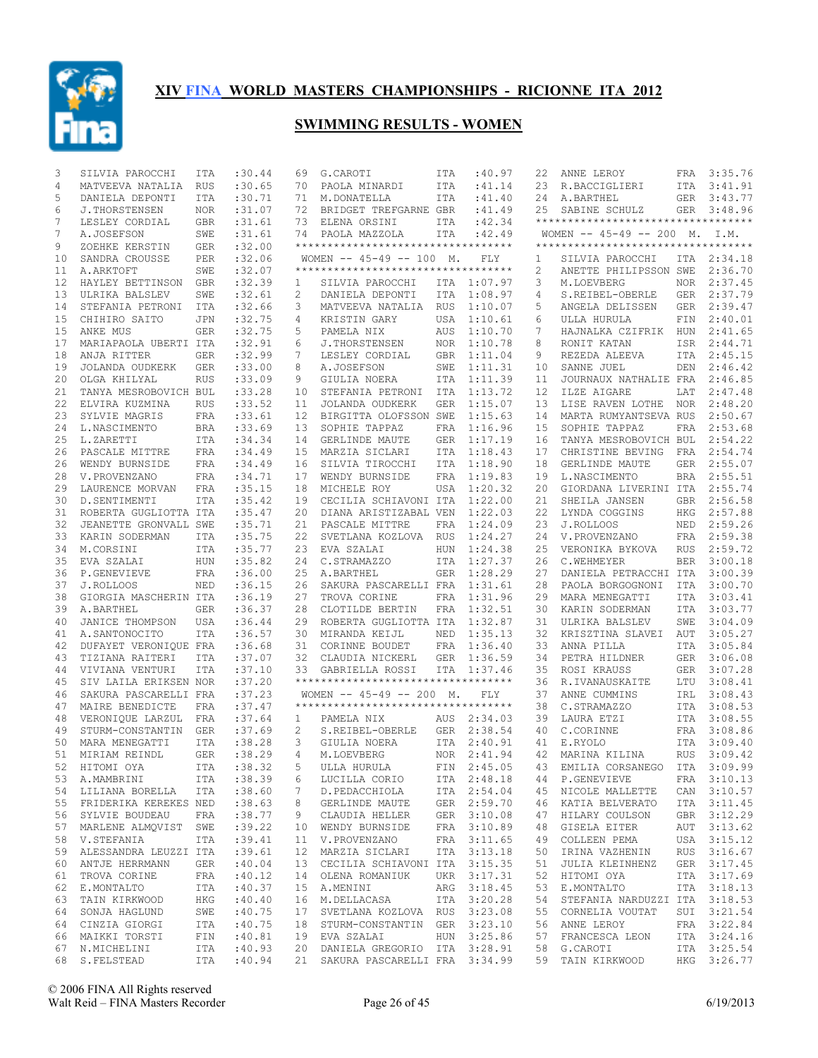

| 3  | SILVIA PAROCCHI          | ITA        | :30.44     | 69           | G.CAROTI                            | ITA        | :40.97      | 22 | ANNE LEROY                                  |            | FRA 3:35.76 |
|----|--------------------------|------------|------------|--------------|-------------------------------------|------------|-------------|----|---------------------------------------------|------------|-------------|
| 4  | MATVEEVA NATALIA RUS     |            | :30.65     | 70           | PAOLA MINARDI                       | ITA        | :41.14      | 23 | R.BACCIGLIERI                               | ITA        | 3:41.91     |
| 5  | DANIELA DEPONTI          | <b>ITA</b> | :30.71     | 71           | M.DONATELLA                         | ITA        | :41.40      | 24 | A.BARTHEL                                   |            | GER 3:43.77 |
| 6  | J.THORSTENSEN            | NOR.       | :31.07     | 72           | BRIDGET TREFGARNE GBR               |            | : 41.49     | 25 | SABINE SCHULZ                               |            | GER 3:48.96 |
| 7  | LESLEY CORDIAL           | GBR        | :31.61     |              | 73 ELENA ORSINI                     | ITA        | :42.34      |    | **********************************          |            |             |
| 7  | A.JOSEFSON               | SWE        | :31.61     |              | 74 PAOLA MAZZOLA                    | ITA        | :42.49      |    | WOMEN $-- 45-49 -- 200$ M. I.M.             |            |             |
| 9  | ZOEHKE KERSTIN           | GER        | :32.00     |              | **********************************  |            |             |    | ***********************************         |            |             |
| 10 | SANDRA CROUSSE           | PER        | :32.06     |              | WOMEN $-- 45-49 -- 100$ M.          |            | FLY         | 1  | SILVIA PAROCCHI                             |            | ITA 2:34.18 |
| 11 | A.ARKTOFT                | SWE        | :32.07     |              | *********************************** |            |             | 2  | ANETTE PHILIPSSON SWE                       |            | 2:36.70     |
| 12 | HAYLEY BETTINSON         | GBR        | :32.39     | $\mathbf{1}$ | SILVIA PAROCCHI                     | ITA        | 1:07.97     | 3  | M.LOEVBERG                                  | NOR        | 2:37.45     |
| 13 | ULRIKA BALSLEV           | SWE        | :32.61     | 2            | DANIELA DEPONTI                     | ITA        | 1:08.97     | 4  | S.REIBEL-OBERLE                             |            | GER 2:37.79 |
| 14 | STEFANIA PETRONI         | ITA        | :32.66     | 3            | MATVEEVA NATALIA                    | <b>RUS</b> | 1:10.07     | 5  | ANGELA DELISSEN                             | GER        | 2:39.47     |
| 15 | CHIHIRO SAITO            | <b>JPN</b> | :32.75     | 4            | KRISTIN GARY                        | USA        | 1:10.61     | 6  | ULLA HURULA                                 |            | FIN 2:40.01 |
| 15 | ANKE MUS                 | <b>GER</b> | :32.75     | 5            | PAMELA NIX                          | AUS        | 1:10.70     | 7  | HAJNALKA CZIFRIK                            | HUN        | 2:41.65     |
| 17 | MARIAPAOLA UBERTI ITA    |            | :32.91     | 6            | <b>J.THORSTENSEN</b>                | <b>NOR</b> | 1:10.78     | 8  | RONIT KATAN                                 |            | ISR 2:44.71 |
| 18 | ANJA RITTER              | GER        | :32.99     | 7            | LESLEY CORDIAL                      | <b>GBR</b> | 1:11.04     | 9  | REZEDA ALEEVA                               |            | ITA 2:45.15 |
| 19 | JOLANDA OUDKERK          | <b>GER</b> | : 33.00    | 8            | A.JOSEFSON                          | SWE        | 1:11.31     | 10 | SANNE JUEL                                  |            | DEN 2:46.42 |
| 20 | OLGA KHILYAL             | <b>RUS</b> | :33.09     | 9            | GIULIA NOERA                        | ITA        | 1:11.39     | 11 | JOURNAUX NATHALIE FRA                       |            | 2:46.85     |
| 21 | TANYA MESROBOVICH BUL    |            | :33.28     | $10 \,$      | STEFANIA PETRONI                    | ITA        | 1:13.72     | 12 | ILZE AIGARE                                 | LAT        | 2:47.48     |
| 22 | ELVIRA KUZMINA           | <b>RUS</b> | : 33.52    | 11           | JOLANDA OUDKERK                     | <b>GER</b> | 1:15.07     | 13 | LISE RAVEN LOTHE NOR                        |            | 2:48.20     |
| 23 | SYLVIE MAGRIS            | FRA        | : 33.61    | 12           | BIRGITTA OLOFSSON SWE               |            | 1:15.63     | 14 | MARTA RUMYANTSEVA RUS                       |            | 2:50.67     |
| 24 | L.NASCIMENTO             | <b>BRA</b> | :33.69     | 13           | SOPHIE TAPPAZ                       | <b>FRA</b> | 1:16.96     | 15 | SOPHIE TAPPAZ                               | FRA        | 2:53.68     |
| 25 | L.ZARETTI                | ITA        | :34.34     | 14           | GERLINDE MAUTE                      | <b>GER</b> | 1:17.19     | 16 | TANYA MESROBOVICH BUL                       |            | 2:54.22     |
| 26 | PASCALE MITTRE           | FRA        | :34.49     | 15           | MARZIA SICLARI                      | ITA        | 1:18.43     | 17 | CHRISTINE BEVING                            | FRA        | 2:54.74     |
| 26 | WENDY BURNSIDE           | FRA        | :34.49     | 16           | SILVIA TIROCCHI                     | ITA        | 1:18.90     | 18 | GERLINDE MAUTE                              | GER        | 2:55.07     |
| 28 | V.PROVENZANO             | FRA        | : 34.71    | 17           | WENDY BURNSIDE                      | <b>FRA</b> | 1:19.83     | 19 | L.NASCIMENTO                                | BRA        | 2:55.51     |
| 29 | LAURENCE MORVAN          | FRA        | :35.15     | 18           | MICHELE ROY                         | USA        | 1:20.32     | 20 | GIORDANA LIVERINI ITA                       |            | 2:55.74     |
| 30 | D. SENTIMENTI            | <b>ITA</b> | : 35.42    | 19           | CECILIA SCHIAVONI ITA               |            | 1:22.00     | 21 | SHEILA JANSEN                               | GBR        | 2:56.58     |
| 31 | ROBERTA GUGLIOTTA ITA    |            | : 35.47    | 20           | DIANA ARISTIZABAL VEN               |            | 1:22.03     | 22 | LYNDA COGGINS                               | HKG        | 2:57.88     |
| 32 | JEANETTE GRONVALL SWE    |            | : 35.71    | 21           | PASCALE MITTRE                      | FRA        | 1:24.09     | 23 | J.ROLLOOS                                   |            | NED 2:59.26 |
| 33 | KARIN SODERMAN           | ITA        | :35.75     | 22           | SVETLANA KOZLOVA RUS                |            | 1:24.27     | 24 | V.PROVENZANO                                | FRA        | 2:59.38     |
| 34 | M.CORSINI                | ITA        | :35.77     | 23           | EVA SZALAI                          | <b>HUN</b> | 1:24.38     | 25 | VERONIKA BYKOVA                             | <b>RUS</b> | 2:59.72     |
| 35 | EVA SZALAI               | HUN        | :35.82     | 24           | C.STRAMAZZO                         | ITA        | 1:27.37     | 26 | C.WEHMEYER                                  | <b>BER</b> | 3:00.18     |
| 36 | P.GENEVIEVE              | FRA        | :36.00     | 25           | A.BARTHEL                           | <b>GER</b> | 1:28.29     | 27 | DANIELA PETRACCHI ITA                       |            | 3:00.39     |
| 37 | J.ROLLOOS                | NED        | :36.15     | 26           | SAKURA PASCARELLI FRA               |            | 1:31.61     | 28 | PAOLA BORGOGNONI                            | ITA        | 3:00.70     |
| 38 | GIORGIA MASCHERIN ITA    |            | :36.19     | 27           | TROVA CORINE                        | FRA        | 1:31.96     | 29 | MARA MENEGATTI                              | ITA        | 3:03.41     |
| 39 | A.BARTHEL                | GER        | :36.37     | 28           | CLOTILDE BERTIN                     | FRA        | 1:32.51     | 30 | KARIN SODERMAN                              | <b>ITA</b> | 3:03.77     |
| 40 | JANICE THOMPSON          | USA        | :36.44     | 29           | ROBERTA GUGLIOTTA ITA               |            | 1:32.87     | 31 | ULRIKA BALSLEV                              | SWE        | 3:04.09     |
| 41 | A.SANTONOCITO            | <b>ITA</b> | :36.57     | 30           | MIRANDA KEIJL                       | NED        | 1:35.13     | 32 | KRISZTINA SLAVEI                            | AUT        | 3:05.27     |
| 42 | DUFAYET VERONIQUE FRA    |            | :36.68     | 31           | CORINNE BOUDET                      | FRA        | 1:36.40     | 33 | ANNA PILLA                                  | ITA        | 3:05.84     |
| 43 | TIZIANA RAITERI          | ITA        | :37.07     | 32           | CLAUDIA NICKERL                     | <b>GER</b> | 1:36.59     | 34 | PETRA HILDNER                               | GER        | 3:06.08     |
| 44 | VIVIANA VENTURI          | <b>ITA</b> | :37.10     | 33           | GABRIELLA ROSSI                     | ITA        | 1:37.46     | 35 | ROSI KRAUSS                                 | GER        | 3:07.28     |
| 45 | SIV LAILA ERIKSEN NOR    |            | :37.20     |              | **********************************  |            |             | 36 | R.IVANAUSKAITE                              | LTU        | 3:08.41     |
| 46 | SAKURA PASCARELLI FRA    |            | :37.23     |              | WOMEN $-- 45-49 -- 200$ M.          |            | FLY.        | 37 | ANNE CUMMINS                                | IRL        | 3:08.43     |
| 47 | MAIRE BENEDICTE          | FRA        | :37.47     |              | *********************************** |            |             | 38 | C.STRAMAZZO                                 | ITA        | 3:08.53     |
| 48 | VERONIQUE LARZUL FRA     |            | :37.64     | $1 \quad$    | PAMELA NIX                          |            | AUS 2:34.03 | 39 | LAURA ETZI                                  |            | ITA 3:08.55 |
| 49 | STURM-CONSTANTIN GER     |            | :37.69     | 2            | S.REIBEL-OBERLE                     |            | GER 2:38.54 | 40 | C.CORINNE                                   | FRA        | 3:08.86     |
| 50 | MARA MENEGATTI           | <b>ITA</b> | : 38.28    | $\mathbf{3}$ | GIULIA NOERA                        |            | ITA 2:40.91 | 41 | E.RYOLO                                     | ITA        | 3:09.40     |
| 51 | MIRIAM REINDL            | <b>GER</b> | :38.29     | 4            | M.LOEVBERG                          |            | NOR 2:41.94 | 42 | MARINA KILINA                               | <b>RUS</b> | 3:09.42     |
|    | 52 HITOMI OYA            |            | ITA :38.32 |              | 5 ULLA HURULA                       |            |             |    | FIN 2:45.05 43 EMILIA CORSANEGO ITA 3:09.99 |            |             |
|    | 53 A.MAMBRINI            | ITA        | :38.39     | 6            | LUCILLA CORIO                       |            | ITA 2:48.18 | 44 | P.GENEVIEVE                                 |            | FRA 3:10.13 |
|    | 54 LILIANA BORELLA       | ITA        | :38.60     | 7            | D.PEDACCHIOLA                       |            | ITA 2:54.04 | 45 | NICOLE MALLETTE                             |            | CAN 3:10.57 |
|    | 55 FRIDERIKA KEREKES NED |            | :38.63     | 8            | GERLINDE MAUTE                      |            | GER 2:59.70 | 46 | KATIA BELVERATO                             |            | ITA 3:11.45 |
|    | 56 SYLVIE BOUDEAU        | FRA        | :38.77     | 9            | CLAUDIA HELLER                      |            | GER 3:10.08 | 47 | HILARY COULSON                              |            | GBR 3:12.29 |
| 57 | MARLENE ALMQVIST SWE     |            | :39.22     | 10           | WENDY BURNSIDE                      |            | FRA 3:10.89 | 48 | GISELA EITER                                |            | AUT 3:13.62 |
| 58 | V.STEFANIA               | ITA        | : 39.41    |              | 11 V.PROVENZANO                     |            | FRA 3:11.65 | 49 | COLLEEN PEMA                                |            | USA 3:15.12 |
| 59 | ALESSANDRA LEUZZI ITA    |            | : 39.61    |              | 12 MARZIA SICLARI                   |            | ITA 3:13.18 | 50 | IRINA VAZHENIN                              |            | RUS 3:16.67 |
| 60 | ANTJE HERRMANN           | GER        | :40.04     |              | 13 CECILIA SCHIAVONI ITA 3:15.35    |            |             | 51 | JULIA KLEINHENZ                             |            | GER 3:17.45 |
| 61 | TROVA CORINE             | FRA        | :40.12     |              | 14 OLENA ROMANIUK                   |            | UKR 3:17.31 | 52 | HITOMI OYA                                  |            | ITA 3:17.69 |
| 62 | E.MONTALTO               | ITA        | :40.37     |              | 15 A.MENINI                         |            | ARG 3:18.45 | 53 | E.MONTALTO                                  |            | ITA 3:18.13 |
| 63 | TAIN KIRKWOOD            | HKG        | :40.40     |              | 16 M.DELLACASA                      |            | ITA 3:20.28 | 54 | STEFANIA NARDUZZI ITA 3:18.53               |            |             |
| 64 | SONJA HAGLUND            | SWE        | :40.75     |              | 17 SVETLANA KOZLOVA RUS 3:23.08     |            |             | 55 | CORNELIA VOUTAT                             |            | SUI 3:21.54 |
| 64 | CINZIA GIORGI            | ITA        | :40.75     |              | 18 STURM-CONSTANTIN GER             |            | 3:23.10     | 56 | ANNE LEROY                                  |            | FRA 3:22.84 |
|    | 66 MAIKKI TORSTI         | FIN        | :40.81     |              | 19 EVA SZALAI                       |            | HUN 3:25.86 | 57 | FRANCESCA LEON                              |            | ITA 3:24.16 |
|    | 67 N.MICHELINI           | ITA        | :40.93     |              | 20 DANIELA GREGORIO ITA 3:28.91     |            |             | 58 | G.CAROTI                                    |            | ITA 3:25.54 |
|    | 68 S.FELSTEAD            | ITA        | :40.94     |              | 21 SAKURA PASCARELLI FRA 3:34.99    |            |             |    | 59 TAIN KIRKWOOD                            |            | HKG 3:26.77 |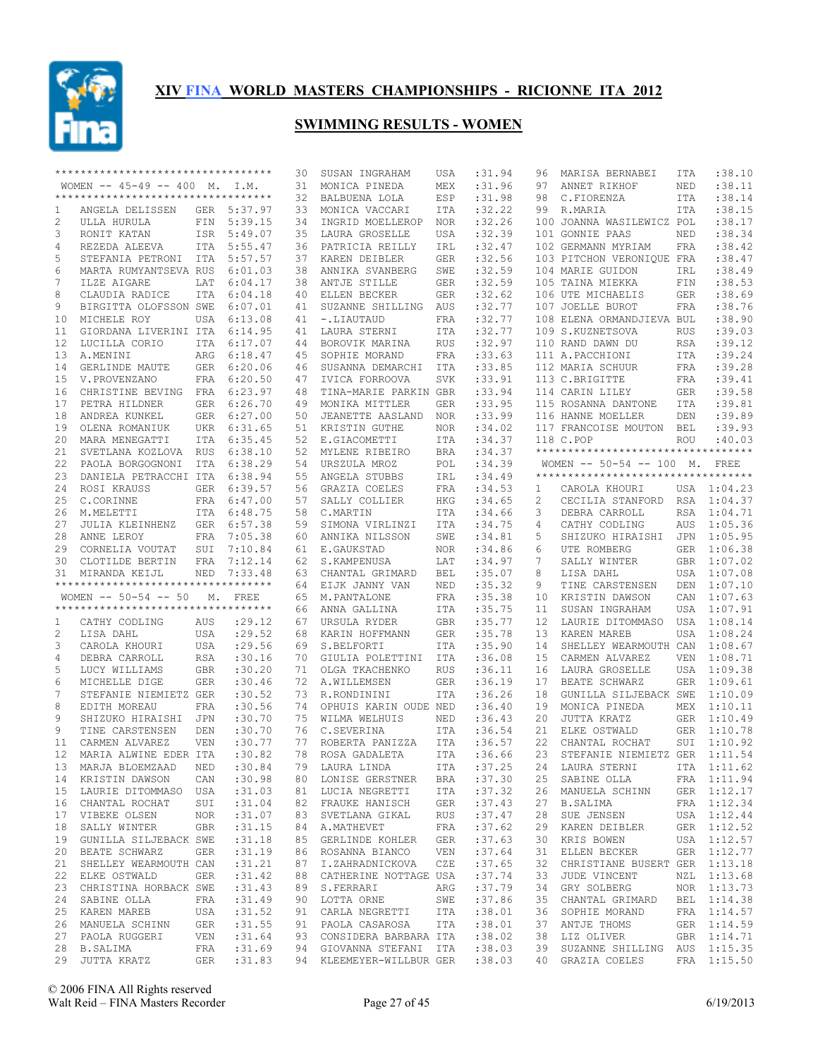

|    | **********************************  |            |             | 30 | SUSAN INGRAHAM                   | USA        | :31.94      | 96             | MARISA BERNABEI                    | ITA                         | :38.10      |
|----|-------------------------------------|------------|-------------|----|----------------------------------|------------|-------------|----------------|------------------------------------|-----------------------------|-------------|
|    | WOMEN $-- 45-49 -- 400$ M. I.M.     |            |             | 31 | MONICA PINEDA                    | MEX        | :31.96      | 97             | ANNET RIKHOF                       | NED                         | :38.11      |
|    | *********************************** |            |             | 32 | BALBUENA LOLA                    | ESP        | :31.98      | 98             | C.FIORENZA                         | ITA                         | :38.14      |
| 1  | ANGELA DELISSEN                     |            | GER 5:37.97 | 33 | MONICA VACCARI                   | ITA        | :32.22      | 99             | R.MARIA                            | <b>ITA</b>                  | :38.15      |
| 2  | ULLA HURULA                         | FIN        | 5:39.15     | 34 | INGRID MOELLEROP                 | <b>NOR</b> | :32.26      |                | 100 JOANNA WASILEWICZ POL          |                             | :38.17      |
| 3  | RONIT KATAN                         | ISR        | 5:49.07     | 35 | LAURA GROSELLE                   | USA        | :32.39      |                | 101 GONNIE PAAS                    | NED                         | :38.34      |
| 4  | REZEDA ALEEVA                       |            | ITA 5:55.47 | 36 | PATRICIA REILLY                  | IRL        | :32.47      |                | 102 GERMANN MYRIAM                 | FRA                         | :38.42      |
| 5  | STEFANIA PETRONI ITA                |            | 5:57.57     | 37 | KAREN DEIBLER                    | <b>GER</b> | :32.56      |                | 103 PITCHON VERONIQUE FRA          |                             | :38.47      |
| 6  | MARTA RUMYANTSEVA RUS               |            | 6:01.03     | 38 | ANNIKA SVANBERG                  | SWE        | :32.59      |                | 104 MARIE GUIDON                   | IRL                         | :38.49      |
| 7  | ILZE AIGARE                         | LAT        | 6:04.17     | 38 | ANTJE STILLE                     | GER        | :32.59      |                | 105 TAINA MIEKKA                   | FIN                         | :38.53      |
| 8  | CLAUDIA RADICE                      | <b>ITA</b> | 6:04.18     | 40 | ELLEN BECKER                     | <b>GER</b> | :32.62      |                | 106 UTE MICHAELIS                  | GER                         | :38.69      |
| 9  | BIRGITTA OLOFSSON SWE               |            | 6:07.01     | 41 | SUZANNE SHILLING                 | AUS        | :32.77      |                | 107 JOELLE BUROT                   | <b>FRA</b>                  | :38.76      |
| 10 | MICHELE ROY                         | USA        | 6:13.08     | 41 | -.LIAUTAUD                       | FRA        | :32.77      |                | 108 ELENA ORMANDJIEVA BUL          |                             | :38.90      |
|    | GIORDANA LIVERINI ITA               |            |             |    |                                  |            | :32.77      |                |                                    |                             | :39.03      |
| 11 |                                     |            | 6:14.95     | 41 | LAURA STERNI                     | ITA        |             |                | 109 S.KUZNETSOVA                   | <b>RUS</b>                  |             |
| 12 | LUCILLA CORIO                       |            | ITA 6:17.07 | 44 | BOROVIK MARINA                   | <b>RUS</b> | :32.97      |                | 110 RAND DAWN DU                   | <b>RSA</b>                  | :39.12      |
| 13 | A.MENINI                            | ARG        | 6:18.47     | 45 | SOPHIE MORAND                    | FRA        | :33.63      |                | 111 A.PACCHIONI                    | ITA                         | :39.24      |
| 14 | GERLINDE MAUTE                      |            | GER 6:20.06 | 46 | SUSANNA DEMARCHI                 | ITA        | :33.85      |                | 112 MARIA SCHUUR                   | FRA                         | :39.28      |
| 15 | V. PROVENZANO                       |            | FRA 6:20.50 | 47 | IVICA FORROOVA                   | <b>SVK</b> | : 33.91     |                | 113 C.BRIGITTE                     | FRA                         | :39.41      |
| 16 | CHRISTINE BEVING FRA 6:23.97        |            |             | 48 | TINA-MARIE PARKIN GBR            |            | : 33.94     |                | 114 CARIN LILEY                    | GER                         | :39.58      |
| 17 | PETRA HILDNER                       | GER        | 6:26.70     | 49 | MONIKA MITTLER                   | <b>GER</b> | :33.95      |                | 115 ROSANNA DANTONE                | ITA                         | :39.81      |
| 18 | ANDREA KUNKEL                       |            | GER 6:27.00 | 50 | JEANETTE AASLAND                 | <b>NOR</b> | :33.99      |                | 116 HANNE MOELLER                  | $\mathop{\rm DEN}\nolimits$ | :39.89      |
| 19 | OLENA ROMANIUK                      | UKR        | 6:31.65     | 51 | KRISTIN GUTHE                    | <b>NOR</b> | :34.02      |                | 117 FRANCOISE MOUTON               | <b>BEL</b>                  | :39.93      |
| 20 | MARA MENEGATTI                      |            | ITA 6:35.45 | 52 | E.GIACOMETTI                     | ITA        | :34.37      |                | 118 C.POP                          | <b>ROU</b>                  | :40.03      |
| 21 | SVETLANA KOZLOVA RUS                |            | 6:38.10     | 52 | MYLENE RIBEIRO                   | <b>BRA</b> | :34.37      |                | ********************************** |                             |             |
| 22 | PAOLA BORGOGNONI                    | ITA        | 6:38.29     | 54 | URSZULA MROZ                     | POL        | :34.39      |                | WOMEN -- 50-54 -- 100 M. FREE      |                             |             |
| 23 | DANIELA PETRACCHI ITA               |            | 6:38.94     | 55 | ANGELA STUBBS                    | IRL        | :34.49      |                | ********************************** |                             |             |
| 24 | ROSI KRAUSS                         |            | GER 6:39.57 | 56 | GRAZIA COELES                    | FRA        | :34.53      | 1              | CAROLA KHOURI                      |                             | USA 1:04.23 |
| 25 | C.CORINNE                           |            | FRA 6:47.00 | 57 | SALLY COLLIER                    | HKG        | :34.65      | $\overline{c}$ | CECILIA STANFORD                   | RSA                         | 1:04.37     |
| 26 | M.MELETTI                           |            | ITA 6:48.75 | 58 | C.MARTIN                         | ITA        | :34.66      | 3              | DEBRA CARROLL                      | RSA                         | 1:04.71     |
| 27 | JULIA KLEINHENZ                     |            | GER 6:57.38 | 59 | SIMONA VIRLINZI                  | ITA        | :34.75      | 4              | CATHY CODLING                      | AUS                         | 1:05.36     |
| 28 | ANNE LEROY                          |            | FRA 7:05.38 | 60 | ANNIKA NILSSON                   | SWE        | :34.81      | 5              | SHIZUKO HIRAISHI                   |                             | JPN 1:05.95 |
| 29 | CORNELIA VOUTAT                     |            | SUI 7:10.84 |    |                                  |            | :34.86      |                |                                    |                             | 1:06.38     |
|    |                                     |            |             | 61 | E.GAUKSTAD                       | <b>NOR</b> |             | 6              | UTE ROMBERG                        | GER                         |             |
|    |                                     |            |             |    |                                  |            |             |                |                                    |                             |             |
| 30 | CLOTILDE BERTIN                     | FRA        | 7:12.14     | 62 | S. KAMPENUSA                     | LAT        | :34.97      | 7              | SALLY WINTER                       | GBR                         | 1:07.02     |
| 31 | MIRANDA KEIJL                       | NED        | 7:33.48     | 63 | CHANTAL GRIMARD                  | BEL        | :35.07      | 8              | LISA DAHL                          |                             | USA 1:07.08 |
|    | *********************************** |            |             | 64 | EIJK JANNY VAN                   | NED        | :35.32      | 9              | TINE CARSTENSEN                    | DEN                         | 1:07.10     |
|    | WOMEN $-- 50-54 -- 50$              |            | M. FREE     | 65 | M.PANTALONE                      | FRA        | :35.38      | 10             | KRISTIN DAWSON                     | CAN                         | 1:07.63     |
|    | *********************************** |            |             | 66 | ANNA GALLINA                     | ITA        | :35.75      | 11             | SUSAN INGRAHAM                     | USA                         | 1:07.91     |
| 1  | CATHY CODLING                       | AUS        | : 29.12     | 67 | URSULA RYDER                     | <b>GBR</b> | :35.77      | 12             | LAURIE DITOMMASO                   |                             | USA 1:08.14 |
| 2  | LISA DAHL                           | USA        | : 29.52     | 68 | KARIN HOFFMANN                   | <b>GER</b> | :35.78      | 13             | KAREN MAREB                        | USA                         | 1:08.24     |
| 3  | CAROLA KHOURI                       | USA        | : 29.56     | 69 | S.BELFORTI                       | ITA        | :35.90      | 14             | SHELLEY WEARMOUTH CAN              |                             | 1:08.67     |
| 4  | DEBRA CARROLL                       | <b>RSA</b> | :30.16      | 70 | GIULIA POLETTINI                 | ITA        | :36.08      | 15             | CARMEN ALVAREZ                     | VEN                         | 1:08.71     |
| 5  | LUCY WILLIAMS                       | GBR        | :30.20      | 71 | OLGA TKACHENKO                   | <b>RUS</b> | :36.11      | 16             | LAURA GROSELLE                     |                             | USA 1:09.38 |
| 6  | MICHELLE DIGE                       | <b>GER</b> | :30.46      | 72 | A.WILLEMSEN                      | <b>GER</b> | :36.19      | 17             | BEATE SCHWARZ                      | GER                         | 1:09.61     |
| 7  | STEFANIE NIEMIETZ GER               |            | :30.52      | 73 | R.RONDININI                      | <b>ITA</b> | :36.26      | 18             | GUNILLA SILJEBACK SWE              |                             | 1:10.09     |
| 8  | EDITH MOREAU                        | FRA        | :30.56      | 74 | OPHUIS KARIN OUDE NED            |            | :36.40      | 19             | MONICA PINEDA                      | MEX                         | 1:10.11     |
| 9  | SHIZUKO HIRAISHI                    | JPN        | :30.70      | 75 | WILMA WELHUIS                    | NED        | :36.43      | 20             | JUTTA KRATZ                        |                             | GER 1:10.49 |
| 9  | TINE CARSTENSEN                     | DEN        | :30.70      | 76 | C.SEVERINA                       | ITA        | :36.54      | 21             |                                    | GER                         | 1:10.78     |
| 11 | CARMEN ALVAREZ                      | <b>VEN</b> | :30.77      | 77 | ROBERTA PANIZZA                  | ITA        | :36.57      | 22             | ELKE OSTWALD                       | SUI                         | 1:10.92     |
|    |                                     |            |             |    | ROSA GADALETA                    |            |             |                | CHANTAL ROCHAT                     |                             |             |
| 12 | MARIA ALWINE EDER ITA               |            | :30.82      | 78 |                                  | ITA        | :36.66      | 23             | STEFANIE NIEMIETZ GER              |                             | 1:11.54     |
|    | 13 MARJA BLOEMZAAD NED              |            | :30.84      |    | 79 LAURA LINDA                   |            | ITA : 37.25 |                | 24 LAURA STERNI                    |                             | ITA 1:11.62 |
|    | 14 KRISTIN DAWSON                   | CAN        | :30.98      |    | 80 LONISE GERSTNER               | BRA        | :37.30      | 25             | SABINE OLLA                        |                             | FRA 1:11.94 |
|    | 15 LAURIE DITOMMASO USA             |            | :31.03      |    | 81 LUCIA NEGRETTI ITA            |            | :37.32      |                | 26 MANUELA SCHINN                  |                             | GER 1:12.17 |
| 16 | CHANTAL ROCHAT                      | SUI        | :31.04      |    | 82 FRAUKE HANISCH GER            |            | :37.43      | 27             | B.SALIMA                           |                             | FRA 1:12.34 |
| 17 | VIBEKE OLSEN NOR                    |            | :31.07      |    | 83 SVETLANA GIKAL RUS            |            | :37.47      | 28             | SUE JENSEN                         |                             | USA 1:12.44 |
| 18 | GBR<br>SALLY WINTER                 |            | :31.15      |    | 84 A.MATHEVET<br>FRA             |            | :37.62      | 29             | KAREN DEIBLER                      |                             | GER 1:12.52 |
|    | 19 GUNILLA SILJEBACK SWE            |            | :31.18      |    | 85 GERLINDE KOHLER GER           |            | :37.63      | 30             | KRIS BOWEN                         |                             | USA 1:12.57 |
| 20 | BEATE SCHWARZ                       | GER        | :31.19      |    | 86 ROSANNA BIANCO VEN            |            | :37.64      | 31             | ELLEN BECKER                       |                             | GER 1:12.77 |
| 21 | SHELLEY WEARMOUTH CAN               |            | :31.21      |    | 87 I.ZAHRADNICKOVA               | CZE        | :37.65      | 32             | CHRISTIANE BUSERT GER 1:13.18      |                             |             |
| 22 | ELKE OSTWALD                        | GER        | :31.42      |    | 88 CATHERINE NOTTAGE USA         |            | :37.74      | 33             | JUDE VINCENT                       |                             | NZL 1:13.68 |
| 23 | CHRISTINA HORBACK SWE               |            | :31.43      |    | 89 S.FERRARI                     | ARG        | :37.79      | 34             | GRY SOLBERG                        |                             | NOR 1:13.73 |
| 24 | SABINE OLLA                         | FRA        | :31.49      |    | 90 LOTTA ORNE SWE                |            | :37.86      | 35             | CHANTAL GRIMARD                    |                             | BEL 1:14.38 |
|    | 25 KAREN MAREB                      | USA        | :31.52      |    | 91 CARLA NEGRETTI ITA            |            | :38.01      | 36             | SOPHIE MORAND                      |                             | FRA 1:14.57 |
| 26 | MANUELA SCHINN                      | GER        | :31.55      |    | 91 PAOLA CASAROSA ITA            |            | :38.01      | 37             | ANTJE THOMS                        |                             | GER 1:14.59 |
|    | 27 PAOLA RUGGERI                    | <b>VEN</b> | :31.64      |    | 93 CONSIDERA BARBARA ITA : 38.02 |            |             |                | 38 LIZ OLIVER                      |                             | GBR 1:14.71 |
|    | 28 B.SALIMA                         | FRA        | :31.69      |    | 94 GIOVANNA STEFANI ITA :38.03   |            |             |                | 39 SUZANNE SHILLING AUS 1:15.35    |                             |             |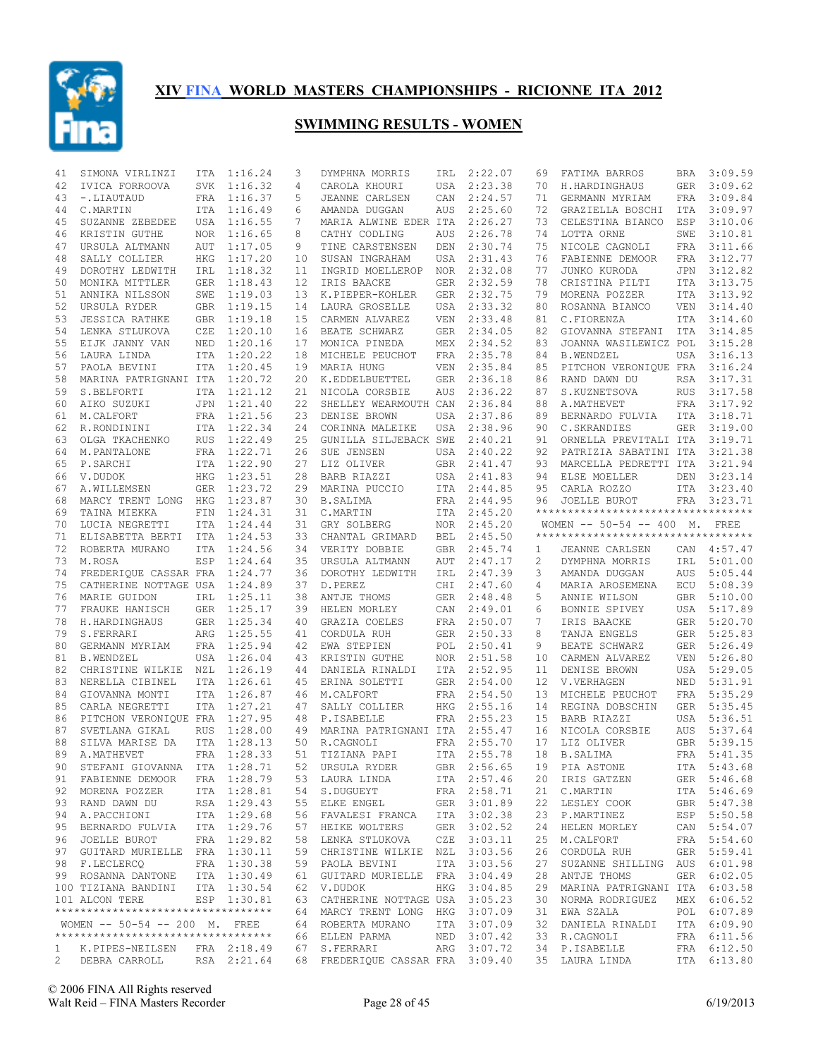

| 41 | SIMONA VIRLINZI                                              | ITA | 1:16.24     | 3  | DYMPHNA MORRIS                                   | IRL        | 2:22.07                    | 69 | FATIMA BARROS                                                        | BRA        | 3:09.59                    |
|----|--------------------------------------------------------------|-----|-------------|----|--------------------------------------------------|------------|----------------------------|----|----------------------------------------------------------------------|------------|----------------------------|
| 42 | IVICA FORROOVA                                               |     | SVK 1:16.32 | 4  | CAROLA KHOURI                                    | USA        | 2:23.38                    | 70 | H.HARDINGHAUS                                                        | GER        | 3:09.62                    |
| 43 | -.LIAUTAUD                                                   |     | FRA 1:16.37 | 5  | JEANNE CARLSEN                                   | CAN        | 2:24.57                    | 71 | GERMANN MYRIAM                                                       | FRA        | 3:09.84                    |
| 44 | C.MARTIN                                                     |     | ITA 1:16.49 | 6  | AMANDA DUGGAN                                    | AUS        | 2:25.60                    | 72 | GRAZIELLA BOSCHI                                                     | ITA        | 3:09.97                    |
| 45 | SUZANNE ZEBEDEE                                              |     | USA 1:16.55 | 7  | MARIA ALWINE EDER ITA                            |            | 2:26.27                    | 73 | CELESTINA BIANCO                                                     | ESP        | 3:10.06                    |
| 46 | KRISTIN GUTHE                                                |     | NOR 1:16.65 | 8  | CATHY CODLING                                    | AUS        | 2:26.78                    | 74 | LOTTA ORNE                                                           | SWE        | 3:10.81                    |
| 47 | URSULA ALTMANN                                               | AUT | 1:17.05     | 9  | TINE CARSTENSEN                                  | DEN        | 2:30.74                    | 75 | NICOLE CAGNOLI                                                       | FRA        | 3:11.66                    |
| 48 | SALLY COLLIER                                                | HKG | 1:17.20     | 10 | SUSAN INGRAHAM                                   | USA        | 2:31.43                    | 76 | FABIENNE DEMOOR                                                      | FRA        | 3:12.77                    |
| 49 | DOROTHY LEDWITH                                              |     | IRL 1:18.32 | 11 | INGRID MOELLEROP                                 |            | NOR 2:32.08                | 77 | JUNKO KURODA                                                         |            | JPN 3:12.82                |
| 50 | MONIKA MITTLER                                               |     | GER 1:18.43 | 12 | IRIS BAACKE                                      | GER        | 2:32.59                    | 78 | CRISTINA PILTI                                                       | ITA        | 3:13.75                    |
| 51 | ANNIKA NILSSON                                               | SWE | 1:19.03     | 13 | K.PIEPER-KOHLER                                  | GER        | 2:32.75                    | 79 | MORENA POZZER                                                        | ITA        | 3:13.92                    |
| 52 | URSULA RYDER                                                 |     | GBR 1:19.15 | 14 | LAURA GROSELLE                                   | USA        | 2:33.32                    | 80 | ROSANNA BIANCO                                                       | VEN        | 3:14.40                    |
| 53 | <b>JESSICA RATHKE</b>                                        |     | GBR 1:19.18 | 15 | CARMEN ALVAREZ                                   | VEN        | 2:33.48                    | 81 | C.FIORENZA                                                           |            | ITA 3:14.60                |
| 54 | LENKA STLUKOVA                                               | CZE | 1:20.10     | 16 | BEATE SCHWARZ                                    | <b>GER</b> | 2:34.05                    | 82 | GIOVANNA STEFANI                                                     | ITA        | 3:14.85                    |
| 55 | EIJK JANNY VAN                                               |     | NED 1:20.16 | 17 | MONICA PINEDA                                    | MEX        | 2:34.52                    | 83 | JOANNA WASILEWICZ POL                                                |            | 3:15.28                    |
| 56 | LAURA LINDA                                                  |     | ITA 1:20.22 | 18 | MICHELE PEUCHOT                                  | FRA        | 2:35.78                    | 84 | <b>B.WENDZEL</b>                                                     | USA        | 3:16.13                    |
| 57 | PAOLA BEVINI                                                 |     | ITA 1:20.45 | 19 | MARIA HUNG                                       | VEN        | 2:35.84                    | 85 | PITCHON VERONIQUE FRA                                                |            | 3:16.24                    |
| 58 | MARINA PATRIGNANI ITA 1:20.72                                |     |             | 20 | K.EDDELBUETTEL                                   | <b>GER</b> | 2:36.18                    | 86 | RAND DAWN DU                                                         | RSA        | 3:17.31                    |
| 59 | S.BELFORTI                                                   |     | ITA 1:21.12 | 21 | NICOLA CORSBIE                                   | AUS        | 2:36.22                    | 87 | S.KUZNETSOVA                                                         | RUS        | 3:17.58                    |
| 60 | AIKO SUZUKI                                                  |     | JPN 1:21.40 | 22 | SHELLEY WEARMOUTH CAN                            |            | 2:36.84                    | 88 | A.MATHEVET                                                           |            | FRA 3:17.92                |
| 61 | M.CALFORT                                                    |     | FRA 1:21.56 | 23 | DENISE BROWN                                     | USA        | 2:37.86                    | 89 | BERNARDO FULVIA                                                      |            | ITA 3:18.71                |
| 62 | R.RONDININI                                                  |     | ITA 1:22.34 | 24 | CORINNA MALEIKE                                  | USA        | 2:38.96                    | 90 | C. SKRANDIES                                                         |            | GER 3:19.00                |
| 63 | OLGA TKACHENKO                                               |     | RUS 1:22.49 | 25 | GUNILLA SILJEBACK SWE                            |            | 2:40.21                    | 91 | ORNELLA PREVITALI ITA 3:19.71                                        |            |                            |
| 64 | M. PANTALONE                                                 |     | FRA 1:22.71 | 26 | SUE JENSEN                                       | USA        | 2:40.22                    | 92 | PATRIZIA SABATINI ITA                                                |            | 3:21.38                    |
| 65 | P.SARCHI                                                     |     | ITA 1:22.90 | 27 | LIZ OLIVER                                       |            | GBR 2:41.47                | 93 | MARCELLA PEDRETTI ITA                                                |            | 3:21.94                    |
|    |                                                              |     |             |    |                                                  |            |                            |    |                                                                      |            | 3:23.14                    |
| 66 | V.DUDOK                                                      |     | HKG 1:23.51 | 28 | BARB RIAZZI                                      | USA        | 2:41.83                    | 94 | ELSE MOELLER                                                         | DEN        |                            |
| 67 | A.WILLEMSEN                                                  |     | GER 1:23.72 | 29 | MARINA PUCCIO                                    | ITA        | 2:44.85                    | 95 | CARLA ROZZO                                                          | ITA        | 3:23.40                    |
| 68 | MARCY TRENT LONG                                             | HKG | 1:23.87     | 30 | <b>B.SALIMA</b>                                  | FRA        | 2:44.95                    | 96 | JOELLE BUROT                                                         |            | FRA 3:23.71                |
| 69 | TAINA MIEKKA                                                 | FIN | 1:24.31     | 31 | C.MARTIN                                         | ITA        | 2:45.20                    |    | **********************************                                   |            |                            |
| 70 | LUCIA NEGRETTI                                               |     | ITA 1:24.44 | 31 | GRY SOLBERG                                      | <b>NOR</b> | 2:45.20                    |    | WOMEN -- 50-54 -- 400 M. FREE<br>*********************************** |            |                            |
| 71 | ELISABETTA BERTI                                             |     | ITA 1:24.53 | 33 | CHANTAL GRIMARD                                  | BEL        | 2:45.50                    |    |                                                                      |            |                            |
| 72 | ROBERTA MURANO                                               |     | ITA 1:24.56 |    | 34 VERITY DOBBIE                                 | GBR        | 2:45.74                    | 1  | JEANNE CARLSEN                                                       |            | CAN 4:57.47                |
| 73 | M.ROSA                                                       | ESP | 1:24.64     | 35 | URSULA ALTMANN                                   | AUT        | 2:47.17                    | 2  | DYMPHNA MORRIS                                                       | IRL        | 5:01.00                    |
| 74 | FREDERIQUE CASSAR FRA                                        |     | 1:24.77     | 36 | DOROTHY LEDWITH                                  | IRL        | 2:47.39                    | 3  | AMANDA DUGGAN                                                        | AUS        | 5:05.44                    |
| 75 | CATHERINE NOTTAGE USA 1:24.89                                |     |             | 37 | D.PEREZ                                          | CHI        | 2:47.60                    | 4  | MARIA AROSEMENA                                                      |            | ECU 5:08.39                |
| 76 | MARIE GUIDON                                                 | IRL | 1:25.11     | 38 | ANTJE THOMS                                      | GER        | 2:48.48                    | 5  | ANNIE WILSON                                                         |            | GBR 5:10.00                |
| 77 | FRAUKE HANISCH                                               |     | GER 1:25.17 | 39 | HELEN MORLEY                                     | CAN        | 2:49.01                    | 6  | BONNIE SPIVEY                                                        | USA        | 5:17.89                    |
| 78 | H.HARDINGHAUS                                                |     | GER 1:25.34 | 40 | GRAZIA COELES                                    |            | FRA 2:50.07                | 7  | IRIS BAACKE                                                          |            | GER 5:20.70                |
| 79 | S.FERRARI                                                    |     | ARG 1:25.55 | 41 | CORDULA RUH                                      | <b>GER</b> | 2:50.33                    | 8  | TANJA ENGELS                                                         | GER        | 5:25.83                    |
| 80 | GERMANN MYRIAM                                               |     | FRA 1:25.94 | 42 | EWA STEPIEN                                      | POL        | 2:50.41                    | 9  | BEATE SCHWARZ                                                        | GER        | 5:26.49                    |
| 81 | <b>B.WENDZEL</b>                                             |     | USA 1:26.04 | 43 | KRISTIN GUTHE                                    | <b>NOR</b> | 2:51.58                    | 10 | CARMEN ALVAREZ                                                       | <b>VEN</b> | 5:26.80                    |
| 82 | CHRISTINE WILKIE NZL                                         |     | 1:26.19     | 44 | DANIELA RINALDI                                  | ITA        | 2:52.95                    | 11 | DENISE BROWN                                                         | USA        | 5:29.05                    |
| 83 | NERELLA CIBINEL                                              |     | ITA 1:26.61 | 45 | ERINA SOLETTI                                    | GER        | 2:54.00                    | 12 | V.VERHAGEN                                                           | NED        | 5:31.91                    |
| 84 | GIOVANNA MONTI                                               |     | ITA 1:26.87 | 46 | M.CALFORT                                        |            | FRA 2:54.50                | 13 | MICHELE PEUCHOT                                                      |            | FRA 5:35.29                |
| 85 | CARLA NEGRETTI                                               |     | ITA 1:27.21 | 47 | SALLY COLLIER                                    | HKG        | 2:55.16                    | 14 | REGINA DOBSCHIN                                                      | GER        | 5:35.45                    |
| 86 | PITCHON VERONIQUE FRA 1:27.95                                |     |             | 48 | P.ISABELLE                                       |            | FRA 2:55.23                | 15 | BARB RIAZZI                                                          |            | USA 5:36.51                |
| 87 | SVETLANA GIKAL                                               | RUS | 1:28.00     | 49 | MARINA PATRIGNANI ITA 2:55.47                    |            |                            | 16 | NICOLA CORSBIE                                                       | AUS        | 5:37.64                    |
| 88 | SILVA MARISE DA                                              |     | ITA 1:28.13 | 50 | R.CAGNOLI                                        |            | FRA 2:55.70                | 17 | LIZ OLIVER                                                           |            | GBR 5:39.15                |
| 89 | A.MATHEVET                                                   |     | FRA 1:28.33 | 51 | TIZIANA PAPI                                     |            | ITA 2:55.78                | 18 | <b>B.SALIMA</b>                                                      | FRA        | 5:41.35                    |
| 90 | STEFANI GIOVANNA ITA 1:28.71                                 |     |             |    | 52 URSULA RYDER                                  |            |                            |    | GBR 2:56.65 19 PIA ASTONE                                            |            | ITA 5:43.68                |
|    | 91 FABIENNE DEMOOR                                           |     | FRA 1:28.79 |    | 53 LAURA LINDA                                   |            | ITA 2:57.46                |    | 20 IRIS GATZEN                                                       |            | GER 5:46.68                |
|    | 92 MORENA POZZER                                             |     | ITA 1:28.81 |    | 54 S.DUGUEYT                                     |            | FRA 2:58.71                |    | 21 C.MARTIN                                                          |            | ITA 5:46.69                |
|    | 93 RAND DAWN DU                                              |     | RSA 1:29.43 |    | 55 ELKE ENGEL                                    |            | GER 3:01.89                |    | 22 LESLEY COOK                                                       |            | GBR 5:47.38                |
|    | 94 A.PACCHIONI                                               |     | ITA 1:29.68 |    | 56 FAVALESI FRANCA ITA 3:02.38                   |            |                            |    | 23 P.MARTINEZ                                                        |            | ESP 5:50.58                |
|    | 95 BERNARDO FULVIA                                           |     | ITA 1:29.76 |    | 57 HEIKE WOLTERS                                 |            |                            | 24 | HELEN MORLEY                                                         |            | CAN 5:54.07                |
|    | 96 JOELLE BUROT                                              |     |             |    |                                                  |            | GER 3:02.52<br>CZE 3:03.11 |    |                                                                      |            |                            |
|    |                                                              |     | FRA 1:29.82 |    | 58 LENKA STLUKOVA                                |            |                            |    | 25 M.CALFORT                                                         |            | FRA 5:54.60                |
|    | 97 GUITARD MURIELLE FRA 1:30.11                              |     |             |    | 59 CHRISTINE WILKIE NZL                          |            | 3:03.56                    | 26 | CORDULA RUH                                                          |            | GER 5:59.41                |
|    | 98 F.LECLERCO                                                |     | FRA 1:30.38 |    | 59 PAOLA BEVINI                                  |            | ITA 3:03.56                | 27 | SUZANNE SHILLING AUS 6:01.98                                         |            |                            |
|    | 99 ROSANNA DANTONE                                           |     | ITA 1:30.49 |    | 61 GUITARD MURIELLE FRA 3:04.49                  |            |                            | 28 | ANTJE THOMS                                                          |            | GER 6:02.05                |
|    |                                                              |     |             |    | 62 V.DUDOK                                       |            | HKG 3:04.85                | 29 | MARINA PATRIGNANI ITA 6:03.58                                        |            |                            |
|    | 100 TIZIANA BANDINI ITA 1:30.54                              |     |             |    |                                                  |            |                            |    |                                                                      |            |                            |
|    | 101 ALCON TERE                                               |     | ESP 1:30.81 |    | 63 CATHERINE NOTTAGE USA 3:05.23                 |            |                            | 30 | NORMA RODRIGUEZ                                                      |            | MEX 6:06.52                |
|    | **********************************                           |     |             |    | 64 MARCY TRENT LONG HKG 3:07.09                  |            |                            | 31 | EWA SZALA                                                            |            | POL 6:07.89                |
|    | WOMEN -- 50-54 -- 200 M. FREE                                |     |             |    | 64 ROBERTA MURANO                                |            | ITA 3:07.09                | 32 | DANIELA RINALDI                                                      |            | ITA 6:09.90                |
|    | ***********************************                          |     |             |    | 66 ELLEN PARMA                                   |            | NED 3:07.42                | 33 | R.CAGNOLI                                                            |            | FRA 6:11.56                |
|    | 1 K.PIPES-NEILSEN FRA 2:18.49<br>2 DEBRA CARROLL RSA 2:21.64 |     |             |    | 67 S.FERRARI<br>68 FREDERIQUE CASSAR FRA 3:09.40 |            | ARG 3:07.72                |    | 34 P.ISABELLE<br>35 LAURA LINDA                                      |            | FRA 6:12.50<br>ITA 6:13.80 |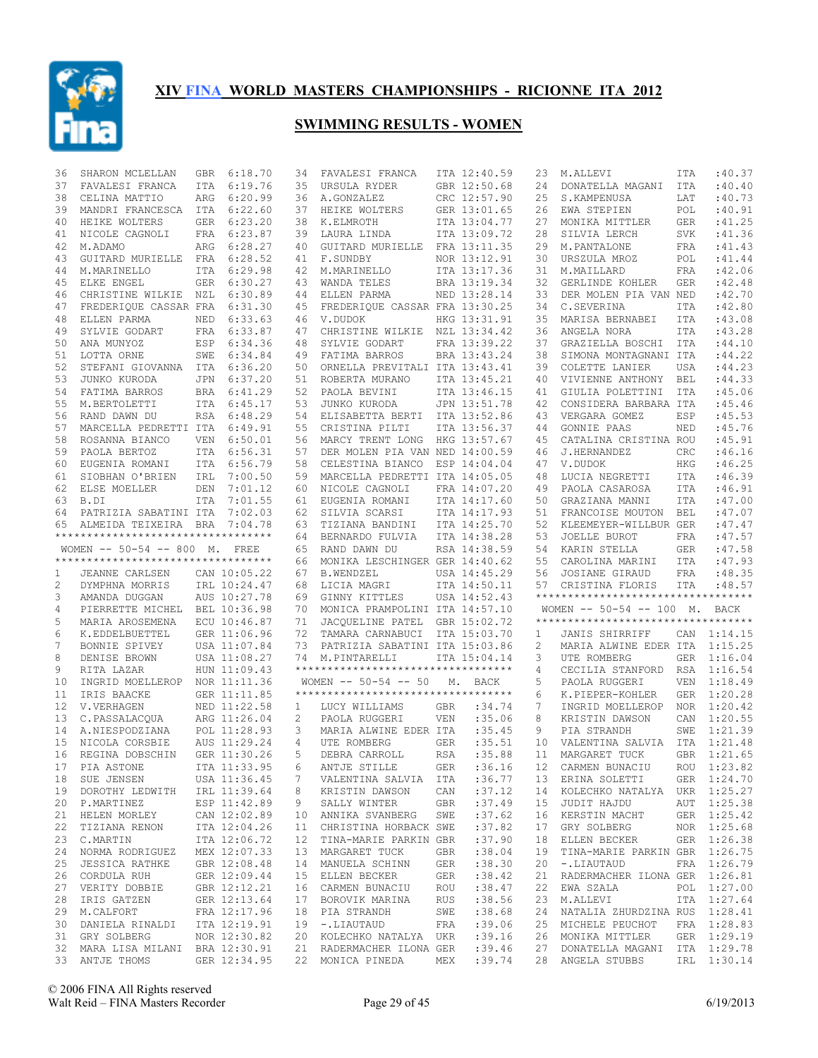

| 36 | SHARON MCLELLAN                                    | GBR        | 6:18.70      | 34                    | FAVALESI FRANCA                                                 |            | ITA 12:40.59 | 23       | M.ALLEVI                                                        | ITA        | :40.37      |
|----|----------------------------------------------------|------------|--------------|-----------------------|-----------------------------------------------------------------|------------|--------------|----------|-----------------------------------------------------------------|------------|-------------|
| 37 | FAVALESI FRANCA                                    | ITA        | 6:19.76      | 35                    | URSULA RYDER                                                    |            | GBR 12:50.68 | 24       | DONATELLA MAGANI                                                | ITA        | :40.40      |
| 38 | CELINA MATTIO                                      | ARG        | 6:20.99      | 36                    | A.GONZALEZ                                                      |            | CRC 12:57.90 | 25       | S. KAMPENUSA                                                    | LAT        | :40.73      |
| 39 | MANDRI FRANCESCA                                   | ITA        | 6:22.60      | 37                    | HEIKE WOLTERS                                                   |            | GER 13:01.65 | 26       | EWA STEPIEN                                                     | POL        | :40.91      |
| 40 | HEIKE WOLTERS                                      | <b>GER</b> | 6:23.20      | 38                    | K.ELMROTH                                                       |            | ITA 13:04.77 | 27       | MONIKA MITTLER                                                  | <b>GER</b> | :41.25      |
| 41 | NICOLE CAGNOLI                                     | FRA        | 6:23.87      | 39                    | LAURA LINDA                                                     |            | ITA 13:09.72 | 28       | SILVIA LERCH                                                    | <b>SVK</b> | : 41.36     |
| 42 | M.ADAMO                                            | ARG        | 6:28.27      | 40                    | GUITARD MURIELLE                                                |            | FRA 13:11.35 | 29       | M. PANTALONE                                                    | <b>FRA</b> | : 41.43     |
| 43 | GUITARD MURIELLE                                   | FRA        | 6:28.52      | 41                    | F.SUNDBY                                                        |            | NOR 13:12.91 | 30       | URSZULA MROZ                                                    | POL        | : 41.44     |
| 44 | M.MARINELLO                                        | ITA        | 6:29.98      | 42                    | M.MARINELLO                                                     |            | ITA 13:17.36 | 31       | M.MAILLARD                                                      | FRA        | :42.06      |
| 45 | ELKE ENGEL                                         | GER        | 6:30.27      | 43                    | WANDA TELES                                                     |            | BRA 13:19.34 | 32       | GERLINDE KOHLER                                                 | <b>GER</b> | :42.48      |
| 46 | CHRISTINE WILKIE NZL                               |            | 6:30.89      | 44                    | ELLEN PARMA                                                     |            | NED 13:28.14 | 33       | DER MOLEN PIA VAN NED                                           |            | :42.70      |
| 47 | FREDERIQUE CASSAR FRA                              |            | 6:31.30      |                       | 45 FREDERIQUE CASSAR FRA 13:30.25                               |            |              | 34       | C.SEVERINA                                                      | ITA        | :42.80      |
| 48 | ELLEN PARMA                                        | NED        | 6:33.63      | 46                    | V.DUDOK                                                         |            | HKG 13:31.91 | 35       | MARISA BERNABEI                                                 | <b>ITA</b> | :43.08      |
| 49 | SYLVIE GODART                                      | FRA        | 6:33.87      | 47                    | CHRISTINE WILKIE NZL 13:34.42                                   |            |              | 36       | ANGELA NORA                                                     | <b>ITA</b> | :43.28      |
| 50 | ANA MUNYOZ                                         | ESP        | 6:34.36      | 48                    | SYLVIE GODART                                                   |            | FRA 13:39.22 | 37       | GRAZIELLA BOSCHI                                                | ITA        | :44.10      |
| 51 | LOTTA ORNE                                         | SWE        | 6:34.84      | 49                    | FATIMA BARROS                                                   |            | BRA 13:43.24 | 38       | SIMONA MONTAGNANI ITA                                           |            | : 44.22     |
|    |                                                    |            |              |                       |                                                                 |            |              |          |                                                                 |            |             |
| 52 | STEFANI GIOVANNA ITA 6:36.20                       |            |              | 50                    | ORNELLA PREVITALI ITA 13:43.41                                  |            |              | 39       | COLETTE LANIER                                                  | <b>USA</b> | : 44.23     |
| 53 | JUNKO KURODA                                       | JPN        | 6:37.20      | 51                    | ROBERTA MURANO                                                  |            | ITA 13:45.21 | 40       | VIVIENNE ANTHONY                                                | <b>BEL</b> | : 44.33     |
| 54 | FATIMA BARROS                                      |            | BRA 6:41.29  | 52                    | PAOLA BEVINI                                                    |            | ITA 13:46.15 | 41       | GIULIA POLETTINI                                                | <b>ITA</b> | :45.06      |
| 55 | M.BERTOLETTI                                       |            | ITA 6:45.17  | 53                    | JUNKO KURODA                                                    |            | JPN 13:51.78 | 42       | CONSIDERA BARBARA ITA                                           |            | :45.46      |
| 56 | RAND DAWN DU                                       |            | RSA 6:48.29  | 54                    | ELISABETTA BERTI                                                |            | ITA 13:52.86 | 43       | VERGARA GOMEZ                                                   | ESP        | :45.53      |
| 57 | MARCELLA PEDRETTI ITA                              |            | 6:49.91      | 55                    | CRISTINA PILTI                                                  |            | ITA 13:56.37 | 44       | GONNIE PAAS                                                     | NED        | :45.76      |
| 58 | ROSANNA BIANCO                                     | <b>VEN</b> | 6:50.01      | 56                    | MARCY TRENT LONG                                                |            | HKG 13:57.67 | 45       | CATALINA CRISTINA ROU                                           |            | :45.91      |
| 59 | PAOLA BERTOZ                                       | ITA        | 6:56.31      | 57                    | DER MOLEN PIA VAN NED 14:00.59                                  |            |              | 46       | J.HERNANDEZ                                                     | CRC        | :46.16      |
| 60 | EUGENIA ROMANI                                     |            | ITA 6:56.79  | 58                    | CELESTINA BIANCO                                                |            | ESP 14:04.04 | 47       | V.DUDOK                                                         | HKG        | :46.25      |
| 61 | SIOBHAN O'BRIEN                                    | IRL        | 7:00.50      | 59                    | MARCELLA PEDRETTI ITA 14:05.05                                  |            |              | 48       | LUCIA NEGRETTI                                                  | <b>ITA</b> | :46.39      |
| 62 | ELSE MOELLER                                       | DEN        | 7:01.12      | 60                    | NICOLE CAGNOLI                                                  |            | FRA 14:07.20 | 49       | PAOLA CASAROSA                                                  | <b>ITA</b> | :46.91      |
| 63 | B.DI                                               | ITA        | 7:01.55      | 61                    | EUGENIA ROMANI                                                  |            | ITA 14:17.60 | 50       | GRAZIANA MANNI                                                  | <b>ITA</b> | :47.00      |
| 64 | PATRIZIA SABATINI ITA                              |            | 7:02.03      | 62                    | SILVIA SCARSI                                                   |            | ITA 14:17.93 | 51       | FRANCOISE MOUTON                                                | <b>BEL</b> | : 47.07     |
| 65 | ALMEIDA TEIXEIRA BRA                               |            | 7:04.78      | 63                    | TIZIANA BANDINI                                                 |            | ITA 14:25.70 | 52       | KLEEMEYER-WILLBUR GER                                           |            | :47.47      |
|    | **********************************                 |            |              | 64                    | BERNARDO FULVIA                                                 |            | ITA 14:38.28 | 53       | JOELLE BUROT                                                    | FRA        | : 47.57     |
|    | WOMEN -- 50-54 -- 800 M. FREE                      |            |              | 65                    | RAND DAWN DU                                                    |            | RSA 14:38.59 | 54       | KARIN STELLA                                                    | <b>GER</b> | : 47.58     |
|    | **********************************                 |            |              | 66                    | MONIKA LESCHINGER GER 14:40.62                                  |            |              | 55       | CAROLINA MARINI                                                 | ITA        | :47.93      |
| 1  | JEANNE CARLSEN                                     |            | CAN 10:05.22 | 67                    | <b>B.WENDZEL</b>                                                |            | USA 14:45.29 | 56       | JOSIANE GIRAUD                                                  | FRA        | :48.35      |
| 2  | DYMPHNA MORRIS                                     |            | IRL 10:24.47 | 68                    | LICIA MAGRI                                                     |            | ITA 14:50.11 | 57       | CRISTINA FLORIS                                                 | ITA        | :48.57      |
| 3  | AMANDA DUGGAN                                      |            | AUS 10:27.78 | 69                    | GINNY KITTLES                                                   |            | USA 14:52.43 |          | **********************************                              |            |             |
| 4  |                                                    |            |              | 70                    |                                                                 |            |              |          | WOMEN -- 50-54 -- 100 M. BACK                                   |            |             |
|    | PIERRETTE MICHEL BEL 10:36.98                      |            |              |                       | MONICA PRAMPOLINI ITA 14:57.10                                  |            |              |          | **********************************                              |            |             |
| 5  | MARIA AROSEMENA                                    |            | ECU 10:46.87 | 71                    | JACOUELINE PATEL GBR 15:02.72                                   |            |              |          |                                                                 |            |             |
| 6  | K.EDDELBUETTEL                                     |            | GER 11:06.96 | 72                    | TAMARA CARNABUCI                                                |            | ITA 15:03.70 |          | JANIS SHIRRIFF                                                  |            | CAN 1:14.15 |
| 7  |                                                    |            |              |                       |                                                                 |            |              | 1        |                                                                 |            |             |
|    | BONNIE SPIVEY                                      |            | USA 11:07.84 | 73                    | PATRIZIA SABATINI ITA 15:03.86                                  |            |              | 2        | MARIA ALWINE EDER ITA 1:15.25                                   |            |             |
| 8  | DENISE BROWN                                       |            | USA 11:08.27 | 74                    | M.PINTARELLI                                                    |            | ITA 15:04.14 | 3        | UTE ROMBERG                                                     |            | GER 1:16.04 |
| 9  | RITA LAZAR                                         |            | HUN 11:09.43 |                       | **********************************                              |            |              | 4        | CECILIA STANFORD RSA 1:16.54                                    |            |             |
| 10 | INGRID MOELLEROP                                   |            | NOR 11:11.36 |                       | WOMEN $-- 50-54 -- 50$                                          | М.         | BACK         | 5        | PAOLA RUGGERI                                                   | VEN        | 1:18.49     |
| 11 | IRIS BAACKE                                        |            | GER 11:11.85 |                       | ***********************************                             |            |              | 6        | K.PIEPER-KOHLER                                                 |            | GER 1:20.28 |
| 12 | V.VERHAGEN                                         |            | NED 11:22.58 | $\mathbf{1}$          | LUCY WILLIAMS                                                   | GBR        | :34.74       | 7        | INGRID MOELLEROP                                                | NOR        | 1:20.42     |
| 13 | C.PASSALACQUA                                      |            | ARG 11:26.04 | $\mathbf{2}^{\prime}$ | PAOLA RUGGERI                                                   | VEN        | :35.06       | 8        | KRISTIN DAWSON                                                  |            | CAN 1:20.55 |
| 14 | A.NIESPODZIANA                                     |            | POL 11:28.93 | 3                     | MARIA ALWINE EDER ITA                                           |            | :35.45       | 9        | PIA STRANDH                                                     | SWE        | 1:21.39     |
| 15 | NICOLA CORSBIE                                     |            | AUS 11:29.24 | $\overline{4}$        | UTE ROMBERG                                                     | GER        | :35.51       | 10       | VALENTINA SALVIA ITA 1:21.48                                    |            |             |
| 16 | REGINA DOBSCHIN                                    |            | GER 11:30.26 | 5                     | DEBRA CARROLL                                                   | RSA        | :35.88       | 11       | MARGARET TUCK                                                   |            | GBR 1:21.65 |
|    | 17 PIA ASTONE                                      |            | ITA 11:33.95 |                       | 6 ANTJE STILLE                                                  |            |              |          | GER : 36.16 12 CARMEN BUNACIU ROU 1:23.82                       |            |             |
|    | 18 SUE JENSEN                                      |            | USA 11:36.45 | 7                     | VALENTINA SALVIA ITA                                            |            | :36.77       |          | 13 ERINA SOLETTI GER 1:24.70                                    |            |             |
|    | 19 DOROTHY LEDWITH IRL 11:39.64                    |            |              | 8                     | KRISTIN DAWSON CAN                                              |            | :37.12       |          | 14 KOLECHKO NATALYA UKR 1:25.27                                 |            |             |
|    | 20 P.MARTINEZ                                      |            | ESP 11:42.89 | 9                     | SALLY WINTER GBR                                                |            | :37.49       | 15       | JUDIT HAJDU                                                     |            | AUT 1:25.38 |
|    |                                                    |            |              |                       |                                                                 |            |              |          |                                                                 |            |             |
|    | 21 HELEN MORLEY                                    |            | CAN 12:02.89 |                       | 10 ANNIKA SVANBERG SWE                                          |            | :37.62       |          | 16 KERSTIN MACHT                                                |            | GER 1:25.42 |
| 22 | TIZIANA RENON                                      |            | ITA 12:04.26 |                       | 11 CHRISTINA HORBACK SWE                                        |            | :37.82       | 17       | GRY SOLBERG                                                     |            | NOR 1:25.68 |
|    | 23 C.MARTIN                                        |            | ITA 12:06.72 |                       | 12 TINA-MARIE PARKIN GBR                                        | GBR        | :37.90       | 18<br>19 | ELLEN BECKER                                                    |            | GER 1:26.38 |
| 24 | NORMA RODRIGUEZ MEX 12:07.33                       |            |              |                       | 13 MARGARET TUCK                                                |            | : 38.04      |          | TINA-MARIE PARKIN GBR 1:26.75                                   |            |             |
| 25 | JESSICA RATHKE                                     |            | GBR 12:08.48 |                       | 14 MANUELA SCHINN                                               |            | GER : 38.30  | 20       | -.LIAUTAUD                                                      |            | FRA 1:26.79 |
|    | 26 CORDULA RUH                                     |            | GER 12:09.44 |                       | 15 ELLEN BECKER GER                                             |            | : 38.42      | 21       | RADERMACHER ILONA GER 1:26.81                                   |            |             |
|    | 27 VERITY DOBBIE                                   |            | GBR 12:12.21 |                       | 16 CARMEN BUNACIU ROU                                           |            | : 38.47      | 22       | EWA SZALA                                                       |            | POL 1:27.00 |
| 28 | IRIS GATZEN                                        |            | GER 12:13.64 |                       | 17 BOROVIK MARINA                                               | <b>RUS</b> | :38.56       | 23       | M.ALLEVI                                                        |            | ITA 1:27.64 |
|    | 29 M.CALFORT                                       |            | FRA 12:17.96 |                       | 18 PIA STRANDH                                                  | SWE        | : 38.68      | 24       | NATALIA ZHURDZINA RUS 1:28.41                                   |            |             |
| 30 | DANIELA RINALDI ITA 12:19.91                       |            |              |                       | 19 -.LIAUTAUD                                                   | FRA        | :39.06       | 25       | MICHELE PEUCHOT                                                 |            | FRA 1:28.83 |
|    | 31 GRY SOLBERG                                     |            | NOR 12:30.82 |                       | 20 KOLECHKO NATALYA UKR                                         |            | :39.16       |          | 26 MONIKA MITTLER                                               |            | GER 1:29.19 |
|    | 32 MARA LISA MILANI BRA 12:30.91<br>33 ANTJE THOMS |            | GER 12:34.95 |                       | 21 RADERMACHER ILONA GER : 39.46<br>22 MONICA PINEDA MEX :39.74 |            |              |          | 27 DONATELLA MAGANI ITA 1:29.78<br>28 ANGELA STUBBS IRL 1:30.14 |            |             |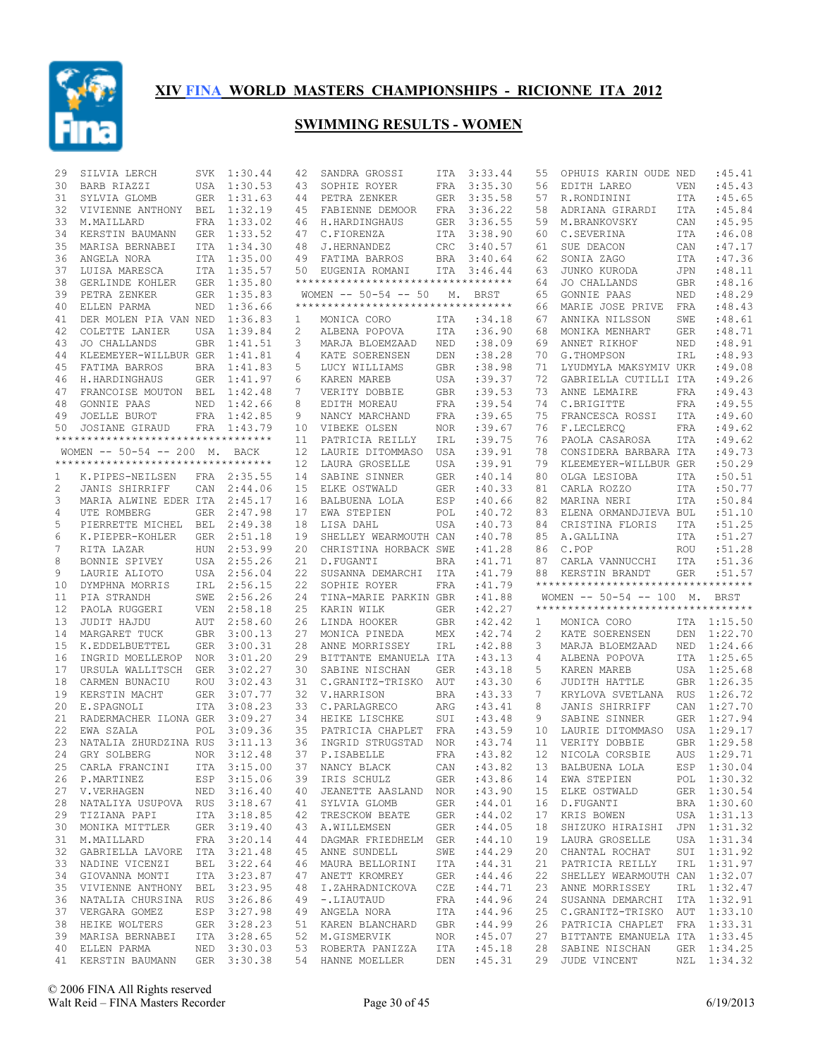

| 29           | SILVIA LERCH                                  |            | SVK 1:30.44 | 42                | SANDRA GROSSI                              | ITA        | 3:33.44               | 55           | OPHUIS KARIN OUDE NED                                               |             | :45.41                     |
|--------------|-----------------------------------------------|------------|-------------|-------------------|--------------------------------------------|------------|-----------------------|--------------|---------------------------------------------------------------------|-------------|----------------------------|
| 30           | BARB RIAZZI                                   |            | USA 1:30.53 | 43                | SOPHIE ROYER                               | FRA        | 3:35.30               | 56           | EDITH LAREO                                                         | VEN         | :45.43                     |
| 31           | SYLVIA GLOMB                                  |            | GER 1:31.63 | 44                | PETRA ZENKER                               |            | GER 3:35.58           | 57           | R.RONDININI                                                         | ITA         | :45.65                     |
| 32           | VIVIENNE ANTHONY                              | BEL        | 1:32.19     | 45                | FABIENNE DEMOOR                            | FRA        | 3:36.22               | 58           | ADRIANA GIRARDI                                                     | ITA         | :45.84                     |
| 33           | M.MAILLARD                                    |            | FRA 1:33.02 | 46                | H.HARDINGHAUS                              | GER        | 3:36.55               | 59           | M.BRANKOVSKY                                                        | CAN         | :45.95                     |
| 34           | KERSTIN BAUMANN                               |            | GER 1:33.52 | 47                | C.FIORENZA                                 | ITA        | 3:38.90               | 60           | C.SEVERINA                                                          | ITA         | :46.08                     |
| 35           | MARISA BERNABEI                               |            | ITA 1:34.30 | 48                | J.HERNANDEZ                                | <b>CRC</b> | 3:40.57               | 61           | SUE DEACON                                                          | CAN         | :47.17                     |
| 36           | ANGELA NORA                                   |            | ITA 1:35.00 | 49                | FATIMA BARROS                              | BRA        | 3:40.64               | 62           | SONIA ZAGO                                                          | ITA         | :47.36                     |
| 37           | LUISA MARESCA                                 |            | ITA 1:35.57 |                   | 50 EUGENIA ROMANI                          |            | ITA 3:46.44           | 63           | JUNKO KURODA                                                        | <b>JPN</b>  | :48.11                     |
| 38           | GERLINDE KOHLER                               |            | GER 1:35.80 |                   | **********************************         |            |                       | 64           | JO CHALLANDS                                                        | GBR         | :48.16                     |
| 39           | PETRA ZENKER                                  |            | GER 1:35.83 |                   | WOMEN $--$ 50-54 $--$ 50                   | М.         | BRST                  | 65           | GONNIE PAAS                                                         | NED         | :48.29                     |
| 40           | ELLEN PARMA                                   |            | NED 1:36.66 |                   | **********************************         |            |                       | 66           | MARIE JOSE PRIVE                                                    | FRA         | :48.43                     |
| 41           | DER MOLEN PIA VAN NED 1:36.83                 |            |             | $\mathbf{1}$      | MONICA CORO                                | ITA        | :34.18                | 67           | ANNIKA NILSSON                                                      | SWE         | :48.61                     |
| 42           | COLETTE LANIER                                |            | USA 1:39.84 | 2                 | ALBENA POPOVA                              | ITA        | :36.90                | 68           | MONIKA MENHART                                                      | <b>GER</b>  | :48.71                     |
| 43           |                                               |            |             | 3                 |                                            |            | :38.09                | 69           | ANNET RIKHOF                                                        |             | :48.91                     |
|              | JO CHALLANDS                                  |            | GBR 1:41.51 |                   | MARJA BLOEMZAAD                            | NED        |                       |              |                                                                     | NED         |                            |
| 44           | KLEEMEYER-WILLBUR GER 1:41.81                 |            |             | 4                 | KATE SOERENSEN                             | DEN        | :38.28                | 70           | G.THOMPSON                                                          | IRL         | :48.93                     |
| 45           | FATIMA BARROS                                 |            | BRA 1:41.83 | 5                 | LUCY WILLIAMS                              | GBR        | :38.98                | 71           | LYUDMYLA MAKSYMIV UKR                                               |             | :49.08                     |
| 46           | H.HARDINGHAUS                                 |            | GER 1:41.97 | 6                 | KAREN MAREB                                | USA        | :39.37                | 72           | GABRIELLA CUTILLI ITA                                               |             | :49.26                     |
| 47           | FRANCOISE MOUTON BEL 1:42.48                  |            |             | 7                 | VERITY DOBBIE                              | GBR        | :39.53                | 73           | ANNE LEMAIRE                                                        | <b>FRA</b>  | :49.43                     |
| 48           | GONNIE PAAS                                   |            | NED 1:42.66 | 8                 | EDITH MOREAU                               | FRA        | : 39.54               | 74           | C.BRIGITTE                                                          | <b>FRA</b>  | :49.55                     |
| 49           | JOELLE BUROT                                  |            | FRA 1:42.85 | 9                 | NANCY MARCHAND                             | FRA        | :39.65                | 75           | FRANCESCA ROSSI                                                     | ITA         | :49.60                     |
| 50           | JOSIANE GIRAUD                                |            | FRA 1:43.79 | 10                | VIBEKE OLSEN                               | <b>NOR</b> | :39.67                | 76           | F.LECLERCO                                                          | FRA         | :49.62                     |
|              | ***********************************           |            |             | 11                | PATRICIA REILLY                            | IRL        | :39.75                | 76           | PAOLA CASAROSA                                                      | <b>ITA</b>  | :49.62                     |
|              | WOMEN -- 50-54 -- 200 M. BACK                 |            |             | $12 \overline{ }$ | LAURIE DITOMMASO                           | USA        | :39.91                | 78           | CONSIDERA BARBARA ITA                                               |             | :49.73                     |
|              | ***********************************           |            |             | $12 \overline{ }$ | LAURA GROSELLE                             | USA        | :39.91                | 79           | KLEEMEYER-WILLBUR GER                                               |             | :50.29                     |
| $\mathbf{1}$ | K.PIPES-NEILSEN                               |            | FRA 2:35.55 | 14                | SABINE SINNER                              | GER        | :40.14                | 80           | OLGA LESIOBA                                                        | <b>ITA</b>  | :50.51                     |
| 2            | JANIS SHIRRIFF                                | CAN        | 2:44.06     | 15                | ELKE OSTWALD                               | GER        | :40.33                | 81           | CARLA ROZZO                                                         | ITA         | :50.77                     |
| 3            | MARIA ALWINE EDER ITA                         |            | 2:45.17     | 16                | BALBUENA LOLA                              | ESP        | :40.66                | 82           | MARINA NERI                                                         | <b>ITA</b>  | :50.84                     |
| 4            | UTE ROMBERG                                   | GER        | 2:47.98     | 17                | EWA STEPIEN                                | POL        | :40.72                | 83           | ELENA ORMANDJIEVA BUL                                               |             | :51.10                     |
| 5            | PIERRETTE MICHEL BEL 2:49.38                  |            |             | 18                | LISA DAHL                                  | USA        | :40.73                | 84           | CRISTINA FLORIS                                                     | ITA         | :51.25                     |
| 6            | K.PIEPER-KOHLER                               |            | GER 2:51.18 | 19                | SHELLEY WEARMOUTH CAN                      |            | :40.78                | 85           | A.GALLINA                                                           | ITA         | :51.27                     |
| 7            | RITA LAZAR                                    | HUN        | 2:53.99     | 20                | CHRISTINA HORBACK SWE                      |            | :41.28                | 86           | C.POP                                                               | <b>ROU</b>  | :51.28                     |
| 8            | BONNIE SPIVEY                                 |            | USA 2:55.26 | 21                | D.FUGANTI                                  | BRA        | :41.71                | 87           | CARLA VANNUCCHI                                                     | ITA         | :51.36                     |
| 9            | LAURIE ALIOTO                                 |            | USA 2:56.04 | 22                | SUSANNA DEMARCHI ITA                       |            | : 41.79               | 88           | KERSTIN BRANDT                                                      | <b>GER</b>  | :51.57                     |
| 10           | DYMPHNA MORRIS                                |            | IRL 2:56.15 | 22                | SOPHIE ROYER                               |            | : 41.79               |              | **********************************                                  |             |                            |
|              |                                               |            |             |                   |                                            | FRA        |                       |              |                                                                     |             |                            |
| 11           | PIA STRANDH                                   |            | SWE 2:56.26 | 24                | TINA-MARIE PARKIN GBR                      |            | : 41.88               |              | WOMEN -- 50-54 -- 100 M. BRST<br>********************************** |             |                            |
| 12           | PAOLA RUGGERI                                 | VEN        | 2:58.18     | 25                | KARIN WILK                                 | GER        | :42.27                |              |                                                                     |             |                            |
| 13           | JUDIT HAJDU                                   |            | AUT 2:58.60 | 26                | LINDA HOOKER                               | GBR        | :42.42                | $\mathbf{1}$ | MONICA CORO                                                         |             | ITA 1:15.50                |
| 14           | MARGARET TUCK                                 |            | GBR 3:00.13 | 27                | MONICA PINEDA                              | MEX        | :42.74                | 2            | KATE SOERENSEN<br>MARJA BLOEMZAAD                                   | DEN         | 1:22.70                    |
|              |                                               |            |             |                   | ANNE MORRISSEY                             |            |                       |              |                                                                     |             |                            |
| 15           | K.EDDELBUETTEL                                |            | GER 3:00.31 | 28                |                                            | IRL        | :42.88                | 3            |                                                                     | NED 1:24.66 |                            |
| 16           | INGRID MOELLEROP                              |            | NOR 3:01.20 | 29                | BITTANTE EMANUELA ITA                      |            | :43.13                | 4            | ALBENA POPOVA                                                       |             | ITA 1:25.65                |
| 17           | URSULA WALLITSCH GER                          |            | 3:02.27     | 30                | SABINE NISCHAN                             | <b>GER</b> | :43.18                | 5            | KAREN MAREB                                                         |             | USA 1:25.68                |
| 18           | CARMEN BUNACIU                                | ROU        | 3:02.43     | 31                | C.GRANITZ-TRISKO                           | AUT        | :43.30                | 6            | JUDITH HATTLE                                                       |             | GBR 1:26.35                |
| 19           | KERSTIN MACHT                                 |            | GER 3:07.77 |                   | 32 V.HARRISON                              | <b>BRA</b> | :43.33                | 7            | KRYLOVA SVETLANA RUS 1:26.72                                        |             |                            |
| 20           | E.SPAGNOLI                                    | <b>ITA</b> | 3:08.23     | 33                | C.PARLAGRECO                               | ARG        | :43.41                | 8            | JANIS SHIRRIFF                                                      |             | CAN 1:27.70                |
| 21           | RADERMACHER ILONA GER                         |            | 3:09.27     |                   | 34 HEIKE LISCHKE                           | SUI        | :43.48                | 9            | SABINE SINNER                                                       |             | GER 1:27.94                |
| 22           | EWA SZALA                                     | POL        | 3:09.36     | 35                | PATRICIA CHAPLET                           | FRA        | :43.59                | 10           | LAURIE DITOMMASO                                                    | USA         | 1:29.17                    |
| 23           | NATALIA ZHURDZINA RUS                         |            | 3:11.13     | 36                | INGRID STRUGSTAD                           | <b>NOR</b> | : 43.74               | 11           | VERITY DOBBIE                                                       |             | GBR 1:29.58                |
| 24           | GRY SOLBERG                                   | <b>NOR</b> | 3:12.48     | 37                | P.ISABELLE                                 | FRA        | :43.82                | 12           | NICOLA CORSBIE                                                      | AUS         | 1:29.71                    |
|              | 25 CARLA FRANCINI ITA 3:15.00                 |            |             |                   | 37 NANCY BLACK CAN :43.82 13 BALBUENA LOLA |            |                       |              |                                                                     |             | ESP 1:30.04                |
|              | 26 P.MARTINEZ                                 |            | ESP 3:15.06 |                   | 39 IRIS SCHULZ                             | GER        | :43.86                | 14           | EWA STEPIEN                                                         |             | POL 1:30.32                |
|              | 27 V.VERHAGEN                                 |            | NED 3:16.40 |                   |                                            |            | :43.90                | 15           | ELKE OSTWALD                                                        |             | GER 1:30.54                |
| 28           | NATALIYA USUPOVA RUS 3:18.67                  |            |             |                   | 40 JEANETTE AASLAND NOR<br>41 SYLVIA GLOMB | GER        | :44.01                | 16           | D.FUGANTI                                                           |             | BRA 1:30.60                |
| 29           |                                               |            |             |                   |                                            | GER        |                       | 17           | KRIS BOWEN                                                          |             |                            |
|              | TIZIANA PAPI                                  |            | ITA 3:18.85 |                   | 42 TRESCKOW BEATE                          |            | :44.02                |              |                                                                     |             | USA 1:31.13                |
| 30           | MONIKA MITTLER                                |            | GER 3:19.40 |                   | 43 A.WILLEMSEN                             | GER        | :44.05                | 18           | SHIZUKO HIRAISHI                                                    |             | JPN 1:31.32                |
|              | 31 M.MAILLARD                                 |            | FRA 3:20.14 |                   | 44 DAGMAR FRIEDHELM GER                    |            | :44.10                | 19           | LAURA GROSELLE                                                      |             | USA 1:31.34                |
| 32           | GABRIELLA LAVORE ITA 3:21.48                  |            |             |                   | 45 ANNE SUNDELL                            | SWE        | :44.29                | 20           | CHANTAL ROCHAT                                                      |             | SUI 1:31.92                |
|              | 33 NADINE VICENZI                             |            | BEL 3:22.64 |                   | 46 MAURA BELLORINI                         | ITA        | :44.31                | 21           | PATRICIA REILLY                                                     |             | IRL 1:31.97                |
| 34           | GIOVANNA MONTI                                |            | ITA 3:23.87 |                   | 47 ANETT KROMREY                           | GER        | :44.46                | 22           | SHELLEY WEARMOUTH CAN 1:32.07                                       |             |                            |
| 35           | VIVIENNE ANTHONY BEL 3:23.95                  |            |             |                   | 48 I.ZAHRADNICKOVA                         | CZE        | :44.71                | 23           | ANNE MORRISSEY                                                      |             | IRL 1:32.47                |
| 36           | NATALIA CHURSINA RUS 3:26.86                  |            |             |                   | 49 -.LIAUTAUD                              | FRA        | :44.96                | 24           | SUSANNA DEMARCHI ITA 1:32.91                                        |             |                            |
| 37           | VERGARA GOMEZ                                 |            | ESP 3:27.98 |                   | 49 ANGELA NORA                             | ITA        | :44.96                | 25           | C.GRANITZ-TRISKO AUT 1:33.10                                        |             |                            |
| 38           | HEIKE WOLTERS                                 |            | GER 3:28.23 |                   | 51 KAREN BLANCHARD                         | GBR        | :44.99                | 26           | PATRICIA CHAPLET FRA 1:33.31                                        |             |                            |
| 39           | MARISA BERNABEI                               |            | ITA 3:28.65 |                   | 52 M.GISMERVIK                             | NOR        | :45.07                | 27           | BITTANTE EMANUELA ITA 1:33.45                                       |             |                            |
| 40           | ELLEN PARMA<br>41 KERSTIN BAUMANN GER 3:30.38 |            | NED 3:30.03 |                   | 53 ROBERTA PANIZZA<br>54 HANNE MOELLER     | ITA        | :45.18<br>DEN : 45.31 | 28           | SABINE NISCHAN<br>29 JUDE VINCENT                                   |             | GER 1:34.25<br>NZL 1:34.32 |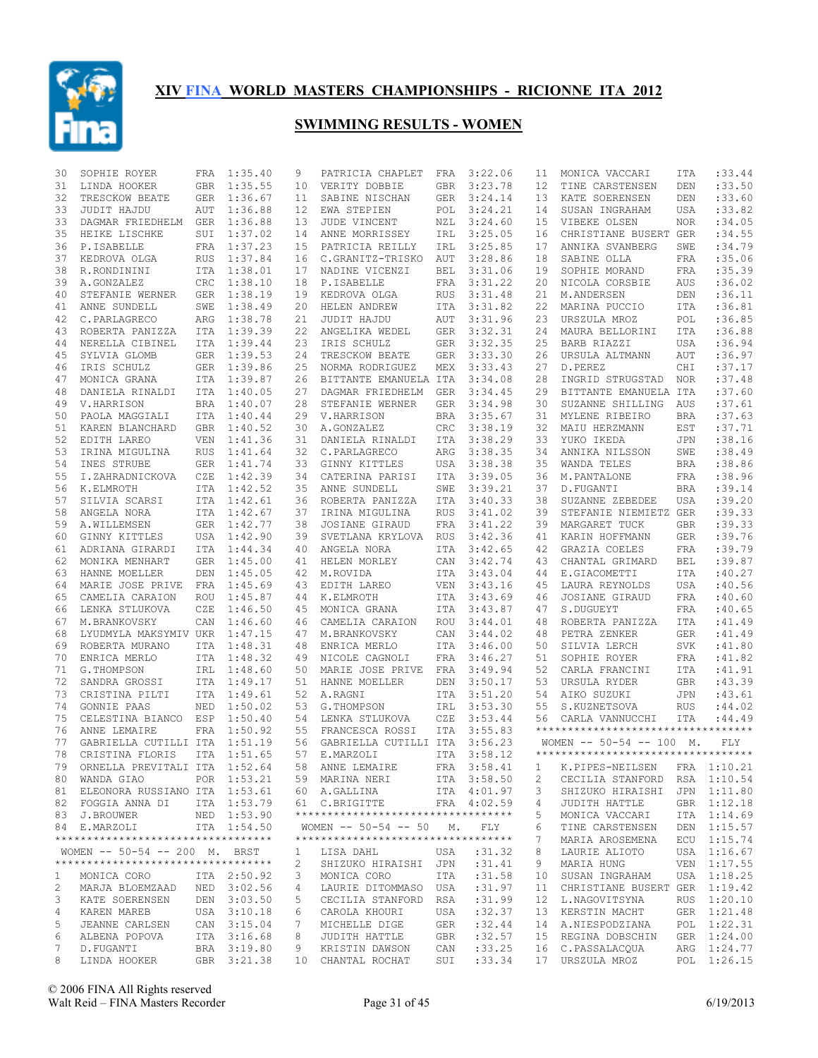

| 30 | SOPHIE ROYER                       |            | FRA 1:35.40 | 9  | PATRICIA CHAPLET                   | FRA        | 3:22.06     | 11 | MONICA VACCARI                            | ITA        | :33.44      |
|----|------------------------------------|------------|-------------|----|------------------------------------|------------|-------------|----|-------------------------------------------|------------|-------------|
| 31 | LINDA HOOKER                       |            | GBR 1:35.55 | 10 | VERITY DOBBIE                      | GBR        | 3:23.78     | 12 | TINE CARSTENSEN                           | DEN        | :33.50      |
| 32 | TRESCKOW BEATE                     |            | GER 1:36.67 | 11 | SABINE NISCHAN                     | GER        | 3:24.14     | 13 | KATE SOERENSEN                            | DEN        | :33.60      |
| 33 | JUDIT HAJDU                        | AUT        | 1:36.88     | 12 | EWA STEPIEN                        | POL        | 3:24.21     | 14 | SUSAN INGRAHAM                            | <b>USA</b> | :33.82      |
| 33 | DAGMAR FRIEDHELM GER 1:36.88       |            |             | 13 | JUDE VINCENT                       | NZL        | 3:24.60     | 15 | VIBEKE OLSEN                              | <b>NOR</b> | :34.05      |
| 35 | HEIKE LISCHKE                      |            | SUI 1:37.02 | 14 | ANNE MORRISSEY                     | IRL        | 3:25.05     | 16 | CHRISTIANE BUSERT GER                     |            | :34.55      |
| 36 | P.ISABELLE                         |            | FRA 1:37.23 | 15 | PATRICIA REILLY                    | IRL        | 3:25.85     | 17 | ANNIKA SVANBERG                           | SWE        | :34.79      |
| 37 | KEDROVA OLGA                       |            | RUS 1:37.84 | 16 | C.GRANITZ-TRISKO                   | AUT        | 3:28.86     | 18 | SABINE OLLA                               | FRA        | :35.06      |
| 38 | R.RONDININI                        |            | ITA 1:38.01 | 17 | NADINE VICENZI                     | BEL        | 3:31.06     | 19 | SOPHIE MORAND                             | FRA        | :35.39      |
| 39 | A.GONZALEZ                         |            | CRC 1:38.10 | 18 | P.ISABELLE                         | FRA        | 3:31.22     | 20 | NICOLA CORSBIE                            | AUS        | :36.02      |
| 40 | STEFANIE WERNER                    |            | GER 1:38.19 | 19 | KEDROVA OLGA                       | <b>RUS</b> | 3:31.48     | 21 | M.ANDERSEN                                | DEN        | :36.11      |
| 41 | ANNE SUNDELL                       | SWE        | 1:38.49     | 20 | HELEN ANDREW                       | ITA        | 3:31.82     | 22 | MARINA PUCCIO                             | ITA        | :36.81      |
| 42 | C.PARLAGRECO                       |            | ARG 1:38.78 | 21 | JUDIT HAJDU                        | AUT        | 3:31.96     | 23 | URSZULA MROZ                              | POL        | :36.85      |
| 43 | ROBERTA PANIZZA                    |            | ITA 1:39.39 | 22 | ANGELIKA WEDEL                     | <b>GER</b> | 3:32.31     | 24 | MAURA BELLORINI                           | ITA        | :36.88      |
| 44 | NERELLA CIBINEL                    |            | ITA 1:39.44 | 23 | IRIS SCHULZ                        | GER        | 3:32.35     | 25 | BARB RIAZZI                               | USA        | :36.94      |
| 45 | SYLVIA GLOMB                       |            | GER 1:39.53 | 24 | TRESCKOW BEATE                     | <b>GER</b> | 3:33.30     | 26 | URSULA ALTMANN                            | AUT        | :36.97      |
| 46 | IRIS SCHULZ                        |            | GER 1:39.86 | 25 | NORMA RODRIGUEZ                    | MEX        | 3:33.43     | 27 | D.PEREZ                                   | CHI        | :37.17      |
| 47 | MONICA GRANA                       |            | ITA 1:39.87 | 26 | BITTANTE EMANUELA ITA              |            | 3:34.08     | 28 | INGRID STRUGSTAD                          | <b>NOR</b> | :37.48      |
| 48 | DANIELA RINALDI                    |            | ITA 1:40.05 | 27 | DAGMAR FRIEDHELM                   | GER        | 3:34.45     | 29 | BITTANTE EMANUELA ITA                     |            | :37.60      |
| 49 | V.HARRISON                         |            | BRA 1:40.07 | 28 | STEFANIE WERNER                    | GER        | 3:34.98     | 30 | SUZANNE SHILLING                          | AUS        | :37.61      |
| 50 | PAOLA MAGGIALI                     |            | ITA 1:40.44 | 29 | V.HARRISON                         | <b>BRA</b> | 3:35.67     | 31 | MYLENE RIBEIRO                            | <b>BRA</b> | :37.63      |
| 51 | KAREN BLANCHARD                    |            | GBR 1:40.52 | 30 | A.GONZALEZ                         | CRC        | 3:38.19     | 32 | MAIU HERZMANN                             | EST        | :37.71      |
| 52 | EDITH LAREO                        | VEN        | 1:41.36     | 31 | DANIELA RINALDI                    | ITA        | 3:38.29     | 33 | YUKO IKEDA                                | <b>JPN</b> | :38.16      |
| 53 | IRINA MIGULINA                     | <b>RUS</b> | 1:41.64     | 32 | C.PARLAGRECO                       | ARG        | 3:38.35     | 34 | ANNIKA NILSSON                            | SWE        | :38.49      |
| 54 | INES STRUBE                        |            | GER 1:41.74 | 33 | GINNY KITTLES                      | USA        | 3:38.38     | 35 | WANDA TELES                               | <b>BRA</b> | :38.86      |
| 55 | I.ZAHRADNICKOVA                    | CZE        | 1:42.39     | 34 | CATERINA PARISI                    | ITA        | 3:39.05     | 36 | M.PANTALONE                               | FRA        | :38.96      |
| 56 | K.ELMROTH                          |            | ITA 1:42.52 | 35 | ANNE SUNDELL                       | SWE        | 3:39.21     | 37 | D. FUGANTI                                | <b>BRA</b> | :39.14      |
| 57 | SILVIA SCARSI                      |            | ITA 1:42.61 | 36 | ROBERTA PANIZZA                    | ITA        | 3:40.33     | 38 | SUZANNE ZEBEDEE                           | USA        | :39.20      |
| 58 | ANGELA NORA                        |            | ITA 1:42.67 | 37 | IRINA MIGULINA                     | <b>RUS</b> | 3:41.02     | 39 | STEFANIE NIEMIETZ GER                     |            | :39.33      |
| 59 | A.WILLEMSEN                        |            | GER 1:42.77 | 38 | JOSIANE GIRAUD                     | FRA        | 3:41.22     | 39 | MARGARET TUCK                             | <b>GBR</b> | :39.33      |
| 60 | GINNY KITTLES                      |            | USA 1:42.90 | 39 | SVETLANA KRYLOVA                   | RUS        | 3:42.36     | 41 | KARIN HOFFMANN                            | <b>GER</b> | :39.76      |
|    |                                    |            |             | 40 |                                    |            | 3:42.65     | 42 |                                           |            | :39.79      |
| 61 | ADRIANA GIRARDI                    |            | ITA 1:44.34 |    | ANGELA NORA                        | ITA        |             |    | GRAZIA COELES                             | FRA        | :39.87      |
| 62 | MONIKA MENHART                     |            | GER 1:45.00 | 41 | HELEN MORLEY                       | CAN        | 3:42.74     | 43 | CHANTAL GRIMARD                           | BEL        |             |
| 63 | HANNE MOELLER                      | DEN        | 1:45.05     | 42 | M.ROVIDA                           | ITA        | 3:43.04     | 44 | E.GIACOMETTI                              | ITA        | :40.27      |
| 64 | MARIE JOSE PRIVE                   |            | FRA 1:45.69 | 43 | EDITH LAREO                        | VEN        | 3:43.16     | 45 | LAURA REYNOLDS                            | USA        | :40.56      |
| 65 | CAMELIA CARAION                    | ROU        | 1:45.87     | 44 | K.ELMROTH                          | ITA        | 3:43.69     | 46 | JOSIANE GIRAUD                            | <b>FRA</b> | :40.60      |
| 66 | LENKA STLUKOVA                     | CZE        | 1:46.50     | 45 | MONICA GRANA                       | ITA        | 3:43.87     | 47 | S.DUGUEYT                                 | <b>FRA</b> | :40.65      |
| 67 | M.BRANKOVSKY                       | CAN        | 1:46.60     | 46 | CAMELIA CARAION                    | ROU        | 3:44.01     | 48 | ROBERTA PANIZZA                           | <b>ITA</b> | : 41.49     |
| 68 | LYUDMYLA MAKSYMIV UKR 1:47.15      |            |             | 47 | M.BRANKOVSKY                       | CAN        | 3:44.02     | 48 | PETRA ZENKER                              | <b>GER</b> | : 41.49     |
| 69 | ROBERTA MURANO                     |            | ITA 1:48.31 | 48 | ENRICA MERLO                       | ITA        | 3:46.00     | 50 | SILVIA LERCH                              | SVK        | : 41.80     |
| 70 | ENRICA MERLO                       |            | ITA 1:48.32 | 49 | NICOLE CAGNOLI                     | FRA        | 3:46.27     | 51 | SOPHIE ROYER                              | FRA        | :41.82      |
| 71 | G.THOMPSON                         |            | IRL 1:48.60 | 50 | MARIE JOSE PRIVE                   | FRA        | 3:49.94     | 52 | CARLA FRANCINI                            | ITA        | : 41.91     |
| 72 | SANDRA GROSSI                      |            | ITA 1:49.17 | 51 | HANNE MOELLER                      | DEN        | 3:50.17     | 53 | URSULA RYDER                              | <b>GBR</b> | :43.39      |
| 73 | CRISTINA PILTI                     |            | ITA 1:49.61 | 52 | A.RAGNI                            | <b>ITA</b> | 3:51.20     | 54 | AIKO SUZUKI                               | <b>JPN</b> | :43.61      |
| 74 | GONNIE PAAS                        | NED        | 1:50.02     | 53 | G.THOMPSON                         | IRL        | 3:53.30     | 55 | S.KUZNETSOVA                              | <b>RUS</b> | :44.02      |
| 75 | CELESTINA BIANCO                   | ESP        | 1:50.40     | 54 | LENKA STLUKOVA                     | CZE        | 3:53.44     | 56 | CARLA VANNUCCHI                           | ITA        | : 44.49     |
| 76 | ANNE LEMAIRE                       |            | FRA 1:50.92 | 55 | FRANCESCA ROSSI                    | ITA        | 3:55.83     |    | **********************************        |            |             |
| 77 | GABRIELLA CUTILLI ITA 1:51.19      |            |             | 56 | GABRIELLA CUTILLI ITA 3:56.23      |            |             |    | WOMEN $--$ 50-54 -- 100 M.                |            | <b>FLY</b>  |
| 78 | CRISTINA FLORIS                    |            | ITA 1:51.65 | 57 | E.MARZOLI                          | <b>ITA</b> | 3:58.12     |    | **********************************        |            |             |
|    | 79 ORNELLA PREVITALI ITA 1:52.64   |            |             |    | 58 ANNE LEMAIRE                    |            |             |    | FRA 3:58.41 1 K.PIPES-NEILSEN FRA 1:10.21 |            |             |
|    | 80 WANDA GIAO                      |            | POR 1:53.21 |    | 59 MARINA NERI                     |            | ITA 3:58.50 | 2  | CECILIA STANFORD RSA 1:10.54              |            |             |
|    | 81 ELEONORA RUSSIANO ITA 1:53.61   |            |             |    | 60 A.GALLINA                       |            | ITA 4:01.97 | 3  | SHIZUKO HIRAISHI                          |            | JPN 1:11.80 |
|    | 82 FOGGIA ANNA DI                  |            | ITA 1:53.79 |    | 61 C.BRIGITTE                      |            | FRA 4:02.59 | 4  | JUDITH HATTLE                             |            | GBR 1:12.18 |
|    | 83 J.BROUWER                       |            | NED 1:53.90 |    | ********************************** |            |             | 5  | MONICA VACCARI                            |            | ITA 1:14.69 |
|    | 84 E.MARZOLI                       |            | ITA 1:54.50 |    | WOMEN $-- 50-54 -- 50$ M.          |            | FLY         | 6  | TINE CARSTENSEN                           |            | DEN 1:15.57 |
|    | ********************************** |            |             |    | ********************************** |            |             | 7  | MARIA AROSEMENA                           |            | ECU 1:15.74 |
|    | WOMEN -- 50-54 -- 200 M. BRST      |            |             | 1  | LISA DAHL                          | USA        | :31.32      | 8  | LAURIE ALIOTO                             |            | USA 1:16.67 |
|    | ********************************** |            |             | 2  | SHIZUKO HIRAISHI                   | JPN        | : 31.41     | 9  | MARIA HUNG                                |            | VEN 1:17.55 |
| 1  | MONICA CORO                        |            | ITA 2:50.92 | 3  | MONICA CORO                        | ITA        | :31.58      | 10 | SUSAN INGRAHAM                            |            | USA 1:18.25 |
| 2  | MARJA BLOEMZAAD                    |            | NED 3:02.56 | 4  | LAURIE DITOMMASO USA               |            | :31.97      | 11 | CHRISTIANE BUSERT GER 1:19.42             |            |             |
| 3  | KATE SOERENSEN                     |            | DEN 3:03.50 | 5  | CECILIA STANFORD                   | RSA        | :31.99      | 12 | L.NAGOVITSYNA                             |            | RUS 1:20.10 |
| 4  | KAREN MAREB                        |            | USA 3:10.18 | 6  | CAROLA KHOURI                      | USA        | :32.37      | 13 | KERSTIN MACHT                             |            | GER 1:21.48 |
| 5  | JEANNE CARLSEN                     |            | CAN 3:15.04 | 7  | MICHELLE DIGE                      | GER        | :32.44      | 14 | A.NIESPODZIANA                            |            | POL 1:22.31 |
| 6  | ALBENA POPOVA                      |            | ITA 3:16.68 | 8  | JUDITH HATTLE                      | GBR        | :32.57      | 15 | REGINA DOBSCHIN                           |            | GER 1:24.00 |
| 7  | D.FUGANTI                          |            | BRA 3:19.80 | 9  | KRISTIN DAWSON                     | CAN        | :33.25      |    | 16 C.PASSALACQUA                          |            | ARG 1:24.77 |
| 8  | LINDA HOOKER                       |            | GBR 3:21.38 |    | 10 CHANTAL ROCHAT                  | SUI        | : 33.34     |    | 17 URSZULA MROZ                           |            | POL 1:26.15 |
|    |                                    |            |             |    |                                    |            |             |    |                                           |            |             |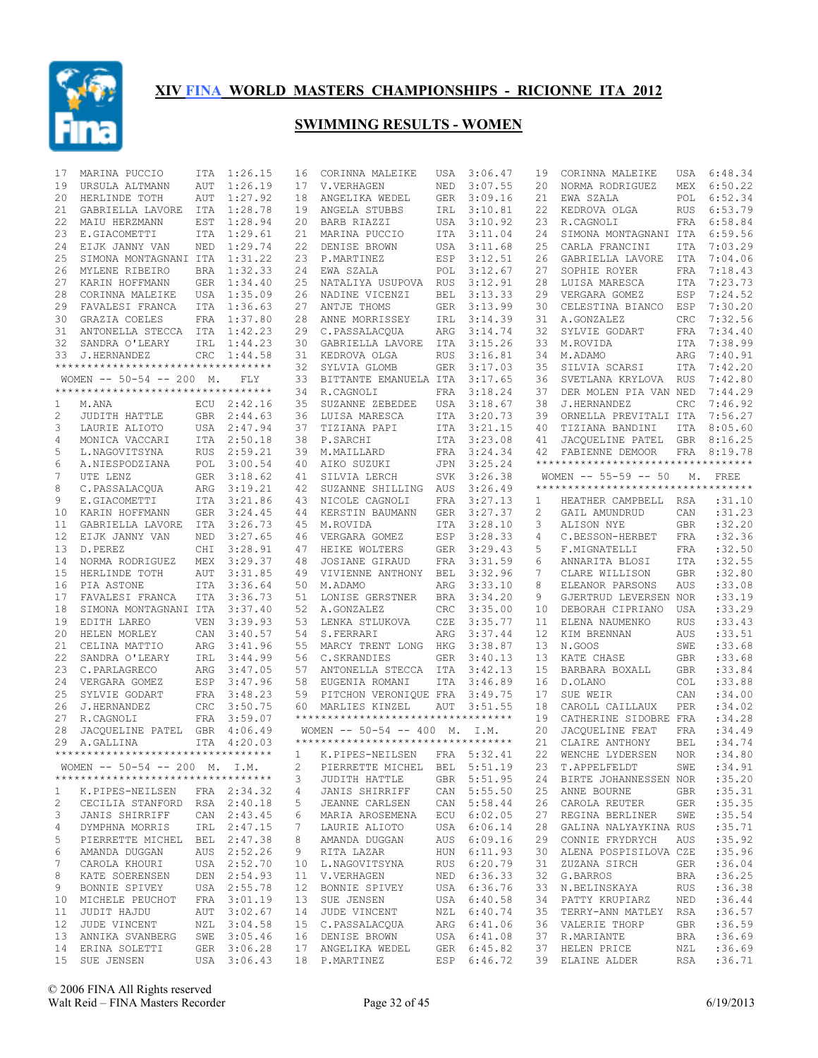

| 17              | MARINA PUCCIO                       | ITA        | 1:26.15     | 16          | CORINNA MALEIKE                     | USA        | 3:06.47     | 19 | CORINNA MALEIKE                                                                | USA        | 6:48.34     |
|-----------------|-------------------------------------|------------|-------------|-------------|-------------------------------------|------------|-------------|----|--------------------------------------------------------------------------------|------------|-------------|
| 19              | URSULA ALTMANN                      | <b>AUT</b> | 1:26.19     | 17          | V.VERHAGEN                          | NED        | 3:07.55     | 20 | NORMA RODRIGUEZ                                                                | MEX        | 6:50.22     |
| 20              | HERLINDE TOTH                       | AUT        | 1:27.92     | 18          | ANGELIKA WEDEL                      | <b>GER</b> | 3:09.16     | 21 | EWA SZALA                                                                      | POL        | 6:52.34     |
| 21              | GABRIELLA LAVORE                    | ITA        | 1:28.78     | 19          | ANGELA STUBBS                       | IRL        | 3:10.81     | 22 | KEDROVA OLGA                                                                   | <b>RUS</b> | 6:53.79     |
| 22              | MAIU HERZMANN                       | EST        | 1:28.94     | 20          | BARB RIAZZI                         | USA        | 3:10.92     | 23 | R.CAGNOLI                                                                      | FRA        | 6:58.84     |
| 23              | E.GIACOMETTI                        | ITA        | 1:29.61     | 21          | MARINA PUCCIO                       | ITA        | 3:11.04     | 24 | SIMONA MONTAGNANI ITA                                                          |            | 6:59.56     |
| 24              | EIJK JANNY VAN                      | NED        | 1:29.74     | 22          | DENISE BROWN                        | USA        | 3:11.68     | 25 | CARLA FRANCINI                                                                 | ITA        | 7:03.29     |
| 25              | SIMONA MONTAGNANI ITA               |            | 1:31.22     | 23          | P.MARTINEZ                          | ESP        | 3:12.51     | 26 | GABRIELLA LAVORE                                                               | ITA        | 7:04.06     |
| 26              | MYLENE RIBEIRO                      |            | BRA 1:32.33 | 24          | EWA SZALA                           | POL        | 3:12.67     | 27 | SOPHIE ROYER                                                                   | FRA        | 7:18.43     |
| 27              | KARIN HOFFMANN                      |            | GER 1:34.40 | 25          | NATALIYA USUPOVA RUS                |            | 3:12.91     | 28 | LUISA MARESCA                                                                  | ITA        | 7:23.73     |
| 28              | CORINNA MALEIKE                     |            | USA 1:35.09 |             | 26 NADINE VICENZI                   | <b>BEL</b> | 3:13.33     | 29 | VERGARA GOMEZ                                                                  | ESP        | 7:24.52     |
| 29              | FAVALESI FRANCA                     |            | ITA 1:36.63 | 27          | ANTJE THOMS                         | <b>GER</b> | 3:13.99     | 30 | CELESTINA BIANCO                                                               | ESP        | 7:30.20     |
|                 |                                     |            |             |             | ANNE MORRISSEY                      |            |             |    |                                                                                |            |             |
| 30              | GRAZIA COELES                       |            | FRA 1:37.80 | 28          |                                     | IRL        | 3:14.39     | 31 | A.GONZALEZ                                                                     | <b>CRC</b> | 7:32.56     |
| 31              | ANTONELLA STECCA ITA 1:42.23        |            |             | 29          | C.PASSALACQUA                       | ARG        | 3:14.74     | 32 | SYLVIE GODART                                                                  | FRA        | 7:34.40     |
| 32              | SANDRA O'LEARY                      |            | IRL 1:44.23 | 30          | GABRIELLA LAVORE                    | ITA        | 3:15.26     | 33 | M.ROVIDA                                                                       | ITA        | 7:38.99     |
| 33              | J.HERNANDEZ                         | <b>CRC</b> | 1:44.58     | 31          | KEDROVA OLGA                        | <b>RUS</b> | 3:16.81     | 34 | M.ADAMO                                                                        | ARG        | 7:40.91     |
|                 | **********************************  |            |             | 32          | SYLVIA GLOMB                        | GER        | 3:17.03     | 35 | SILVIA SCARSI                                                                  | ITA        | 7:42.20     |
|                 | WOMEN $-- 50-54 -- 200$ M.          |            | FLY         | 33          | BITTANTE EMANUELA ITA               |            | 3:17.65     | 36 | SVETLANA KRYLOVA                                                               | <b>RUS</b> | 7:42.80     |
|                 | *********************************** |            |             | 34          | R.CAGNOLI                           | FRA        | 3:18.24     | 37 | DER MOLEN PIA VAN NED                                                          |            | 7:44.29     |
| 1               | M.ANA                               | ECU        | 2:42.16     | 35          | SUZANNE ZEBEDEE                     | USA        | 3:18.67     | 38 | J.HERNANDEZ                                                                    | CRC        | 7:46.92     |
| 2               | JUDITH HATTLE                       |            | GBR 2:44.63 | 36          | LUISA MARESCA                       | <b>ITA</b> | 3:20.73     | 39 | ORNELLA PREVITALI ITA                                                          |            | 7:56.27     |
| 3               | LAURIE ALIOTO                       |            | USA 2:47.94 | 37          | TIZIANA PAPI                        | <b>ITA</b> | 3:21.15     | 40 | TIZIANA BANDINI                                                                | ITA        | 8:05.60     |
| 4               | MONICA VACCARI                      |            | ITA 2:50.18 | 38          | P.SARCHI                            | ITA        | 3:23.08     | 41 | JACQUELINE PATEL GBR 8:16.25                                                   |            |             |
| 5               | L.NAGOVITSYNA                       | <b>RUS</b> | 2:59.21     | 39          | M.MAILLARD                          | FRA        | 3:24.34     | 42 | FABIENNE DEMOOR                                                                |            | FRA 8:19.78 |
| 6               | A.NIESPODZIANA                      |            | POL 3:00.54 | 40          | AIKO SUZUKI                         | JPN        | 3:25.24     |    | **********************************                                             |            |             |
| 7               | UTE LENZ                            |            | GER 3:18.62 | 41          | SILVIA LERCH                        | <b>SVK</b> | 3:26.38     |    | WOMEN $-- 55-59 -- 50$                                                         | М.         | FREE        |
| 8               | C.PASSALACQUA                       | ARG        | 3:19.21     | 42          | SUZANNE SHILLING                    | AUS        | 3:26.49     |    | **********************************                                             |            |             |
|                 |                                     |            |             |             |                                     |            |             |    |                                                                                |            |             |
| 9               | E.GIACOMETTI                        |            | ITA 3:21.86 | 43          | NICOLE CAGNOLI                      | FRA        | 3:27.13     | 1  | HEATHER CAMPBELL                                                               | RSA        | :31.10      |
| 10              | KARIN HOFFMANN                      | <b>GER</b> | 3:24.45     | 44          | KERSTIN BAUMANN                     | <b>GER</b> | 3:27.37     | 2  | GAIL AMUNDRUD                                                                  | CAN        | :31.23      |
| 11              | GABRIELLA LAVORE                    | ITA        | 3:26.73     | 45          | M.ROVIDA                            | ITA        | 3:28.10     | 3  | ALISON NYE                                                                     | GBR        | :32.20      |
| 12              | EIJK JANNY VAN                      | NED        | 3:27.65     | 46          | VERGARA GOMEZ                       | ESP        | 3:28.33     | 4  | C.BESSON-HERBET                                                                | FRA        | :32.36      |
| 13              | D.PEREZ                             | CHI        | 3:28.91     | 47          | HEIKE WOLTERS                       | <b>GER</b> | 3:29.43     | 5  | F.MIGNATELLI                                                                   | <b>FRA</b> | :32.50      |
| 14              | NORMA RODRIGUEZ                     | MEX        | 3:29.37     | 48          | JOSIANE GIRAUD                      | FRA        | 3:31.59     | 6  | ANNARITA BLOSI                                                                 | ITA        | :32.55      |
| 15              | HERLINDE TOTH                       | AUT        | 3:31.85     | 49          | VIVIENNE ANTHONY                    | BEL        | 3:32.96     | 7  | CLARE WILLISON                                                                 | <b>GBR</b> | :32.80      |
| 16              | PIA ASTONE                          |            | ITA 3:36.64 | 50          | M.ADAMO                             | ARG        | 3:33.10     | 8  | ELEANOR PARSONS                                                                | AUS        | :33.08      |
| 17              | FAVALESI FRANCA                     |            | ITA 3:36.73 | 51          | LONISE GERSTNER                     | <b>BRA</b> | 3:34.20     | 9  | GJERTRUD LEVERSEN NOR                                                          |            | :33.19      |
| 18              | SIMONA MONTAGNANI ITA 3:37.40       |            |             | 52          | A.GONZALEZ                          | CRC        | 3:35.00     | 10 | DEBORAH CIPRIANO                                                               | USA        | :33.29      |
| 19              | EDITH LAREO                         | VEN        | 3:39.93     | 53          | LENKA STLUKOVA                      | CZE        | 3:35.77     | 11 | ELENA NAUMENKO                                                                 | <b>RUS</b> | :33.43      |
| 20              | HELEN MORLEY                        | CAN        | 3:40.57     | 54          | S.FERRARI                           | ARG        | 3:37.44     | 12 | KIM BRENNAN                                                                    | AUS        | :33.51      |
| 21              | CELINA MATTIO                       | ARG        | 3:41.96     | 55          | MARCY TRENT LONG                    | HKG        | 3:38.87     | 13 | N.GOOS                                                                         | SWE        | :33.68      |
| 22              | SANDRA O'LEARY                      | IRL        | 3:44.99     | 56          | C.SKRANDIES                         | <b>GER</b> | 3:40.13     | 13 | KATE CHASE                                                                     | <b>GBR</b> | :33.68      |
| 23              | C.PARLAGRECO                        | ARG        | 3:47.05     | 57          | ANTONELLA STECCA ITA                |            | 3:42.13     | 15 | BARBARA BOXALL                                                                 | <b>GBR</b> | :33.84      |
| 24              |                                     |            |             |             |                                     |            |             | 16 |                                                                                |            | :33.88      |
|                 | VERGARA GOMEZ                       |            | ESP 3:47.96 | 58          | EUGENIA ROMANI                      | ITA        | 3:46.89     |    | D.OLANO                                                                        | COL        |             |
| 25              | SYLVIE GODART                       |            | FRA 3:48.23 | 59          | PITCHON VERONIOUE FRA               |            | 3:49.75     | 17 | SUE WEIR                                                                       | CAN        | :34.00      |
| 26              | J.HERNANDEZ                         | <b>CRC</b> | 3:50.75     | 60          | MARLIES KINZEL                      | AUT        | 3:51.55     | 18 | CAROLL CAILLAUX                                                                | PER        | :34.02      |
| 27              | R.CAGNOLI                           |            | FRA 3:59.07 |             | *********************************** |            |             | 19 | CATHERINE SIDOBRE FRA                                                          |            | :34.28      |
| 28              | JACQUELINE PATEL GBR 4:06.49        |            |             |             | WOMEN $--$ 50-54 $--$ 400 M.        |            | I.M.        | 20 | JACOUELINE FEAT                                                                | FRA        | :34.49      |
| 29              | A.GALLINA                           | ITA        | 4:20.03     |             | *********************************** |            |             | 21 | CLAIRE ANTHONY                                                                 | <b>BEL</b> | :34.74      |
|                 | *********************************** |            |             | 1           | K.PIPES-NEILSEN                     |            | FRA 5:32.41 | 22 | WENCHE LYDERSEN                                                                | <b>NOR</b> | :34.80      |
|                 | WOMEN $--$ 50-54 -- 200 M. I.M.     |            |             | $2^{\circ}$ | PIERRETTE MICHEL BEL 5:51.19        |            |             |    | 23 T.APPELFELDT                                                                |            | SWE : 34.91 |
|                 | **********************************  |            |             | 3           | JUDITH HATTLE                       |            | GBR 5:51.95 |    | 24 BIRTE JOHANNESSEN NOR                                                       |            | :35.20      |
| $\mathbf{1}$    | K.PIPES-NEILSEN FRA 2:34.32         |            |             | 4           | JANIS SHIRRIFF CAN 5:55.50          |            |             |    | 25 ANNE BOURNE GBR                                                             |            | : 35.31     |
| 2               | CECILIA STANFORD RSA 2:40.18        |            |             | 5           | JEANNE CARLSEN                      |            | CAN 5:58.44 | 26 | CAROLA REUTER GER                                                              |            | :35.35      |
| 3               | JANIS SHIRRIFF                      |            | CAN 2:43.45 | 6           | MARIA AROSEMENA ECU 6:02.05         |            |             | 27 | REGINA BERLINER                                                                | SWE        | : 35.54     |
| 4               | DYMPHNA MORRIS IRL 2:47.15          |            |             | 7           | LAURIE ALIOTO                       |            | USA 6:06.14 | 28 | GALINA NALYAYKINA RUS                                                          |            | :35.71      |
| 5               | PIERRETTE MICHEL BEL 2:47.38        |            |             | 8           | AMANDA DUGGAN                       |            | AUS 6:09.16 | 29 | CONNIE FRYDRYCH AUS                                                            |            | :35.92      |
| 6               | AMANDA DUGGAN                       |            | AUS 2:52.26 | 9           | RITA LAZAR                          |            | HUN 6:11.93 | 30 | ALENA POSPISILOVA CZE                                                          |            | :35.96      |
| 7               | CAROLA KHOURI                       |            | USA 2:52.70 |             |                                     |            | RUS 6:20.79 | 31 | ZUZANA SIRCH                                                                   | GER        | :36.04      |
|                 |                                     |            |             |             | 10 L.NAGOVITSYNA                    |            |             |    |                                                                                |            |             |
| 8               | KATE SOERENSEN                      |            | DEN 2:54.93 |             | 11 V.VERHAGEN                       |            | NED 6:36.33 | 32 | G.BARROS                                                                       | BRA        | :36.25      |
| 9               | BONNIE SPIVEY                       |            | USA 2:55.78 |             | 12 BONNIE SPIVEY                    |            | USA 6:36.76 | 33 | N.BELINSKAYA                                                                   | RUS        | :36.38      |
| 10              | MICHELE PEUCHOT                     |            | FRA 3:01.19 |             | 13 SUE JENSEN                       |            | USA 6:40.58 | 34 | PATTY KRUPIARZ                                                                 | NED        | :36.44      |
| 11              | JUDIT HAJDU                         |            | AUT 3:02.67 |             | 14 JUDE VINCENT                     |            | NZL 6:40.74 | 35 | TERRY-ANN MATLEY RSA                                                           |            | :36.57      |
| 12 <sup>°</sup> | JUDE VINCENT                        |            | NZL 3:04.58 |             | 15 C.PASSALACQUA                    |            | ARG 6:41.06 |    | 36 VALERIE THORP                                                               | GBR        | :36.59      |
|                 | 13 ANNIKA SVANBERG SWE 3:05.46      |            |             |             | 16 DENISE BROWN USA 6:41.08         |            |             |    | 37 R.MARIANTE                                                                  | BRA        | :36.69      |
|                 | 14 ERINA SOLETTI                    |            | GER 3:06.28 |             | 17 ANGELIKA WEDEL GER 6:45.82       |            |             |    | 37 HELEN PRICE                                                                 | NZL        | :36.69      |
|                 |                                     |            |             |             |                                     |            |             |    | 15 SUE JENSEN USA 3:06.43 18 P.MARTINEZ ESP 6:46.72 39 ELAINE ALDER RSA :36.71 |            |             |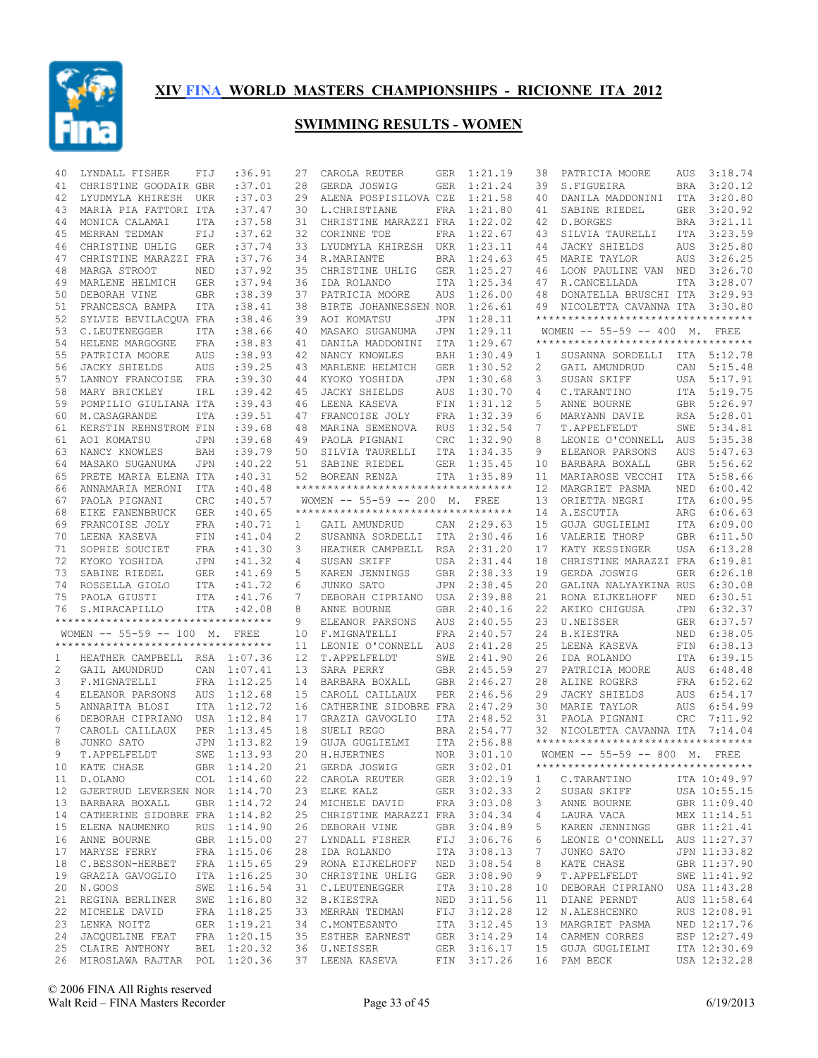

| 40 | LYNDALL FISHER                      | FIJ        | :36.91      | 27           | CAROLA REUTER                      | GER        | 1:21.19     | 38 | PATRICIA MOORE                                                      | AUS        | 3:18.74      |
|----|-------------------------------------|------------|-------------|--------------|------------------------------------|------------|-------------|----|---------------------------------------------------------------------|------------|--------------|
| 41 | CHRISTINE GOODAIR GBR               |            | :37.01      | 28           | GERDA JOSWIG                       | <b>GER</b> | 1:21.24     | 39 | S.FIGUEIRA                                                          | <b>BRA</b> | 3:20.12      |
| 42 | LYUDMYLA KHIRESH UKR                |            | :37.03      | 29           | ALENA POSPISILOVA CZE              |            | 1:21.58     | 40 | DANILA MADDONINI                                                    | ITA        | 3:20.80      |
| 43 | MARIA PIA FATTORI ITA               |            | :37.47      | 30           | L.CHRISTIANE                       | FRA        | 1:21.80     | 41 | SABINE RIEDEL                                                       | GER        | 3:20.92      |
| 44 | MONICA CALAMAI                      | <b>ITA</b> | :37.58      | 31           | CHRISTINE MARAZZI FRA              |            | 1:22.02     | 42 | D.BORGES                                                            | BRA        | 3:21.11      |
| 45 | MERRAN TEDMAN                       | FIJ        | :37.62      | 32           | CORINNE TOE                        | FRA        | 1:22.67     | 43 | SILVIA TAURELLI                                                     | <b>ITA</b> | 3:23.59      |
| 46 | CHRISTINE UHLIG                     | <b>GER</b> | :37.74      | 33           | LYUDMYLA KHIRESH UKR               |            | 1:23.11     | 44 | JACKY SHIELDS                                                       | AUS        | 3:25.80      |
| 47 | CHRISTINE MARAZZI FRA               |            | :37.76      | 34           | R.MARIANTE                         | <b>BRA</b> | 1:24.63     | 45 | MARIE TAYLOR                                                        | AUS        | 3:26.25      |
| 48 | MARGA STROOT                        | NED        | :37.92      | 35           | CHRISTINE UHLIG                    | GER        | 1:25.27     | 46 | LOON PAULINE VAN                                                    | NED        | 3:26.70      |
| 49 | MARLENE HELMICH                     | GER        | :37.94      | 36           | IDA ROLANDO                        | ITA        | 1:25.34     | 47 | R.CANCELLADA                                                        | ITA        | 3:28.07      |
| 50 | DEBORAH VINE                        | GBR        | :38.39      | 37           | PATRICIA MOORE                     | AUS        | 1:26.00     | 48 | DONATELLA BRUSCHI ITA                                               |            | 3:29.93      |
| 51 | FRANCESCA BAMPA                     | ITA        | : 38.41     | 38           | BIRTE JOHANNESSEN NOR              |            | 1:26.61     | 49 | NICOLETTA CAVANNA ITA                                               |            | 3:30.80      |
|    |                                     |            |             |              |                                    |            |             |    | **********************************                                  |            |              |
| 52 | SYLVIE BEVILACOUA FRA               |            | :38.46      | 39           | AOI KOMATSU                        | JPN        | 1:28.11     |    |                                                                     |            |              |
| 53 | C.LEUTENEGGER                       | ITA        | :38.66      | 40           | MASAKO SUGANUMA                    | JPN        | 1:29.11     |    | WOMEN -- 55-59 -- 400 M. FREE<br>********************************** |            |              |
| 54 | HELENE MARGOGNE                     | FRA        | : 38.83     | 41           | DANILA MADDONINI                   | ITA        | 1:29.67     |    |                                                                     |            |              |
| 55 | PATRICIA MOORE                      | <b>AUS</b> | : 38.93     | 42           | NANCY KNOWLES                      | BAH        | 1:30.49     | 1  | SUSANNA SORDELLI                                                    |            | ITA 5:12.78  |
| 56 | JACKY SHIELDS                       | <b>AUS</b> | :39.25      | 43           | MARLENE HELMICH                    | GER        | 1:30.52     | 2  | GAIL AMUNDRUD                                                       |            | CAN 5:15.48  |
| 57 | LANNOY FRANCOISE                    | FRA        | :39.30      | 44           | KYOKO YOSHIDA                      | JPN        | 1:30.68     | 3  | SUSAN SKIFF                                                         | USA        | 5:17.91      |
| 58 | MARY BRICKLEY                       | IRL        | : 39.42     | 45           | <b>JACKY SHIELDS</b>               | AUS        | 1:30.70     | 4  | C.TARANTINO                                                         |            | ITA 5:19.75  |
| 59 | POMPILIO GIULIANA ITA               |            | :39.43      | 46           | LEENA KASEVA                       | FIN        | 1:31.12     | 5  | ANNE BOURNE                                                         |            | GBR 5:26.97  |
| 60 | M.CASAGRANDE                        | ITA        | :39.51      | 47           | FRANCOISE JOLY                     | FRA        | 1:32.39     | 6  | MARYANN DAVIE                                                       |            | RSA 5:28.01  |
| 61 | KERSTIN REHNSTROM FIN               |            | :39.68      | 48           | MARINA SEMENOVA                    | <b>RUS</b> | 1:32.54     | 7  | T.APPELFELDT                                                        | SWE        | 5:34.81      |
| 61 | AOI KOMATSU                         | JPN        | :39.68      | 49           | PAOLA PIGNANI                      | CRC        | 1:32.90     | 8  | LEONIE O'CONNELL                                                    | AUS        | 5:35.38      |
| 63 | NANCY KNOWLES                       | BAH        | :39.79      | 50           | SILVIA TAURELLI                    | ITA        | 1:34.35     | 9  | ELEANOR PARSONS                                                     | <b>AUS</b> | 5:47.63      |
| 64 | MASAKO SUGANUMA                     | JPN        | :40.22      | 51           | SABINE RIEDEL                      | GER        | 1:35.45     | 10 | BARBARA BOXALL                                                      | <b>GBR</b> | 5:56.62      |
| 65 | PRETE MARIA ELENA ITA               |            | :40.31      | 52           | BOREAN RENZA                       | ITA        | 1:35.89     | 11 | MARIAROSE VECCHI                                                    | ITA        | 5:58.66      |
| 66 | ANNAMARIA MERONI                    | ITA        | :40.48      |              | ********************************** |            |             | 12 | MARGRIET PASMA                                                      | NED        | 6:00.42      |
| 67 | PAOLA PIGNANI                       | CRC        | :40.57      |              | WOMEN $-- 55-59 -- 200$ M.         |            | FREE        | 13 | ORIETTA NEGRI                                                       | ITA        | 6:00.95      |
| 68 | EIKE FANENBRUCK                     | <b>GER</b> | :40.65      |              | ********************************** |            |             | 14 | A.ESCUTIA                                                           | ARG        | 6:06.63      |
| 69 | FRANCOISE JOLY                      | <b>FRA</b> | :40.71      | $\mathbf{1}$ | GAIL AMUNDRUD                      |            | CAN 2:29.63 | 15 | GUJA GUGLIELMI                                                      | ITA        | 6:09.00      |
| 70 | LEENA KASEVA                        | FIN        | :41.04      | 2            | SUSANNA SORDELLI                   | ITA        | 2:30.46     | 16 | VALERIE THORP                                                       | GBR        | 6:11.50      |
| 71 | SOPHIE SOUCIET                      | FRA        | :41.30      | 3            | HEATHER CAMPBELL                   | RSA        | 2:31.20     | 17 | KATY KESSINGER                                                      | USA        | 6:13.28      |
|    |                                     |            |             |              |                                    |            |             | 18 |                                                                     |            | 6:19.81      |
| 72 | KYOKO YOSHIDA                       | JPN        | : 41.32     | 4            | SUSAN SKIFF                        | USA        | 2:31.44     |    | CHRISTINE MARAZZI FRA                                               |            |              |
| 73 | SABINE RIEDEL                       | GER        | :41.69      | 5            | KAREN JENNINGS                     | <b>GBR</b> | 2:38.33     | 19 | GERDA JOSWIG                                                        | GER        | 6:26.18      |
| 74 | ROSSELLA GIOLO                      | ITA        | :41.72      | 6            | JUNKO SATO                         | JPN        | 2:38.45     | 20 | GALINA NALYAYKINA RUS                                               |            | 6:30.08      |
| 75 | PAOLA GIUSTI                        | ITA        | :41.76      | 7            | DEBORAH CIPRIANO                   | USA        | 2:39.88     | 21 | RONA EIJKELHOFF                                                     | NED        | 6:30.51      |
| 76 | S.MIRACAPILLO                       | ITA        | :42.08      | 8            | ANNE BOURNE                        | GBR        | 2:40.16     | 22 | AKIKO CHIGUSA                                                       | JPN        | 6:32.37      |
|    | **********************************  |            |             | 9            | ELEANOR PARSONS                    | AUS        | 2:40.55     | 23 | U.NEISSER                                                           | GER        | 6:37.57      |
|    | WOMEN $--$ 55-59 -- 100 M.          |            | FREE        | 10           | F.MIGNATELLI                       | FRA        | 2:40.57     | 24 | B.KIESTRA                                                           | NED        | 6:38.05      |
|    | *********************************** |            |             | 11           | LEONIE O'CONNELL                   | AUS        | 2:41.28     | 25 | LEENA KASEVA                                                        | FIN        | 6:38.13      |
| 1  | HEATHER CAMPBELL RSA 1:07.36        |            |             | 12           | T.APPELFELDT                       | SWE        | 2:41.90     | 26 | IDA ROLANDO                                                         | ITA        | 6:39.15      |
| 2  | GAIL AMUNDRUD                       | CAN        | 1:07.41     | 13           | SARA PERRY                         | <b>GBR</b> | 2:45.59     | 27 | PATRICIA MOORE                                                      | AUS        | 6:48.48      |
| 3  | F.MIGNATELLI                        |            | FRA 1:12.25 | 14           | BARBARA BOXALL                     | <b>GBR</b> | 2:46.27     | 28 | ALINE ROGERS                                                        | FRA        | 6:52.62      |
| 4  | ELEANOR PARSONS                     | AUS        | 1:12.68     | 15           | CAROLL CAILLAUX                    | PER        | 2:46.56     | 29 | JACKY SHIELDS                                                       | AUS        | 6:54.17      |
| 5  | ANNARITA BLOSI                      |            | ITA 1:12.72 | 16           | CATHERINE SIDOBRE FRA              |            | 2:47.29     | 30 | MARIE TAYLOR                                                        | AUS        | 6:54.99      |
| 6  | DEBORAH CIPRIANO USA 1:12.84        |            |             | 17           | GRAZIA GAVOGLIO                    | <b>ITA</b> | 2:48.52     | 31 | PAOLA PIGNANI                                                       | <b>CRC</b> | 7:11.92      |
| 7  | CAROLL CAILLAUX                     | PER        | 1:13.45     | 18           | SUELI REGO                         | <b>BRA</b> | 2:54.77     | 32 | NICOLETTA CAVANNA ITA                                               |            | 7:14.04      |
| 8  | JUNKO SATO                          | JPN        | 1:13.82     | 19           | GUJA GUGLIELMI                     |            | ITA 2:56.88 |    | **********************************                                  |            |              |
| 9  | T.APPELFELDT                        | SWE        | 1:13.93     | 20           | H.HJERTNES                         |            | NOR 3:01.10 |    | WOMEN -- 55-59 -- 800 M. FREE                                       |            |              |
|    | 10 KATE CHASE                       |            | GBR 1:14.20 |              | 21 GERDA JOSWIG                    |            | GER 3:02.01 |    | ***********************************                                 |            |              |
|    | 11 D.OLANO                          |            | COL 1:14.60 |              | 22 CAROLA REUTER                   |            | GER 3:02.19 | 1  | C.TARANTINO                                                         |            | ITA 10:49.97 |
|    | 12 GJERTRUD LEVERSEN NOR 1:14.70    |            |             |              | 23 ELKE KALZ                       |            | GER 3:02.33 | 2  | SUSAN SKIFF                                                         |            | USA 10:55.15 |
|    | 13 BARBARA BOXALL                   |            | GBR 1:14.72 |              | 24 MICHELE DAVID                   |            | FRA 3:03.08 | 3  | ANNE BOURNE                                                         |            | GBR 11:09.40 |
|    | 14 CATHERINE SIDOBRE FRA 1:14.82    |            |             |              | 25 CHRISTINE MARAZZI FRA 3:04.34   |            |             | 4  | LAURA VACA                                                          |            | MEX 11:14.51 |
| 15 | ELENA NAUMENKO                      |            | RUS 1:14.90 |              | 26 DEBORAH VINE                    |            | GBR 3:04.89 | 5  | KAREN JENNINGS                                                      |            | GBR 11:21.41 |
|    | 16 ANNE BOURNE                      |            | GBR 1:15.00 |              | 27 LYNDALL FISHER                  |            | FIJ 3:06.76 | 6  | LEONIE O'CONNELL                                                    |            | AUS 11:27.37 |
| 17 | MARYSE FERRY                        |            | FRA 1:15.06 | 28           | IDA ROLANDO                        |            | ITA 3:08.13 | 7  | JUNKO SATO                                                          |            | JPN 11:33.82 |
|    | 18 C.BESSON-HERBET                  |            | FRA 1:15.65 |              | 29 RONA EIJKELHOFF                 |            | NED 3:08.54 | 8  | KATE CHASE                                                          |            | GBR 11:37.90 |
| 19 | GRAZIA GAVOGLIO                     |            | ITA 1:16.25 |              | 30 CHRISTINE UHLIG                 |            | GER 3:08.90 | 9  | T.APPELFELDT                                                        |            | SWE 11:41.92 |
|    | 20 N.GOOS                           |            | SWE 1:16.54 |              | 31 C.LEUTENEGGER                   |            | ITA 3:10.28 | 10 |                                                                     |            | USA 11:43.28 |
|    |                                     |            |             |              |                                    |            |             |    | DEBORAH CIPRIANO                                                    |            |              |
| 21 | REGINA BERLINER                     |            | SWE 1:16.80 |              | 32 B.KIESTRA                       | NED        | 3:11.56     | 11 | DIANE PERNDT                                                        |            | AUS 11:58.64 |
| 22 | MICHELE DAVID                       |            | FRA 1:18.25 |              | 33 MERRAN TEDMAN                   |            | FIJ 3:12.28 | 12 | N.ALESHCENKO                                                        |            | RUS 12:08.91 |
| 23 | LENKA NOITZ                         |            | GER 1:19.21 |              | 34 C.MONTESANTO                    |            | ITA 3:12.45 | 13 | MARGRIET PASMA                                                      |            | NED 12:17.76 |
|    | 24 JACQUELINE FEAT                  |            | FRA 1:20.15 |              | 35 ESTHER EARNEST                  |            | GER 3:14.29 | 14 | CARMEN CORRES                                                       |            | ESP 12:27.49 |
|    | 25 CLAIRE ANTHONY                   |            | BEL 1:20.32 |              | 36 U.NEISSER                       |            | GER 3:16.17 | 15 | GUJA GUGLIELMI                                                      |            | ITA 12:30.69 |
|    | 26 MIROSLAWA RAJTAR POL 1:20.36     |            |             |              | 37 LEENA KASEVA                    |            | FIN 3:17.26 |    | 16 PAM BECK                                                         |            | USA 12:32.28 |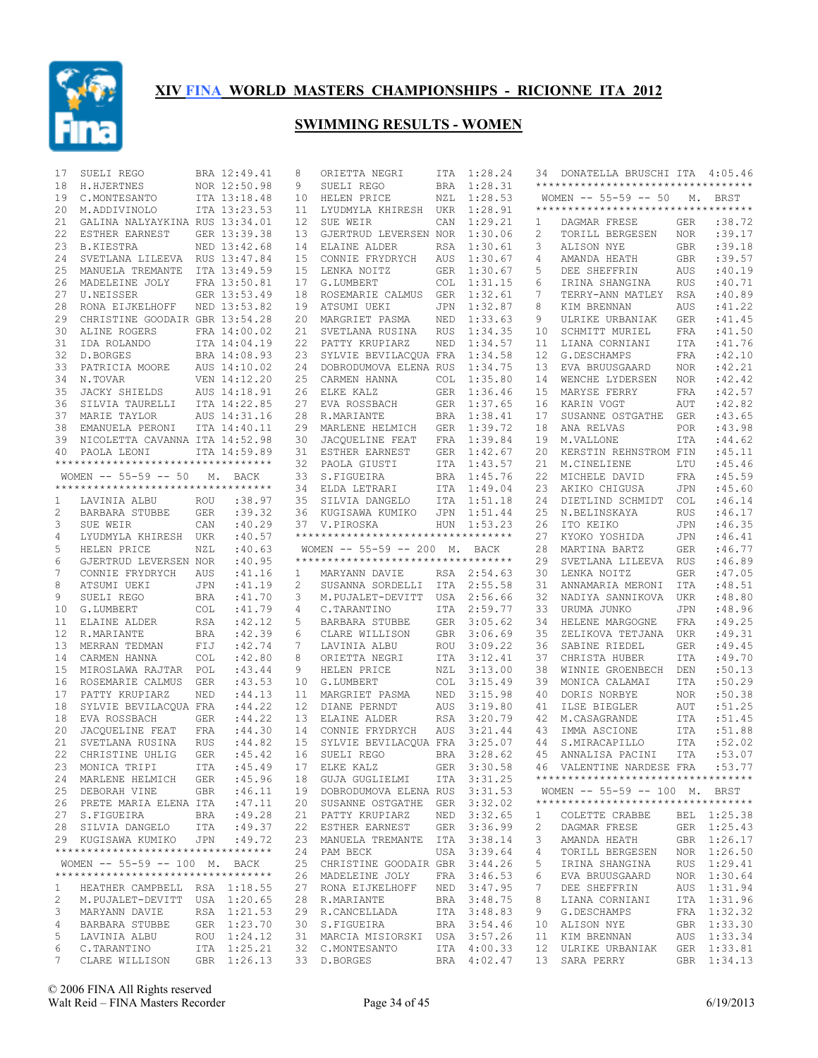

| 17           | SUELI REGO                                                           |            | BRA 12:49.41 | 8                 | ORIETTA NEGRI                                         |            | ITA 1:28.24        | 34             | DONATELLA BRUSCHI ITA 4:05.46                                       |            |                            |
|--------------|----------------------------------------------------------------------|------------|--------------|-------------------|-------------------------------------------------------|------------|--------------------|----------------|---------------------------------------------------------------------|------------|----------------------------|
| 18           | H.HJERTNES                                                           |            | NOR 12:50.98 | 9                 | SUELI REGO                                            | <b>BRA</b> | 1:28.31            |                | **********************************                                  |            |                            |
| 19           | C.MONTESANTO                                                         |            | ITA 13:18.48 | 10                | HELEN PRICE                                           | <b>NZL</b> | 1:28.53            |                | WOMEN -- 55-59 -- 50 M. BRST                                        |            |                            |
| 20           | M.ADDIVINOLO                                                         |            | ITA 13:23.53 | 11                | LYUDMYLA KHIRESH                                      | UKR        | 1:28.91            |                | **********************************                                  |            |                            |
| 21           | GALINA NALYAYKINA RUS 13:34.01                                       |            |              | $12 \overline{ }$ | SUE WEIR                                              | CAN        | 1:29.21            | 1              | DAGMAR FRESE                                                        | <b>GER</b> | :38.72                     |
| 22           | ESTHER EARNEST                                                       |            | GER 13:39.38 | 13                | GJERTRUD LEVERSEN NOR                                 |            | 1:30.06            | $\overline{c}$ | TORILL BERGESEN                                                     | <b>NOR</b> | :39.17                     |
| 23           | <b>B.KIESTRA</b>                                                     |            | NED 13:42.68 | 14                | ELAINE ALDER                                          | <b>RSA</b> | 1:30.61            | 3              | ALISON NYE                                                          | <b>GBR</b> | :39.18                     |
| 24           | SVETLANA LILEEVA RUS 13:47.84                                        |            |              | 15                | CONNIE FRYDRYCH                                       | AUS        | 1:30.67            | 4              | AMANDA HEATH                                                        | <b>GBR</b> | :39.57                     |
| 25           | MANUELA TREMANTE                                                     |            | ITA 13:49.59 | 15                | LENKA NOITZ                                           | <b>GER</b> | 1:30.67            | 5              | DEE SHEFFRIN                                                        | AUS        | :40.19                     |
| 26           | MADELEINE JOLY                                                       |            | FRA 13:50.81 | 17                | G.LUMBERT                                             | <b>COL</b> | 1:31.15            | 6              | IRINA SHANGINA                                                      | <b>RUS</b> | :40.71                     |
| 27           | U.NEISSER                                                            |            | GER 13:53.49 | 18                | ROSEMARIE CALMUS                                      | <b>GER</b> | 1:32.61            | 7              | TERRY-ANN MATLEY                                                    | <b>RSA</b> | :40.89                     |
| 28           | RONA EIJKELHOFF                                                      |            | NED 13:53.82 | 19                | ATSUMI UEKI                                           | JPN        | 1:32.87            | 8              | KIM BRENNAN                                                         | <b>AUS</b> | : 41.22                    |
| 29           | CHRISTINE GOODAIR GBR 13:54.28                                       |            |              | 20                | MARGRIET PASMA                                        | NED        | 1:33.63            | 9              | ULRIKE URBANIAK                                                     | <b>GER</b> | : 41.45                    |
| 30           | ALINE ROGERS                                                         |            | FRA 14:00.02 | 21                | SVETLANA RUSINA                                       | <b>RUS</b> | 1:34.35            | 10             | SCHMITT MURIEL                                                      | <b>FRA</b> | : 41.50                    |
| 31           | IDA ROLANDO                                                          |            | ITA 14:04.19 | 22                | PATTY KRUPIARZ                                        | NED        | 1:34.57            | 11             | LIANA CORNIANI                                                      | ITA        | :41.76                     |
| 32           | D.BORGES                                                             |            | BRA 14:08.93 | 23                | SYLVIE BEVILACQUA FRA                                 |            | 1:34.58            | 12             | G.DESCHAMPS                                                         | FRA        | :42.10                     |
| 33           | PATRICIA MOORE                                                       |            | AUS 14:10.02 | 24                | DOBRODUMOVA ELENA RUS                                 |            | 1:34.75            | 13             | EVA BRUUSGAARD                                                      | <b>NOR</b> | :42.21                     |
| 34           | N.TOVAR                                                              |            | VEN 14:12.20 | 25                | CARMEN HANNA                                          | <b>COL</b> | 1:35.80            | 14             | WENCHE LYDERSEN                                                     | <b>NOR</b> | :42.42                     |
| 35           | JACKY SHIELDS                                                        |            | AUS 14:18.91 | 26                | ELKE KALZ                                             | GER        | 1:36.46            | 15             | MARYSE FERRY                                                        | FRA        | :42.57                     |
| 36           | SILVIA TAURELLI                                                      |            | ITA 14:22.85 | 27                | EVA ROSSBACH                                          | GER        | 1:37.65            | 16             | KARIN VOGT                                                          | AUT        | :42.82                     |
| 37           | MARIE TAYLOR                                                         |            | AUS 14:31.16 | 28                | R.MARIANTE                                            | BRA        | 1:38.41            | 17             | SUSANNE OSTGATHE                                                    | <b>GER</b> | :43.65                     |
| 38           | EMANUELA PERONI                                                      |            | ITA 14:40.11 | 29                | MARLENE HELMICH                                       | GER        | 1:39.72            | 18             | ANA RELVAS                                                          | <b>POR</b> | :43.98                     |
| 39           | NICOLETTA CAVANNA ITA 14:52.98                                       |            |              | 30                | JACOUELINE FEAT                                       | FRA        | 1:39.84            | 19             | M.VALLONE                                                           | <b>ITA</b> | :44.62<br>:45.11           |
| 40           | PAOLA LEONI<br>**********************************                    |            | ITA 14:59.89 |                   | 31 ESTHER EARNEST<br>PAOLA GIUSTI                     | GER        | 1:42.67            | 20             | KERSTIN REHNSTROM FIN                                               |            | :45.46                     |
|              | WOMEN -- 55-59 -- 50                                                 |            | M. BACK      | 32<br>33          | S.FIGUEIRA                                            | ITA<br>BRA | 1:43.57<br>1:45.76 | 21<br>22       | M.CINELIENE<br>MICHELE DAVID                                        | LTU<br>FRA | :45.59                     |
|              | **********************************                                   |            |              | 34                | ELDA LETRARI                                          | ITA        | 1:49.04            | 23             | AKIKO CHIGUSA                                                       | <b>JPN</b> | :45.60                     |
| 1            | LAVINIA ALBU                                                         | ROU        | : 38.97      | 35                | SILVIA DANGELO                                        | ITA        | 1:51.18            | 24             | DIETLIND SCHMIDT                                                    | <b>COL</b> | :46.14                     |
| 2            | BARBARA STUBBE                                                       | GER        | : 39.32      | 36                | KUGISAWA KUMIKO                                       | JPN        | 1:51.44            | 25             | N.BELINSKAYA                                                        | <b>RUS</b> | :46.17                     |
| 3            | SUE WEIR                                                             | CAN        | :40.29       |                   | 37 V.PIROSKA                                          | HUN        | 1:53.23            | 26             | ITO KEIKO                                                           | <b>JPN</b> | :46.35                     |
| 4            | LYUDMYLA KHIRESH UKR                                                 |            | :40.57       |                   | **********************************                    |            |                    | 27             | KYOKO YOSHIDA                                                       | <b>JPN</b> | :46.41                     |
| 5            | HELEN PRICE                                                          | NZL        | :40.63       |                   | WOMEN $-- 55-59 -- 200$ M.                            |            | BACK               | 28             | MARTINA BARTZ                                                       | <b>GER</b> | :46.77                     |
| 6            | GJERTRUD LEVERSEN NOR                                                |            | :40.95       |                   | ***********************************                   |            |                    | 29             | SVETLANA LILEEVA                                                    | <b>RUS</b> | :46.89                     |
| 7            | CONNIE FRYDRYCH                                                      | AUS        | : 41.16      | $\mathbf{1}$      | MARYANN DAVIE                                         |            | RSA 2:54.63        | 30             | LENKA NOITZ                                                         | <b>GER</b> | :47.05                     |
| 8            | ATSUMI UEKI                                                          | JPN        | :41.19       | 2                 | SUSANNA SORDELLI                                      |            | ITA 2:55.58        | 31             | ANNAMARIA MERONI                                                    | ITA        | :48.51                     |
| 9            | SUELI REGO                                                           | <b>BRA</b> | :41.70       | 3                 | M.PUJALET-DEVITT                                      |            | USA 2:56.66        | 32             | NADIYA SANNIKOVA                                                    | UKR        | :48.80                     |
| 10           | G.LUMBERT                                                            | <b>COL</b> | :41.79       | 4                 | C.TARANTINO                                           | ITA        | 2:59.77            | 33             | URUMA JUNKO                                                         | <b>JPN</b> | :48.96                     |
| 11           | ELAINE ALDER                                                         | RSA        | :42.12       | 5                 | BARBARA STUBBE                                        |            | GER 3:05.62        | 34             | HELENE MARGOGNE                                                     | <b>FRA</b> | :49.25                     |
| 12           | R.MARIANTE                                                           | BRA        | :42.39       | 6                 | CLARE WILLISON                                        | GBR        | 3:06.69            | 35             | ZELIKOVA TETJANA                                                    | UKR        | :49.31                     |
| 13           | MERRAN TEDMAN                                                        | FIJ        | :42.74       | 7                 | LAVINIA ALBU                                          | ROU        | 3:09.22            | 36             | SABINE RIEDEL                                                       | <b>GER</b> | :49.45                     |
| 14           | CARMEN HANNA                                                         | <b>COL</b> | :42.80       | 8                 | ORIETTA NEGRI                                         | ITA        | 3:12.41            | 37             | CHRISTA HUBER                                                       | ITA        | :49.70                     |
| 15           | MIROSLAWA RAJTAR POL                                                 |            | :43.44       | 9                 | HELEN PRICE                                           | NZL        | 3:13.00            | 38             | WINNIE GROENBECH                                                    | DEN        | :50.13                     |
| 16           | ROSEMARIE CALMUS                                                     | GER        | :43.53       | 10                | G.LUMBERT                                             | <b>COL</b> | 3:15.49            | 39             | MONICA CALAMAI                                                      | ITA        | :50.29                     |
| 17           | PATTY KRUPIARZ                                                       | NED        | :44.13       | 11                | MARGRIET PASMA                                        | NED        | 3:15.98            | 40             | DORIS NORBYE                                                        | <b>NOR</b> | :50.38                     |
| 18           | SYLVIE BEVILACOUA FRA                                                |            | : 44.22      | $12 \overline{ }$ | DIANE PERNDT                                          | AUS        | 3:19.80            | 41             | ILSE BIEGLER                                                        | AUT        | :51.25                     |
| 18           | EVA ROSSBACH                                                         | <b>GER</b> | : 44.22      |                   | 13 ELAINE ALDER                                       | RSA        | 3:20.79            | 42             | M.CASAGRANDE                                                        | ITA        | :51.45                     |
| 20           | JACQUELINE FEAT                                                      | FRA        | :44.30       |                   | 14 CONNIE FRYDRYCH                                    | AUS        | 3:21.44            | 43             | IMMA ASCIONE                                                        | ITA        | :51.88                     |
| 21           | SVETLANA RUSINA                                                      | <b>RUS</b> | : 44.82      |                   | 15 SYLVIE BEVILACQUA FRA 3:25.07                      |            |                    | 44             | S.MIRACAPILLO                                                       | <b>ITA</b> | :52.02                     |
| 22           | CHRISTINE UHLIG                                                      | <b>GER</b> | :45.42       |                   | 16 SUELI REGO                                         |            | BRA 3:28.62        | 45             | ANNALISA PACINI                                                     | <b>ITA</b> | :53.07                     |
|              | 23 MONICA TRIPI ITA : 45.49 17 ELKE KALZ                             |            |              |                   |                                                       |            |                    |                | GER 3:30.58 46 VALENTINE NARDESE FRA :53.77                         |            |                            |
|              | 24 MARLENE HELMICH GER                                               |            | :45.96       |                   | 18 GUJA GUGLIELMI                                     |            | ITA 3:31.25        |                | ***********************************                                 |            |                            |
|              | 25 DEBORAH VINE GBR : 46.11                                          |            |              |                   | 19 DOBRODUMOVA ELENA RUS 3:31.53                      |            |                    |                | WOMEN -- 55-59 -- 100 M. BRST<br>********************************** |            |                            |
|              | 26 PRETE MARIA ELENA ITA                                             |            | :47.11       |                   | 20 SUSANNE OSTGATHE GER 3:32.02                       |            |                    |                |                                                                     |            |                            |
|              | 27 S.FIGUEIRA                                                        |            | BRA : 49.28  |                   | 21 PATTY KRUPIARZ                                     |            | NED 3:32.65        | $\mathbf{1}$   | COLETTE CRABBE                                                      |            | BEL 1:25.38                |
|              | 28 SILVIA DANGELO ITA : 49.37                                        |            |              |                   | 22 ESTHER EARNEST                                     |            | GER 3:36.99        | 2              | DAGMAR FRESE                                                        |            | GER 1:25.43                |
|              | 29 KUGISAWA KUMIKO JPN :49.72<br>*********************************** |            |              |                   | 23 MANUELA TREMANTE ITA 3:38.14                       |            |                    | 3              | AMANDA HEATH                                                        |            | GBR 1:26.17                |
|              | WOMEN -- 55-59 -- 100 M. BACK                                        |            |              |                   | 24 PAM BECK                                           |            | USA 3:39.64        | 4              | TORILL BERGESEN                                                     |            | NOR 1:26.50<br>RUS 1:29.41 |
|              | **********************************                                   |            |              |                   | 25 CHRISTINE GOODAIR GBR 3:44.26<br>26 MADELEINE JOLY |            | FRA 3:46.53        | 5<br>6         | IRINA SHANGINA<br>EVA BRUUSGAARD                                    |            | NOR 1:30.64                |
| $\mathbf{L}$ | HEATHER CAMPBELL RSA 1:18.55                                         |            |              |                   | 27 RONA EIJKELHOFF NED 3:47.95                        |            |                    | 7              | DEE SHEFFRIN                                                        |            | AUS 1:31.94                |
| 2            | M.PUJALET-DEVITT USA 1:20.65                                         |            |              |                   | 28 R.MARIANTE                                         |            | BRA 3:48.75        | 8              | LIANA CORNIANI                                                      |            | ITA 1:31.96                |
| 3            | MARYANN DAVIE                                                        |            | RSA 1:21.53  |                   | 29 R.CANCELLADA                                       |            | ITA 3:48.83        | 9              | G.DESCHAMPS                                                         |            | FRA 1:32.32                |
| 4            | BARBARA STUBBE                                                       |            | GER 1:23.70  |                   | 30 S.FIGUEIRA                                         |            | BRA 3:54.46        |                | 10 ALISON NYE                                                       |            | GBR 1:33.30                |
| 5            | LAVINIA ALBU                                                         |            | ROU 1:24.12  |                   | 31 MARCIA MISIORSKI USA 3:57.26                       |            |                    | 11             | KIM BRENNAN                                                         |            | AUS 1:33.34                |
| 6            | C.TARANTINO                                                          |            | ITA 1:25.21  |                   | 32 C.MONTESANTO                                       |            | ITA 4:00.33        | 12             | ULRIKE URBANIAK                                                     |            | GER 1:33.81                |
| 7            | CLARE WILLISON                                                       |            | GBR 1:26.13  |                   | 33 D.BORGES                                           |            | BRA 4:02.47        |                | 13 SARA PERRY                                                       |            | GBR 1:34.13                |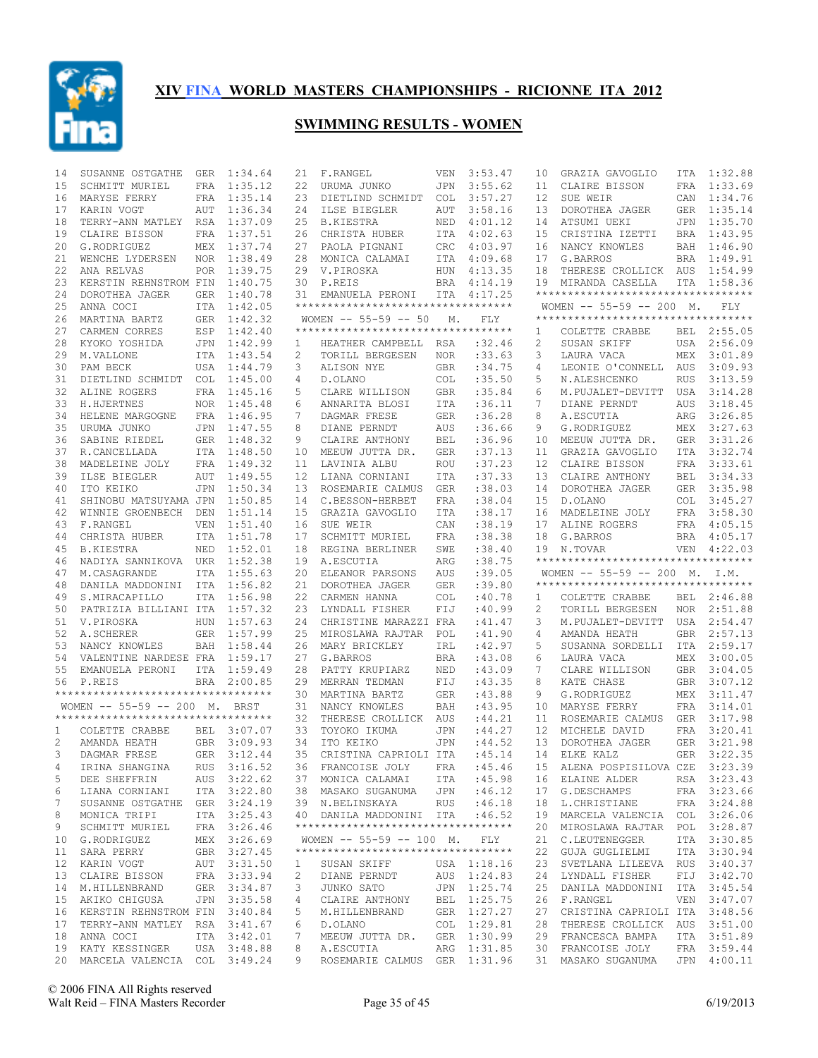

| 14 | SUSANNE OSTGATHE                           | GER        | 1:34.64     | 21                | F.RANGEL                                  | VEN        | 3:53.47     | 10             | GRAZIA GAVOGLIO                                                     | ITA        | 1:32.88                    |
|----|--------------------------------------------|------------|-------------|-------------------|-------------------------------------------|------------|-------------|----------------|---------------------------------------------------------------------|------------|----------------------------|
| 15 | SCHMITT MURIEL                             | FRA        | 1:35.12     | 22                | URUMA JUNKO                               | <b>JPN</b> | 3:55.62     | 11             | CLAIRE BISSON                                                       | FRA        | 1:33.69                    |
| 16 | MARYSE FERRY                               | FRA        | 1:35.14     | 23                | DIETLIND SCHMIDT                          | <b>COL</b> | 3:57.27     | 12             | SUE WEIR                                                            |            | CAN 1:34.76                |
| 17 | KARIN VOGT                                 | AUT        | 1:36.34     | 24                | ILSE BIEGLER                              | AUT        | 3:58.16     | 13             | DOROTHEA JAGER                                                      | GER        | 1:35.14                    |
| 18 | TERRY-ANN MATLEY RSA                       |            | 1:37.09     | 25                | <b>B.KIESTRA</b>                          | NED        | 4:01.12     | 14             | ATSUMI UEKI                                                         |            | JPN 1:35.70                |
| 19 | CLAIRE BISSON                              | FRA        | 1:37.51     | 26                | CHRISTA HUBER                             | ITA        | 4:02.63     | 15             | CRISTINA IZETTI                                                     | BRA        | 1:43.95                    |
| 20 | G.RODRIGUEZ                                |            | MEX 1:37.74 | 27                | PAOLA PIGNANI                             | <b>CRC</b> | 4:03.97     | 16             | NANCY KNOWLES                                                       |            | BAH 1:46.90                |
| 21 | WENCHE LYDERSEN                            | NOR        | 1:38.49     | 28                | MONICA CALAMAI                            | ITA        | 4:09.68     | 17             | G. BARROS                                                           | BRA        | 1:49.91                    |
| 22 | ANA RELVAS                                 |            | POR 1:39.75 | 29                | V.PIROSKA                                 | HUN        | 4:13.35     | 18             | THERESE CROLLICK AUS                                                |            | 1:54.99                    |
| 23 | KERSTIN REHNSTROM FIN                      |            | 1:40.75     | 30                | P.REIS                                    | BRA        | 4:14.19     | 19             | MIRANDA CASELLA                                                     | ITA        | 1:58.36                    |
| 24 | DOROTHEA JAGER                             | GER        | 1:40.78     | 31                | EMANUELA PERONI                           |            | ITA 4:17.25 |                | *********************************                                   |            |                            |
| 25 | ANNA COCI                                  |            | ITA 1:42.05 |                   | **********************************        |            |             |                | WOMEN $-- 55-59 -- 200$ M.                                          |            | FLY                        |
| 26 | MARTINA BARTZ                              |            | GER 1:42.32 |                   | WOMEN -- 55-59 -- 50                      | М.         | <b>FLY</b>  |                | **********************************                                  |            |                            |
| 27 | CARMEN CORRES                              | ESP        | 1:42.40     |                   | **********************************        |            |             | 1              | COLETTE CRABBE                                                      | BEL        | 2:55.05                    |
| 28 | KYOKO YOSHIDA                              |            | JPN 1:42.99 | 1                 | HEATHER CAMPBELL                          | RSA        | :32.46      | $\overline{c}$ | SUSAN SKIFF                                                         | USA        | 2:56.09                    |
| 29 | M.VALLONE                                  |            | ITA 1:43.54 | 2                 | TORILL BERGESEN                           | <b>NOR</b> | : 33.63     | 3              | LAURA VACA                                                          | MEX        | 3:01.89                    |
| 30 | PAM BECK                                   |            | USA 1:44.79 | 3                 | ALISON NYE                                | GBR        | :34.75      | 4              | LEONIE O'CONNELL                                                    | AUS        | 3:09.93                    |
| 31 | DIETLIND SCHMIDT                           | COL        | 1:45.00     | 4                 | D.OLANO                                   | <b>COL</b> | :35.50      | 5              | N.ALESHCENKO                                                        | <b>RUS</b> | 3:13.59                    |
| 32 | ALINE ROGERS                               |            | FRA 1:45.16 | 5                 | CLARE WILLISON                            | <b>GBR</b> | :35.84      | 6              | M.PUJALET-DEVITT                                                    | USA        | 3:14.28                    |
|    |                                            |            |             | 6                 |                                           |            |             |                |                                                                     |            | 3:18.45                    |
| 33 | H.HJERTNES                                 |            | NOR 1:45.48 |                   | ANNARITA BLOSI                            | ITA        | :36.11      | 7              | DIANE PERNDT                                                        | AUS        |                            |
| 34 | HELENE MARGOGNE                            |            | FRA 1:46.95 | 7                 | DAGMAR FRESE                              | <b>GER</b> | :36.28      | 8              | A.ESCUTIA                                                           | ARG        | 3:26.85                    |
| 35 | URUMA JUNKO                                | <b>JPN</b> | 1:47.55     | 8                 | DIANE PERNDT                              | AUS        | :36.66      | 9              | G.RODRIGUEZ                                                         | MEX        | 3:27.63                    |
| 36 | SABINE RIEDEL                              |            | GER 1:48.32 | 9                 | CLAIRE ANTHONY                            | <b>BEL</b> | :36.96      | 10             | MEEUW JUTTA DR.                                                     | GER        | 3:31.26                    |
| 37 | R.CANCELLADA                               |            | ITA 1:48.50 | 10                | MEEUW JUTTA DR.                           | <b>GER</b> | :37.13      | 11             | GRAZIA GAVOGLIO                                                     | ITA        | 3:32.74                    |
| 38 | MADELEINE JOLY                             |            | FRA 1:49.32 | 11                | LAVINIA ALBU                              | <b>ROU</b> | :37.23      | 12             | CLAIRE BISSON                                                       | FRA        | 3:33.61                    |
| 39 | ILSE BIEGLER                               | AUT        | 1:49.55     | $12 \overline{ }$ | LIANA CORNIANI                            | <b>ITA</b> | :37.33      | 13             | CLAIRE ANTHONY                                                      | <b>BEL</b> | 3:34.33                    |
| 40 | ITO KEIKO                                  | JPN        | 1:50.34     | 13                | ROSEMARIE CALMUS                          | GER        | :38.03      | 14             | DOROTHEA JAGER                                                      | GER        | 3:35.98                    |
| 41 | SHINOBU MATSUYAMA JPN                      |            | 1:50.85     | 14                | C.BESSON-HERBET                           | <b>FRA</b> | :38.04      | 15             | D.OLANO                                                             | COL        | 3:45.27                    |
| 42 | WINNIE GROENBECH DEN                       |            | 1:51.14     | 15                | GRAZIA GAVOGLIO                           | ITA        | : 38.17     | 16             | MADELEINE JOLY                                                      | FRA        | 3:58.30                    |
| 43 | F.RANGEL                                   | VEN        | 1:51.40     | 16                | SUE WEIR                                  | CAN        | :38.19      | 17             | ALINE ROGERS                                                        | FRA        | 4:05.15                    |
| 44 | CHRISTA HUBER                              |            | ITA 1:51.78 | 17                | SCHMITT MURIEL                            | FRA        | :38.38      | 18             | G.BARROS                                                            | BRA        | 4:05.17                    |
| 45 | <b>B.KIESTRA</b>                           | NED        | 1:52.01     | 18                | REGINA BERLINER                           | SWE        | :38.40      |                | 19 N.TOVAR                                                          |            | VEN 4:22.03                |
|    |                                            |            |             |                   | A.ESCUTIA                                 |            |             |                | **********************************                                  |            |                            |
| 46 |                                            |            | 1:52.38     | 19                |                                           | ARG        | :38.75      |                |                                                                     |            |                            |
|    | NADIYA SANNIKOVA UKR                       |            |             |                   |                                           |            |             |                |                                                                     |            |                            |
| 47 | M.CASAGRANDE                               |            | ITA 1:55.63 | 20                | ELEANOR PARSONS                           | AUS        | :39.05      |                | WOMEN -- 55-59 -- 200 M. I.M.<br>********************************** |            |                            |
| 48 | DANILA MADDONINI                           |            | ITA 1:56.82 | 21                | DOROTHEA JAGER                            | GER        | :39.80      |                |                                                                     |            |                            |
| 49 | S.MIRACAPILLO                              |            | ITA 1:56.98 | 22                | CARMEN HANNA                              | <b>COL</b> | :40.78      | 1              | COLETTE CRABBE                                                      |            | BEL 2:46.88                |
| 50 | PATRIZIA BILLIANI ITA 1:57.32              |            |             | 23                | LYNDALL FISHER                            | FIJ        | :40.99      | 2              | TORILL BERGESEN                                                     | NOR        | 2:51.88                    |
| 51 | V.PIROSKA                                  | <b>HUN</b> | 1:57.63     | 24                | CHRISTINE MARAZZI FRA                     |            | :41.47      | 3              | M.PUJALET-DEVITT                                                    |            | USA 2:54.47                |
| 52 | A.SCHERER                                  |            | GER 1:57.99 | 25                | MIROSLAWA RAJTAR                          | POL        | :41.90      | 4              | AMANDA HEATH                                                        | GBR        | 2:57.13                    |
| 53 | NANCY KNOWLES                              |            | BAH 1:58.44 | 26                | MARY BRICKLEY                             | IRL        | :42.97      | 5              | SUSANNA SORDELLI                                                    |            | ITA 2:59.17                |
| 54 | VALENTINE NARDESE FRA                      |            | 1:59.17     | 27                | G. BARROS                                 | <b>BRA</b> | :43.08      | 6              | LAURA VACA                                                          | MEX        | 3:00.05                    |
| 55 | EMANUELA PERONI                            |            | ITA 1:59.49 | 28                | PATTY KRUPIARZ                            | NED        | :43.09      | 7              | CLARE WILLISON                                                      |            | GBR 3:04.05                |
| 56 | P.REIS                                     | <b>BRA</b> | 2:00.85     | 29                | MERRAN TEDMAN                             | FIJ        | :43.35      | 8              | KATE CHASE                                                          | GBR        | 3:07.12                    |
|    | **********************************         |            |             | 30                | MARTINA BARTZ                             | <b>GER</b> | :43.88      | 9              | G.RODRIGUEZ                                                         |            | MEX 3:11.47                |
|    | WOMEN -- 55-59 -- 200 M. BRST              |            |             | 31                | NANCY KNOWLES                             | BAH        | :43.95      | 10             | MARYSE FERRY                                                        | FRA        | 3:14.01                    |
|    | ***********************************        |            |             | 32                | THERESE CROLLICK                          | AUS        | :44.21      | 11             | ROSEMARIE CALMUS                                                    | GER        | 3:17.98                    |
| 1  | COLETTE CRABBE                             |            | BEL 3:07.07 | 33                | TOYOKO IKUMA                              | <b>JPN</b> | : 44.27     | 12             | MICHELE DAVID                                                       | FRA        | 3:20.41                    |
| 2  | AMANDA HEATH                               |            | GBR 3:09.93 | 34                | ITO KEIKO                                 | <b>JPN</b> | : 44.52     | 13             | DOROTHEA JAGER                                                      | GER        | 3:21.98                    |
| 3  | DAGMAR FRESE                               |            | GER 3:12.44 | 35                | CRISTINA CAPRIOLI ITA                     |            | :45.14      | 14             | ELKE KALZ                                                           | GER        | 3:22.35                    |
| 4  |                                            |            |             |                   |                                           |            |             |                |                                                                     |            |                            |
| 5  | IRINA SHANGINA RUS 3:16.52<br>DEE SHEFFRIN |            |             |                   | 36 FRANCOISE JOLY                         |            |             |                | FRA : 45.46 15 ALENA POSPISILOVA CZE 3:23.39                        |            |                            |
|    |                                            |            | AUS 3:22.62 |                   | 37 MONICA CALAMAI                         | ITA        | :45.98      |                | 16 ELAINE ALDER                                                     |            | RSA 3:23.43                |
| 6  | LIANA CORNIANI                             |            | ITA 3:22.80 |                   | 38 MASAKO SUGANUMA JPN : 46.12            |            |             |                | 17 G.DESCHAMPS                                                      |            | FRA 3:23.66                |
| 7  | SUSANNE OSTGATHE GER 3:24.19               |            |             |                   | 39 N.BELINSKAYA                           | <b>RUS</b> | :46.18      | 18             | L.CHRISTIANE                                                        |            | FRA 3:24.88                |
| 8  | MONICA TRIPI                               |            | ITA 3:25.43 |                   | 40 DANILA MADDONINI ITA                   |            | :46.52      | 19             | MARCELA VALENCIA COL 3:26.06                                        |            |                            |
| 9  | SCHMITT MURIEL                             |            | FRA 3:26.46 |                   | ***********************************       |            |             | 20             | MIROSLAWA RAJTAR                                                    |            | POL 3:28.87                |
| 10 | G.RODRIGUEZ                                |            | MEX 3:26.69 |                   | WOMEN $--$ 55-59 -- 100 M.                |            | FLY         | 21             | C.LEUTENEGGER                                                       |            | ITA 3:30.85                |
| 11 | SARA PERRY                                 |            | GBR 3:27.45 |                   | ***********************************       |            |             | 22             | GUJA GUGLIELMI                                                      |            | ITA 3:30.94                |
| 12 | KARIN VOGT                                 |            | AUT 3:31.50 | 1                 | SUSAN SKIFF                               |            | USA 1:18.16 | 23             | SVETLANA LILEEVA RUS 3:40.37                                        |            |                            |
| 13 | CLAIRE BISSON                              |            | FRA 3:33.94 | 2                 | DIANE PERNDT                              |            | AUS 1:24.83 | 24             | LYNDALL FISHER                                                      |            | FIJ 3:42.70                |
| 14 | M.HILLENBRAND                              |            | GER 3:34.87 | 3                 | JUNKO SATO                                |            | JPN 1:25.74 | 25             | DANILA MADDONINI                                                    |            | ITA 3:45.54                |
| 15 | AKIKO CHIGUSA                              |            | JPN 3:35.58 | 4                 | CLAIRE ANTHONY                            | BEL        | 1:25.75     | 26             | F.RANGEL                                                            |            | VEN 3:47.07                |
|    | 16 KERSTIN REHNSTROM FIN 3:40.84           |            |             | 5                 | M.HILLENBRAND                             |            | GER 1:27.27 | 27             | CRISTINA CAPRIOLI ITA 3:48.56                                       |            |                            |
| 17 | TERRY-ANN MATLEY RSA 3:41.67               |            |             | 6                 | D.OLANO                                   | COL        | 1:29.81     | 28             | THERESE CROLLICK AUS 3:51.00                                        |            |                            |
|    | 18 ANNA COCI                               |            | ITA 3:42.01 | 7                 | MEEUW JUTTA DR.                           |            | GER 1:30.99 | 29             | FRANCESCA BAMPA                                                     |            | ITA 3:51.89                |
|    | 19 KATY KESSINGER                          |            | USA 3:48.88 | 8                 | A.ESCUTIA<br>ROSEMARIE CALMUS GER 1:31.96 |            | ARG 1:31.85 | 30             | FRANCOISE JOLY                                                      |            | FRA 3:59.44<br>JPN 4:00.11 |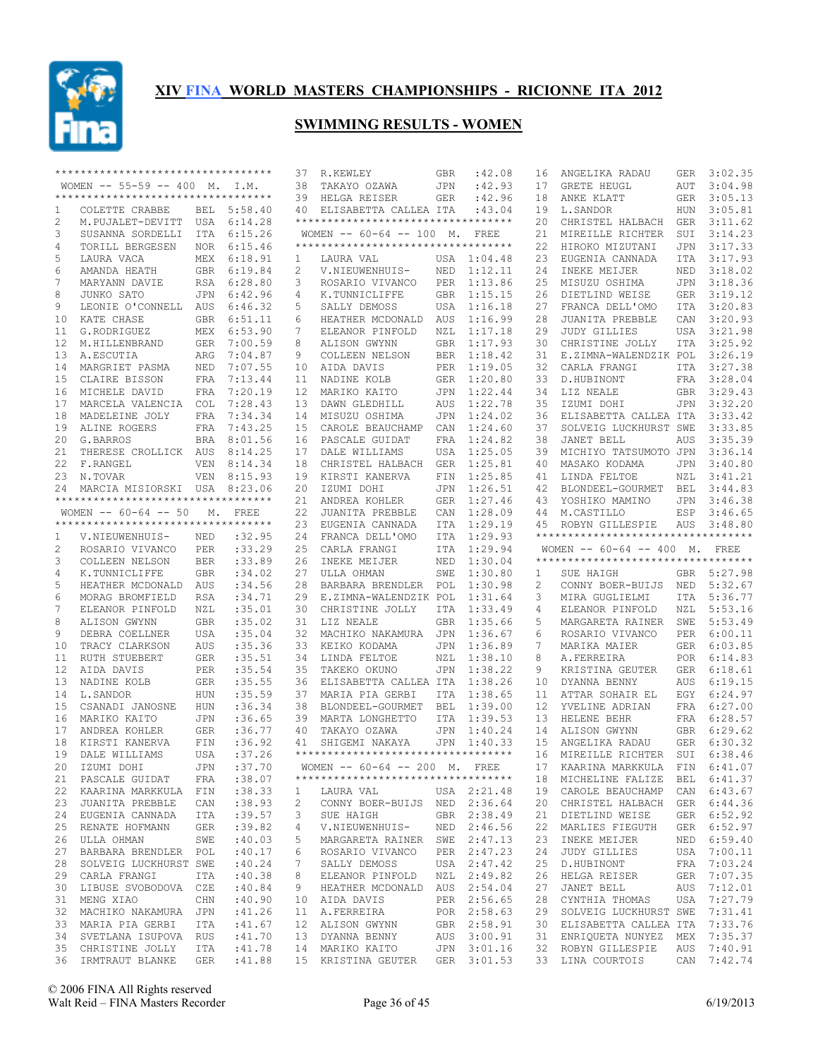

|    | **********************************                                                                                           |            |             | 37              | R.KEWLEY                                                                                                          | GBR        | :42.08      | 16  | ANGELIKA RADAU                     | GER        | 3:02.35     |
|----|------------------------------------------------------------------------------------------------------------------------------|------------|-------------|-----------------|-------------------------------------------------------------------------------------------------------------------|------------|-------------|-----|------------------------------------|------------|-------------|
|    | WOMEN $-- 55-59 -- 400$ M. I.M.                                                                                              |            |             | 38              | TAKAYO OZAWA                                                                                                      | JPN        | :42.93      | 17  | GRETE HEUGL                        | AUT        | 3:04.98     |
|    | ***********************************                                                                                          |            |             | 39              | HELGA REISER                                                                                                      | GER        | :42.96      | 18  | ANKE KLATT                         | GER        | 3:05.13     |
| 1  | COLETTE CRABBE                                                                                                               |            | BEL 5:58.40 | 40              | ELISABETTA CALLEA ITA                                                                                             |            | :43.04      | 19  | L.SANDOR                           | HUN        | 3:05.81     |
| 2  | M.PUJALET-DEVITT USA 6:14.28                                                                                                 |            |             |                 | **********************************                                                                                |            |             | 2.0 | CHRISTEL HALBACH                   | GER        | 3:11.62     |
| 3  | SUSANNA SORDELLI                                                                                                             | ITA        | 6:15.26     |                 | WOMEN $--$ 60-64 -- 100 M.                                                                                        |            | FREE        | 21  | MIREILLE RICHTER                   | SUI        | 3:14.23     |
| 4  | TORILL BERGESEN                                                                                                              |            | NOR 6:15.46 |                 | **********************************                                                                                |            |             | 22  | HIROKO MIZUTANI                    | <b>JPN</b> | 3:17.33     |
| 5  | LAURA VACA                                                                                                                   | MEX        | 6:18.91     | 1               | LAURA VAL                                                                                                         |            | USA 1:04.48 | 23  | EUGENIA CANNADA                    | <b>ITA</b> | 3:17.93     |
| 6  | AMANDA HEATH                                                                                                                 |            | GBR 6:19.84 | 2               | V.NIEUWENHUIS-                                                                                                    | NED        | 1:12.11     | 24  | INEKE MEIJER                       | NED        | 3:18.02     |
| 7  | MARYANN DAVIE                                                                                                                | RSA        | 6:28.80     | 3               | ROSARIO VIVANCO                                                                                                   | PER        | 1:13.86     | 25  | MISUZU OSHIMA                      | <b>JPN</b> | 3:18.36     |
| 8  | JUNKO SATO                                                                                                                   | JPN        | 6:42.96     | 4               | K.TUNNICLIFFE                                                                                                     | GBR        | 1:15.15     | 26  | DIETLIND WEISE                     | GER        | 3:19.12     |
| 9  |                                                                                                                              |            |             |                 |                                                                                                                   |            |             |     |                                    |            |             |
|    | LEONIE O'CONNELL AUS                                                                                                         |            | 6:46.32     | 5               | SALLY DEMOSS                                                                                                      | USA        | 1:16.18     | 27  | FRANCA DELL'OMO                    | ITA        | 3:20.83     |
| 10 | KATE CHASE                                                                                                                   | GBR        | 6:51.11     | 6               | HEATHER MCDONALD                                                                                                  | AUS        | 1:16.99     | 28  | JUANITA PREBBLE                    | CAN        | 3:20.93     |
| 11 | G.RODRIGUEZ                                                                                                                  | MEX        | 6:53.90     | 7               | ELEANOR PINFOLD                                                                                                   | NZL        | 1:17.18     | 29  | <b>JUDY GILLIES</b>                | USA        | 3:21.98     |
| 12 | M.HILLENBRAND                                                                                                                | GER        | 7:00.59     | 8               | ALISON GWYNN                                                                                                      | <b>GBR</b> | 1:17.93     | 30  | CHRISTINE JOLLY                    | ITA        | 3:25.92     |
| 13 | A.ESCUTIA                                                                                                                    | ARG        | 7:04.87     | 9               | COLLEEN NELSON                                                                                                    | <b>BER</b> | 1:18.42     | 31  | E.ZIMNA-WALENDZIK POL              |            | 3:26.19     |
| 14 | MARGRIET PASMA                                                                                                               | NED        | 7:07.55     | 10              | AIDA DAVIS                                                                                                        | PER        | 1:19.05     | 32  | CARLA FRANGI                       | ITA        | 3:27.38     |
| 15 | CLAIRE BISSON                                                                                                                | <b>FRA</b> | 7:13.44     | 11              | NADINE KOLB                                                                                                       | <b>GER</b> | 1:20.80     | 33  | D.HUBINONT                         | FRA        | 3:28.04     |
| 16 | MICHELE DAVID                                                                                                                | FRA        | 7:20.19     | 12 <sup>°</sup> | MARIKO KAITO                                                                                                      | JPN        | 1:22.44     | 34  | LIZ NEALE                          | GBR        | 3:29.43     |
| 17 | MARCELA VALENCIA                                                                                                             | <b>COL</b> | 7:28.43     | 13              | DAWN GLEDHILL                                                                                                     | AUS        | 1:22.78     | 35  | IZUMI DOHI                         | JPN        | 3:32.20     |
| 18 | MADELEINE JOLY                                                                                                               | FRA        | 7:34.34     | 14              | MISUZU OSHIMA                                                                                                     | <b>JPN</b> | 1:24.02     | 36  | ELISABETTA CALLEA ITA              |            | 3:33.42     |
| 19 | ALINE ROGERS                                                                                                                 | FRA        | 7:43.25     | 15              | CAROLE BEAUCHAMP                                                                                                  | CAN        | 1:24.60     | 37  | SOLVEIG LUCKHURST SWE              |            | 3:33.85     |
| 20 | G. BARROS                                                                                                                    |            | BRA 8:01.56 | 16              | PASCALE GUIDAT                                                                                                    | <b>FRA</b> | 1:24.82     | 38  | JANET BELL                         | <b>AUS</b> | 3:35.39     |
| 21 | THERESE CROLLICK AUS                                                                                                         |            | 8:14.25     | 17              | DALE WILLIAMS                                                                                                     | <b>USA</b> | 1:25.05     | 39  | MICHIYO TATSUMOTO JPN              |            | 3:36.14     |
| 22 | F.RANGEL                                                                                                                     | VEN        | 8:14.34     | 18              | CHRISTEL HALBACH                                                                                                  | <b>GER</b> | 1:25.81     | 40  | MASAKO KODAMA                      | <b>JPN</b> | 3:40.80     |
| 23 | N.TOVAR                                                                                                                      | <b>VEN</b> | 8:15.93     | 19              | KIRSTI KANERVA                                                                                                    | FIN        | 1:25.85     | 41  | LINDA FELTOE                       | NZL        | 3:41.21     |
|    |                                                                                                                              |            |             |                 | IZUMI DOHI                                                                                                        |            |             | 42  |                                    |            | 3:44.83     |
| 24 | MARCIA MISIORSKI USA<br>**********************************                                                                   |            | 8:23.06     | 20              |                                                                                                                   | JPN        | 1:26.51     |     | BLONDEEL-GOURMET                   | BEL        |             |
|    |                                                                                                                              |            |             | 21              | ANDREA KOHLER                                                                                                     | <b>GER</b> | 1:27.46     | 43  | YOSHIKO MAMINO                     | JPN        | 3:46.38     |
|    | WOMEN $--$ 60-64 -- 50                                                                                                       | М.         | FREE        | 22              | JUANITA PREBBLE                                                                                                   | CAN        | 1:28.09     | 44  | M.CASTILLO                         | ESP        | 3:46.65     |
|    | **********************************                                                                                           |            |             | 23              | EUGENIA CANNADA                                                                                                   | <b>ITA</b> | 1:29.19     | 45  | ROBYN GILLESPIE                    | AUS        | 3:48.80     |
| 1  | V.NIEUWENHUIS-                                                                                                               | NED        | :32.95      | 24              | FRANCA DELL'OMO                                                                                                   | ITA        | 1:29.93     |     | ********************************** |            |             |
| 2  | ROSARIO VIVANCO                                                                                                              | PER        | :33.29      | 25              | CARLA FRANGI                                                                                                      | ITA        | 1:29.94     |     | WOMEN -- 60-64 -- 400 M. FREE      |            |             |
| 3  | COLLEEN NELSON                                                                                                               | <b>BER</b> | : 33.89     | 26              | INEKE MEIJER                                                                                                      | NED        | 1:30.04     |     | ********************************** |            |             |
| 4  | K.TUNNICLIFFE                                                                                                                | <b>GBR</b> | :34.02      | 27              | ULLA OHMAN                                                                                                        | SWE        | 1:30.80     | 1   | SUE HAIGH                          |            | GBR 5:27.98 |
| 5  | HEATHER MCDONALD AUS                                                                                                         |            | :34.56      | 28              | BARBARA BRENDLER                                                                                                  | POL        | 1:30.98     | 2   | CONNY BOER-BUIJS NED               |            | 5:32.67     |
| 6  | MORAG BROMFIELD                                                                                                              | <b>RSA</b> | :34.71      | 29              | E.ZIMNA-WALENDZIK POL                                                                                             |            | 1:31.64     | 3   | MIRA GUGLIELMI                     | ITA        | 5:36.77     |
| 7  | ELEANOR PINFOLD                                                                                                              | NZL        | :35.01      | 30              | CHRISTINE JOLLY                                                                                                   | ITA        | 1:33.49     | 4   | ELEANOR PINFOLD                    | NZL        | 5:53.16     |
| 8  | ALISON GWYNN                                                                                                                 | <b>GBR</b> | :35.02      | 31              | LIZ NEALE                                                                                                         | <b>GBR</b> | 1:35.66     | 5   | MARGARETA RAINER                   | SWE        | 5:53.49     |
| 9  |                                                                                                                              |            |             |                 | MACHIKO NAKAMURA                                                                                                  | JPN        | 1:36.67     |     | ROSARIO VIVANCO                    | PER        | 6:00.11     |
| 10 |                                                                                                                              |            |             |                 |                                                                                                                   |            |             |     |                                    |            |             |
|    | DEBRA COELLNER                                                                                                               | USA        | :35.04      | 32              |                                                                                                                   |            |             | 6   |                                    |            |             |
|    | TRACY CLARKSON                                                                                                               | <b>AUS</b> | :35.36      | 33              | KEIKO KODAMA                                                                                                      | <b>JPN</b> | 1:36.89     | 7   | MARIKA MAIER                       | GER        | 6:03.85     |
| 11 | <b>RUTH STUEBERT</b>                                                                                                         | <b>GER</b> | : 35.51     | 34              | LINDA FELTOE                                                                                                      | NZL        | 1:38.10     | 8   | A. FERREIRA                        | POR        | 6:14.83     |
| 12 | AIDA DAVIS                                                                                                                   | <b>PER</b> | :35.54      | 35              | TAKEKO OKUNO                                                                                                      | JPN        | 1:38.22     | 9   | KRISTINA GEUTER                    | GER        | 6:18.61     |
| 13 | NADINE KOLB                                                                                                                  | <b>GER</b> | :35.55      | 36              | ELISABETTA CALLEA ITA                                                                                             |            | 1:38.26     | 10  | DYANNA BENNY                       | AUS        | 6:19.15     |
| 14 | L.SANDOR                                                                                                                     | <b>HUN</b> | :35.59      | 37              | MARIA PIA GERBI                                                                                                   | <b>ITA</b> | 1:38.65     | 11  | ATTAR SOHAIR EL                    | EGY        | 6:24.97     |
| 15 | CSANADI JANOSNE                                                                                                              | HUN        | :36.34      | 38              | BLONDEEL-GOURMET                                                                                                  | <b>BEL</b> | 1:39.00     | 12  | YVELINE ADRIAN                     | FRA        | 6:27.00     |
| 16 | MARIKO KAITO                                                                                                                 | <b>JPN</b> | :36.65      | 39              | MARTA LONGHETTO                                                                                                   | <b>ITA</b> | 1:39.53     | 13  | HELENE BEHR                        | FRA        | 6:28.57     |
| 17 | ANDREA KOHLER                                                                                                                | GER        | :36.77      | 40              | TAKAYO OZAWA                                                                                                      | JPN        | 1:40.24     | 14  | ALISON GWYNN                       | GBR        | 6:29.62     |
| 18 | KIRSTI KANERVA                                                                                                               | FIN        | :36.92      | 41              | SHIGEMI NAKAYA                                                                                                    | JPN        | 1:40.33     | 15  | ANGELIKA RADAU                     | <b>GER</b> | 6:30.32     |
| 19 | DALE WILLIAMS                                                                                                                | USA        | :37.26      |                 | ***********************************                                                                               |            |             | 16  | MIREILLE RICHTER                   | SUI        | 6:38.46     |
|    | 20 IZUMI DOHI                                                                                                                |            | JPN :37.70  |                 | WOMEN -- 60-64 -- 200 M. FREE                                                                                     |            |             |     | 17 KAARINA MARKKULA FIN 6:41.07    |            |             |
|    | 21 PASCALE GUIDAT FRA                                                                                                        |            | : 38.07     |                 | **********************************                                                                                |            |             |     | 18 MICHELINE FALIZE BEL 6:41.37    |            |             |
|    | 22 KAARINA MARKKULA FIN                                                                                                      |            | : 38.33     | $\mathbf{1}$    | LAURA VAL USA 2:21.48                                                                                             |            |             |     | 19 CAROLE BEAUCHAMP CAN 6:43.67    |            |             |
|    | 23 JUANITA PREBBLE CAN                                                                                                       |            | :38.93      | 2               | CONNY BOER-BUIJS NED 2:36.64                                                                                      |            |             |     | 20 CHRISTEL HALBACH GER 6:44.36    |            |             |
|    |                                                                                                                              |            |             | 3               | SUE HAIGH                                                                                                         |            | GBR 2:38.49 | 21  |                                    |            |             |
|    | 24 EUGENIA CANNADA ITA                                                                                                       |            | :39.57      |                 |                                                                                                                   |            |             |     | DIETLIND WEISE                     |            | GER 6:52.92 |
|    | 25 RENATE HOFMANN                                                                                                            | GER        | :39.82      | 4               | V.NIEUWENHUIS- NED 2:46.56                                                                                        |            |             | 22  | MARLIES FIEGUTH                    |            | GER 6:52.97 |
|    | 26 ULLA OHMAN<br>SWE                                                                                                         |            | :40.03      | 5               | MARGARETA RAINER SWE 2:47.13                                                                                      |            |             | 23  | INEKE MEIJER                       |            | NED 6:59.40 |
|    | 27 BARBARA BRENDLER POL                                                                                                      |            | :40.17      | 6               | ROSARIO VIVANCO PER 2:47.23                                                                                       |            |             | 24  | JUDY GILLIES                       |            | USA 7:00.11 |
|    | 28 SOLVEIG LUCKHURST SWE                                                                                                     |            | :40.24      | 7               | SALLY DEMOSS USA 2:47.42                                                                                          |            |             |     | 25 D.HUBINONT                      |            | FRA 7:03.24 |
|    | 29 CARLA FRANGI                                                                                                              | ITA        | :40.38      | 8               | ELEANOR PINFOLD NZL 2:49.82                                                                                       |            |             |     | 26 HELGA REISER                    |            | GER 7:07.35 |
|    | 30 LIBUSE SVOBODOVA CZE                                                                                                      |            | :40.84      | 9               | HEATHER MCDONALD AUS 2:54.04                                                                                      |            |             | 27  | JANET BELL                         |            | AUS 7:12.01 |
|    | 31 MENG XIAO<br><b>CHN</b>                                                                                                   |            | :40.90      |                 | 10 AIDA DAVIS                                                                                                     |            | PER 2:56.65 |     | 28 CYNTHIA THOMAS                  |            | USA 7:27.79 |
|    | 32 MACHIKO NAKAMURA JPN                                                                                                      |            | :41.26      |                 | 11 A.FERREIRA                                                                                                     |            | POR 2:58.63 |     | 29 SOLVEIG LUCKHURST SWE 7:31.41   |            |             |
|    | 33 MARIA PIA GERBI ITA                                                                                                       |            | :41.67      |                 |                                                                                                                   |            |             |     | 30 ELISABETTA CALLEA ITA 7:33.76   |            |             |
|    | 34 SVETLANA ISUPOVA RUS                                                                                                      |            | :41.70      |                 | $\begin{tabular}{llllll} 12 & ALISON GWYNN & GBR & 2:58.91 \\ 13 & DYANNA BENNY & AUS & 3:00.91 \\ \end{tabular}$ |            |             |     | 31 ENRIQUETA NUNYEZ MEX 7:35.37    |            |             |
|    | 35 CHRISTINE JOLLY ITA : 41.78<br>36 IRMTRAUT BLANKE GER : 41.88 15 KRISTINA GEUTER GER 3:01.53 33 LINA COURTOIS CAN 7:42.74 |            |             |                 | 14 MARIKO KAITO JPN 3:01.16                                                                                       |            |             |     | 32 ROBYN GILLESPIE AUS 7:40.91     |            |             |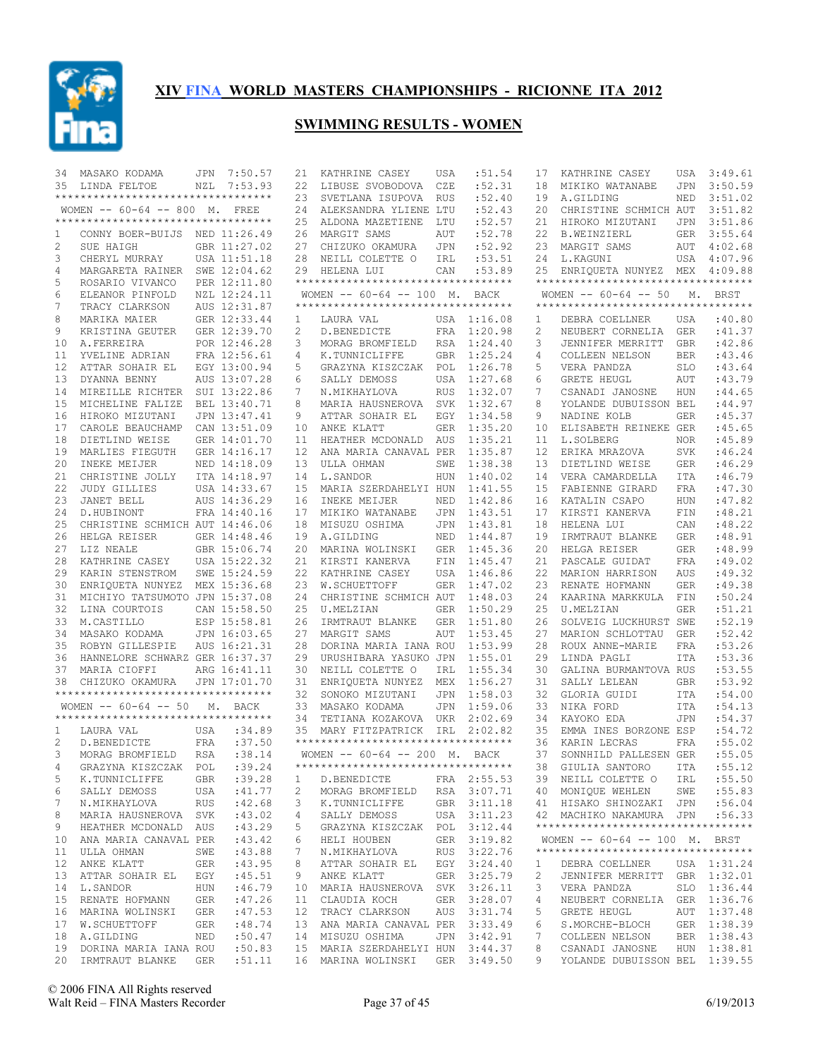

| 34 | MASAKO KODAMA                       |     | JPN 7:50.57  | 21                    | KATHRINE CASEY                      | USA         | :51.54      | 17             | KATHRINE CASEY                      | USA        | 3:49.61     |
|----|-------------------------------------|-----|--------------|-----------------------|-------------------------------------|-------------|-------------|----------------|-------------------------------------|------------|-------------|
|    | 35 LINDA FELTOE                     | NZL | 7:53.93      | 22                    | LIBUSE SVOBODOVA                    | CZE         | :52.31      | 18             | MIKIKO WATANABE                     | JPN        | 3:50.59     |
|    | **********************************  |     |              | 23                    | SVETLANA ISUPOVA                    | <b>RUS</b>  | :52.40      | 19             | A.GILDING                           | NED        | 3:51.02     |
|    | WOMEN -- 60-64 -- 800 M. FREE       |     |              | 24                    | ALEKSANDRA YLIENE LTU               |             | :52.43      | 20             | CHRISTINE SCHMICH AUT               |            | 3:51.82     |
|    | *********************************** |     |              | 25                    | ALDONA MAZETIENE                    | LTU         | :52.57      | 21             | HIROKO MIZUTANI                     | JPN        | 3:51.86     |
| 1  | CONNY BOER-BUIJS NED 11:26.49       |     |              | 26                    | MARGIT SAMS                         | AUT         | :52.78      | 22             | <b>B.WEINZIERL</b>                  |            | GER 3:55.64 |
| 2  | SUE HAIGH                           |     | GBR 11:27.02 | 27                    | CHIZUKO OKAMURA                     | JPN         | :52.92      | 23             | MARGIT SAMS                         |            | AUT 4:02.68 |
| 3  | CHERYL MURRAY                       |     | USA 11:51.18 |                       | 28 NEILL COLETTE O                  | IRL         | :53.51      | 24             | L.KAGUNI                            | USA        | 4:07.96     |
| 4  | MARGARETA RAINER SWE 12:04.62       |     |              |                       | 29 HELENA LUI                       | CAN         | :53.89      | 25             | ENRIQUETA NUNYEZ MEX 4:09.88        |            |             |
| 5  | ROSARIO VIVANCO                     |     | PER 12:11.80 |                       | *********************************** |             |             |                | **********************************  |            |             |
| 6  | ELEANOR PINFOLD                     |     | NZL 12:24.11 |                       | WOMEN $--$ 60-64 -- 100 M.          |             | BACK        |                | WOMEN $--$ 60-64 -- 50              | М.         | BRST        |
| 7  | TRACY CLARKSON                      |     | AUS 12:31.87 |                       | *********************************** |             |             |                | **********************************  |            |             |
| 8  | MARIKA MAIER                        |     | GER 12:33.44 | 1                     | LAURA VAL                           |             | USA 1:16.08 | 1              | DEBRA COELLNER                      | USA        | :40.80      |
| 9  | KRISTINA GEUTER                     |     | GER 12:39.70 | $\mathbf{2}^{\prime}$ | D.BENEDICTE                         | FRA         | 1:20.98     | $\overline{c}$ | NEUBERT CORNELIA                    | <b>GER</b> | : 41.37     |
| 10 | A.FERREIRA                          |     | POR 12:46.28 | 3                     | MORAG BROMFIELD                     | RSA         | 1:24.40     | 3              | JENNIFER MERRITT                    | <b>GBR</b> | :42.86      |
| 11 | YVELINE ADRIAN                      |     | FRA 12:56.61 | 4                     | K.TUNNICLIFFE                       | <b>GBR</b>  | 1:25.24     | 4              | COLLEEN NELSON                      | <b>BER</b> | :43.46      |
| 12 | ATTAR SOHAIR EL                     |     | EGY 13:00.94 | 5                     | GRAZYNA KISZCZAK                    | POL         | 1:26.78     | 5              | VERA PANDZA                         | <b>SLO</b> | :43.64      |
| 13 | DYANNA BENNY                        |     | AUS 13:07.28 | 6                     | SALLY DEMOSS                        | USA         | 1:27.68     | 6              | <b>GRETE HEUGL</b>                  | AUT        | :43.79      |
| 14 | MIREILLE RICHTER                    |     | SUI 13:22.86 | 7                     | N.MIKHAYLOVA                        | <b>RUS</b>  | 1:32.07     | 7              | CSANADI JANOSNE                     | HUN        | :44.65      |
| 15 | MICHELINE FALIZE                    |     | BEL 13:40.71 | 8                     | MARIA HAUSNEROVA                    | SVK         | 1:32.67     | 8              | YOLANDE DUBUISSON BEL               |            | :44.97      |
| 16 | HIROKO MIZUTANI                     |     | JPN 13:47.41 | 9                     | ATTAR SOHAIR EL                     | EGY         | 1:34.58     | 9              | NADINE KOLB                         | <b>GER</b> | :45.37      |
| 17 | CAROLE BEAUCHAMP                    |     | CAN 13:51.09 | 10                    | ANKE KLATT                          | <b>GER</b>  | 1:35.20     | 10             | ELISABETH REINEKE GER               |            | :45.65      |
| 18 | DIETLIND WEISE                      |     | GER 14:01.70 | 11                    | HEATHER MCDONALD                    | AUS         | 1:35.21     | 11             | L.SOLBERG                           | NOR        | :45.89      |
| 19 | MARLIES FIEGUTH                     |     | GER 14:16.17 | 12                    | ANA MARIA CANAVAL PER               |             | 1:35.87     | 12             | ERIKA MRAZOVA                       | <b>SVK</b> | :46.24      |
| 20 | INEKE MEIJER                        |     | NED 14:18.09 | 13                    | ULLA OHMAN                          | SWE         | 1:38.38     | 13             | DIETLIND WEISE                      | <b>GER</b> | :46.29      |
| 21 | CHRISTINE JOLLY                     |     | ITA 14:18.97 | 14                    | L.SANDOR                            | <b>HUN</b>  | 1:40.02     | 14             | VERA CAMARDELLA                     | ITA        | :46.79      |
| 22 | <b>JUDY GILLIES</b>                 |     | USA 14:33.67 | 15                    | MARIA SZERDAHELYI HUN               |             | 1:41.55     | 15             | FABIENNE GIRARD                     | FRA        | :47.30      |
| 23 | JANET BELL                          |     | AUS 14:36.29 | 16                    | INEKE MEIJER                        | <b>NED</b>  | 1:42.86     | 16             | KATALIN CSAPO                       | HUN        | :47.82      |
| 24 | D.HUBINONT                          |     | FRA 14:40.16 | 17                    | MIKIKO WATANABE                     | JPN         | 1:43.51     | 17             | KIRSTI KANERVA                      | FIN        | :48.21      |
| 25 | CHRISTINE SCHMICH AUT 14:46.06      |     |              | 18                    | MISUZU OSHIMA                       | JPN         | 1:43.81     | 18             | HELENA LUI                          | CAN        | :48.22      |
| 26 | HELGA REISER                        |     | GER 14:48.46 | 19                    | A.GILDING                           | NED         | 1:44.87     | 19             | IRMTRAUT BLANKE                     | <b>GER</b> | :48.91      |
| 27 | LIZ NEALE                           |     | GBR 15:06.74 | 20                    | MARINA WOLINSKI                     | <b>GER</b>  | 1:45.36     | 20             | HELGA REISER                        | <b>GER</b> | :48.99      |
| 28 | KATHRINE CASEY                      |     | USA 15:22.32 | 21                    | KIRSTI KANERVA                      | ${\rm FIN}$ | 1:45.47     | 21             | PASCALE GUIDAT                      | FRA        | :49.02      |
| 29 | KARIN STENSTROM                     |     | SWE 15:24.59 | 22                    | KATHRINE CASEY                      | USA         | 1:46.86     | 22             | MARION HARRISON                     | AUS        | :49.32      |
| 30 | ENRIQUETA NUNYEZ MEX 15:36.68       |     |              | 23                    | W.SCHUETTOFF                        | <b>GER</b>  | 1:47.02     | 23             | RENATE HOFMANN                      | <b>GER</b> | :49.38      |
| 31 | MICHIYO TATSUMOTO JPN 15:37.08      |     |              | 24                    | CHRISTINE SCHMICH AUT               |             | 1:48.03     | 24             | KAARINA MARKKULA FIN                |            | :50.24      |
| 32 | LINA COURTOIS                       |     | CAN 15:58.50 | 25                    | U.MELZIAN                           | <b>GER</b>  | 1:50.29     | 25             | U.MELZIAN                           | <b>GER</b> | :51.21      |
| 33 | M.CASTILLO                          |     | ESP 15:58.81 | 26                    | IRMTRAUT BLANKE                     | GER         | 1:51.80     | 26             | SOLVEIG LUCKHURST SWE               |            | :52.19      |
| 34 | MASAKO KODAMA                       |     | JPN 16:03.65 | 27                    | MARGIT SAMS                         | AUT         | 1:53.45     | 27             | MARION SCHLOTTAU                    | <b>GER</b> | :52.42      |
| 35 | ROBYN GILLESPIE                     |     | AUS 16:21.31 | 28                    | DORINA MARIA IANA ROU               |             | 1:53.99     | 28             | ROUX ANNE-MARIE                     | <b>FRA</b> | :53.26      |
| 36 | HANNELORE SCHWARZ GER 16:37.37      |     |              | 29                    | URUSHIBARA YASUKO JPN               |             | 1:55.01     | 29             | LINDA PAGLI                         | ITA        | :53.36      |
| 37 | MARIA CIOFFI                        |     | ARG 16:41.11 | 30                    | NEILL COLETTE O                     | IRL         | 1:55.34     | 30             | GALINA BURMANTOVA RUS               |            | :53.55      |
| 38 | CHIZUKO OKAMURA                     |     | JPN 17:01.70 | 31                    | ENRIQUETA NUNYEZ MEX                |             | 1:56.27     | 31             | SALLY LELEAN                        | <b>GBR</b> | :53.92      |
|    | **********************************  |     |              | 32                    | SONOKO MIZUTANI                     | JPN         | 1:58.03     | 32             | GLORIA GUIDI                        | ITA        | :54.00      |
|    | WOMEN $--$ 60-64 $--$ 50            |     | M. BACK      | 33                    | MASAKO KODAMA                       | JPN         | 1:59.06     | 33             | NIKA FORD                           | ITA        | :54.13      |
|    | *********************************** |     |              | 34                    | TETIANA KOZAKOVA UKR                |             | 2:02.69     | 34             | KAYOKO EDA                          | <b>JPN</b> | :54.37      |
| 1  | LAURA VAL                           | USA | :34.89       | 35                    | MARY FITZPATRICK IRL 2:02.82        |             |             | 35             | EMMA INES BORZONE ESP               |            | :54.72      |
| 2  | D.BENEDICTE                         | FRA | :37.50       |                       | **********************************  |             |             | 36             | KARIN LECRAS                        | FRA        | :55.02      |
| 3  | MORAG BROMFIELD RSA                 |     | : 38.14      |                       | WOMEN -- 60-64 -- 200 M. BACK       |             |             | 37             | SONNHILD PALLESEN GER               |            | :55.05      |
| 4  | GRAZYNA KISZCZAK POL :39.24         |     |              |                       | *********************************** |             |             |                | 38 GIULIA SANTORO ITA :55.12        |            |             |
| 5  | K.TUNNICLIFFE                       | GBR | :39.28       | $\mathbf{1}$          | D.BENEDICTE                         |             | FRA 2:55.53 |                | 39 NEILL COLETTE O IRL              |            | :55.50      |
| 6  | SALLY DEMOSS                        | USA | :41.77       | 2                     | MORAG BROMFIELD                     |             | RSA 3:07.71 |                | 40 MONIQUE WEHLEN                   |            | SWE : 55.83 |
| 7  | N.MIKHAYLOVA                        | RUS | :42.68       | 3                     | K.TUNNICLIFFE                       |             | GBR 3:11.18 |                | 41 HISAKO SHINOZAKI JPN             |            | :56.04      |
| 8  | MARIA HAUSNEROVA SVK                |     | :43.02       | 4                     | SALLY DEMOSS                        |             | USA 3:11.23 |                | 42 MACHIKO NAKAMURA JPN             |            | :56.33      |
| 9  | HEATHER MCDONALD AUS                |     | :43.29       | 5                     | GRAZYNA KISZCZAK POL 3:12.44        |             |             |                | **********************************  |            |             |
| 10 | ANA MARIA CANAVAL PER               |     | : 43.42      | 6                     | HELI HOUBEN                         |             | GER 3:19.82 |                | WOMEN $--$ 60-64 $--$ 100 M. BRST   |            |             |
|    | 11 ULLA OHMAN                       | SWE | :43.88       | 7                     | N.MIKHAYLOVA                        |             | RUS 3:22.76 |                | *********************************** |            |             |
| 12 | ANKE KLATT                          | GER | :43.95       | 8                     | ATTAR SOHAIR EL                     |             | EGY 3:24.40 | 1              | DEBRA COELLNER                      |            | USA 1:31.24 |
| 13 | ATTAR SOHAIR EL                     | EGY | :45.51       | 9                     | ANKE KLATT                          |             | GER 3:25.79 | 2              | JENNIFER MERRITT GBR 1:32.01        |            |             |
| 14 | L.SANDOR                            | HUN | :46.79       | 10                    | MARIA HAUSNEROVA SVK 3:26.11        |             |             | 3              | VERA PANDZA                         |            | SLO 1:36.44 |
| 15 | RENATE HOFMANN                      | GER | :47.26       | 11                    | CLAUDIA KOCH                        |             | GER 3:28.07 | 4              | NEUBERT CORNELIA GER 1:36.76        |            |             |
|    | 16 MARINA WOLINSKI                  | GER | :47.53       | 12                    | TRACY CLARKSON                      |             | AUS 3:31.74 | 5              | GRETE HEUGL                         |            | AUT 1:37.48 |
| 17 | W.SCHUETTOFF                        | GER | :48.74       |                       | 13 ANA MARIA CANAVAL PER 3:33.49    |             |             | 6              | S.MORCHE-BLOCH                      |            | GER 1:38.39 |
|    | 18 A.GILDING                        | NED | :50.47       |                       | 14 MISUZU OSHIMA                    |             | JPN 3:42.91 | 7              | COLLEEN NELSON                      |            | BER 1:38.43 |
|    | 19 DORINA MARIA IANA ROU            |     | :50.83       |                       | 15 MARIA SZERDAHELYI HUN 3:44.37    |             |             | 8              | CSANADI JANOSNE                     |            | HUN 1:38.81 |
|    | 20 IRMTRAUT BLANKE GER              |     | :51.11       |                       | 16 MARINA WOLINSKI GER 3:49.50      |             |             | 9              | YOLANDE DUBUISSON BEL 1:39.55       |            |             |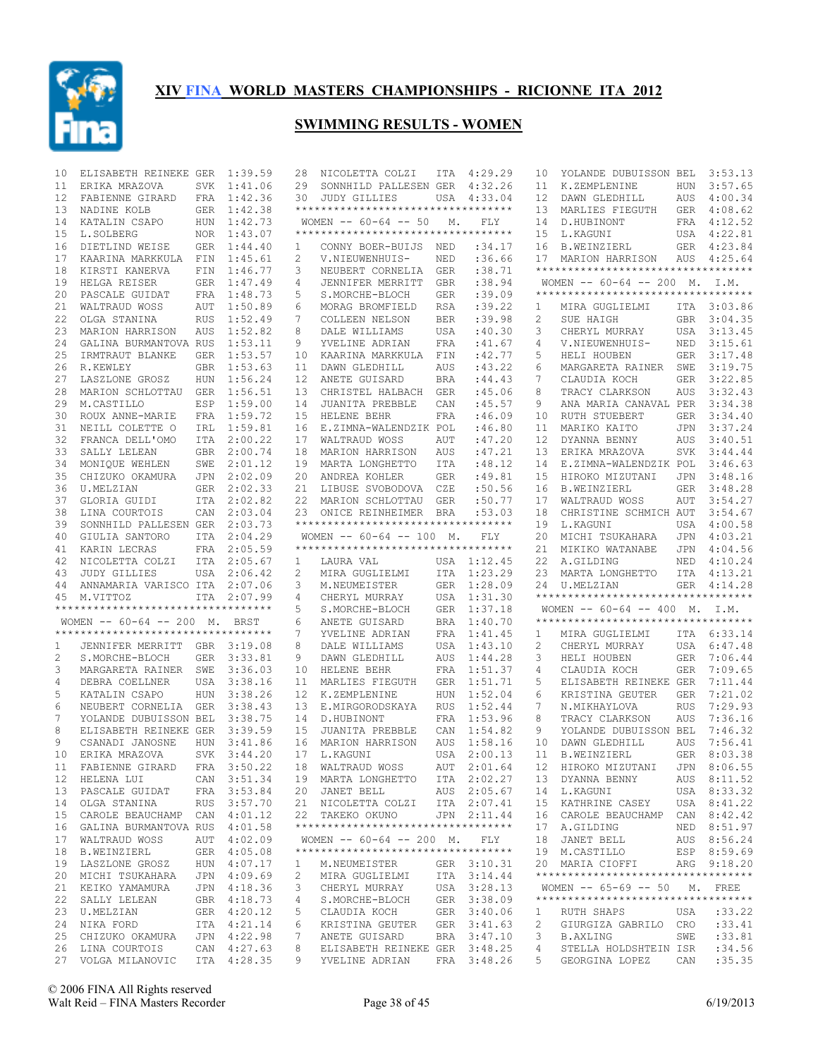

| 10 | ELISABETH REINEKE GER               |            | 1:39.59                    | 28              | NICOLETTA COLZI                                 | ITA        | 4:29.29     | 10             | YOLANDE DUBUISSON BEL                   |            | 3:53.13          |
|----|-------------------------------------|------------|----------------------------|-----------------|-------------------------------------------------|------------|-------------|----------------|-----------------------------------------|------------|------------------|
| 11 | ERIKA MRAZOVA                       | SVK        | 1:41.06                    | 29              | SONNHILD PALLESEN GER                           |            | 4:32.26     | 11             | K.ZEMPLENINE                            | HUN        | 3:57.65          |
| 12 | FABIENNE GIRARD                     |            | FRA 1:42.36                | 30              | <b>JUDY GILLIES</b>                             |            | USA 4:33.04 | 12             | DAWN GLEDHILL                           | AUS        | 4:00.34          |
| 13 | NADINE KOLB                         | GER        | 1:42.38                    |                 | **********************************              |            |             | 13             | MARLIES FIEGUTH                         | GER        | 4:08.62          |
| 14 | KATALIN CSAPO                       | HUN        | 1:42.73                    |                 | WOMEN $--$ 60-64 $--$ 50                        | М.         | <b>FLY</b>  | 14             | D.HUBINONT                              | FRA        | 4:12.52          |
| 15 | L.SOLBERG                           | NOR        | 1:43.07                    |                 | ***********************************             |            |             | 15             | L. KAGUNI                               | USA        | 4:22.81          |
| 16 | DIETLIND WEISE                      | <b>GER</b> | 1:44.40                    | 1               | CONNY BOER-BUIJS                                | NED        | :34.17      | 16             | <b>B.WEINZIERL</b>                      | GER        | 4:23.84          |
| 17 | KAARINA MARKKULA                    | FIN        | 1:45.61                    | 2               | V.NIEUWENHUIS-                                  | NED        | :36.66      | 17             | MARION HARRISON                         | AUS        | 4:25.64          |
| 18 | KIRSTI KANERVA                      | FIN        | 1:46.77                    | 3               | NEUBERT CORNELIA                                | <b>GER</b> | : 38.71     |                | **********************************      |            |                  |
| 19 | HELGA REISER                        | <b>GER</b> | 1:47.49                    | 4               | JENNIFER MERRITT                                | GBR        | :38.94      |                | WOMEN $--$ 60-64 -- 200 M. I.M.         |            |                  |
| 20 | PASCALE GUIDAT                      |            | FRA 1:48.73                | 5               | S.MORCHE-BLOCH                                  | GER        | :39.09      |                | **********************************      |            |                  |
| 21 | WALTRAUD WOSS                       | AUT        | 1:50.89                    | 6               | MORAG BROMFIELD                                 | <b>RSA</b> | :39.22      | 1              | MIRA GUGLIELMI                          |            | ITA 3:03.86      |
|    |                                     |            |                            | 7               |                                                 |            |             |                | SUE HAIGH                               |            |                  |
| 22 | OLGA STANINA                        | <b>RUS</b> | 1:52.49                    |                 | COLLEEN NELSON                                  | <b>BER</b> | :39.98      | $\overline{c}$ |                                         |            | GBR 3:04.35      |
| 23 | MARION HARRISON                     | <b>AUS</b> | 1:52.82                    | 8               | DALE WILLIAMS                                   | USA        | :40.30      | 3              | CHERYL MURRAY                           | USA        | 3:13.45          |
| 24 | GALINA BURMANTOVA RUS               |            | 1:53.11                    | 9               | YVELINE ADRIAN                                  | FRA        | :41.67      | 4              | V.NIEUWENHUIS-                          | NED        | 3:15.61          |
| 25 | IRMTRAUT BLANKE                     | <b>GER</b> | 1:53.57                    | 10              | KAARINA MARKKULA                                | FIN        | :42.77      | 5              | HELI HOUBEN                             | GER        | 3:17.48          |
| 26 | R.KEWLEY                            | <b>GBR</b> | 1:53.63                    | 11              | DAWN GLEDHILL                                   | AUS        | : 43.22     | 6              | MARGARETA RAINER                        | SWE        | 3:19.75          |
| 27 | LASZLONE GROSZ                      | <b>HUN</b> | 1:56.24                    | 12 <sup>°</sup> | ANETE GUISARD                                   | <b>BRA</b> | :44.43      | 7              | CLAUDIA KOCH                            | <b>GER</b> | 3:22.85          |
| 28 | MARION SCHLOTTAU                    | GER        | 1:56.51                    | 13              | CHRISTEL HALBACH                                | <b>GER</b> | :45.06      | 8              | TRACY CLARKSON                          | <b>AUS</b> | 3:32.43          |
| 29 | M.CASTILLO                          | ESP        | 1:59.00                    | 14              | JUANITA PREBBLE                                 | CAN        | :45.57      | 9              | ANA MARIA CANAVAL PER                   |            | 3:34.38          |
| 30 | ROUX ANNE-MARIE                     | FRA        | 1:59.72                    | 15              | HELENE BEHR                                     | <b>FRA</b> | :46.09      | 10             | <b>RUTH STUEBERT</b>                    | <b>GER</b> | 3:34.40          |
| 31 | NEILL COLETTE O                     | IRL        | 1:59.81                    | 16              | E.ZIMNA-WALENDZIK POL                           |            | :46.80      | 11             | MARIKO KAITO                            | <b>JPN</b> | 3:37.24          |
| 32 | FRANCA DELL'OMO                     | ITA        | 2:00.22                    | 17              | WALTRAUD WOSS                                   | AUT        | :47.20      | 12             | DYANNA BENNY                            | AUS        | 3:40.51          |
| 33 | SALLY LELEAN                        | <b>GBR</b> | 2:00.74                    | 18              | MARION HARRISON                                 | AUS        | : 47.21     | 13             | ERIKA MRAZOVA                           | <b>SVK</b> | 3:44.44          |
| 34 | MONIQUE WEHLEN                      | SWE        | 2:01.12                    | 19              | MARTA LONGHETTO                                 | ITA        | :48.12      | 14             | E.ZIMNA-WALENDZIK POL                   |            | 3:46.63          |
| 35 | CHIZUKO OKAMURA                     | JPN        | 2:02.09                    | 20              | ANDREA KOHLER                                   | <b>GER</b> | :49.81      | 15             | HIROKO MIZUTANI                         | JPN        | 3:48.16          |
| 36 | U.MELZIAN                           | GER        | 2:02.33                    | 21              | LIBUSE SVOBODOVA                                | CZE        | :50.56      | 16             | <b>B.WEINZIERL</b>                      | <b>GER</b> | 3:48.28          |
| 37 | GLORIA GUIDI                        | <b>ITA</b> | 2:02.82                    | 22              | MARION SCHLOTTAU                                | <b>GER</b> | :50.77      | 17             | WALTRAUD WOSS                           | AUT        | 3:54.27          |
| 38 | LINA COURTOIS                       | CAN        | 2:03.04                    | 23              | ONICE REINHEIMER                                | BRA        | : 53.03     | 18             | CHRISTINE SCHMICH AUT                   |            | 3:54.67          |
| 39 | SONNHILD PALLESEN GER               |            | 2:03.73                    |                 | **********************************              |            |             | 19             |                                         |            | 4:00.58          |
|    |                                     |            |                            |                 |                                                 |            |             |                | L. KAGUNI                               | USA        |                  |
| 40 | GIULIA SANTORO                      | ITA        | 2:04.29                    |                 | WOMEN $--$ 60-64 -- 100 M.                      |            | FLY         | 20             | MICHI TSUKAHARA                         | JPN        | 4:03.21          |
| 41 | KARIN LECRAS                        | FRA        | 2:05.59                    |                 | **********************************              |            |             | 21             | MIKIKO WATANABE                         | <b>JPN</b> | 4:04.56          |
|    |                                     |            |                            | 1               | LAURA VAL                                       |            |             | 22             | A.GILDING                               | NED        | 4:10.24          |
| 42 | NICOLETTA COLZI                     | ITA        | 2:05.67                    |                 |                                                 |            | USA 1:12.45 |                |                                         |            |                  |
| 43 | <b>JUDY GILLIES</b>                 |            | USA 2:06.42                | 2               | MIRA GUGLIELMI                                  | ITA        | 1:23.29     | 23             | MARTA LONGHETTO                         | ITA        | 4:13.21          |
| 44 | ANNAMARIA VARISCO ITA               |            | 2:07.06                    | 3               | M.NEUMEISTER                                    | <b>GER</b> | 1:28.09     | 24             | U.MELZIAN                               | <b>GER</b> | 4:14.28          |
| 45 | M.VITTOZ                            | ITA        | 2:07.99                    | 4               | CHERYL MURRAY                                   | USA        | 1:31.30     |                | **********************************      |            |                  |
|    | **********************************  |            |                            | 5               | S.MORCHE-BLOCH                                  | <b>GER</b> | 1:37.18     |                | WOMEN $--$ 60-64 -- 400 M. I.M.         |            |                  |
|    | WOMEN -- 60-64 -- 200 M. BRST       |            |                            | 6               | ANETE GUISARD                                   | <b>BRA</b> | 1:40.70     |                | **********************************      |            |                  |
|    | **********************************  |            |                            | 7               | YVELINE ADRIAN                                  | FRA        | 1:41.45     | 1              | MIRA GUGLIELMI                          |            | ITA 6:33.14      |
| 1  | JENNIFER MERRITT GBR 3:19.08        |            |                            | 8               | DALE WILLIAMS                                   | USA        | 1:43.10     | 2              | CHERYL MURRAY                           | USA        | 6:47.48          |
| 2  | S.MORCHE-BLOCH                      | GER        | 3:33.81                    | 9               | DAWN GLEDHILL                                   | AUS        | 1:44.28     | 3              | HELI HOUBEN                             | <b>GER</b> | 7:06.44          |
| 3  | MARGARETA RAINER                    | SWE        | 3:36.03                    | 10              | HELENE BEHR                                     | FRA        | 1:51.37     | 4              | CLAUDIA KOCH                            | GER        | 7:09.65          |
| 4  | DEBRA COELLNER                      | USA        | 3:38.16                    | 11              | MARLIES FIEGUTH                                 | GER        | 1:51.71     | 5              | ELISABETH REINEKE GER                   |            | 7:11.44          |
|    |                                     |            |                            |                 |                                                 |            |             |                |                                         |            |                  |
| 5  | KATALIN CSAPO                       | <b>HUN</b> | 3:38.26                    | 12              | K.ZEMPLENINE                                    | <b>HUN</b> | 1:52.04     | 6              | KRISTINA GEUTER                         | <b>GER</b> | 7:21.02          |
| 6  | NEUBERT CORNELIA                    | <b>GER</b> | 3:38.43                    | 13              | E.MIRGORODSKAYA                                 | <b>RUS</b> | 1:52.44     | 7              | N.MIKHAYLOVA                            | <b>RUS</b> | 7:29.93          |
| 7  | YOLANDE DUBUISSON BEL               |            | 3:38.75                    | 14              | D.HUBINONT                                      | <b>FRA</b> | 1:53.96     | 8              | TRACY CLARKSON                          | <b>AUS</b> | 7:36.16          |
| 8  | ELISABETH REINEKE GER               |            | 3:39.59                    | 15              | JUANITA PREBBLE                                 | CAN        | 1:54.82     | 9              | YOLANDE DUBUISSON BEL                   |            | 7:46.32          |
| 9  | CSANADI JANOSNE                     | <b>HUN</b> | 3:41.86                    | 16              | MARION HARRISON                                 | <b>AUS</b> | 1:58.16     | 10             | DAWN GLEDHILL                           | AUS        | 7:56.41          |
| 10 | ERIKA MRAZOVA                       | SVK        | 3:44.20                    | 17              | L.KAGUNI                                        | USA        | 2:00.13     | 11             | <b>B.WEINZIERL</b>                      | GER        | 8:03.38          |
| 11 | FABIENNE GIRARD FRA 3:50.22         |            |                            |                 | 18 WALTRAUD WOSS                                |            | AUT 2:01.64 |                | 12 HIROKO MIZUTANI JPN 8:06.55          |            |                  |
|    | 12 HELENA LUI                       |            | CAN 3:51.34                |                 | 19 MARTA LONGHETTO                              |            | ITA 2:02.27 |                | 13 DYANNA BENNY                         |            | AUS 8:11.52      |
|    | 13 PASCALE GUIDAT                   |            | FRA 3:53.84                |                 | 20 JANET BELL                                   |            | AUS 2:05.67 |                | 14 L.KAGUNI                             |            | USA 8:33.32      |
| 14 | OLGA STANINA                        |            | RUS 3:57.70                |                 | 21 NICOLETTA COLZI                              |            | ITA 2:07.41 |                | 15 KATHRINE CASEY                       |            | USA 8:41.22      |
|    | 15 CAROLE BEAUCHAMP CAN 4:01.12     |            |                            |                 | 22 TAKEKO OKUNO                                 |            | JPN 2:11.44 |                | 16 CAROLE BEAUCHAMP CAN 8:42.42         |            |                  |
| 16 | GALINA BURMANTOVA RUS 4:01.58       |            |                            |                 | **********************************              |            |             | 17             | A.GILDING                               |            | NED 8:51.97      |
|    | 17 WALTRAUD WOSS                    |            | AUT 4:02.09                |                 | WOMEN $--$ 60-64 $--$ 200 M.                    |            | FLY         | 18             | JANET BELL                              |            | AUS 8:56.24      |
| 18 | <b>B.WEINZIERL</b>                  |            | GER 4:05.08                |                 | **********************************              |            |             |                | 19 M.CASTILLO                           |            | ESP 8:59.69      |
| 19 | LASZLONE GROSZ                      |            | HUN 4:07.17                | 1               | M.NEUMEISTER                                    |            | GER 3:10.31 |                | 20 MARIA CIOFFI                         |            | ARG 9:18.20      |
| 20 | MICHI TSUKAHARA                     |            | JPN 4:09.69                | 2               | MIRA GUGLIELMI                                  |            | ITA 3:14.44 |                | **********************************      |            |                  |
| 21 | KEIKO YAMAMURA                      |            | JPN 4:18.36                | 3               | CHERYL MURRAY                                   |            | USA 3:28.13 |                | WOMEN $-- 65-69 -- 50$ M. FREE          |            |                  |
| 22 | SALLY LELEAN                        |            |                            | 4               |                                                 |            |             |                | **********************************      |            |                  |
|    |                                     |            | GBR 4:18.73                |                 | S.MORCHE-BLOCH                                  |            | GER 3:38.09 |                |                                         |            |                  |
| 23 | U.MELZIAN                           |            | GER 4:20.12                | 5               | CLAUDIA KOCH                                    |            | GER 3:40.06 | 1              | RUTH SHAPS                              | USA        | : 33.22          |
| 24 | NIKA FORD                           |            | ITA 4:21.14                | 6               | KRISTINA GEUTER                                 |            | GER 3:41.63 | 2              | GIURGIZA GABRILO CRO                    |            | : 33.41          |
| 25 | CHIZUKO OKAMURA                     |            | JPN 4:22.98                | 7               | ANETE GUISARD                                   |            | BRA 3:47.10 | 3              | <b>B.AXLING</b>                         | SWE        | : 33.81          |
| 26 | LINA COURTOIS<br>27 VOLGA MILANOVIC |            | CAN 4:27.63<br>ITA 4:28.35 | 8<br>9          | ELISABETH REINEKE GER 3:48.25<br>YVELINE ADRIAN |            | FRA 3:48.26 | 4<br>5         | STELLA HOLDSHTEIN ISR<br>GEORGINA LOPEZ | CAN        | :34.56<br>:35.35 |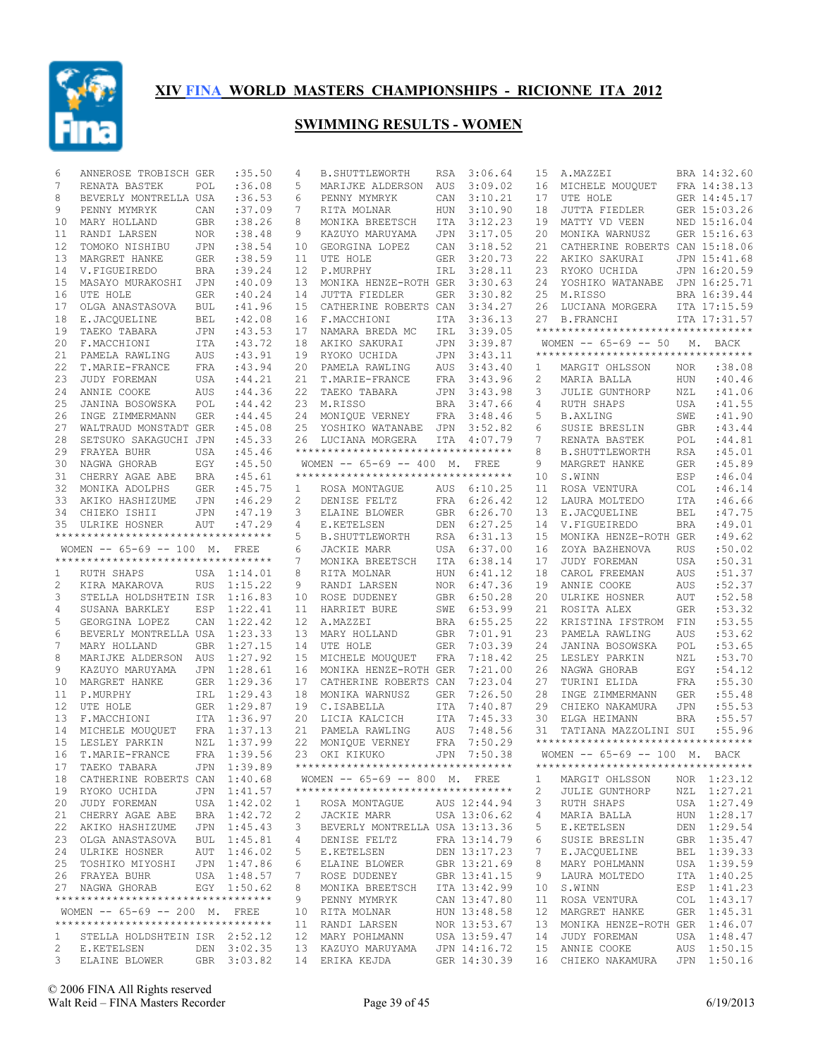

| 6        | ANNEROSE TROBISCH GER               |            | :35.50           | 4                     | <b>B. SHUTTLEWORTH</b>                                               | RSA        | 3:06.64            | 15             | A.MAZZEI                                                     |                          | BRA 14:32.60      |
|----------|-------------------------------------|------------|------------------|-----------------------|----------------------------------------------------------------------|------------|--------------------|----------------|--------------------------------------------------------------|--------------------------|-------------------|
| 7        | RENATA BASTEK                       | POL        | :36.08           | 5                     | MARIJKE ALDERSON                                                     | AUS        | 3:09.02            | 16             | MICHELE MOUQUET                                              |                          | FRA 14:38.13      |
| 8        | BEVERLY MONTRELLA USA               |            | :36.53           | 6                     | PENNY MYMRYK                                                         | CAN        | 3:10.21            | 17             | UTE HOLE                                                     |                          | GER 14:45.17      |
| 9        | PENNY MYMRYK                        | CAN        | :37.09           | 7                     | RITA MOLNAR                                                          | <b>HUN</b> | 3:10.90            | 18             | JUTTA FIEDLER                                                |                          | GER 15:03.26      |
| 10       | MARY HOLLAND                        | GBR        | :38.26           | 8                     | MONIKA BREETSCH                                                      | ITA        | 3:12.23            | 19             | MATTY VD VEEN                                                |                          | NED 15:16.04      |
| 11       | RANDI LARSEN                        | NOR        | : 38.48          | 9                     | KAZUYO MARUYAMA                                                      | JPN        | 3:17.05            | 20             | MONIKA WARNUSZ                                               |                          | GER 15:16.63      |
| 12       | TOMOKO NISHIBU                      | JPN        | :38.54           | 10                    | GEORGINA LOPEZ                                                       | CAN        | 3:18.52            | 21             | CATHERINE ROBERTS CAN 15:18.06                               |                          |                   |
| 13       | MARGRET HANKE                       | GER        | :38.59           | 11                    | UTE HOLE                                                             | <b>GER</b> | 3:20.73            | 22             | AKIKO SAKURAI                                                |                          | JPN 15:41.68      |
| 14       | V.FIGUEIREDO                        | <b>BRA</b> | :39.24           | 12 <sup>°</sup>       | P.MURPHY                                                             | IRL        | 3:28.11            | 23             | RYOKO UCHIDA                                                 |                          | JPN 16:20.59      |
| 15       | MASAYO MURAKOSHI                    | JPN        | :40.09           | 13                    | MONIKA HENZE-ROTH GER                                                |            | 3:30.63            | 24             | YOSHIKO WATANABE                                             |                          | JPN 16:25.71      |
| 16       | UTE HOLE                            | <b>GER</b> | :40.24           | 14                    | JUTTA FIEDLER                                                        | GER        | 3:30.82            | 25             | M.RISSO                                                      |                          | BRA 16:39.44      |
| 17       | OLGA ANASTASOVA                     | BUL        | :41.96           |                       | 15 CATHERINE ROBERTS CAN                                             |            | 3:34.27            | 26             | LUCIANA MORGERA                                              |                          | ITA 17:15.59      |
| 18       | E.JACQUELINE                        | <b>BEL</b> | :42.08           | 16                    | F.MACCHIONI                                                          | ITA        | 3:36.13            | 27             | <b>B.FRANCHI</b><br>**********************************       |                          | ITA 17:31.57      |
| 19       | TAEKO TABARA                        | JPN        | :43.53           | 17                    | NAMARA BREDA MC                                                      | IRL        | 3:39.05            |                |                                                              |                          |                   |
| 20       | F.MACCHIONI                         | ITA        | :43.72           |                       | 18 AKIKO SAKURAI                                                     | JPN        | 3:39.87            |                | WOMEN $-- 65-69 -- 50$<br>********************************** |                          | M. BACK           |
| 21       | PAMELA RAWLING                      | AUS        | :43.91           | 19                    | RYOKO UCHIDA                                                         | JPN        | 3:43.11            |                |                                                              |                          |                   |
| 22       | T.MARIE-FRANCE                      | FRA        | :43.94           |                       | 20 PAMELA RAWLING                                                    | AUS        | 3:43.40            | 1              | MARGIT OHLSSON                                               | NOR                      | :38.08            |
| 23       | JUDY FOREMAN                        | USA        | :44.21           |                       | 21 T.MARIE-FRANCE                                                    | FRA        | 3:43.96            | 2              | MARIA BALLA                                                  | <b>HUN</b>               | :40.46            |
| 24       | ANNIE COOKE                         | AUS        | : 44.36          |                       | 22 TAEKO TABARA                                                      | JPN        | 3:43.98            | 3              | JULIE GUNTHORP                                               | NZL                      | :41.06            |
| 25       | JANINA BOSOWSKA                     | POL        | :44.42           |                       | 23 M.RISSO                                                           | BRA        | 3:47.66            | 4              | RUTH SHAPS                                                   | USA                      | : 41.55           |
| 26       | INGE ZIMMERMANN                     | <b>GER</b> | :44.45           |                       | 24 MONIQUE VERNEY                                                    | FRA        | 3:48.46            | 5              | <b>B.AXLING</b>                                              | SWE                      | :41.90            |
| 27       | WALTRAUD MONSTADT GER               |            | :45.08           | 25                    | YOSHIKO WATANABE JPN                                                 |            | 3:52.82            | 6              | SUSIE BRESLIN                                                | <b>GBR</b>               | :43.44            |
| 28<br>29 | SETSUKO SAKAGUCHI JPN               |            | :45.33           | 26                    | LUCIANA MORGERA<br>***********************************               |            | ITA 4:07.79        | 7              | RENATA BASTEK                                                | POL                      | :44.81            |
| 30       | FRAYEA BUHR                         | USA        | :45.46           |                       |                                                                      |            |                    | 8              | <b>B. SHUTTLEWORTH</b>                                       | <b>RSA</b>               | :45.01            |
| 31       | NAGWA GHORAB<br>CHERRY AGAE ABE     | EGY<br>BRA | :45.50<br>:45.61 |                       | WOMEN -- 65-69 -- 400 M. FREE<br>*********************************** |            |                    | 9<br>10        | MARGRET HANKE<br>S.WINN                                      | <b>GER</b><br>ESP        | :45.89<br>:46.04  |
| 32       |                                     |            |                  |                       |                                                                      |            | AUS 6:10.25        |                |                                                              |                          | :46.14            |
| 33       | MONIKA ADOLPHS                      | GER        | :45.75           | $\mathbf{1}$          | ROSA MONTAGUE                                                        |            |                    | 11<br>12       | ROSA VENTURA                                                 | COL                      |                   |
| 34       | AKIKO HASHIZUME<br>CHIEKO ISHII     | JPN        | :46.29           | $\mathbf{2}^{\prime}$ | DENISE FELTZ                                                         | FRA        | 6:26.42<br>6:26.70 |                | LAURA MOLTEDO                                                | <b>ITA</b><br><b>BEL</b> | :46.66<br>: 47.75 |
| 35       | ULRIKE HOSNER                       | JPN<br>AUT | :47.19<br>:47.29 | 3<br>4                | ELAINE BLOWER<br>E.KETELSEN                                          | GBR<br>DEN | 6:27.25            | 13<br>14       | E.JACQUELINE<br>V.FIGUEIREDO                                 | <b>BRA</b>               | :49.01            |
|          | *********************************** |            |                  | 5                     | <b>B. SHUTTLEWORTH</b>                                               | RSA        | 6:31.13            | 15             | MONIKA HENZE-ROTH GER                                        |                          | :49.62            |
|          | WOMEN -- 65-69 -- 100 M. FREE       |            |                  | 6                     | <b>JACKIE MARR</b>                                                   | USA        | 6:37.00            | 16             | ZOYA BAZHENOVA                                               | <b>RUS</b>               | :50.02            |
|          | *********************************** |            |                  | 7                     | MONIKA BREETSCH                                                      | ITA        | 6:38.14            | 17             | JUDY FOREMAN                                                 | USA                      | :50.31            |
| 1        | RUTH SHAPS                          |            | USA 1:14.01      | 8                     | RITA MOLNAR                                                          | <b>HUN</b> | 6:41.12            | 18             | CAROL FREEMAN                                                | AUS                      | :51.37            |
| 2        | KIRA MAKAROVA                       |            | RUS 1:15.22      | 9                     | RANDI LARSEN                                                         | NOR        | 6:47.36            | 19             | ANNIE COOKE                                                  | AUS                      | :52.37            |
| 3        | STELLA HOLDSHTEIN ISR 1:16.83       |            |                  | 10                    | ROSE DUDENEY                                                         | GBR        | 6:50.28            | 20             | ULRIKE HOSNER                                                | AUT                      | :52.58            |
| 4        | SUSANA BARKLEY                      |            | ESP 1:22.41      | 11                    | HARRIET BURE                                                         | SWE        | 6:53.99            | 21             | ROSITA ALEX                                                  | <b>GER</b>               | :53.32            |
| 5        | GEORGINA LOPEZ                      | CAN        | 1:22.42          | $12 \overline{ }$     | A.MAZZEI                                                             | BRA        | 6:55.25            | 22             | KRISTINA IFSTROM                                             | FIN                      | :53.55            |
| 6        | BEVERLY MONTRELLA USA 1:23.33       |            |                  | 13                    | MARY HOLLAND                                                         | <b>GBR</b> | 7:01.91            | 23             | PAMELA RAWLING                                               | AUS                      | :53.62            |
| 7        | MARY HOLLAND                        |            | GBR 1:27.15      |                       | 14 UTE HOLE                                                          | <b>GER</b> | 7:03.39            | 24             | JANINA BOSOWSKA                                              | POL                      | :53.65            |
| 8        | MARIJKE ALDERSON AUS                |            | 1:27.92          | 15                    | MICHELE MOUQUET                                                      | FRA        | 7:18.42            | 25             | LESLEY PARKIN                                                | NZL                      | :53.70            |
| 9        | KAZUYO MARUYAMA                     | JPN        | 1:28.61          | 16                    | MONIKA HENZE-ROTH GER                                                |            | 7:21.00            | 26             | NAGWA GHORAB                                                 | EGY                      | :54.12            |
| 10       | MARGRET HANKE                       |            | GER 1:29.36      | 17                    | CATHERINE ROBERTS CAN                                                |            | 7:23.04            | 27             | TURINI ELIDA                                                 | FRA                      | :55.30            |
| 11       | P.MURPHY                            |            | IRL 1:29.43      | 18                    | MONIKA WARNUSZ                                                       | <b>GER</b> | 7:26.50            | 28             | INGE ZIMMERMANN                                              | <b>GER</b>               | :55.48            |
| 12       | UTE HOLE                            |            | GER 1:29.87      | 19                    | C.ISABELLA                                                           | ITA        | 7:40.87            | 29             | CHIEKO NAKAMURA                                              | <b>JPN</b>               | :55.53            |
| 13       | F.MACCHIONI                         |            | ITA 1:36.97      |                       | 20 LICIA KALCICH                                                     | ITA        | 7:45.33            | 30             | ELGA HEIMANN                                                 | <b>BRA</b>               | :55.57            |
| 14       | MICHELE MOUQUET                     |            | FRA 1:37.13      |                       | 21 PAMELA RAWLING                                                    | AUS        | 7:48.56            | 31             | TATIANA MAZZOLINI SUI                                        |                          | :55.96            |
| 15       | LESLEY PARKIN                       |            | NZL 1:37.99      |                       | 22 MONIQUE VERNEY                                                    | FRA        | 7:50.29            |                | **********************************                           |                          |                   |
| 16       | T.MARIE-FRANCE                      |            | FRA 1:39.56      |                       | 23 OKI KIKUKO                                                        |            | JPN 7:50.38        |                | WOMEN -- 65-69 -- 100 M. BACK                                |                          |                   |
| 17       | TAEKO TABARA JPN 1:39.89            |            |                  |                       | **********************************                                   |            |                    |                | **********************************                           |                          |                   |
| 18       | CATHERINE ROBERTS CAN 1:40.68       |            |                  |                       | WOMEN -- 65-69 -- 800 M. FREE                                        |            |                    | 1              | MARGIT OHLSSON                                               |                          | NOR 1:23.12       |
|          | 19 RYOKO UCHIDA                     |            | JPN 1:41.57      |                       | **********************************                                   |            |                    | $\overline{c}$ | <b>JULIE GUNTHORP</b>                                        |                          | NZL 1:27.21       |
| 20       | JUDY FOREMAN                        |            | USA 1:42.02      | 1                     | ROSA MONTAGUE                                                        |            | AUS 12:44.94       | 3              | RUTH SHAPS                                                   |                          | USA 1:27.49       |
| 21       | CHERRY AGAE ABE                     |            | BRA 1:42.72      | 2                     | JACKIE MARR                                                          |            | USA 13:06.62       | 4              | MARIA BALLA                                                  |                          | HUN 1:28.17       |
| 22       | AKIKO HASHIZUME                     |            | JPN 1:45.43      | 3                     | BEVERLY MONTRELLA USA 13:13.36                                       |            |                    | 5              | E.KETELSEN                                                   |                          | DEN 1:29.54       |
| 23       | OLGA ANASTASOVA                     |            | BUL 1:45.81      | 4                     | DENISE FELTZ                                                         |            | FRA 13:14.79       | 6              | SUSIE BRESLIN                                                |                          | GBR 1:35.47       |
| 24       | ULRIKE HOSNER                       |            | AUT 1:46.02      | 5                     | E.KETELSEN                                                           |            | DEN 13:17.23       | 7              | E.JACQUELINE                                                 |                          | BEL 1:39.33       |
|          | 25 TOSHIKO MIYOSHI                  |            | JPN 1:47.86      | 6                     | ELAINE BLOWER                                                        |            | GBR 13:21.69       | 8              | MARY POHLMANN                                                |                          | USA 1:39.59       |
|          | 26 FRAYEA BUHR                      |            | USA 1:48.57      | 7                     | ROSE DUDENEY                                                         |            | GBR 13:41.15       | 9              | LAURA MOLTEDO                                                |                          | ITA 1:40.25       |
|          | 27 NAGWA GHORAB                     |            | EGY 1:50.62      | 8                     | MONIKA BREETSCH                                                      |            | ITA 13:42.99       | 10             | S.WINN                                                       |                          | ESP 1:41.23       |
|          | **********************************  |            |                  | 9                     | PENNY MYMRYK                                                         |            | CAN 13:47.80       | 11             | ROSA VENTURA                                                 |                          | COL 1:43.17       |
|          | WOMEN -- 65-69 -- 200 M. FREE       |            |                  | 10                    | RITA MOLNAR                                                          |            | HUN 13:48.58       | 12             | MARGRET HANKE                                                |                          | GER 1:45.31       |
|          | **********************************  |            |                  | 11                    | RANDI LARSEN                                                         |            | NOR 13:53.67       | 13             | MONIKA HENZE-ROTH GER 1:46.07                                |                          |                   |
| 1        | STELLA HOLDSHTEIN ISR 2:52.12       |            |                  | 12                    | MARY POHLMANN                                                        |            | USA 13:59.47       | 14             | JUDY FOREMAN                                                 |                          | USA 1:48.47       |
| 2        | E.KETELSEN                          |            | DEN 3:02.35      |                       | 13 KAZUYO MARUYAMA                                                   |            | JPN 14:16.72       | 15             | ANNIE COOKE                                                  |                          | AUS 1:50.15       |
| 3        | ELAINE BLOWER                       |            | GBR 3:03.82      |                       | 14 ERIKA KEJDA                                                       |            | GER 14:30.39       |                | 16 CHIEKO NAKAMURA                                           |                          | JPN 1:50.16       |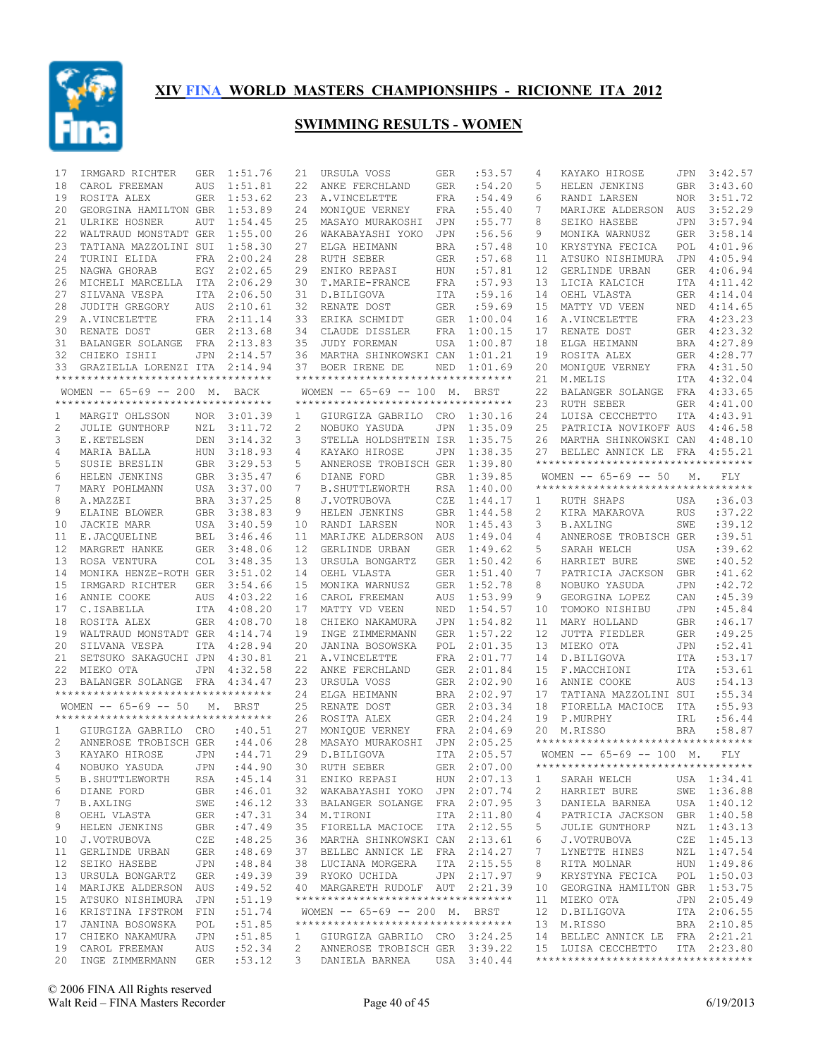

| 17 | IRMGARD RICHTER                     | GER        | 1:51.76     | 21              | URSULA VOSS                        | GER        | :53.57      | 4  | KAYAKO HIROSE                       | JPN        | 3:42.57      |
|----|-------------------------------------|------------|-------------|-----------------|------------------------------------|------------|-------------|----|-------------------------------------|------------|--------------|
| 18 | CAROL FREEMAN                       | AUS        | 1:51.81     | 22              | ANKE FERCHLAND                     | <b>GER</b> | :54.20      | 5  | HELEN JENKINS                       | GBR        | 3:43.60      |
| 19 | ROSITA ALEX                         |            | GER 1:53.62 | 23              | A.VINCELETTE                       | FRA        | :54.49      | 6  | RANDI LARSEN                        | NOR        | 3:51.72      |
| 20 | GEORGINA HAMILTON GBR               |            | 1:53.89     | 24              | MONIOUE VERNEY                     | FRA        | :55.40      | 7  | MARIJKE ALDERSON                    | AUS        | 3:52.29      |
| 21 | ULRIKE HOSNER                       | AUT        | 1:54.45     | 25              | MASAYO MURAKOSHI                   | JPN        | :55.77      | 8  | SEIKO HASEBE                        |            | JPN 3:57.94  |
| 22 | WALTRAUD MONSTADT GER               |            | 1:55.00     | 26              | WAKABAYASHI YOKO                   | JPN        | :56.56      | 9  | MONIKA WARNUSZ                      | GER        | 3:58.14      |
| 23 | TATIANA MAZZOLINI SUI               |            | 1:58.30     | 27              | ELGA HEIMANN                       | <b>BRA</b> | :57.48      | 10 | KRYSTYNA FECICA                     | POL        | 4:01.96      |
| 24 | TURINI ELIDA                        | FRA        | 2:00.24     | 28              | RUTH SEBER                         | GER        | :57.68      | 11 | ATSUKO NISHIMURA                    | JPN        | 4:05.94      |
| 25 | NAGWA GHORAB                        |            | EGY 2:02.65 | 29              | ENIKO REPASI                       | HUN        | :57.81      | 12 | GERLINDE URBAN                      |            | GER 4:06.94  |
| 26 | MICHELI MARCELLA ITA 2:06.29        |            |             | 30              | T.MARIE-FRANCE                     | FRA        | :57.93      | 13 | LICIA KALCICH                       | ITA        | 4:11.42      |
| 27 | SILVANA VESPA                       |            | ITA 2:06.50 |                 | 31 D.BILIGOVA                      | ITA        | :59.16      | 14 | OEHL VLASTA                         |            | GER 4:14.04  |
| 28 | JUDITH GREGORY                      |            | AUS 2:10.61 |                 | 32 RENATE DOST                     | GER        | :59.69      | 15 | MATTY VD VEEN                       |            | NED 4:14.65  |
| 29 | A.VINCELETTE                        |            | FRA 2:11.14 |                 | 33 ERIKA SCHMIDT                   |            | GER 1:00.04 | 16 | A.VINCELETTE                        |            | FRA 4:23.23  |
| 30 | RENATE DOST                         |            | GER 2:13.68 |                 | 34 CLAUDE DISSLER                  | FRA        | 1:00.15     | 17 | RENATE DOST                         |            | GER 4:23.32  |
| 31 | BALANGER SOLANGE FRA 2:13.83        |            |             |                 | 35 JUDY FOREMAN                    | USA        | 1:00.87     | 18 | ELGA HEIMANN                        |            | BRA 4:27.89  |
| 32 | CHIEKO ISHII                        | JPN        | 2:14.57     |                 | 36 MARTHA SHINKOWSKI CAN           |            | 1:01.21     | 19 | ROSITA ALEX                         |            | GER 4:28.77  |
| 33 | GRAZIELLA LORENZI ITA 2:14.94       |            |             |                 | 37 BOER IRENE DE                   | NED        | 1:01.69     | 20 | MONIQUE VERNEY                      |            | FRA 4:31.50  |
|    | *********************************** |            |             |                 | ********************************** |            |             | 21 | M.MELIS                             |            | ITA 4:32.04  |
|    | WOMEN -- 65-69 -- 200 M. BACK       |            |             |                 | WOMEN -- 65-69 -- 100 M. BRST      |            |             | 22 | BALANGER SOLANGE                    |            | FRA 4:33.65  |
|    | **********************************  |            |             |                 | ********************************** |            |             | 23 | RUTH SEBER                          |            | GER  4:41.00 |
| 1  | MARGIT OHLSSON                      |            | NOR 3:01.39 | $\mathbf{1}$    | GIURGIZA GABRILO CRO               |            | 1:30.16     | 24 | LUISA CECCHETTO                     |            | ITA 4:43.91  |
| 2  | JULIE GUNTHORP                      |            | NZL 3:11.72 | 2               | NOBUKO YASUDA                      | JPN        | 1:35.09     | 25 | PATRICIA NOVIKOFF AUS               |            | 4:46.58      |
| 3  | E.KETELSEN                          |            | DEN 3:14.32 | 3               | STELLA HOLDSHTEIN ISR              |            | 1:35.75     | 26 | MARTHA SHINKOWSKI CAN               |            | 4:48.10      |
| 4  | MARIA BALLA                         |            | HUN 3:18.93 | 4               | KAYAKO HIROSE                      | JPN        | 1:38.35     | 27 | BELLEC ANNICK LE FRA                |            | 4:55.21      |
| 5  | <b>SUSIE BRESLIN</b>                |            | GBR 3:29.53 | 5               | ANNEROSE TROBISCH GER              |            | 1:39.80     |    | *********************************** |            |              |
| 6  | HELEN JENKINS                       |            | GBR 3:35.47 | 6               | DIANE FORD                         | GBR        | 1:39.85     |    | WOMEN $-- 65-69 -- 50$              | М.         | <b>FLY</b>   |
| 7  | MARY POHLMANN                       |            | USA 3:37.00 | 7               | <b>B. SHUTTLEWORTH</b>             | RSA        | 1:40.00     |    | **********************************  |            |              |
| 8  | A.MAZZEI                            |            | BRA 3:37.25 | 8               | J.VOTRUBOVA                        | CZE        | 1:44.17     | 1  | RUTH SHAPS                          | USA        | :36.03       |
| 9  | ELAINE BLOWER                       |            | GBR 3:38.83 | 9               | HELEN JENKINS                      | <b>GBR</b> | 1:44.58     | 2  | KIRA MAKAROVA                       | <b>RUS</b> | :37.22       |
| 10 | JACKIE MARR                         |            | USA 3:40.59 | 10              | RANDI LARSEN                       | <b>NOR</b> | 1:45.43     | 3  | <b>B.AXLING</b>                     | SWE        | :39.12       |
| 11 | E.JACQUELINE                        |            | BEL 3:46.46 | 11              | MARIJKE ALDERSON                   | AUS        | 1:49.04     | 4  | ANNEROSE TROBISCH GER               |            | :39.51       |
| 12 | MARGRET HANKE                       |            | GER 3:48.06 | 12 <sup>°</sup> | GERLINDE URBAN                     | GER        | 1:49.62     | 5  | SARAH WELCH                         | USA        | :39.62       |
| 13 | ROSA VENTURA                        |            | COL 3:48.35 | 13              | URSULA BONGARTZ                    | <b>GER</b> | 1:50.42     | 6  | HARRIET BURE                        | SWE        | :40.52       |
| 14 | MONIKA HENZE-ROTH GER               |            | 3:51.02     | 14              | OEHL VLASTA                        | GER        | 1:51.40     | 7  | PATRICIA JACKSON                    | <b>GBR</b> | : 41.62      |
| 15 | IRMGARD RICHTER                     |            | GER 3:54.66 | 15              | MONIKA WARNUSZ                     | GER        | 1:52.78     | 8  | NOBUKO YASUDA                       | <b>JPN</b> | :42.72       |
| 16 | ANNIE COOKE                         | AUS        | 4:03.22     | 16              | CAROL FREEMAN                      | AUS        | 1:53.99     | 9  | GEORGINA LOPEZ                      | CAN        | :45.39       |
| 17 | C.ISABELLA                          |            | ITA 4:08.20 | 17              | MATTY VD VEEN                      | NED        | 1:54.57     | 10 | TOMOKO NISHIBU                      | <b>JPN</b> | :45.84       |
| 18 | ROSITA ALEX                         |            | GER 4:08.70 | 18              | CHIEKO NAKAMURA                    | JPN        | 1:54.82     | 11 | MARY HOLLAND                        | <b>GBR</b> | :46.17       |
| 19 | WALTRAUD MONSTADT GER 4:14.74       |            |             | 19              | INGE ZIMMERMANN                    | <b>GER</b> | 1:57.22     | 12 | JUTTA FIEDLER                       | <b>GER</b> | :49.25       |
| 20 | SILVANA VESPA                       |            | ITA 4:28.94 | 20              | JANINA BOSOWSKA                    | POL        | 2:01.35     | 13 | MIEKO OTA                           | <b>JPN</b> | :52.41       |
| 21 | SETSUKO SAKAGUCHI JPN               |            | 4:30.81     | 21              | A.VINCELETTE                       | FRA        | 2:01.77     | 14 | D.BILIGOVA                          | ITA        | :53.17       |
| 22 | MIEKO OTA                           | JPN        | 4:32.58     | 22              | ANKE FERCHLAND                     |            | GER 2:01.84 | 15 | F.MACCHIONI                         | ITA        | :53.61       |
| 23 | BALANGER SOLANGE FRA                |            | 4:34.47     | 23              | URSULA VOSS                        |            | GER 2:02.90 | 16 | ANNIE COOKE                         | AUS        | :54.13       |
|    | *********************************** |            |             |                 | 24 ELGA HEIMANN                    |            | BRA 2:02.97 | 17 | TATIANA MAZZOLINI SUI               |            | :55.34       |
|    | WOMEN $-- 65-69 -- 50$              | М.         | BRST        | 25              | RENATE DOST                        | GER        | 2:03.34     | 18 | FIORELLA MACIOCE                    | ITA        | : 55.93      |
|    | **********************************  |            |             | 26              | ROSITA ALEX                        |            | GER 2:04.24 | 19 | P.MURPHY                            | IRL        | :56.44       |
| 1  | GIURGIZA GABRILO CRO                |            | :40.51      | 27              | MONIQUE VERNEY                     |            | FRA 2:04.69 | 20 | M.RISSO                             | <b>BRA</b> | :58.87       |
| 2  | ANNEROSE TROBISCH GER               |            | :44.06      | 28              | MASAYO MURAKOSHI                   |            | JPN 2:05.25 |    | **********************************  |            |              |
| 3  | KAYAKO HIROSE                       | <b>JPN</b> | :44.71      | 29              | D.BILIGOVA                         |            | ITA 2:05.57 |    | WOMEN $-- 65-69 -- 100$ M.          |            | FLY          |
|    | 4 NOBUKO YASUDA JPN : 44.90         |            |             |                 | 30 RUTH SEBER                      |            | GER 2:07.00 |    | *********************************** |            |              |
| 5  | <b>B. SHUTTLEWORTH</b>              | RSA        | :45.14      |                 | 31 ENIKO REPASI                    |            | HUN 2:07.13 | 1  | SARAH WELCH                         |            | USA 1:34.41  |
| 6  | DIANE FORD                          | GBR        | :46.01      |                 | 32 WAKABAYASHI YOKO JPN 2:07.74    |            |             | 2  | HARRIET BURE                        |            | SWE 1:36.88  |
| 7  | B.AXLING                            | SWE        | :46.12      |                 | 33 BALANGER SOLANGE FRA 2:07.95    |            |             | 3  | DANIELA BARNEA                      |            | USA 1:40.12  |
| 8  | OEHL VLASTA                         | GER        | :47.31      |                 | 34 M.TIRONI                        |            | ITA 2:11.80 | 4  | PATRICIA JACKSON                    |            | GBR 1:40.58  |
| 9  | HELEN JENKINS                       | GBR        | :47.49      |                 | 35 FIORELLA MACIOCE ITA 2:12.55    |            |             | 5  | <b>JULIE GUNTHORP</b>               |            | NZL 1:43.13  |
| 10 | J.VOTRUBOVA                         | CZE        | :48.25      |                 | 36 MARTHA SHINKOWSKI CAN 2:13.61   |            |             | 6  | J.VOTRUBOVA                         |            | CZE 1:45.13  |
| 11 | GERLINDE URBAN                      | GER        | :48.69      |                 | 37 BELLEC ANNICK LE FRA 2:14.27    |            |             | 7  | LYNETTE HINES                       |            | NZL 1:47.54  |
| 12 | SEIKO HASEBE                        | JPN        | :48.84      |                 | 38 LUCIANA MORGERA                 |            | ITA 2:15.55 | 8  | RITA MOLNAR                         |            | HUN 1:49.86  |
| 13 | URSULA BONGARTZ                     | GER        | :49.39      |                 | 39 RYOKO UCHIDA                    |            | JPN 2:17.97 | 9  | KRYSTYNA FECICA                     |            | POL 1:50.03  |
| 14 | MARIJKE ALDERSON AUS                |            | :49.52      |                 | 40 MARGARETH RUDOLF AUT 2:21.39    |            |             | 10 | GEORGINA HAMILTON GBR 1:53.75       |            |              |
| 15 | ATSUKO NISHIMURA                    | JPN        | :51.19      |                 | ********************************** |            |             | 11 | MIEKO OTA                           |            | JPN 2:05.49  |
| 16 | KRISTINA IFSTROM FIN                |            | :51.74      |                 | WOMEN -- 65-69 -- 200 M. BRST      |            |             | 12 | D.BILIGOVA                          |            | ITA 2:06.55  |
| 17 | JANINA BOSOWSKA                     | POL        | :51.85      |                 | ********************************** |            |             | 13 | M.RISSO                             |            | BRA 2:10.85  |
|    | 17 CHIEKO NAKAMURA                  | JPN        | :51.85      | 1               | GIURGIZA GABRILO CRO 3:24.25       |            |             |    | 14 BELLEC ANNICK LE FRA 2:21.21     |            |              |
| 19 | CAROL FREEMAN                       | AUS        | :52.34      | 2               | ANNEROSE TROBISCH GER 3:39.22      |            |             |    | 15 LUISA CECCHETTO                  |            | ITA 2:23.80  |
|    | 20 INGE ZIMMERMANN                  | GER        | : 53.12     |                 | 3 DANIELA BARNEA USA 3:40.44       |            |             |    | **********************************  |            |              |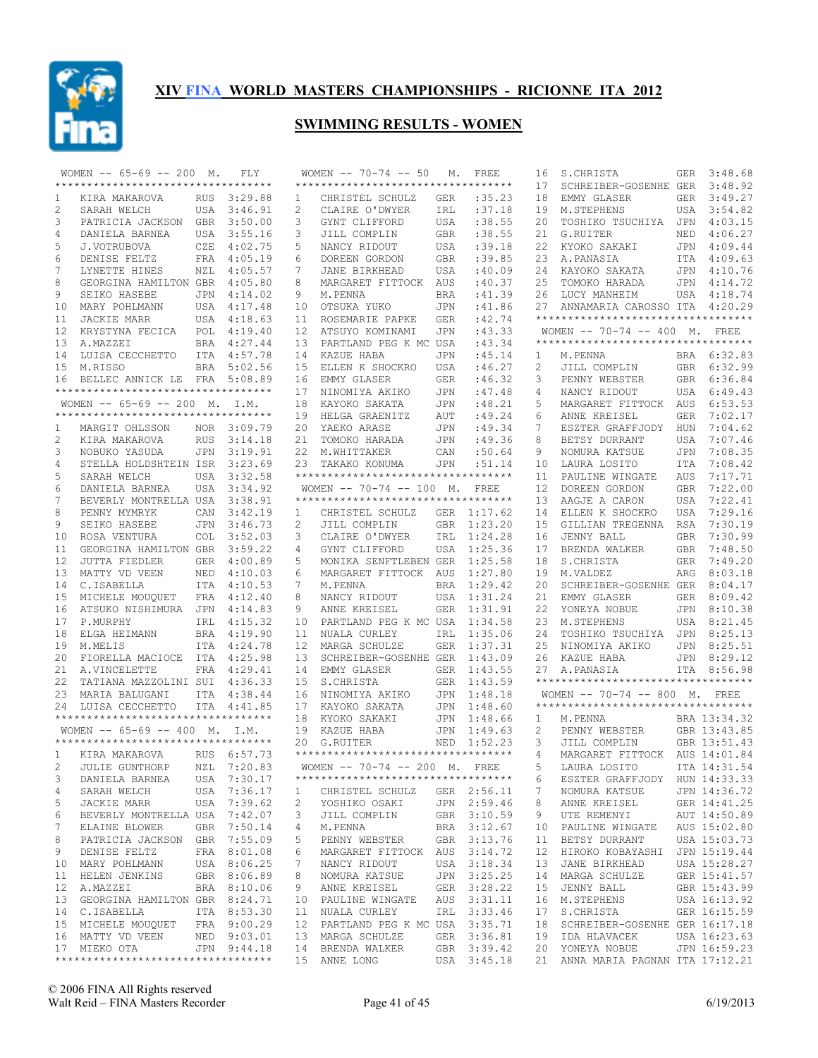

|    | WOMEN $-- 65-69 -- 200$ M.                                 |     | FLY         |              | WOMEN $-- 70-74 -- 50 M$ .                            |            | FREE        | 16           | S.CHRISTA                           |     | GER 3:48.68  |
|----|------------------------------------------------------------|-----|-------------|--------------|-------------------------------------------------------|------------|-------------|--------------|-------------------------------------|-----|--------------|
|    | **********************************                         |     |             |              | ***********************************                   |            |             | 17           | SCHREIBER-GOSENHE GER 3:48.92       |     |              |
| 1  | KIRA MAKAROVA                                              |     | RUS 3:29.88 | $\mathbf{1}$ | CHRISTEL SCHULZ                                       | GER        | :35.23      | 18           | EMMY GLASER                         |     | GER 3:49.27  |
| 2  | SARAH WELCH                                                |     | USA 3:46.91 | 2            | CLAIRE O'DWYER                                        | IRL        | :37.18      | 19           | M.STEPHENS                          |     | USA 3:54.82  |
| 3  | PATRICIA JACKSON GBR 3:50.00                               |     |             | 3            | GYNT CLIFFORD                                         | USA        | :38.55      | 20           | TOSHIKO TSUCHIYA JPN 4:03.15        |     |              |
| 4  | DANIELA BARNEA                                             |     | USA 3:55.16 | 3            | JILL COMPLIN                                          | GBR        | :38.55      | 21           | G.RUITER                            | NED | 4:06.27      |
| 5  | J.VOTRUBOVA                                                |     | CZE 4:02.75 | 5            | NANCY RIDOUT                                          | USA        | :39.18      | 22           | KYOKO SAKAKI                        |     | JPN 4:09.44  |
| 6  | DENISE FELTZ                                               |     | FRA 4:05.19 | 6            | DOREEN GORDON                                         | GBR        | :39.85      | 23           | A.PANASIA                           |     | ITA 4:09.63  |
| 7  |                                                            |     |             | 7            |                                                       |            |             |              |                                     |     |              |
|    | LYNETTE HINES                                              |     | NZL 4:05.57 |              | JANE BIRKHEAD                                         | USA        | :40.09      | 24           | KAYOKO SAKATA                       |     | JPN 4:10.76  |
| 8  | GEORGINA HAMILTON GBR 4:05.80                              |     |             | 8            | MARGARET FITTOCK                                      | AUS        | :40.37      | 25           | TOMOKO HARADA                       |     | JPN 4:14.72  |
| 9  | SEIKO HASEBE                                               |     | JPN 4:14.02 | 9            | M.PENNA                                               | BRA        | :41.39      | 26           | LUCY MANHEIM                        |     | USA 4:18.74  |
| 10 | MARY POHLMANN                                              |     | USA 4:17.48 | 10           | OTSUKA YUKO                                           | JPN        | :41.86      | 27           | ANNAMARIA CAROSSO ITA 4:20.29       |     |              |
| 11 | <b>JACKIE MARR</b>                                         |     | USA 4:18.63 | 11           | ROSEMARIE PAPKE                                       | GER        | :42.74      |              | **********************************  |     |              |
| 12 | KRYSTYNA FECICA                                            |     | POL 4:19.40 | 12           | ATSUYO KOMINAMI                                       | JPN        | :43.33      |              | WOMEN -- 70-74 -- 400 M. FREE       |     |              |
| 13 | A.MAZZEI                                                   |     | BRA 4:27.44 |              | 13 PARTLAND PEG K MC USA                              |            | :43.34      |              | **********************************  |     |              |
| 14 | LUISA CECCHETTO                                            |     | ITA 4:57.78 |              | 14 KAZUE HABA                                         | JPN        | :45.14      | 1            | M.PENNA                             |     | BRA 6:32.83  |
| 15 | M.RISSO                                                    |     | BRA 5:02.56 | 15           | ELLEN K SHOCKRO                                       | USA        | :46.27      | 2            | JILL COMPLIN                        |     | GBR 6:32.99  |
| 16 | BELLEC ANNICK LE FRA 5:08.89                               |     |             | 16           | EMMY GLASER                                           | GER        | :46.32      | 3            | PENNY WEBSTER                       |     | GBR 6:36.84  |
|    | **********************************                         |     |             | 17           | NINOMIYA AKIKO                                        | JPN        | :47.48      | 4            | NANCY RIDOUT                        |     | USA 6:49.43  |
|    | WOMEN -- 65-69 -- 200 M. I.M.                              |     |             | 18           | KAYOKO SAKATA                                         | JPN        | :48.21      | 5            | MARGARET FITTOCK AUS 6:53.53        |     |              |
|    | ***********************************                        |     |             | 19           | HELGA GRAENITZ                                        | AUT        | :49.24      | 6            | ANNE KREISEL                        | GER | 7:02.17      |
| 1  | MARGIT OHLSSON                                             |     | NOR 3:09.79 | 20           | YAEKO ARASE                                           | JPN        | :49.34      | 7            | ESZTER GRAFFJODY                    | HUN | 7:04.62      |
| 2  | KIRA MAKAROVA                                              |     | RUS 3:14.18 |              | 21 TOMOKO HARADA                                      | JPN        | :49.36      | 8            | BETSY DURRANT                       | USA | 7:07.46      |
|    |                                                            |     |             |              | 22 M.WHITTAKER                                        |            |             | 9            |                                     |     | 7:08.35      |
| 3  | NOBUKO YASUDA                                              |     | JPN 3:19.91 |              |                                                       | CAN        | :50.64      |              | NOMURA KATSUE                       | JPN |              |
| 4  | STELLA HOLDSHTEIN ISR 3:23.69                              |     |             |              | 23 TAKAKO KONUMA                                      | JPN        | : 51.14     | 10           | LAURA LOSITO                        | ITA | 7:08.42      |
| 5  | SARAH WELCH                                                |     | USA 3:32.58 |              | ***********************************                   |            |             | 11           | PAULINE WINGATE                     | AUS | 7:17.71      |
| 6  | DANIELA BARNEA                                             |     | USA 3:34.92 |              | WOMEN $-- 70-74 -- 100$ M.                            |            | <b>FREE</b> | 12           | DOREEN GORDON                       | GBR | 7:22.00      |
| 7  | BEVERLY MONTRELLA USA 3:38.91                              |     |             |              | **********************************                    |            |             | 13           | AAGJE A CARON                       | USA | 7:22.41      |
| 8  | PENNY MYMRYK                                               | CAN | 3:42.19     | $\mathbf{1}$ | CHRISTEL SCHULZ                                       |            | GER 1:17.62 | 14           | ELLEN K SHOCKRO                     | USA | 7:29.16      |
| 9  | SEIKO HASEBE                                               |     | JPN 3:46.73 | 2            | JILL COMPLIN                                          | GBR        | 1:23.20     | 15           | GILLIAN TREGENNA                    | RSA | 7:30.19      |
| 10 | ROSA VENTURA                                               |     | COL 3:52.03 | 3            | CLAIRE O'DWYER                                        | IRL        | 1:24.28     | 16           | JENNY BALL                          |     | GBR 7:30.99  |
| 11 | GEORGINA HAMILTON GBR                                      |     | 3:59.22     | 4            | GYNT CLIFFORD                                         | USA        | 1:25.36     | 17           | BRENDA WALKER                       | GBR | 7:48.50      |
| 12 | JUTTA FIEDLER                                              |     | GER 4:00.89 | 5            | MONIKA SENFTLEBEN GER                                 |            | 1:25.58     | 18           | S.CHRISTA                           | GER | 7:49.20      |
| 13 | MATTY VD VEEN                                              |     | NED 4:10.03 | 6            | MARGARET FITTOCK AUS                                  |            | 1:27.80     | 19           | M.VALDEZ                            |     | ARG 8:03.18  |
| 14 | C.ISABELLA                                                 |     | ITA 4:10.53 | 7            | M.PENNA                                               | BRA        | 1:29.42     | 20           | SCHREIBER-GOSENHE GER 8:04.17       |     |              |
| 15 | MICHELE MOUQUET                                            |     | FRA 4:12.40 | 8            | NANCY RIDOUT                                          | USA        | 1:31.24     | 21           | EMMY GLASER                         |     | GER 8:09.42  |
| 16 | ATSUKO NISHIMURA JPN 4:14.83                               |     |             | 9            | ANNE KREISEL                                          | GER        | 1:31.91     | 22           | YONEYA NOBUE                        |     | JPN 8:10.38  |
|    |                                                            |     |             |              |                                                       |            | 1:34.58     | 23           |                                     |     | USA 8:21.45  |
| 17 | P.MURPHY                                                   | IRL | 4:15.32     | 10           | PARTLAND PEG K MC USA                                 |            |             |              | M.STEPHENS                          |     |              |
| 18 | ELGA HEIMANN                                               |     | BRA 4:19.90 | 11           | NUALA CURLEY                                          | IRL        | 1:35.06     | 24           | TOSHIKO TSUCHIYA JPN                |     | 8:25.13      |
| 19 | M.MELIS                                                    |     | ITA 4:24.78 | 12           | MARGA SCHULZE                                         | <b>GER</b> | 1:37.31     | 25           | NINOMIYA AKIKO                      |     | JPN 8:25.51  |
| 20 | FIORELLA MACIOCE ITA 4:25.98                               |     |             | 13           | SCHREIBER-GOSENHE GER                                 |            | 1:43.09     | 26           | KAZUE HABA                          |     | JPN 8:29.12  |
| 21 | A.VINCELETTE                                               |     | FRA 4:29.41 |              | 14 EMMY GLASER                                        |            | GER 1:43.55 | 27           | A.PANASIA                           |     | ITA 8:56.98  |
| 22 | TATIANA MAZZOLINI SUI 4:36.33                              |     |             | 15           | S.CHRISTA                                             | GER        | 1:43.59     |              | *********************************** |     |              |
| 23 | MARIA BALUGANI                                             |     | ITA 4:38.44 | 16           | NINOMIYA AKIKO                                        | JPN        | 1:48.18     |              | WOMEN -- 70-74 -- 800 M. FREE       |     |              |
|    | 24 LUISA CECCHETTO                                         |     | ITA 4:41.85 | 17           | KAYOKO SAKATA                                         | JPN        | 1:48.60     |              | *********************************** |     |              |
|    | **********************************                         |     |             | 18           | KYOKO SAKAKI                                          |            | JPN 1:48.66 | $\mathbf{1}$ | M.PENNA                             |     | BRA 13:34.32 |
|    | WOMEN $-- 65-69 -- 400$ M. I.M.                            |     |             |              | 19 KAZUE HABA                                         |            | JPN 1:49.63 | 2            | PENNY WEBSTER                       |     | GBR 13:43.85 |
|    | ***********************************                        |     |             | 20           | G.RUITER                                              | NED        | 1:52.23     | 3            | JILL COMPLIN                        |     | GBR 13:51.43 |
|    | KIRA MAKAROVA                                              |     | RUS 6:57.73 |              | ***********************************                   |            |             | 4            | MARGARET FITTOCK AUS 14:01.84       |     |              |
|    | 2 JULIE GUNTHORP NZL 7:20.83 WOMEN -- 70-74 -- 200 M. FREE |     |             |              |                                                       |            |             |              | 5 LAURA LOSITO ITA 14:31.54         |     |              |
| 3  | DANIELA BARNEA                                             |     | USA 7:30.17 |              | **********************************                    |            |             | 6            | ESZTER GRAFFJODY HUN 14:33.33       |     |              |
| 4  | SARAH WELCH                                                |     | USA 7:36.17 |              | CHRISTEL SCHULZ GER 2:56.11                           |            |             | 7            |                                     |     | JPN 14:36.72 |
|    |                                                            |     |             | $\mathbf{1}$ |                                                       |            |             |              | NOMURA KATSUE                       |     |              |
| 5  | JACKIE MARR                                                |     | USA 7:39.62 | 2            | YOSHIKO OSAKI JPN 2:59.46<br>JILL COMPLIN GBR 3:10.59 |            |             | 8            | ANNE KREISEL                        |     | GER 14:41.25 |
| 6  | BEVERLY MONTRELLA USA 7:42.07                              |     |             | 3            |                                                       |            |             | 9            | UTE REMENYI                         |     | AUT 14:50.89 |
| 7  | ELAINE BLOWER                                              |     | GBR 7:50.14 | 4            | M.PENNA                                               |            | BRA 3:12.67 | 10           | PAULINE WINGATE                     |     | AUS 15:02.80 |
| 8  | PATRICIA JACKSON GBR 7:55.09                               |     |             | 5            | PENNY WEBSTER                                         |            | GBR 3:13.76 | 11           | BETSY DURRANT                       |     | USA 15:03.73 |
| 9  | DENISE FELTZ                                               |     | FRA 8:01.08 | 6            | MARGARET FITTOCK AUS 3:14.72                          |            |             | 12           | HIROKO KOBAYASHI JPN 15:19.44       |     |              |
|    | 10 MARY POHLMANN                                           |     | USA 8:06.25 | 7            | NANCY RIDOUT                                          |            | USA 3:18.34 | 13           | JANE BIRKHEAD                       |     | USA 15:28.27 |
| 11 | HELEN JENKINS                                              |     | GBR 8:06.89 | 8            | NOMURA KATSUE                                         |            | JPN 3:25.25 | 14           | MARGA SCHULZE                       |     | GER 15:41.57 |
|    | 12 A.MAZZEI                                                |     | BRA 8:10.06 | 9            | ANNE KREISEL                                          |            | GER 3:28.22 | 15           | JENNY BALL                          |     | GBR 15:43.99 |
|    | 13 GEORGINA HAMILTON GBR 8:24.71                           |     |             |              | 10 PAULINE WINGATE AUS 3:31.11                        |            |             | 16           | M.STEPHENS                          |     | USA 16:13.92 |
|    | 14 C.ISABELLA ITA 8:53.30                                  |     |             |              | 11 NUALA CURLEY                                       |            | IRL 3:33.46 | 17           | S.CHRISTA                           |     | GER 16:15.59 |
|    | 15 MICHELE MOUQUET FRA 9:00.29                             |     |             |              | 12 PARTLAND PEG K MC USA 3:35.71                      |            |             | 18           | SCHREIBER-GOSENHE GER 16:17.18      |     |              |
|    | 16 MATTY VD VEEN NED 9:03.01                               |     |             |              | 13 MARGA SCHULZE                                      |            | GER 3:36.81 | 19           | IDA HLAVACEK                        |     | USA 16:23.63 |
|    | 17 MIEKO OTA                                               |     | JPN 9:44.18 |              | 14 BRENDA WALKER                                      |            | GBR 3:39.42 |              | 20 YONEYA NOBUE                     |     | JPN 16:59.23 |
|    | **********************************                         |     |             |              | 15 ANNE LONG                                          |            | USA 3:45.18 |              | 21 ANNA MARIA PAGNAN ITA 17:12.21   |     |              |
|    |                                                            |     |             |              |                                                       |            |             |              |                                     |     |              |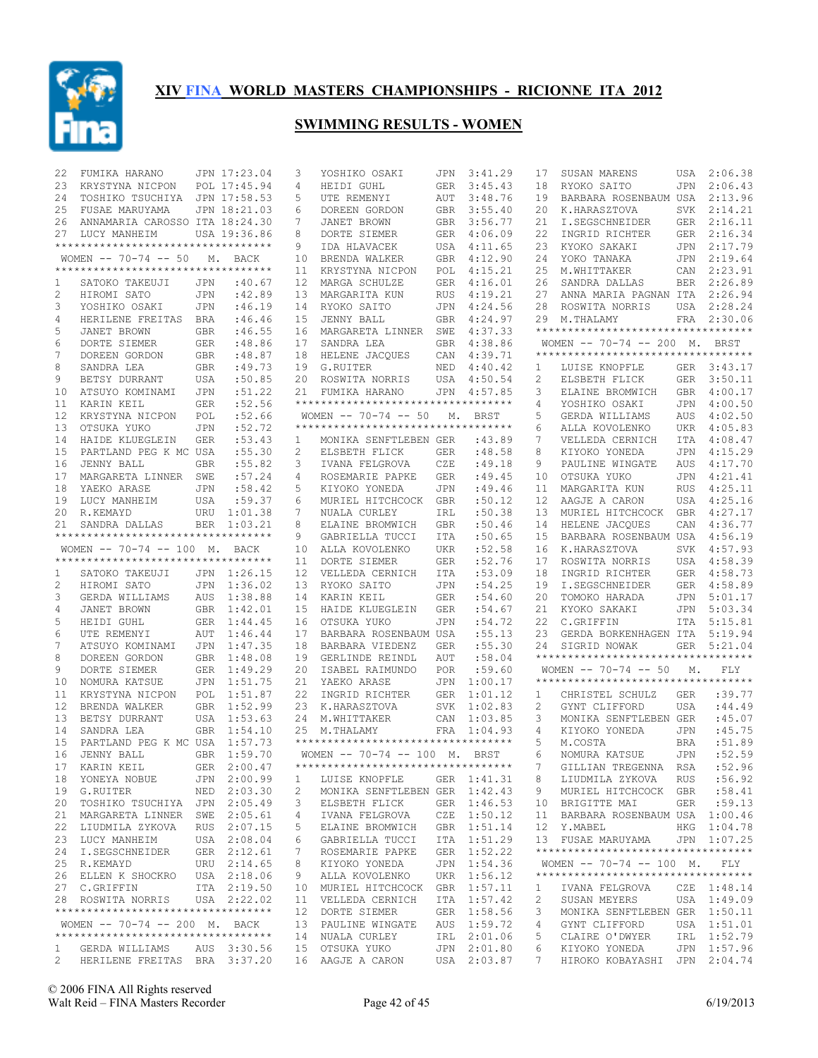

| 22 | FUMIKA HARANO                       |            | JPN 17:23.04 | 3                     | YOSHIKO OSAKI                                       | JPN        | 3:41.29     | 17             | SUSAN MARENS                                                    |            | USA 2:06.38 |
|----|-------------------------------------|------------|--------------|-----------------------|-----------------------------------------------------|------------|-------------|----------------|-----------------------------------------------------------------|------------|-------------|
| 23 | KRYSTYNA NICPON                     |            | POL 17:45.94 | 4                     | HEIDI GUHL                                          | GER        | 3:45.43     | 18             | RYOKO SAITO                                                     | JPN        | 2:06.43     |
| 24 | TOSHIKO TSUCHIYA JPN 17:58.53       |            |              | 5                     | UTE REMENYI                                         | AUT        | 3:48.76     | 19             | BARBARA ROSENBAUM USA                                           |            | 2:13.96     |
| 25 | FUSAE MARUYAMA                      |            | JPN 18:21.03 | 6                     | DOREEN GORDON                                       | <b>GBR</b> | 3:55.40     | 20             | K.HARASZTOVA                                                    | SVK        | 2:14.21     |
| 26 | ANNAMARIA CAROSSO ITA 18:24.30      |            |              | 7                     | JANET BROWN                                         | GBR        | 3:56.77     | 21             | I.SEGSCHNEIDER                                                  |            | GER 2:16.11 |
| 27 | LUCY MANHEIM                        |            | USA 19:36.86 | 8                     | DORTE SIEMER                                        | GER        | 4:06.09     | 22             | INGRID RICHTER                                                  | GER        | 2:16.34     |
|    | **********************************  |            |              | 9                     | IDA HLAVACEK                                        |            | USA 4:11.65 | 23             | KYOKO SAKAKI                                                    | JPN        | 2:17.79     |
|    | WOMEN $-- 70-74 -- 50$              |            | M. BACK      | 10                    | BRENDA WALKER                                       | GBR        | 4:12.90     | 24             | YOKO TANAKA                                                     | JPN        | 2:19.64     |
|    | *********************************** |            |              | 11                    | KRYSTYNA NICPON                                     | POL        | 4:15.21     | 25             | M.WHITTAKER                                                     |            | CAN 2:23.91 |
| 1  | SATOKO TAKEUJI                      | JPN        | :40.67       | 12                    | MARGA SCHULZE                                       | GER        | 4:16.01     | 26             | SANDRA DALLAS                                                   | BER        | 2:26.89     |
| 2  | HIROMI SATO                         | JPN        | :42.89       | 13                    | MARGARITA KUN                                       | <b>RUS</b> | 4:19.21     | 27             | ANNA MARIA PAGNAN ITA                                           |            | 2:26.94     |
| 3  | YOSHIKO OSAKI                       | JPN        | :46.19       | 14                    | RYOKO SAITO                                         | JPN        | 4:24.56     | 28             | ROSWITA NORRIS                                                  | USA        | 2:28.24     |
| 4  | HERILENE FREITAS BRA                |            | :46.46       | 15                    | JENNY BALL                                          | GBR        | 4:24.97     | 29             | M.THALAMY                                                       |            | FRA 2:30.06 |
| 5  | JANET BROWN                         | <b>GBR</b> | :46.55       | 16                    | MARGARETA LINNER                                    | SWE        | 4:37.33     |                | **********************************                              |            |             |
| 6  | DORTE SIEMER                        | GER        | :48.86       | 17                    | SANDRA LEA                                          | GBR        | 4:38.86     |                | WOMEN -- 70-74 -- 200 M. BRST                                   |            |             |
| 7  | DOREEN GORDON                       | <b>GBR</b> | :48.87       | 18                    | HELENE JACQUES                                      | CAN        | 4:39.71     |                | **********************************                              |            |             |
| 8  |                                     |            |              |                       |                                                     |            |             |                |                                                                 |            |             |
|    | SANDRA LEA                          | <b>GBR</b> | :49.73       | 19                    | G.RUITER                                            | NED        | 4:40.42     | 1              | LUISE KNOPFLE                                                   |            | GER 3:43.17 |
| 9  | BETSY DURRANT                       | USA        | :50.85       | 20                    | ROSWITA NORRIS                                      | USA        | 4:50.54     | $\overline{c}$ | ELSBETH FLICK                                                   | GER        | 3:50.11     |
| 10 | ATSUYO KOMINAMI                     | JPN        | :51.22       | 21                    | FUMIKA HARANO<br>********************************** |            | JPN 4:57.85 | 3              | ELAINE BROMWICH                                                 | <b>GBR</b> | 4:00.17     |
| 11 | KARIN KEIL                          | <b>GER</b> | :52.56       |                       |                                                     |            |             | 4              | YOSHIKO OSAKI                                                   | <b>JPN</b> | 4:00.50     |
| 12 | KRYSTYNA NICPON                     | POL        | :52.66       |                       | WOMEN $-- 70-74 -- 50 M$ .                          |            | BRST        | 5              | GERDA WILLIAMS                                                  | AUS        | 4:02.50     |
| 13 | OTSUKA YUKO                         | <b>JPN</b> | :52.72       |                       | ***********************************                 |            |             | 6              | ALLA KOVOLENKO                                                  | <b>UKR</b> | 4:05.83     |
| 14 | HAIDE KLUEGLEIN                     | <b>GER</b> | : 53.43      | $\mathbf{1}$          | MONIKA SENFTLEBEN GER                               |            | :43.89      | 7              | VELLEDA CERNICH                                                 | <b>ITA</b> | 4:08.47     |
| 15 | PARTLAND PEG K MC USA               |            | :55.30       | $\mathbf{2}^{\prime}$ | ELSBETH FLICK                                       | <b>GER</b> | :48.58      | 8              | KIYOKO YONEDA                                                   | JPN        | 4:15.29     |
| 16 | <b>JENNY BALL</b>                   | <b>GBR</b> | :55.82       | 3                     | IVANA FELGROVA                                      | CZE        | :49.18      | 9              | PAULINE WINGATE                                                 | AUS        | 4:17.70     |
| 17 | MARGARETA LINNER                    | SWE        | :57.24       | 4                     | ROSEMARIE PAPKE                                     | GER        | :49.45      | 10             | OTSUKA YUKO                                                     | JPN        | 4:21.41     |
| 18 | YAEKO ARASE                         | JPN        | :58.42       | 5                     | KIYOKO YONEDA                                       | JPN        | :49.46      | 11             | MARGARITA KUN                                                   | <b>RUS</b> | 4:25.11     |
| 19 | LUCY MANHEIM                        | USA        | :59.37       | 6                     | MURIEL HITCHCOCK                                    | GBR        | :50.12      | 12             | AAGJE A CARON                                                   | USA        | 4:25.16     |
| 20 | R.KEMAYD                            | URU        | 1:01.38      | 7                     | NUALA CURLEY                                        | IRL        | :50.38      | 13             | MURIEL HITCHCOCK                                                | <b>GBR</b> | 4:27.17     |
| 21 | SANDRA DALLAS                       | <b>BER</b> | 1:03.21      | 8                     | ELAINE BROMWICH                                     | GBR        | :50.46      | 14             | HELENE JACQUES                                                  | CAN        | 4:36.77     |
|    | *********************************** |            |              | 9                     | GABRIELLA TUCCI                                     | ITA        | :50.65      | 15             | BARBARA ROSENBAUM USA                                           |            | 4:56.19     |
|    | WOMEN -- 70-74 -- 100 M. BACK       |            |              | 10                    | ALLA KOVOLENKO                                      | UKR        | :52.58      | 16             | K.HARASZTOVA                                                    | SVK        | 4:57.93     |
|    | *********************************** |            |              | 11                    | DORTE SIEMER                                        | <b>GER</b> | :52.76      | 17             | ROSWITA NORRIS                                                  | USA        | 4:58.39     |
| 1  | SATOKO TAKEUJI                      |            | JPN 1:26.15  | 12 <sup>°</sup>       | VELLEDA CERNICH                                     | ITA        | :53.09      | 18             | INGRID RICHTER                                                  | GER        | 4:58.73     |
|    |                                     |            |              |                       |                                                     |            |             |                |                                                                 |            |             |
| 2  | HIROMI SATO                         | JPN        | 1:36.02      | 13                    | RYOKO SAITO                                         | JPN        | :54.25      | 19             | I.SEGSCHNEIDER                                                  | GER        | 4:58.89     |
| 3  | GERDA WILLIAMS                      | AUS        | 1:38.88      | 14                    | KARIN KEIL                                          | <b>GER</b> | :54.60      | 20             | TOMOKO HARADA                                                   | JPN        | 5:01.17     |
| 4  | JANET BROWN                         |            |              | 15                    | HAIDE KLUEGLEIN                                     | GER        | :54.67      | 21             | KYOKO SAKAKI                                                    | JPN        | 5:03.34     |
|    |                                     |            | GBR 1:42.01  |                       |                                                     |            |             |                |                                                                 |            |             |
| 5  | HEIDI GUHL                          |            | GER 1:44.45  | 16                    | OTSUKA YUKO                                         | <b>JPN</b> | :54.72      | 22             | C.GRIFFIN                                                       | ITA        | 5:15.81     |
| 6  | UTE REMENYI                         | AUT        | 1:46.44      | 17                    | BARBARA ROSENBAUM USA                               |            | :55.13      | 23             | GERDA BORKENHAGEN ITA                                           |            | 5:19.94     |
| 7  | ATSUYO KOMINAMI                     | JPN        | 1:47.35      | 18                    | BARBARA VIEDENZ                                     | GER        | :55.30      | 24             | SIGRID NOWAK<br>**********************************              |            | GER 5:21.04 |
| 8  | DOREEN GORDON                       |            | GBR 1:48.08  | 19                    | GERLINDE REINDL                                     | AUT        | :58.04      |                |                                                                 |            |             |
| 9  | DORTE SIEMER                        |            | GER 1:49.29  | 20                    | ISABEL RAIMUNDO                                     | <b>POR</b> | :59.60      |                | WOMEN $-- 70-74 -- 50$ M.<br>********************************** |            | FLY         |
| 10 | NOMURA KATSUE                       | JPN        | 1:51.75      | 21                    | YAEKO ARASE                                         | JPN        | 1:00.17     |                |                                                                 |            |             |
| 11 | KRYSTYNA NICPON                     |            | POL 1:51.87  | 22                    | INGRID RICHTER                                      | <b>GER</b> | 1:01.12     | 1              | CHRISTEL SCHULZ                                                 | <b>GER</b> | :39.77      |
| 12 | BRENDA WALKER                       |            | GBR 1:52.99  |                       | 23 K.HARASZTOVA                                     | <b>SVK</b> | 1:02.83     | 2              | GYNT CLIFFORD                                                   | <b>USA</b> | : 44.49     |
| 13 | BETSY DURRANT                       |            | USA 1:53.63  |                       | 24 M.WHITTAKER                                      | CAN        | 1:03.85     | 3              | MONIKA SENFTLEBEN GER                                           |            | :45.07      |
| 14 | SANDRA LEA                          |            | GBR 1:54.10  | 25                    | M.THALAMY                                           | FRA        | 1:04.93     | 4              | KIYOKO YONEDA                                                   | <b>JPN</b> | :45.75      |
| 15 | PARTLAND PEG K MC USA 1:57.73       |            |              |                       | **********************************                  |            |             | 5              | M.COSTA                                                         | <b>BRA</b> | :51.89      |
| 16 | JENNY BALL                          |            | GBR 1:59.70  |                       | WOMEN -- 70-74 -- 100 M. BRST                       |            |             | 6              | NOMURA KATSUE                                                   | JPN        | :52.59      |
|    | 17 KARIN KEIL GER 2:00.47           |            |              |                       | **********************************                  |            |             |                | GILLIAN TREGENNA RSA :52.96                                     |            |             |
|    | 18 YONEYA NOBUE                     |            | JPN 2:00.99  | 1                     | LUISE KNOPFLE                                       |            | GER 1:41.31 | 8              | LIUDMILA ZYKOVA                                                 | RUS        | :56.92      |
|    | 19 G.RUITER                         |            | NED 2:03.30  | 2                     | MONIKA SENFTLEBEN GER 1:42.43                       |            |             | 9              | MURIEL HITCHCOCK GBR :58.41                                     |            |             |
|    | 20 TOSHIKO TSUCHIYA JPN 2:05.49     |            |              | 3                     | ELSBETH FLICK                                       |            | GER 1:46.53 |                | 10 BRIGITTE MAI                                                 | GER        | :59.13      |
|    | 21 MARGARETA LINNER SWE 2:05.61     |            |              | 4                     | IVANA FELGROVA                                      |            | CZE 1:50.12 | 11             | BARBARA ROSENBAUM USA 1:00.46                                   |            |             |
| 22 | LIUDMILA ZYKOVA                     |            | RUS 2:07.15  | 5                     | ELAINE BROMWICH                                     |            | GBR 1:51.14 |                | 12 Y.MABEL                                                      |            | HKG 1:04.78 |
|    | 23 LUCY MANHEIM                     |            | USA 2:08.04  | 6                     | GABRIELLA TUCCI                                     |            | ITA 1:51.29 |                | 13 FUSAE MARUYAMA                                               |            | JPN 1:07.25 |
|    | 24 I.SEGSCHNEIDER                   |            | GER 2:12.61  | 7                     | ROSEMARIE PAPKE                                     |            | GER 1:52.22 |                | **********************************                              |            |             |
|    | 25 R.KEMAYD                         |            | URU 2:14.65  | 8                     | KIYOKO YONEDA                                       |            | JPN 1:54.36 |                | WOMEN $-- 70-74 -- 100$ M.                                      |            | FLY         |
|    | 26 ELLEN K SHOCKRO                  |            | USA 2:18.06  | 9                     | ALLA KOVOLENKO                                      |            | UKR 1:56.12 |                | ***********************************                             |            |             |
|    | 27 C.GRIFFIN                        |            | ITA 2:19.50  | 10                    | MURIEL HITCHCOCK                                    |            | GBR 1:57.11 | ı              | IVANA FELGROVA                                                  |            | CZE 1:48.14 |
|    | 28 ROSWITA NORRIS                   |            | USA 2:22.02  |                       | 11 VELLEDA CERNICH                                  |            | ITA 1:57.42 | 2              | SUSAN MEYERS                                                    |            | USA 1:49.09 |
|    | **********************************  |            |              |                       | 12 DORTE SIEMER                                     |            | GER 1:58.56 | 3              | MONIKA SENFTLEBEN GER 1:50.11                                   |            |             |
|    | WOMEN -- 70-74 -- 200 M. BACK       |            |              |                       | 13 PAULINE WINGATE                                  |            | AUS 1:59.72 | 4              | GYNT CLIFFORD                                                   |            | USA 1:51.01 |
|    | **********************************  |            |              |                       | 14 NUALA CURLEY                                     |            | IRL 2:01.06 | 5              | CLAIRE O'DWYER                                                  |            | IRL 1:52.79 |
|    | 1 GERDA WILLIAMS AUS 3:30.56        |            |              |                       | 15 OTSUKA YUKO                                      |            | JPN 2:01.80 | 6              | KIYOKO YONEDA                                                   |            | JPN 1:57.96 |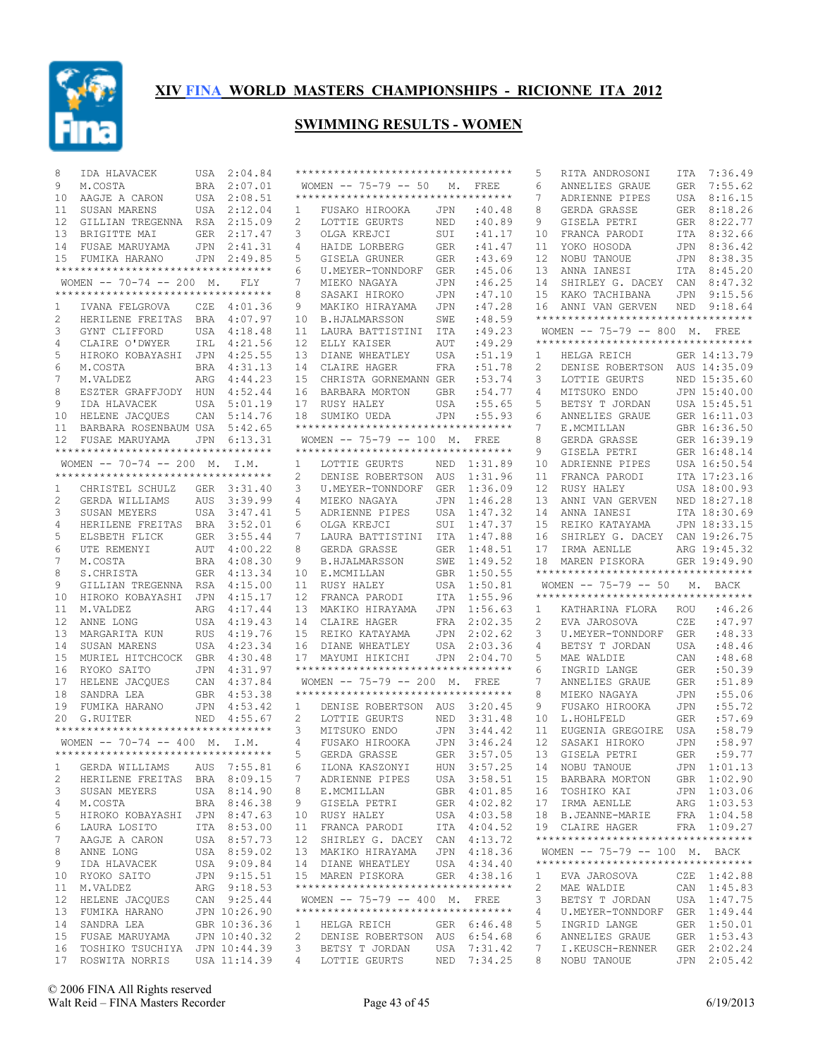

| 8              | IDA HLAVACEK                                                     | USA        | 2:04.84      |                   | **********************************  |            |                   | 5              | RITA ANDROSONI                                                | ITA        | 7:36.49      |
|----------------|------------------------------------------------------------------|------------|--------------|-------------------|-------------------------------------|------------|-------------------|----------------|---------------------------------------------------------------|------------|--------------|
| 9              | M.COSTA                                                          | BRA        | 2:07.01      |                   | WOMEN $-- 75-79 -- 50$              | М.         | <b>FREE</b>       | 6              | ANNELIES GRAUE                                                | <b>GER</b> | 7:55.62      |
| 10             | AAGJE A CARON                                                    | USA        | 2:08.51      |                   | **********************************  |            |                   | 7              | ADRIENNE PIPES                                                | USA        | 8:16.15      |
| 11             | SUSAN MARENS                                                     | USA        | 2:12.04      | 1                 | FUSAKO HIROOKA                      | JPN        | :40.48            | 8              | GERDA GRASSE                                                  | <b>GER</b> | 8:18.26      |
| 12             | GILLIAN TREGENNA                                                 | RSA        | 2:15.09      | 2                 | LOTTIE GEURTS                       | NED        | :40.89            | 9              | GISELA PETRI                                                  | <b>GER</b> | 8:22.77      |
| 13             | BRIGITTE MAI                                                     | <b>GER</b> | 2:17.47      | 3                 | OLGA KREJCI                         | SUI        | :41.17            | 10             | FRANCA PARODI                                                 | ITA        | 8:32.66      |
|                |                                                                  |            |              |                   |                                     |            |                   |                |                                                               |            |              |
| 14             | FUSAE MARUYAMA                                                   | <b>JPN</b> | 2:41.31      | 4                 | HAIDE LORBERG                       | <b>GER</b> | : 41.47<br>:43.69 | 11             | YOKO HOSODA                                                   | <b>JPN</b> | 8:36.42      |
| 15             | FUMIKA HARANO<br>**********************************              | <b>JPN</b> | 2:49.85      | 5                 | GISELA GRUNER                       | <b>GER</b> |                   | 12             | NOBU TANOUE                                                   | <b>JPN</b> | 8:38.35      |
|                |                                                                  |            |              | 6                 | U.MEYER-TONNDORF                    | <b>GER</b> | :45.06            | 13             | ANNA IANESI                                                   | <b>ITA</b> | 8:45.20      |
|                | WOMEN $-- 70-74 -- 200$ M.                                       |            | FLY          | 7                 | MIEKO NAGAYA                        | <b>JPN</b> | :46.25            | 14             | SHIRLEY G. DACEY                                              | CAN        | 8:47.32      |
|                | **********************************                               |            |              | 8                 | SASAKI HIROKO                       | <b>JPN</b> | :47.10            | 15             | KAKO TACHIBANA                                                | <b>JPN</b> | 9:15.56      |
| 1              | IVANA FELGROVA                                                   | CZE        | 4:01.36      | 9                 | MAKIKO HIRAYAMA                     | <b>JPN</b> | :47.28            | 16             | ANNI VAN GERVEN                                               | <b>NED</b> | 9:18.64      |
| $\overline{c}$ | HERILENE FREITAS                                                 | <b>BRA</b> | 4:07.97      | 10                | <b>B.HJALMARSSON</b>                | SWE        | : 48.59           |                | **********************************                            |            |              |
| 3              | GYNT CLIFFORD                                                    | USA        | 4:18.48      | 11                | LAURA BATTISTINI                    | ITA        | :49.23            |                | WOMEN $-- 75-79 -- 800 M.$                                    |            | FREE         |
| 4              | CLAIRE O'DWYER                                                   | IRL        | 4:21.56      | $12 \overline{ }$ | ELLY KAISER                         | AUT        | :49.29            |                | **********************************                            |            |              |
| 5              | HIROKO KOBAYASHI                                                 | JPN        | 4:25.55      | 13                | DIANE WHEATLEY                      | <b>USA</b> | :51.19            | 1              | HELGA REICH                                                   |            | GER 14:13.79 |
| 6              | M.COSTA                                                          | <b>BRA</b> | 4:31.13      | 14                | CLAIRE HAGER                        | <b>FRA</b> | :51.78            | $\overline{c}$ | DENISE ROBERTSON                                              |            | AUS 14:35.09 |
| 7              | M.VALDEZ                                                         | ARG        | 4:44.23      | 15                | CHRISTA GORNEMANN GER               |            | :53.74            | 3              | LOTTIE GEURTS                                                 |            | NED 15:35.60 |
| 8              | ESZTER GRAFFJODY                                                 | HUN        | 4:52.44      | 16                | BARBARA MORTON                      | <b>GBR</b> | :54.77            | 4              | MITSUKO ENDO                                                  |            | JPN 15:40.00 |
| 9              | IDA HLAVACEK                                                     | <b>USA</b> | 5:01.19      | 17                | RUSY HALEY                          | <b>USA</b> | :55.65            | 5              | BETSY T JORDAN                                                |            | USA 15:45.51 |
| 10             | HELENE JACQUES                                                   | CAN        | 5:14.76      | 18                | SUMIKO UEDA                         | <b>JPN</b> | :55.93            | 6              | ANNELIES GRAUE                                                |            | GER 16:11.03 |
| 11             | BARBARA ROSENBAUM USA                                            |            | 5:42.65      |                   | *********************************   |            |                   | 7              | E.MCMILLAN                                                    |            | GBR 16:36.50 |
| 12             | FUSAE MARUYAMA                                                   | JPN        | 6:13.31      |                   | $WOMEN$ -- 75-79 -- 100 M.          |            | <b>FREE</b>       | 8              | GERDA GRASSE                                                  |            | GER 16:39.19 |
|                | **********************************                               |            |              |                   | **********************************  |            |                   | 9              |                                                               |            |              |
|                |                                                                  |            |              |                   |                                     |            |                   |                | GISELA PETRI                                                  |            | GER 16:48.14 |
|                | WOMEN $-- 70-74 -- 200$ M.<br>********************************** |            | I.M.         | 1                 | LOTTIE GEURTS                       | NED        | 1:31.89           | 10             | ADRIENNE PIPES                                                |            | USA 16:50.54 |
|                |                                                                  |            |              | 2                 | DENISE ROBERTSON                    | AUS        | 1:31.96           | 11             | FRANCA PARODI                                                 |            | ITA 17:23.16 |
| 1              | CHRISTEL SCHULZ                                                  | GER        | 3:31.40      | 3                 | U.MEYER-TONNDORF                    | <b>GER</b> | 1:36.09           | 12             | RUSY HALEY                                                    |            | USA 18:00.93 |
| 2              | GERDA WILLIAMS                                                   | <b>AUS</b> | 3:39.99      | 4                 | MIEKO NAGAYA                        | JPN        | 1:46.28           | 13             | ANNI VAN GERVEN                                               |            | NED 18:27.18 |
| 3              | SUSAN MEYERS                                                     | USA        | 3:47.41      | 5                 | ADRIENNE PIPES                      | <b>USA</b> | 1:47.32           | 14             | ANNA IANESI                                                   |            | ITA 18:30.69 |
| 4              | HERILENE FREITAS                                                 | <b>BRA</b> | 3:52.01      | 6                 | OLGA KREJCI                         | SUI        | 1:47.37           | 15             | REIKO KATAYAMA                                                |            | JPN 18:33.15 |
| 5              | ELSBETH FLICK                                                    | <b>GER</b> | 3:55.44      | 7                 | LAURA BATTISTINI                    | ITA        | 1:47.88           | 16             | SHIRLEY G. DACEY                                              |            | CAN 19:26.75 |
| 6              | UTE REMENYI                                                      | AUT        | 4:00.22      | 8                 | GERDA GRASSE                        | <b>GER</b> | 1:48.51           | 17             | IRMA AENLLE                                                   |            | ARG 19:45.32 |
| 7              | M.COSTA                                                          | <b>BRA</b> | 4:08.30      | 9                 | <b>B.HJALMARSSON</b>                | SWE        | 1:49.52           | 18             | MAREN PISKORA                                                 |            | GER 19:49.90 |
|                |                                                                  |            |              |                   |                                     |            |                   |                |                                                               |            |              |
| 8              | S.CHRISTA                                                        | <b>GER</b> | 4:13.34      | 10                | E.MCMILLAN                          | <b>GBR</b> | 1:50.55           |                | **********************************                            |            |              |
|                |                                                                  |            |              |                   |                                     |            |                   |                |                                                               |            |              |
| 9              | GILLIAN TREGENNA                                                 | RSA        | 4:15.00      | 11                | RUSY HALEY                          | <b>USA</b> | 1:50.81           |                | WOMEN $-- 75-79 -- 50$<br>*********************************** | М.         | <b>BACK</b>  |
| 10             | HIROKO KOBAYASHI                                                 | <b>JPN</b> | 4:15.17      | 12                | FRANCA PARODI                       | ITA        | 1:55.96           |                |                                                               |            |              |
| 11             | M.VALDEZ                                                         | ARG        | 4:17.44      | 13                | MAKIKO HIRAYAMA                     | JPN        | 1:56.63           | 1              | KATHARINA FLORA                                               | ROU        | :46.26       |
| 12             | ANNE LONG                                                        | USA        | 4:19.43      | 14                | CLAIRE HAGER                        | <b>FRA</b> | 2:02.35           | 2              | EVA JAROSOVA                                                  | CZE        | : 47.97      |
| 13             | MARGARITA KUN                                                    | <b>RUS</b> | 4:19.76      | 15                | REIKO KATAYAMA                      | <b>JPN</b> | 2:02.62           | 3              | U.MEYER-TONNDORF                                              | <b>GER</b> | :48.33       |
| 14             | SUSAN MARENS                                                     | USA        | 4:23.34      | 16                | DIANE WHEATLEY                      | USA        | 2:03.36           | 4              | BETSY T JORDAN                                                | USA        | :48.46       |
| 15             | MURIEL HITCHCOCK                                                 | <b>GBR</b> | 4:30.48      | 17                | MAYUMI HIKICHI                      | JPN        | 2:04.70           | 5              | MAE WALDIE                                                    | CAN        | :48.68       |
| 16             | RYOKO SAITO                                                      | <b>JPN</b> | 4:31.97      |                   | **********************************  |            |                   | 6              | INGRID LANGE                                                  | <b>GER</b> | :50.39       |
| 17             | HELENE JACQUES                                                   | CAN        | 4:37.84      |                   | WOMEN $-- 75-79 -- 200$ M.          |            | FREE              | 7              | ANNELIES GRAUE                                                | GER        | :51.89       |
| 18             | SANDRA LEA                                                       | <b>GBR</b> | 4:53.38      |                   | **********************************  |            |                   | 8              | MIEKO NAGAYA                                                  | JPN        | :55.06       |
| 19             | FUMIKA HARANO                                                    | JPN        | 4:53.42      | 1                 | DENISE ROBERTSON                    | AUS        | 3:20.45           | 9              | FUSAKO HIROOKA                                                | JPN        | :55.72       |
| 20             | G.RUITER                                                         | NED        | 4:55.67      | 2                 | LOTTIE GEURTS                       | NED        | 3:31.48           | 10             | L.HOHLFELD                                                    | <b>GER</b> | :57.69       |
|                | **********************************                               |            |              | 3                 | MITSUKO ENDO                        | JPN        | 3:44.42           | 11             | EUGENIA GREGOIRE                                              | USA        | :58.79       |
|                | WOMEN $-- 70-74 -- 400$ M.                                       |            | I.M.         | 4                 | FUSAKO HIROOKA                      | JPN        | 3:46.24           | 12             | SASAKI HIROKO                                                 | JPN        | :58.97       |
|                | **********************************                               |            |              | 5                 | GERDA GRASSE                        | GER        | 3:57.05           | 13             | GISELA PETRI                                                  | <b>GER</b> | :59.77       |
| 1              | GERDA WILLIAMS                                                   |            | AUS 7:55.81  | 6                 | ILONA KASZONYI                      |            | HUN 3:57.25       |                | 14 NOBU TANOUE                                                |            | JPN 1:01.13  |
|                | HERILENE FREITAS                                                 |            |              | 7                 |                                     |            |                   | 15             |                                                               |            |              |
| 2              |                                                                  |            | BRA 8:09.15  |                   | ADRIENNE PIPES                      |            | USA 3:58.51       |                | BARBARA MORTON                                                |            | GBR 1:02.90  |
| 3              | SUSAN MEYERS                                                     |            | USA 8:14.90  | 8                 | E.MCMILLAN                          |            | GBR 4:01.85       | 16             | TOSHIKO KAI                                                   |            | JPN 1:03.06  |
| 4              | M.COSTA                                                          |            | BRA 8:46.38  | 9                 | GISELA PETRI                        |            | GER 4:02.82       | 17             | IRMA AENLLE                                                   |            | ARG 1:03.53  |
| 5              | HIROKO KOBAYASHI                                                 |            | JPN 8:47.63  | 10                | RUSY HALEY                          |            | USA 4:03.58       | 18             | B.JEANNE-MARIE                                                |            | FRA 1:04.58  |
| 6              | LAURA LOSITO                                                     |            | ITA 8:53.00  | 11                | FRANCA PARODI                       |            | ITA 4:04.52       | 19             | CLAIRE HAGER                                                  |            | FRA 1:09.27  |
| 7              | AAGJE A CARON                                                    |            | USA 8:57.73  | 12 <sup>°</sup>   | SHIRLEY G. DACEY                    |            | CAN 4:13.72       |                | **********************************                            |            |              |
| 8              | ANNE LONG                                                        |            | USA 8:59.02  |                   | 13 MAKIKO HIRAYAMA                  |            | JPN 4:18.36       |                | WOMEN -- 75-79 -- 100 M. BACK                                 |            |              |
| 9              | IDA HLAVACEK                                                     |            | USA 9:09.84  |                   | 14 DIANE WHEATLEY                   |            | USA 4:34.40       |                | **********************************                            |            |              |
| 10             | RYOKO SAITO                                                      |            | JPN 9:15.51  |                   | 15 MAREN PISKORA                    |            | GER 4:38.16       | 1              | EVA JAROSOVA                                                  |            | CZE 1:42.88  |
| 11             | M.VALDEZ                                                         |            | ARG 9:18.53  |                   | **********************************  |            |                   | 2              | MAE WALDIE                                                    |            | CAN 1:45.83  |
| 12             | HELENE JACQUES                                                   |            | CAN 9:25.44  |                   | WOMEN -- 75-79 -- 400 M. FREE       |            |                   | 3              | BETSY T JORDAN                                                |            | USA 1:47.75  |
| 13             | FUMIKA HARANO                                                    |            | JPN 10:26.90 |                   | *********************************** |            |                   | 4              | U.MEYER-TONNDORF                                              |            | GER 1:49.44  |
| 14             | SANDRA LEA                                                       |            | GBR 10:36.36 | 1                 | HELGA REICH                         |            | GER 6:46.48       | 5              | INGRID LANGE                                                  |            | GER 1:50.01  |
| 15             | FUSAE MARUYAMA                                                   |            | JPN 10:40.32 | 2                 | DENISE ROBERTSON                    |            | AUS 6:54.68       | 6              | ANNELIES GRAUE                                                |            | GER 1:53.43  |
| 16             | TOSHIKO TSUCHIYA JPN 10:44.39                                    |            |              | 3                 | BETSY T JORDAN                      | USA        | 7:31.42           | 7              | I.KEUSCH-RENNER                                               |            | GER 2:02.24  |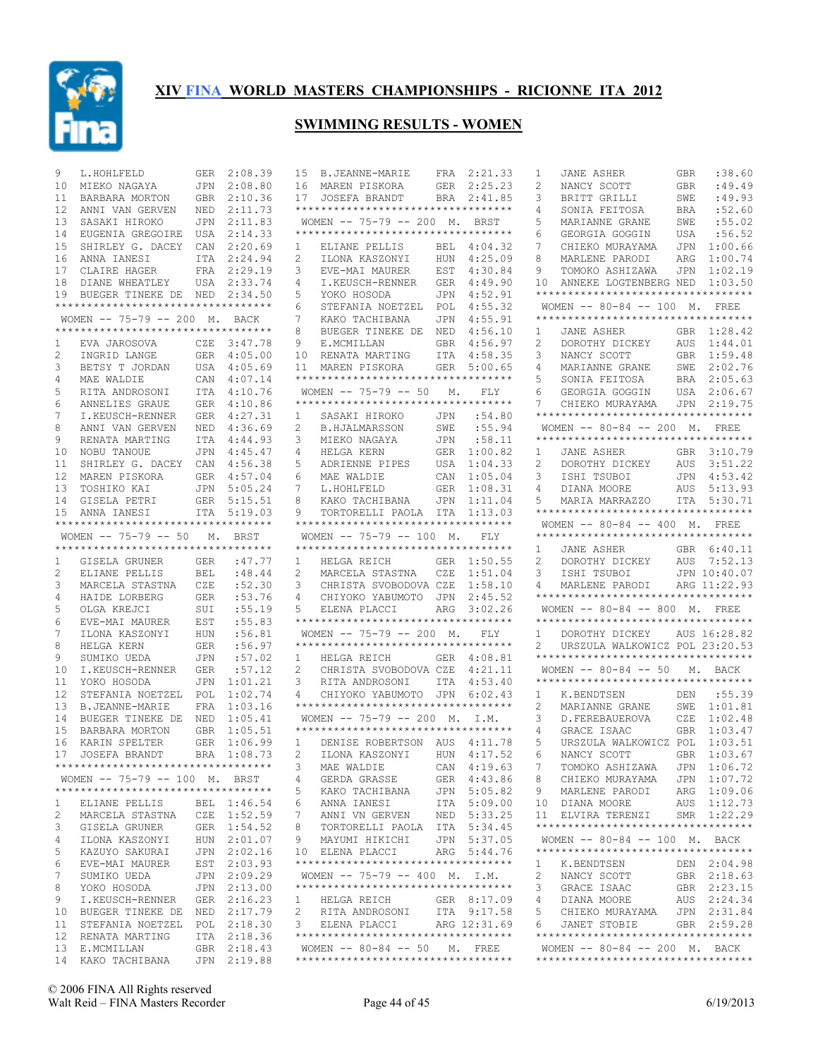

| 9        | L.HOHLFELD                                             | GER               | 2:08.39                    | B.JEANNE-MARIE<br>15                                                  | FRA 2:21.33                 | JANE ASHER<br>:38.60<br>1<br>GBR                                             |
|----------|--------------------------------------------------------|-------------------|----------------------------|-----------------------------------------------------------------------|-----------------------------|------------------------------------------------------------------------------|
| 10       | MIEKO NAGAYA                                           | <b>JPN</b>        | 2:08.80                    | 16<br>MAREN PISKORA<br><b>GER</b>                                     | 2:25.23                     | :49.49<br>2<br>NANCY SCOTT<br><b>GBR</b>                                     |
| 11       | BARBARA MORTON                                         |                   | GBR 2:10.36                | 17<br>BRA<br>JOSEFA BRANDT                                            | 2:41.85                     | :49.93<br>3<br>BRITT GRILLI<br>SWE                                           |
| 12       | ANNI VAN GERVEN                                        | <b>NED</b>        | 2:11.73                    | ***********************************                                   |                             | :52.60<br>SONIA FEITOSA<br><b>BRA</b><br>4                                   |
| 13       | SASAKI HIROKO                                          | JPN               | 2:11.83                    | WOMEN -- 75-79 -- 200 M. BRST                                         |                             | :55.02<br>5<br>MARIANNE GRANE<br>SWE                                         |
| 14       | EUGENIA GREGOIRE                                       | <b>USA</b>        | 2:14.33                    | **********************************                                    |                             | :56.52<br>6<br>GEORGIA GOGGIN<br><b>USA</b>                                  |
| 15       | SHIRLEY G. DACEY                                       | CAN               | 2:20.69                    | 1<br>ELIANE PELLIS<br>BEL                                             | 4:04.32                     | 1:00.66<br>7<br>CHIEKO MURAYAMA<br><b>JPN</b>                                |
| 16       | ANNA IANESI                                            |                   | ITA 2:24.94                | 2<br>ILONA KASZONYI<br><b>HUN</b>                                     | 4:25.09                     | 1:00.74<br>8<br>MARLENE PARODI<br>ARG                                        |
| 17       | CLAIRE HAGER                                           |                   | FRA 2:29.19                | 3<br>EST<br>EVE-MAI MAURER                                            | 4:30.84                     | 1:02.19<br>TOMOKO ASHIZAWA<br>JPN<br>9                                       |
| 18       | DIANE WHEATLEY                                         |                   | USA 2:33.74                | 4<br>I.KEUSCH-RENNER<br><b>GER</b>                                    | 4:49.90                     | 1:03.50<br>10<br>ANNEKE LOGTENBERG NED<br>********************************** |
| 19       | BUEGER TINEKE DE<br>********************************** | NED               | 2:34.50                    | 5<br>YOKO HOSODA<br>JPN<br>6<br>POL                                   | 4:52.91<br>4:55.32          | WOMEN -- 80-84 -- 100 M. FREE                                                |
|          | WOMEN -- 75-79 -- 200 M. BACK                          |                   |                            | STEFANIA NOETZEL<br>7<br>KAKO TACHIBANA<br>JPN                        | 4:55.91                     | **********************************                                           |
|          | **********************************                     |                   |                            | 8<br>BUEGER TINEKE DE<br>NED                                          | 4:56.10                     | GBR 1:28.42<br>JANE ASHER<br>1                                               |
| 1        | EVA JAROSOVA                                           | CZE               | 3:47.78                    | 9<br>E.MCMILLAN<br><b>GBR</b>                                         | 4:56.97                     | DOROTHY DICKEY<br>AUS<br>1:44.01<br>2                                        |
| 2        | INGRID LANGE                                           |                   | GER 4:05.00                | RENATA MARTING<br><b>ITA</b><br>10                                    | 4:58.35                     | 3<br>NANCY SCOTT<br>GBR<br>1:59.48                                           |
| 3        | BETSY T JORDAN                                         |                   | USA 4:05.69                | 11<br>MAREN PISKORA<br>GER                                            | 5:00.65                     | MARIANNE GRANE<br>SWE<br>2:02.76<br>4                                        |
| 4        | MAE WALDIE                                             |                   | CAN 4:07.14                | **********************************                                    |                             | 2:05.63<br>SONIA FEITOSA<br><b>BRA</b><br>5                                  |
| 5        | RITA ANDROSONI                                         |                   | ITA 4:10.76                | WOMEN $-- 75-79 -- 50$<br>М.                                          | FLY                         | GEORGIA GOGGIN<br>USA<br>2:06.67<br>6                                        |
| 6        | ANNELIES GRAUE                                         |                   | GER 4:10.86                | **********************************                                    |                             | JPN 2:19.75<br>7<br>CHIEKO MURAYAMA                                          |
| 7        | I.KEUSCH-RENNER                                        |                   | GER 4:27.31                | SASAKI HIROKO<br>JPN<br>1                                             | :54.80                      | **********************************                                           |
| 8        | ANNI VAN GERVEN                                        | <b>NED</b>        | 4:36.69                    | 2<br>SWE<br><b>B.HJALMARSSON</b>                                      | :55.94                      | WOMEN -- 80-84 -- 200 M. FREE                                                |
| 9        | RENATA MARTING                                         | ITA               | 4:44.93                    | 3<br>MIEKO NAGAYA<br>JPN                                              | :58.11                      | **********************************                                           |
| 10       | NOBU TANOUE                                            | JPN               | 4:45.47                    | 4<br>HELGA KERN<br>GER                                                | 1:00.82                     | 3:10.79<br><b>JANE ASHER</b><br>GBR<br>1                                     |
| 11       | SHIRLEY G. DACEY                                       | CAN               | 4:56.38                    | 5<br>ADRIENNE PIPES<br>USA                                            | 1:04.33                     | DOROTHY DICKEY<br>AUS<br>3:51.22<br>2                                        |
| 12       | MAREN PISKORA                                          |                   | GER 4:57.04                | 6<br>MAE WALDIE<br>CAN                                                | 1:05.04                     | 4:53.42<br>3<br>ISHI TSUBOI<br><b>JPN</b>                                    |
| 13       | TOSHIKO KAI                                            | <b>JPN</b>        | 5:05.24                    | 7<br>L.HOHLFELD<br><b>GER</b>                                         | 1:08.31                     | 5:13.93<br>AUS<br>4<br>DIANA MOORE                                           |
| 14       | GISELA PETRI                                           |                   | GER 5:15.51                | 8<br>KAKO TACHIBANA<br><b>JPN</b>                                     | 1:11.04                     | ITA 5:30.71<br>5<br>MARIA MARRAZZO                                           |
| 15       | ANNA IANESI                                            |                   | ITA 5:19.03                | 9<br>TORTORELLI PAOLA ITA                                             | 1:13.03                     | **********************************                                           |
|          | ***********************************                    |                   |                            | **********************************                                    |                             | WOMEN $- - 80 - 84$ $- - 400$ M, FREE                                        |
|          | WOMEN -- 75-79 -- 50                                   | М.                | BRST                       | WOMEN $-- 75-79 -- 100$ M.                                            | FLY                         | **********************************                                           |
|          | **********************************                     |                   |                            | **********************************                                    |                             | GBR 6:40.11<br>1<br><b>JANE ASHER</b>                                        |
| 1        | GISELA GRUNER                                          | GER               | :47.77                     | 1<br>HELGA REICH<br>GER                                               | 1:50.55                     | 2<br>DOROTHY DICKEY<br>AUS<br>7:52.13                                        |
| 2        | ELIANE PELLIS                                          | <b>BEL</b><br>CZE | :48.44                     | 2<br>MARCELA STASTNA<br>CZE                                           | 1:51.04<br>1:58.10          | JPN 10:40.07<br>3<br>ISHI TSUBOI                                             |
| 3<br>4   | MARCELA STASTNA<br>HAIDE LORBERG                       | <b>GER</b>        | :52.30<br>:53.76           | 3<br>CHRISTA SVOBODOVA CZE<br>4<br>CHIYOKO YABUMOTO JPN               | 2:45.52                     | 4<br>MARLENE PARODI<br>ARG 11:22.93<br>**********************************    |
| 5        | OLGA KREJCI                                            | SUI               | :55.19                     | 5<br>ARG<br>ELENA PLACCI                                              | 3:02.26                     | WOMEN $-- 80-84 -- 800$ M. FREE                                              |
| 6        | EVE-MAI MAURER                                         | EST               | :55.83                     | **********************************                                    |                             | **********************************                                           |
| 7        | ILONA KASZONYI                                         | HUN               | :56.81                     | WOMEN $-- 75-79 -- 200$ M.                                            | <b>FLY</b>                  | DOROTHY DICKEY<br>AUS 16:28.82<br>1                                          |
| 8        | HELGA KERN                                             | <b>GER</b>        | :56.97                     | **********************************                                    |                             | URSZULA WALKOWICZ POL 23:20.53<br>2                                          |
| 9        | SUMIKO UEDA                                            | JPN               | :57.02                     | 1<br>HELGA REICH<br>GER                                               | 4:08.81                     | **********************************                                           |
| 10       | I.KEUSCH-RENNER                                        | <b>GER</b>        | :57.12                     | 2<br>CHRISTA SVOBODOVA CZE                                            | 4:21.11                     | WOMEN -- 80-84 -- 50 M. BACK                                                 |
| 11       | YOKO HOSODA                                            | JPN               | 1:01.21                    | 3<br><b>ITA</b><br>RITA ANDROSONI                                     | 4:53.40                     | **********************************                                           |
| 12       | STEFANIA NOETZEL                                       | POL               | 1:02.74                    | CHIYOKO YABUMOTO JPN<br>4                                             | 6:02.43                     | :55.39<br>K.BENDTSEN<br>1<br>DEN                                             |
| 13       | <b>B.JEANNE-MARIE</b>                                  | FRA               | 1:03.16                    | ***********************************                                   |                             | 2<br>MARIANNE GRANE<br>SWE<br>1:01.81                                        |
| 14       | BUEGER TINEKE DE                                       |                   |                            |                                                                       |                             |                                                                              |
| 15       |                                                        | NED               | 1:05.41                    | WOMEN -- 75-79 -- 200 M. I.M.                                         |                             | 1:02.48<br>3<br>D. FEREBAUEROVA<br>CZE                                       |
|          | BARBARA MORTON                                         | <b>GBR</b>        | 1:05.51                    | **********************************                                    |                             | GRACE ISAAC<br>GBR<br>1:03.47<br>4                                           |
| 16       | KARIN SPELTER                                          | <b>GER</b>        | 1:06.99                    | $\mathbf{1}$<br>DENISE ROBERTSON AUS                                  | 4:11.78                     | 5<br>URSZULA WALKOWICZ POL<br>1:03.51                                        |
| 17       | JOSEFA BRANDT                                          |                   | BRA 1:08.73                | 2<br>ILONA KASZONYI                                                   | HUN 4:17.52                 | NANCY SCOTT<br>GBR 1:03.67<br>6                                              |
|          | **********************************                     |                   |                            | 3 MAE WALDIE CAN 4:19.63                                              |                             | 7<br>TOMOKO ASHIZAWA JPN 1:06.72                                             |
|          | WOMEN -- 75-79 -- 100 M. BRST                          |                   |                            | 4<br>GERDA GRASSE                                                     | GER 4:43.86                 | JPN 1:07.72<br>8<br>CHIEKO MURAYAMA                                          |
|          | ***********************************                    |                   |                            | 5<br>KAKO TACHIBANA                                                   | JPN 5:05.82                 | MARLENE PARODI<br>ARG 1:09.06<br>9                                           |
| 1        | ELIANE PELLIS                                          |                   | BEL 1:46.54                | ANNA IANESI<br>6                                                      | ITA 5:09.00                 | 10 DIANA MOORE<br>AUS 1:12.73                                                |
| 2        | MARCELA STASTNA                                        |                   | CZE 1:52.59                | 7<br>ANNI VN GERVEN                                                   | NED 5:33.25                 | SMR 1:22.29<br>11 ELVIRA TERENZI                                             |
| 3        | GISELA GRUNER                                          |                   | GER 1:54.52                | 8<br>TORTORELLI PAOLA ITA 5:34.45                                     |                             | ***********************************                                          |
| 4        | ILONA KASZONYI                                         |                   | HUN 2:01.07                | 9<br>MAYUMI HIKICHI                                                   | JPN 5:37.05                 | WOMEN -- 80-84 -- 100 M. BACK                                                |
| 5        | KAZUYO SAKURAI                                         |                   | JPN 2:02.16                | 10 ELENA PLACCI                                                       | ARG 5:44.76                 | **********************************                                           |
| 6        | EVE-MAI MAURER                                         |                   | EST 2:03.93                | **********************************                                    |                             | K.BENDTSEN<br>DEN 2:04.98<br>1                                               |
| 7        | SUMIKO UEDA                                            |                   | JPN 2:09.29                | WOMEN $-- 75-79 -- 400$ M. I.M.<br>********************************** |                             | GBR 2:18.63<br>2<br>NANCY SCOTT                                              |
| 8        | YOKO HOSODA                                            |                   | JPN 2:13.00                |                                                                       |                             | GBR 2:23.15<br>3<br>GRACE ISAAC                                              |
| 9        | I.KEUSCH-RENNER                                        |                   | GER 2:16.23                | HELGA REICH<br>$\mathbf{1}$                                           | GER 8:17.09                 | AUS 2:24.34<br>4<br>DIANA MOORE                                              |
| 10<br>11 | BUEGER TINEKE DE                                       |                   | NED 2:17.79<br>POL 2:18.30 | 2<br>RITA ANDROSONI<br>3<br>ELENA PLACCI                              | ITA 9:17.58<br>ARG 12:31.69 | JPN 2:31.84<br>5<br>CHIEKO MURAYAMA<br>GBR 2:59.28<br>6<br>JANET STOBIE      |
| 12       | STEFANIA NOETZEL<br>RENATA MARTING                     |                   | ITA 2:18.36                | ***********************************                                   |                             | **********************************                                           |
| 13       | E.MCMILLAN                                             |                   | GBR 2:18.43                | WOMEN $--$ 80-84 $--$ 50 M. FREE                                      |                             | WOMEN -- 80-84 -- 200 M. BACK                                                |